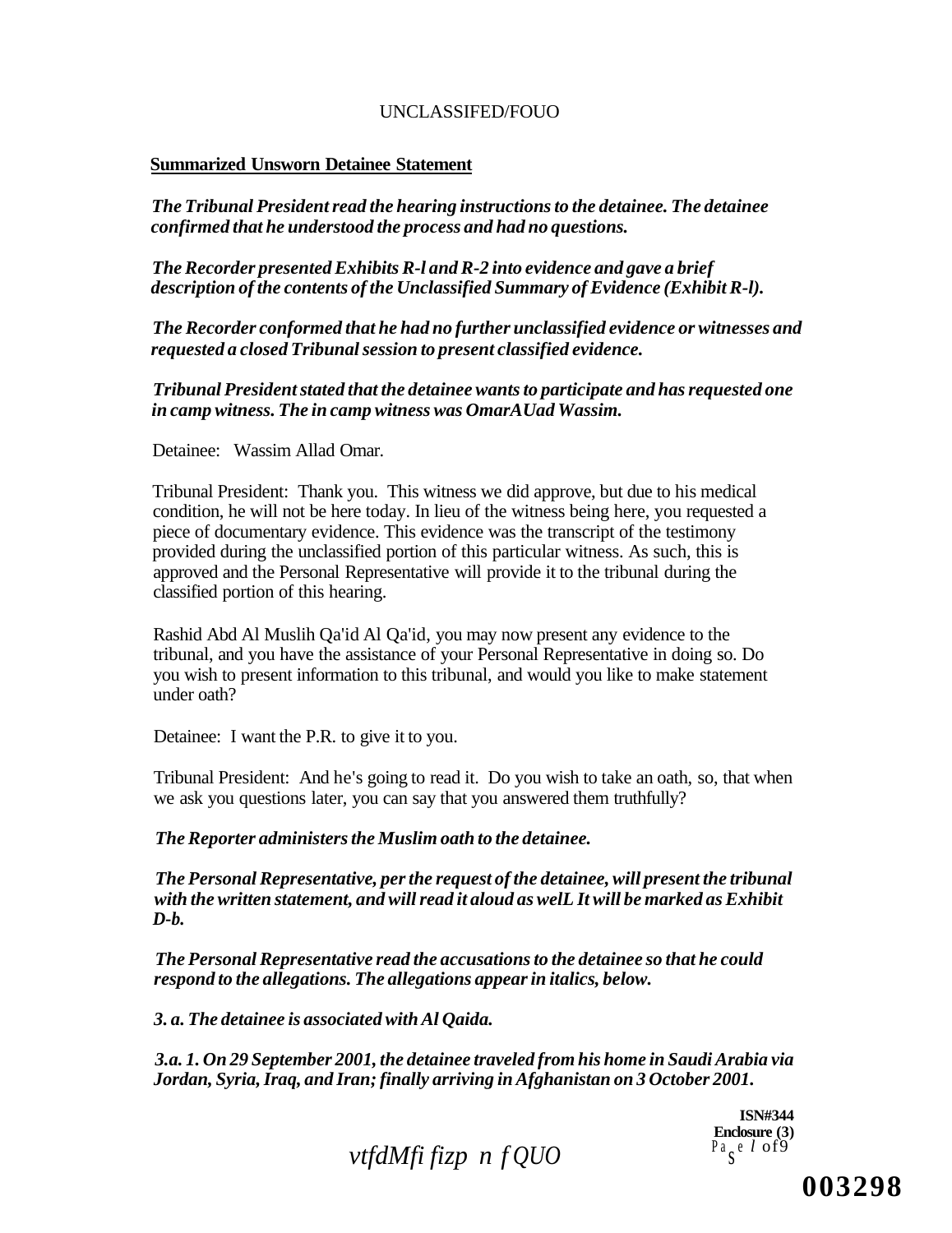# **Summarized Unsworn Detainee Statement**

*The Tribunal President read the hearing instructions to the detainee. The detainee confirmed that he understood the process and had no questions.* 

*The Recorder presented Exhibits R-l and R-2 into evidence and gave a brief description of the contents of the Unclassified Summary of Evidence (Exhibit R-l).* 

*The Recorder conformed that he had no further unclassified evidence or witnesses and requested a closed Tribunal session to present classified evidence.* 

*Tribunal President stated that the detainee wants to participate and has requested one in camp witness. The in camp witness was OmarAUad Wassim.* 

Detainee: Wassim Allad Omar.

Tribunal President: Thank you. This witness we did approve, but due to his medical condition, he will not be here today. In lieu of the witness being here, you requested a piece of documentary evidence. This evidence was the transcript of the testimony provided during the unclassified portion of this particular witness. As such, this is approved and the Personal Representative will provide it to the tribunal during the classified portion of this hearing.

Rashid Abd Al Muslih Qa'id Al Qa'id, you may now present any evidence to the tribunal, and you have the assistance of your Personal Representative in doing so. Do you wish to present information to this tribunal, and would you like to make statement under oath?

Detainee: I want the P.R. to give it to you.

Tribunal President: And he's going to read it. Do you wish to take an oath, so, that when we ask you questions later, you can say that you answered them truthfully?

*The Reporter administers the Muslim oath to the detainee.* 

*The Personal Representative, per the request of the detainee, will present the tribunal with the written statement, and will read it aloud as welL It will be marked as Exhibit D-b.* 

*The Personal Representative read the accusations to the detainee so that he could respond to the allegations. The allegations appear in italics, below.* 

*3. a. The detainee is associated with Al Qaida.* 

*3.a. 1. On 29 September 2001, the detainee traveled from his home in Saudi Arabia via Jordan, Syria, Iraq, and Iran; finally arriving in Afghanistan on 3 October 2001.* 

*vtfdMfi fizp n f OUO* 

**ISN#344 Enclosure (3)**  Pa<sub>c</sub>e *l* of9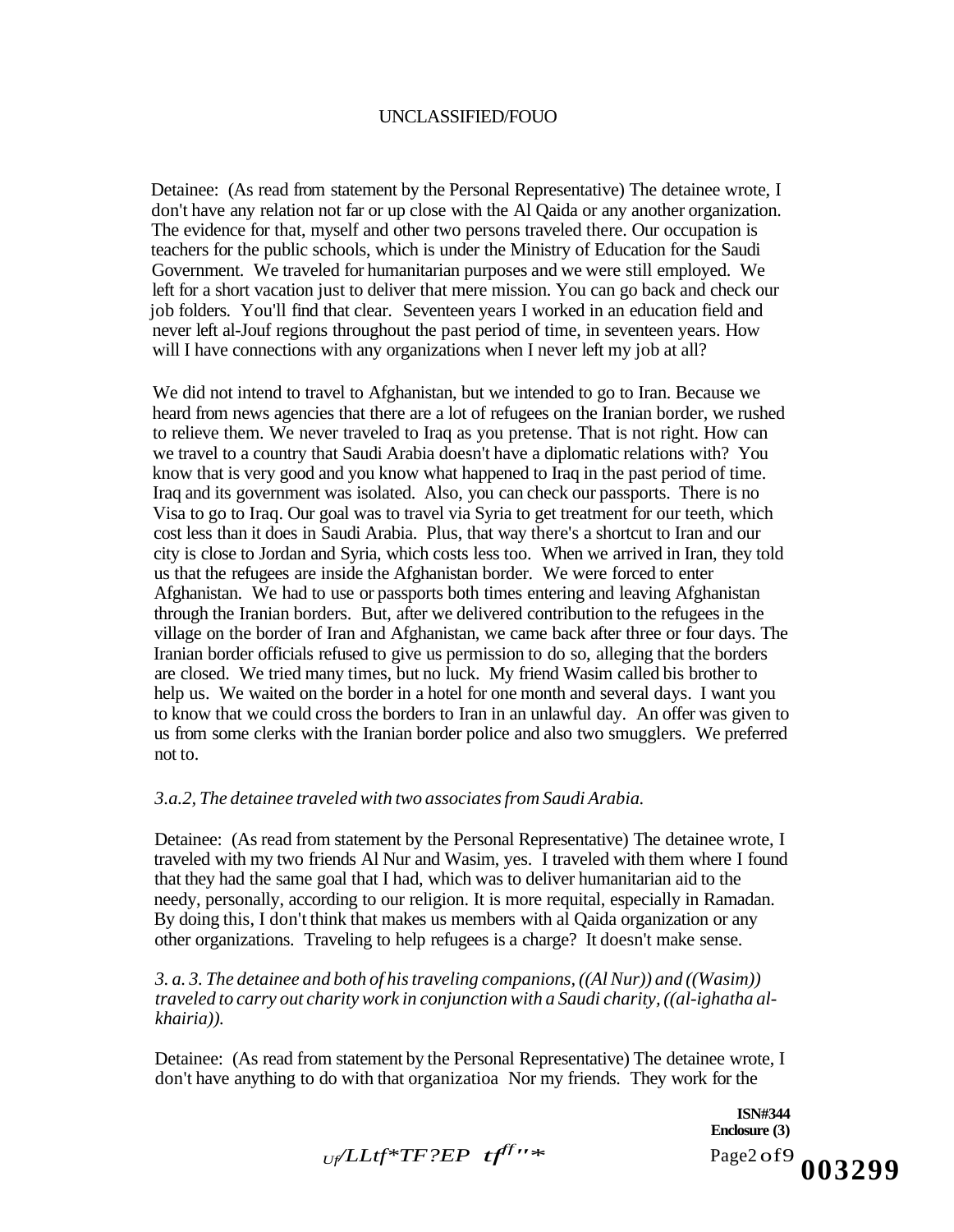Detainee: (As read from statement by the Personal Representative) The detainee wrote, I don't have any relation not far or up close with the Al Qaida or any another organization. The evidence for that, myself and other two persons traveled there. Our occupation is teachers for the public schools, which is under the Ministry of Education for the Saudi Government. We traveled for humanitarian purposes and we were still employed. We left for a short vacation just to deliver that mere mission. You can go back and check our job folders. You'll find that clear. Seventeen years I worked in an education field and never left al-Jouf regions throughout the past period of time, in seventeen years. How will I have connections with any organizations when I never left my job at all?

We did not intend to travel to Afghanistan, but we intended to go to Iran. Because we heard from news agencies that there are a lot of refugees on the Iranian border, we rushed to relieve them. We never traveled to Iraq as you pretense. That is not right. How can we travel to a country that Saudi Arabia doesn't have a diplomatic relations with? You know that is very good and you know what happened to Iraq in the past period of time. Iraq and its government was isolated. Also, you can check our passports. There is no Visa to go to Iraq. Our goal was to travel via Syria to get treatment for our teeth, which cost less than it does in Saudi Arabia. Plus, that way there's a shortcut to Iran and our city is close to Jordan and Syria, which costs less too. When we arrived in Iran, they told us that the refugees are inside the Afghanistan border. We were forced to enter Afghanistan. We had to use or passports both times entering and leaving Afghanistan through the Iranian borders. But, after we delivered contribution to the refugees in the village on the border of Iran and Afghanistan, we came back after three or four days. The Iranian border officials refused to give us permission to do so, alleging that the borders are closed. We tried many times, but no luck. My friend Wasim called bis brother to help us. We waited on the border in a hotel for one month and several days. I want you to know that we could cross the borders to Iran in an unlawful day. An offer was given to us from some clerks with the Iranian border police and also two smugglers. We preferred not to.

#### *3.a.2, The detainee traveled with two associates from Saudi Arabia.*

Detainee: (As read from statement by the Personal Representative) The detainee wrote, I traveled with my two friends Al Nur and Wasim, yes. I traveled with them where I found that they had the same goal that I had, which was to deliver humanitarian aid to the needy, personally, according to our religion. It is more requital, especially in Ramadan. By doing this, I don't think that makes us members with al Qaida organization or any other organizations. Traveling to help refugees is a charge? It doesn't make sense.

*3. a. 3. The detainee and both of his traveling companions, ((Al Nur)) and ((Wasim)) traveled to carry out charity work in conjunction with a Saudi charity, ((al-ighatha alkhairia)).* 

Detainee: (As read from statement by the Personal Representative) The detainee wrote, I don't have anything to do with that organizatioa Nor my friends. They work for the

**ISN#344 Enclosure (3)**   $U_f/Lt f^* T F?EP$   $t f^{ff}$ "\* Page2 of9 **003299**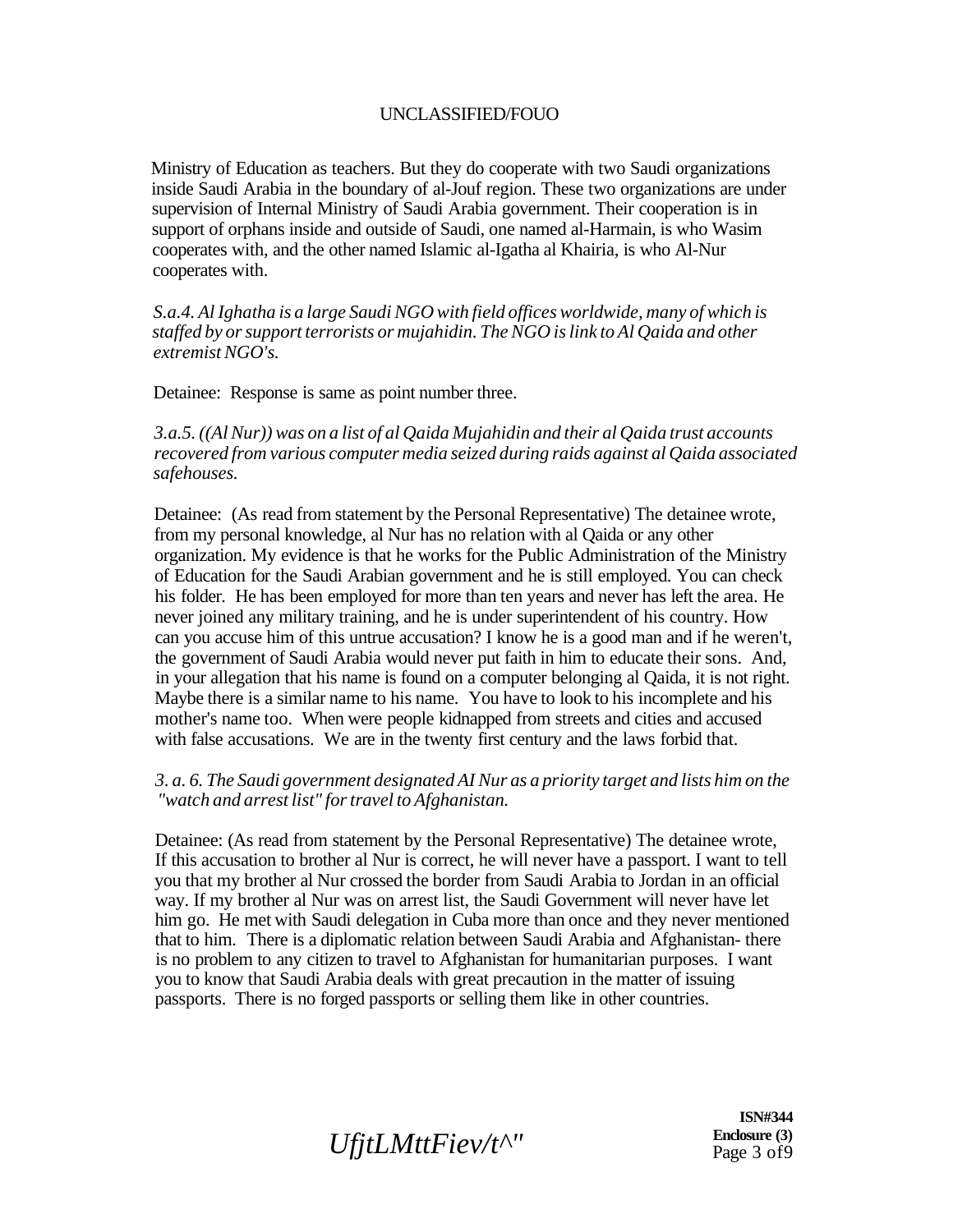Ministry of Education as teachers. But they do cooperate with two Saudi organizations inside Saudi Arabia in the boundary of al-Jouf region. These two organizations are under supervision of Internal Ministry of Saudi Arabia government. Their cooperation is in support of orphans inside and outside of Saudi, one named al-Harmain, is who Wasim cooperates with, and the other named Islamic al-Igatha al Khairia, is who Al-Nur cooperates with.

*S.a.4. Al Ighatha is a large Saudi NGO with field offices worldwide, many of which is staffed by or support terrorists or mujahidin. The NGO is link to Al Qaida and other extremist NGO's.* 

Detainee: Response is same as point number three.

*3.a.5. ((Al Nur)) was on a list of al Qaida Mujahidin and their al Qaida trust accounts recovered from various computer media seized during raids against al Qaida associated safehouses.* 

Detainee: (As read from statement by the Personal Representative) The detainee wrote, from my personal knowledge, al Nur has no relation with al Qaida or any other organization. My evidence is that he works for the Public Administration of the Ministry of Education for the Saudi Arabian government and he is still employed. You can check his folder. He has been employed for more than ten years and never has left the area. He never joined any military training, and he is under superintendent of his country. How can you accuse him of this untrue accusation? I know he is a good man and if he weren't, the government of Saudi Arabia would never put faith in him to educate their sons. And, in your allegation that his name is found on a computer belonging al Qaida, it is not right. Maybe there is a similar name to his name. You have to look to his incomplete and his mother's name too. When were people kidnapped from streets and cities and accused with false accusations. We are in the twenty first century and the laws forbid that.

# *3. a. 6. The Saudi government designated AI Nur as a priority target and lists him on the "watch and arrest list" for travel to Afghanistan.*

Detainee: (As read from statement by the Personal Representative) The detainee wrote, If this accusation to brother al Nur is correct, he will never have a passport. I want to tell you that my brother al Nur crossed the border from Saudi Arabia to Jordan in an official way. If my brother al Nur was on arrest list, the Saudi Government will never have let him go. He met with Saudi delegation in Cuba more than once and they never mentioned that to him. There is a diplomatic relation between Saudi Arabia and Afghanistan- there is no problem to any citizen to travel to Afghanistan for humanitarian purposes. I want you to know that Saudi Arabia deals with great precaution in the matter of issuing passports. There is no forged passports or selling them like in other countries.

*UfjtLMttFiev/t^"* 

**ISN#344 Enclosure (3)**  Page 3 of9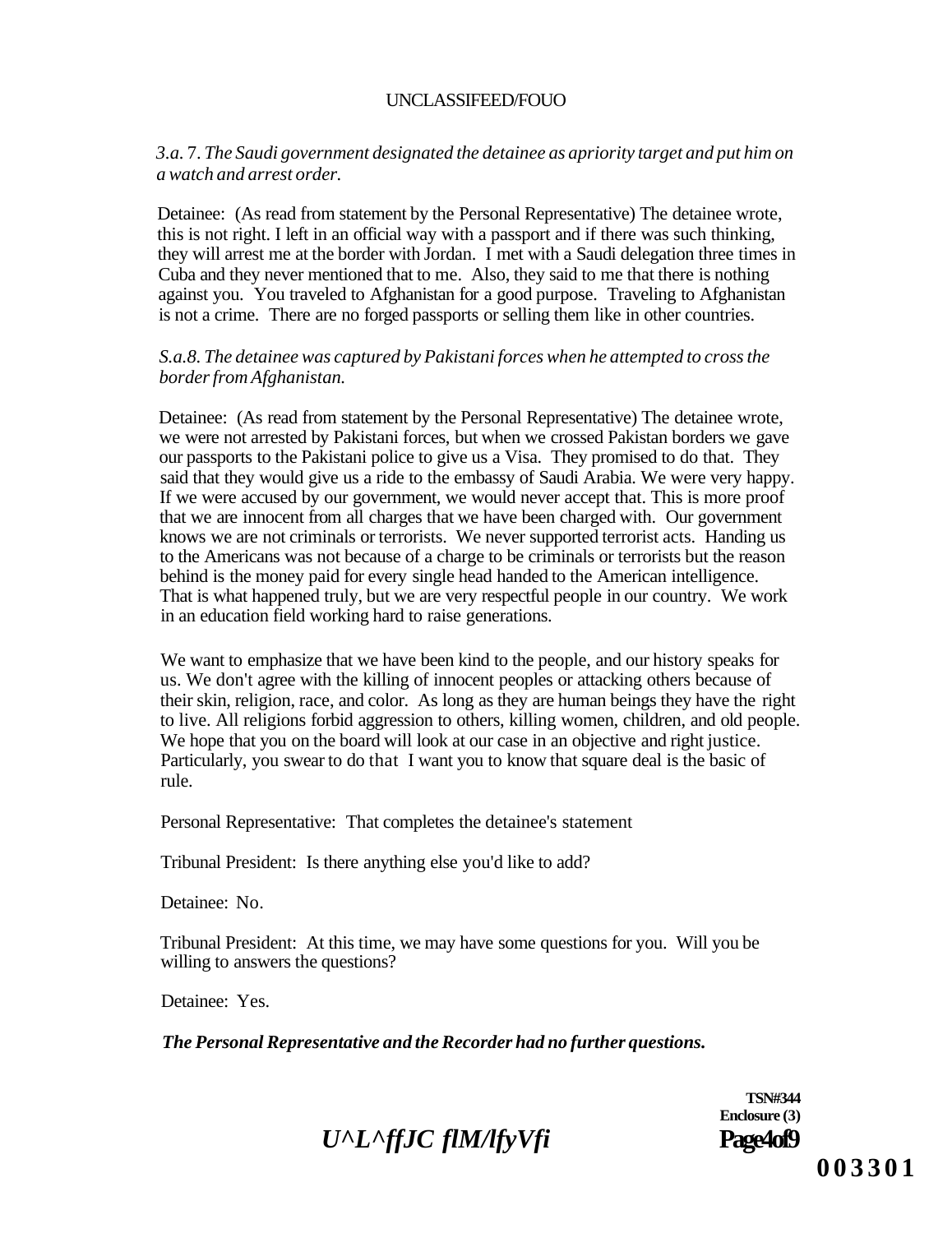# *3.a.* 7. *The Saudi government designated the detainee as apriority target and put him on a watch and arrest order.*

Detainee: (As read from statement by the Personal Representative) The detainee wrote, this is not right. I left in an official way with a passport and if there was such thinking, they will arrest me at the border with Jordan. I met with a Saudi delegation three times in Cuba and they never mentioned that to me. Also, they said to me that there is nothing against you. You traveled to Afghanistan for a good purpose. Traveling to Afghanistan is not a crime. There are no forged passports or selling them like in other countries.

# *S.a.8. The detainee was captured by Pakistani forces when he attempted to cross the border from Afghanistan.*

Detainee: (As read from statement by the Personal Representative) The detainee wrote, we were not arrested by Pakistani forces, but when we crossed Pakistan borders we gave our passports to the Pakistani police to give us a Visa. They promised to do that. They said that they would give us a ride to the embassy of Saudi Arabia. We were very happy. If we were accused by our government, we would never accept that. This is more proof that we are innocent from all charges that we have been charged with. Our government knows we are not criminals or terrorists. We never supported terrorist acts. Handing us to the Americans was not because of a charge to be criminals or terrorists but the reason behind is the money paid for every single head handed to the American intelligence. That is what happened truly, but we are very respectful people in our country. We work in an education field working hard to raise generations.

We want to emphasize that we have been kind to the people, and our history speaks for us. We don't agree with the killing of innocent peoples or attacking others because of their skin, religion, race, and color. As long as they are human beings they have the right to live. All religions forbid aggression to others, killing women, children, and old people. We hope that you on the board will look at our case in an objective and right justice. Particularly, you swear to do that I want you to know that square deal is the basic of rule.

Personal Representative: That completes the detainee's statement

Tribunal President: Is there anything else you'd like to add?

Detainee: No.

Tribunal President: At this time, we may have some questions for you. Will you be willing to answers the questions?

Detainee: Yes.

*The Personal Representative and the Recorder had no further questions.* 

**TSN#344 Enclosure (3)** 

# *U^L^ffJC flM/lfyVfi* **Page4of9**

**00330 1**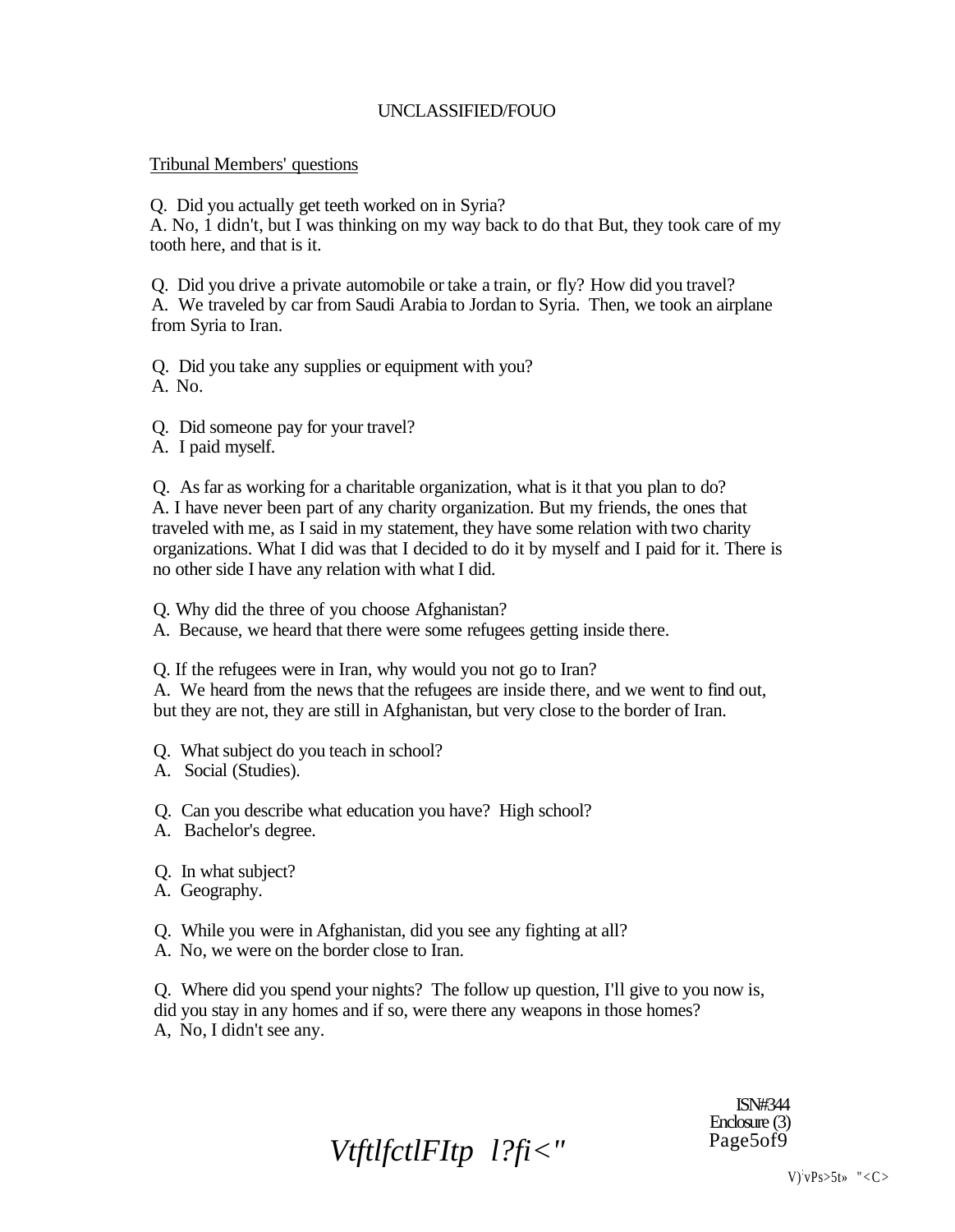## Tribunal Members' questions

Q. Did you actually get teeth worked on in Syria?

A. No, 1 didn't, but I was thinking on my way back to do that But, they took care of my tooth here, and that is it.

Q. Did you drive a private automobile or take a train, or fly? How did you travel? A. We traveled by car from Saudi Arabia to Jordan to Syria. Then, we took an airplane from Syria to Iran.

Q. Did you take any supplies or equipment with you? A. No.

- Q. Did someone pay for your travel?
- A. I paid myself.

Q. As far as working for a charitable organization, what is it that you plan to do? A. I have never been part of any charity organization. But my friends, the ones that traveled with me, as I said in my statement, they have some relation with two charity organizations. What I did was that I decided to do it by myself and I paid for it. There is no other side I have any relation with what I did.

Q. Why did the three of you choose Afghanistan?

A. Because, we heard that there were some refugees getting inside there.

Q. If the refugees were in Iran, why would you not go to Iran?

A. We heard from the news that the refugees are inside there, and we went to find out, but they are not, they are still in Afghanistan, but very close to the border of Iran.

- Q. What subject do you teach in school?
- A. Social (Studies).
- Q. Can you describe what education you have? High school?
- A. Bachelor's degree.

Q. In what subject?

A. Geography.

- Q. While you were in Afghanistan, did you see any fighting at all?
- A. No, we were on the border close to Iran.

Q. Where did you spend your nights? The follow up question, I'll give to you now is, did you stay in any homes and if so, were there any weapons in those homes? A, No, I didn't see any.

> ISN#344 Enclosure (3)<br>Page5of9

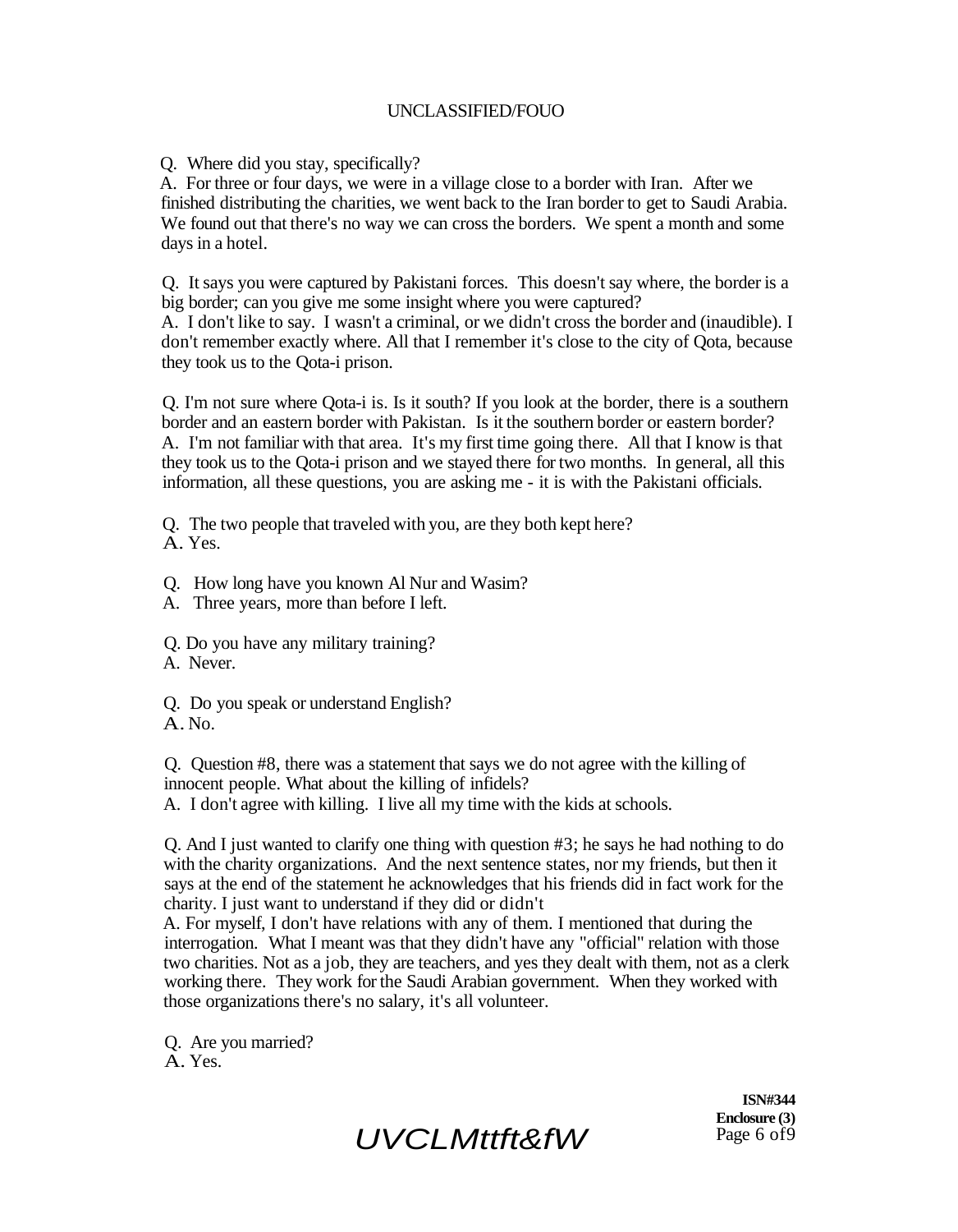Q. Where did you stay, specifically?

A. For three or four days, we were in a village close to a border with Iran. After we finished distributing the charities, we went back to the Iran border to get to Saudi Arabia. We found out that there's no way we can cross the borders. We spent a month and some days in a hotel.

Q. It says you were captured by Pakistani forces. This doesn't say where, the border is a big border; can you give me some insight where you were captured?

A. I don't like to say. I wasn't a criminal, or we didn't cross the border and (inaudible). I don't remember exactly where. All that I remember it's close to the city of Qota, because they took us to the Qota-i prison.

Q. I'm not sure where Qota-i is. Is it south? If you look at the border, there is a southern border and an eastern border with Pakistan. Is it the southern border or eastern border? A. I'm not familiar with that area. It's my first time going there. All that I know is that they took us to the Qota-i prison and we stayed there for two months. In general, all this information, all these questions, you are asking me - it is with the Pakistani officials.

Q. The two people that traveled with you, are they both kept here? A. Yes.

Q. How long have you known Al Nur and Wasim?

A. Three years, more than before I left.

Q. Do you have any military training? A. Never.

Q. Do you speak or understand English? A. No.

Q. Question #8, there was a statement that says we do not agree with the killing of innocent people. What about the killing of infidels?

A. I don't agree with killing. I live all my time with the kids at schools.

Q. And I just wanted to clarify one thing with question #3; he says he had nothing to do with the charity organizations. And the next sentence states, nor my friends, but then it says at the end of the statement he acknowledges that his friends did in fact work for the charity. I just want to understand if they did or didn't

A. For myself, I don't have relations with any of them. I mentioned that during the interrogation. What I meant was that they didn't have any "official" relation with those two charities. Not as a job, they are teachers, and yes they dealt with them, not as a clerk working there. They work for the Saudi Arabian government. When they worked with those organizations there's no salary, it's all volunteer.

Q. Are you married? A. Yes.



**ISN#344 Enclosure (3)**  Page 6 of9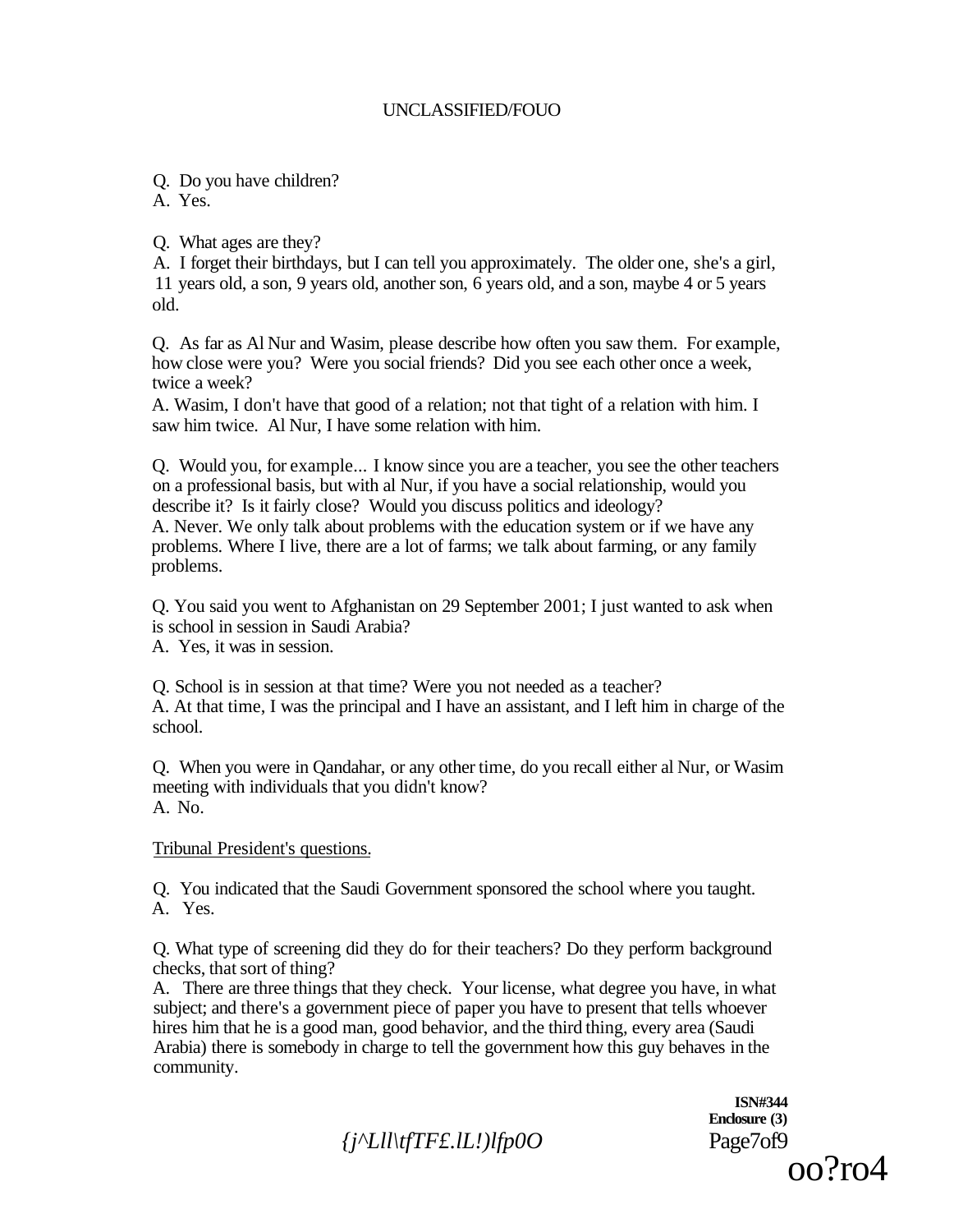Q. Do you have children?

A. Yes.

Q. What ages are they?

A. I forget their birthdays, but I can tell you approximately. The older one, she's a girl, 11 years old, a son, 9 years old, another son, 6 years old, and a son, maybe 4 or 5 years old.

Q. As far as Al Nur and Wasim, please describe how often you saw them. For example, how close were you? Were you social friends? Did you see each other once a week, twice a week?

A. Wasim, I don't have that good of a relation; not that tight of a relation with him. I saw him twice. Al Nur, I have some relation with him.

Q. Would you, for example... I know since you are a teacher, you see the other teachers on a professional basis, but with al Nur, if you have a social relationship, would you describe it? Is it fairly close? Would you discuss politics and ideology?

A. Never. We only talk about problems with the education system or if we have any problems. Where I live, there are a lot of farms; we talk about farming, or any family problems.

Q. You said you went to Afghanistan on 29 September 2001; I just wanted to ask when is school in session in Saudi Arabia?

A. Yes, it was in session.

Q. School is in session at that time? Were you not needed as a teacher? A. At that time, I was the principal and I have an assistant, and I left him in charge of the school.

Q. When you were in Qandahar, or any other time, do you recall either al Nur, or Wasim meeting with individuals that you didn't know? A. No.

Tribunal President's questions.

Q. You indicated that the Saudi Government sponsored the school where you taught. A. Yes.

Q. What type of screening did they do for their teachers? Do they perform background checks, that sort of thing?

A. There are three things that they check. Your license, what degree you have, in what subject; and there's a government piece of paper you have to present that tells whoever hires him that he is a good man, good behavior, and the third thing, every area (Saudi Arabia) there is somebody in charge to tell the government how this guy behaves in the community.

*{j^Lll\tfTF£.lL!)lfp0O* Page7of9

**ISN#344 Enclosure (3)**  oo?ro4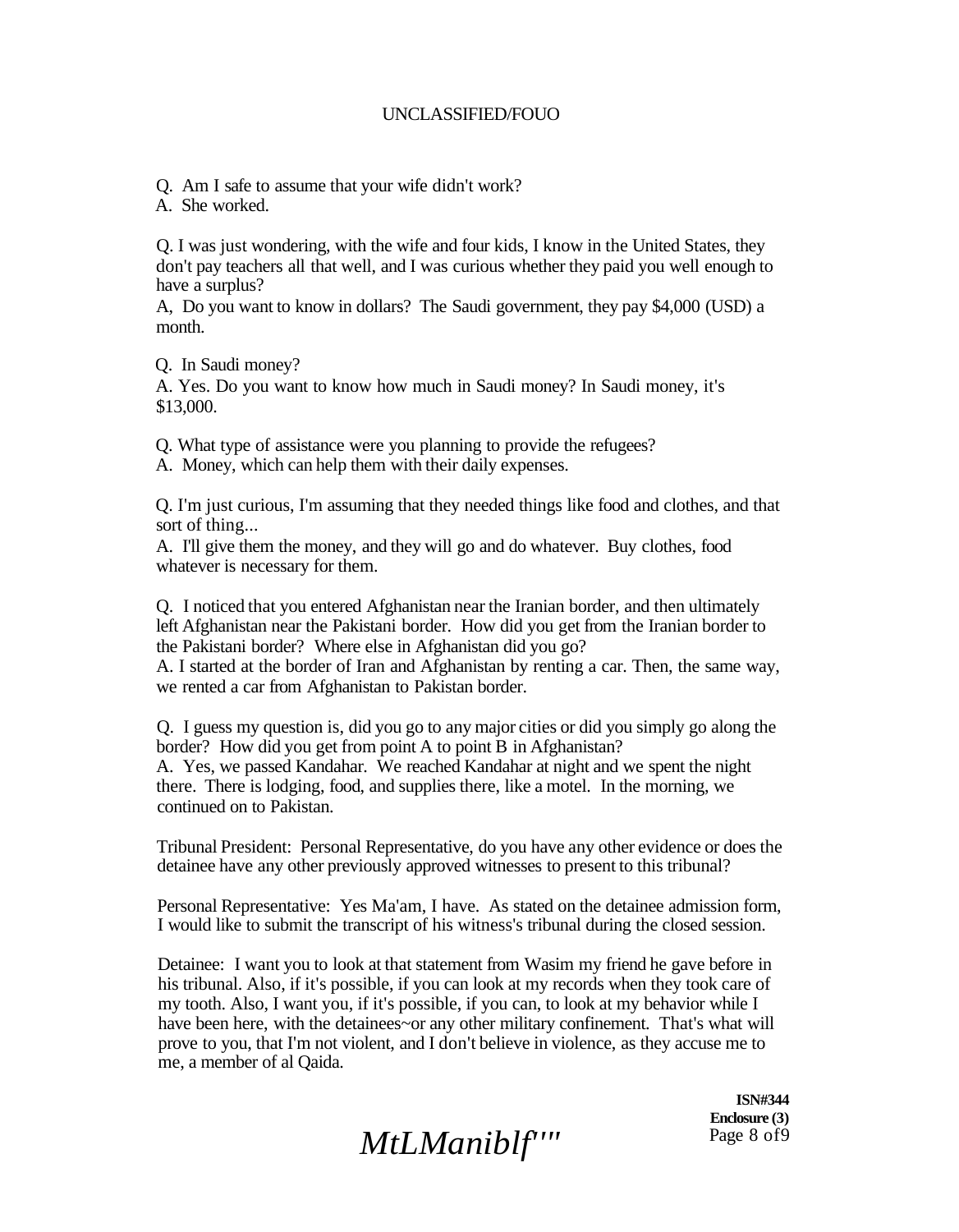Q. Am I safe to assume that your wife didn't work?

A. She worked.

Q. I was just wondering, with the wife and four kids, I know in the United States, they don't pay teachers all that well, and I was curious whether they paid you well enough to have a surplus?

A, Do you want to know in dollars? The Saudi government, they pay \$4,000 (USD) a month.

Q. In Saudi money?

A. Yes. Do you want to know how much in Saudi money? In Saudi money, it's \$13,000.

Q. What type of assistance were you planning to provide the refugees?

A. Money, which can help them with their daily expenses.

Q. I'm just curious, I'm assuming that they needed things like food and clothes, and that sort of thing...

A. I'll give them the money, and they will go and do whatever. Buy clothes, food whatever is necessary for them.

Q. I noticed that you entered Afghanistan near the Iranian border, and then ultimately left Afghanistan near the Pakistani border. How did you get from the Iranian border to the Pakistani border? Where else in Afghanistan did you go?

A. I started at the border of Iran and Afghanistan by renting a car. Then, the same way, we rented a car from Afghanistan to Pakistan border.

Q. I guess my question is, did you go to any major cities or did you simply go along the border? How did you get from point A to point B in Afghanistan? A. Yes, we passed Kandahar. We reached Kandahar at night and we spent the night there. There is lodging, food, and supplies there, like a motel. In the morning, we continued on to Pakistan.

Tribunal President: Personal Representative, do you have any other evidence or does the detainee have any other previously approved witnesses to present to this tribunal?

Personal Representative: Yes Ma'am, I have. As stated on the detainee admission form, I would like to submit the transcript of his witness's tribunal during the closed session.

Detainee: I want you to look at that statement from Wasim my friend he gave before in his tribunal. Also, if it's possible, if you can look at my records when they took care of my tooth. Also, I want you, if it's possible, if you can, to look at my behavior while I have been here, with the detainees~or any other military confinement. That's what will prove to you, that I'm not violent, and I don't believe in violence, as they accuse me to me, a member of al Qaida.



**ISN#344 Enclosure (3)**  Page 8 of9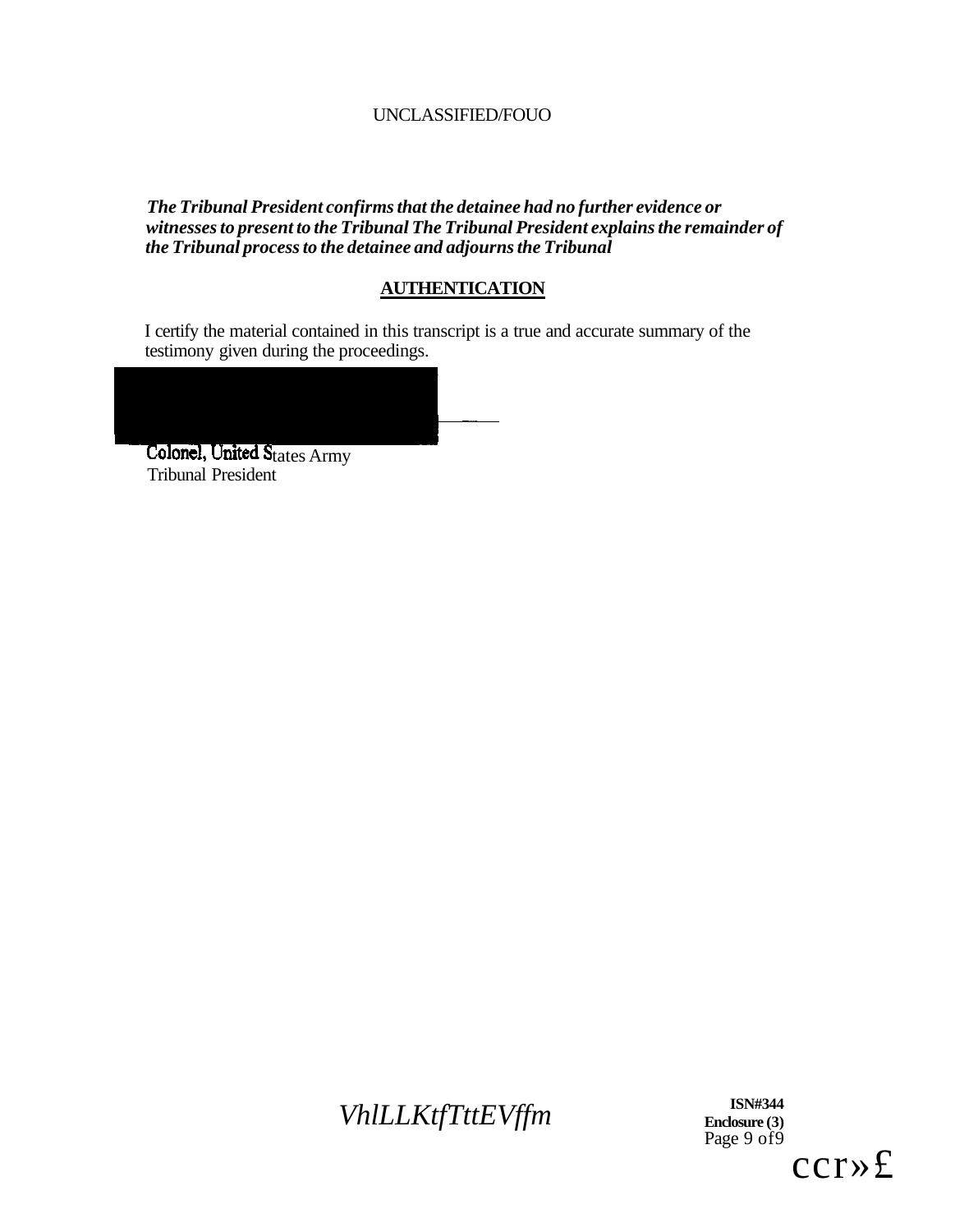*The Tribunal President confirms that the detainee had no further evidence or witnesses to present to the Tribunal The Tribunal President explains the remainder of the Tribunal process to the detainee and adjourns the Tribunal* 

# **AUTHENTICATION**

I certify the material contained in this transcript is a true and accurate summary of the testimony given during the proceedings.



Colonel, United States Army Tribunal President

*VhlLLKtfTttEVffm* **ISN#344** 

**Enclosure (3)**  Page 9 of9

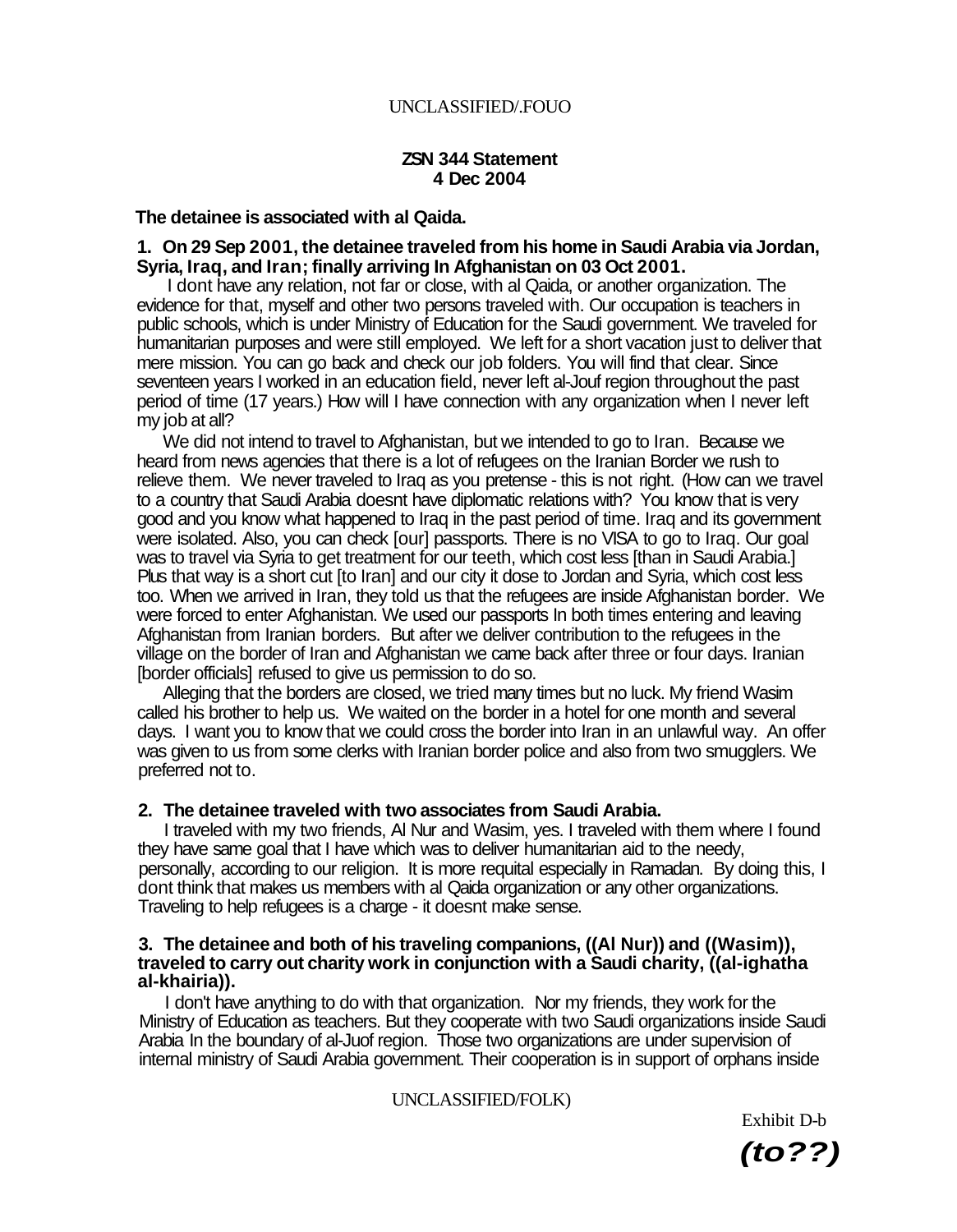# **ZSN 344 Statement 4 Dec 2004**

#### **The detainee is associated with al Qaida.**

# **1. On 29 Sep 2001, the detainee traveled from his home in Saudi Arabia via Jordan, Syria, Iraq, and Iran; finally arriving In Afghanistan on 03 Oct 2001.**

I dont have any relation, not far or close, with al Qaida, or another organization. The evidence for that, myself and other two persons traveled with. Our occupation is teachers in public schools, which is under Ministry of Education for the Saudi government. We traveled for humanitarian purposes and were still employed. We left for a short vacation just to deliver that mere mission. You can go back and check our job folders. You will find that clear. Since seventeen years I worked in an education field, never left al-Jouf region throughout the past period of time (17 years.) How will I have connection with any organization when I never left my job at all?

We did not intend to travel to Afghanistan, but we intended to go to Iran. Because we heard from news agencies that there is a lot of refugees on the Iranian Border we rush to relieve them. We never traveled to Iraq as you pretense - this is not right. (How can we travel to a country that Saudi Arabia doesnt have diplomatic relations with? You know that is very good and you know what happened to Iraq in the past period of time. Iraq and its government were isolated. Also, you can check [our] passports. There is no VISA to go to Iraq. Our goal was to travel via Syria to get treatment for our teeth, which cost less [than in Saudi Arabia.] Plus that way is a short cut [to Iran] and our city it dose to Jordan and Syria, which cost less too. When we arrived in Iran, they told us that the refugees are inside Afghanistan border. We were forced to enter Afghanistan. We used our passports In both times entering and leaving Afghanistan from Iranian borders. But after we deliver contribution to the refugees in the village on the border of Iran and Afghanistan we came back after three or four days. Iranian [border officials] refused to give us permission to do so.

Alleging that the borders are closed, we tried many times but no luck. My friend Wasim called his brother to help us. We waited on the border in a hotel for one month and several days. I want you to know that we could cross the border into Iran in an unlawful way. An offer was given to us from some clerks with Iranian border police and also from two smugglers. We preferred not to.

# **2. The detainee traveled with two associates from Saudi Arabia.**

I traveled with my two friends, Al Nur and Wasim, yes. I traveled with them where I found they have same goal that I have which was to deliver humanitarian aid to the needy, personally, according to our religion. It is more requital especially in Ramadan. By doing this, I dont think that makes us members with al Qaida organization or any other organizations. Traveling to help refugees is a charge - it doesnt make sense.

# **3. The detainee and both of his traveling companions, ((Al Nur)) and ((Wasim)), traveled to carry out charity work in conjunction with a Saudi charity, ((al-ighatha al-khairia)).**

I don't have anything to do with that organization. Nor my friends, they work for the Ministry of Education as teachers. But they cooperate with two Saudi organizations inside Saudi Arabia In the boundary of al-Juof region. Those two organizations are under supervision of internal ministry of Saudi Arabia government. Their cooperation is in support of orphans inside

# UNCLASSIFIED/FOLK)

Exhibit D-b **(to??)**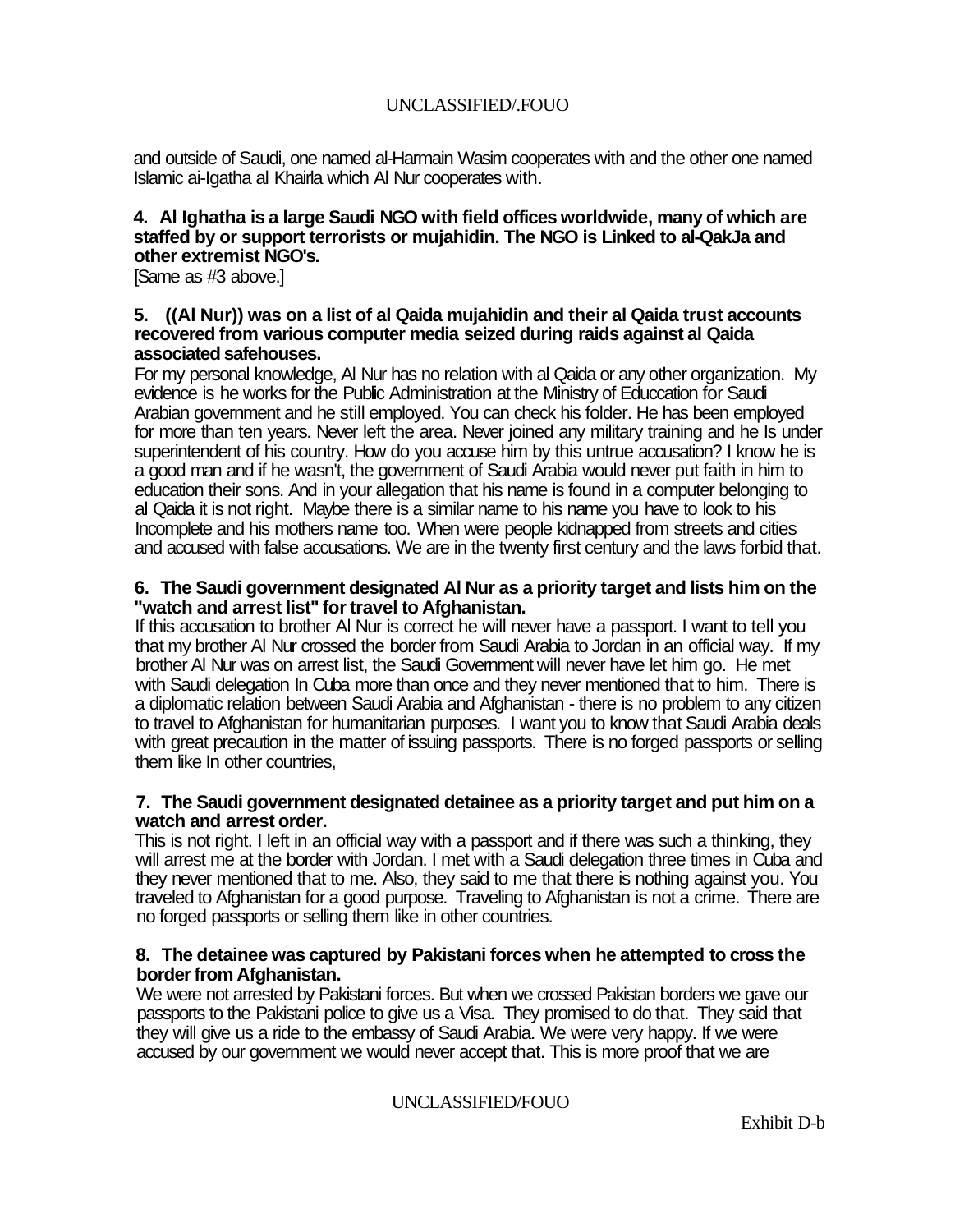and outside of Saudi, one named al-Harmain Wasim cooperates with and the other one named Islamic ai-Igatha al Khairla which Al Nur cooperates with.

# **4. Al Ighatha is a large Saudi NGO with field offices worldwide, many of which are staffed by or support terrorists or mujahidin. The NGO is Linked to al-QakJa and other extremist NGO's.**

[Same as #3 above.]

# **5. ((Al Nur)) was on a list of al Qaida mujahidin and their al Qaida trust accounts recovered from various computer media seized during raids against al Qaida associated safehouses.**

For my personal knowledge, Al Nur has no relation with al Qaida or any other organization. My evidence is he works for the Public Administration at the Ministry of Educcation for Saudi Arabian government and he still employed. You can check his folder. He has been employed for more than ten years. Never left the area. Never joined any military training and he Is under superintendent of his country. How do you accuse him by this untrue accusation? I know he is a good man and if he wasn't, the government of Saudi Arabia would never put faith in him to education their sons. And in your allegation that his name is found in a computer belonging to al Qaida it is not right. Maybe there is a similar name to his name you have to look to his Incomplete and his mothers name too. When were people kidnapped from streets and cities and accused with false accusations. We are in the twenty first century and the laws forbid that.

# **6. The Saudi government designated Al Nur as a priority target and lists him on the "watch and arrest list" for travel to Afghanistan.**

If this accusation to brother Al Nur is correct he will never have a passport. I want to tell you that my brother Al Nur crossed the border from Saudi Arabia to Jordan in an official way. If my brother Al Nur was on arrest list, the Saudi Government will never have let him go. He met with Saudi delegation In Cuba more than once and they never mentioned that to him. There is a diplomatic relation between Saudi Arabia and Afghanistan - there is no problem to any citizen to travel to Afghanistan for humanitarian purposes. I want you to know that Saudi Arabia deals with great precaution in the matter of issuing passports. There is no forged passports or selling them like In other countries,

# **7. The Saudi government designated detainee as a priority target and put him on a watch and arrest order.**

This is not right. I left in an official way with a passport and if there was such a thinking, they will arrest me at the border with Jordan. I met with a Saudi delegation three times in Cuba and they never mentioned that to me. Also, they said to me that there is nothing against you. You traveled to Afghanistan for a good purpose. Traveling to Afghanistan is not a crime. There are no forged passports or selling them like in other countries.

# **8. The detainee was captured by Pakistani forces when he attempted to cross the border from Afghanistan.**

We were not arrested by Pakistani forces. But when we crossed Pakistan borders we gave our passports to the Pakistani police to give us a Visa. They promised to do that. They said that they will give us a ride to the embassy of Saudi Arabia. We were very happy. If we were accused by our government we would never accept that. This is more proof that we are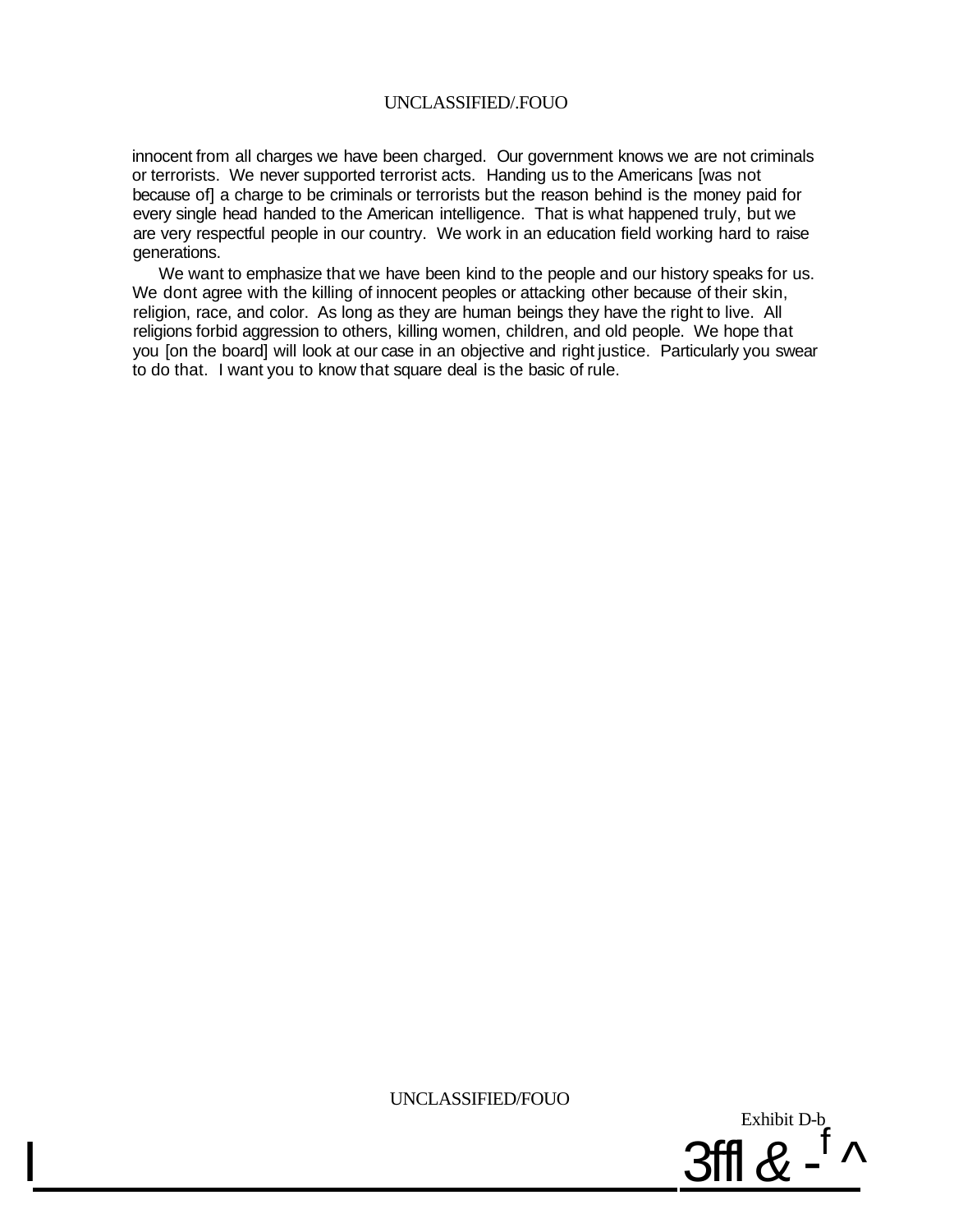innocent from all charges we have been charged. Our government knows we are not criminals or terrorists. We never supported terrorist acts. Handing us to the Americans [was not because of] a charge to be criminals or terrorists but the reason behind is the money paid for every single head handed to the American intelligence. That is what happened truly, but we are very respectful people in our country. We work in an education field working hard to raise generations.

We want to emphasize that we have been kind to the people and our history speaks for us. We dont agree with the killing of innocent peoples or attacking other because of their skin, religion, race, and color. As long as they are human beings they have the right to live. All religions forbid aggression to others, killing women, children, and old people. We hope that you [on the board] will look at our case in an objective and right justice. Particularly you swear to do that. I want you to know that square deal is the basic of rule.

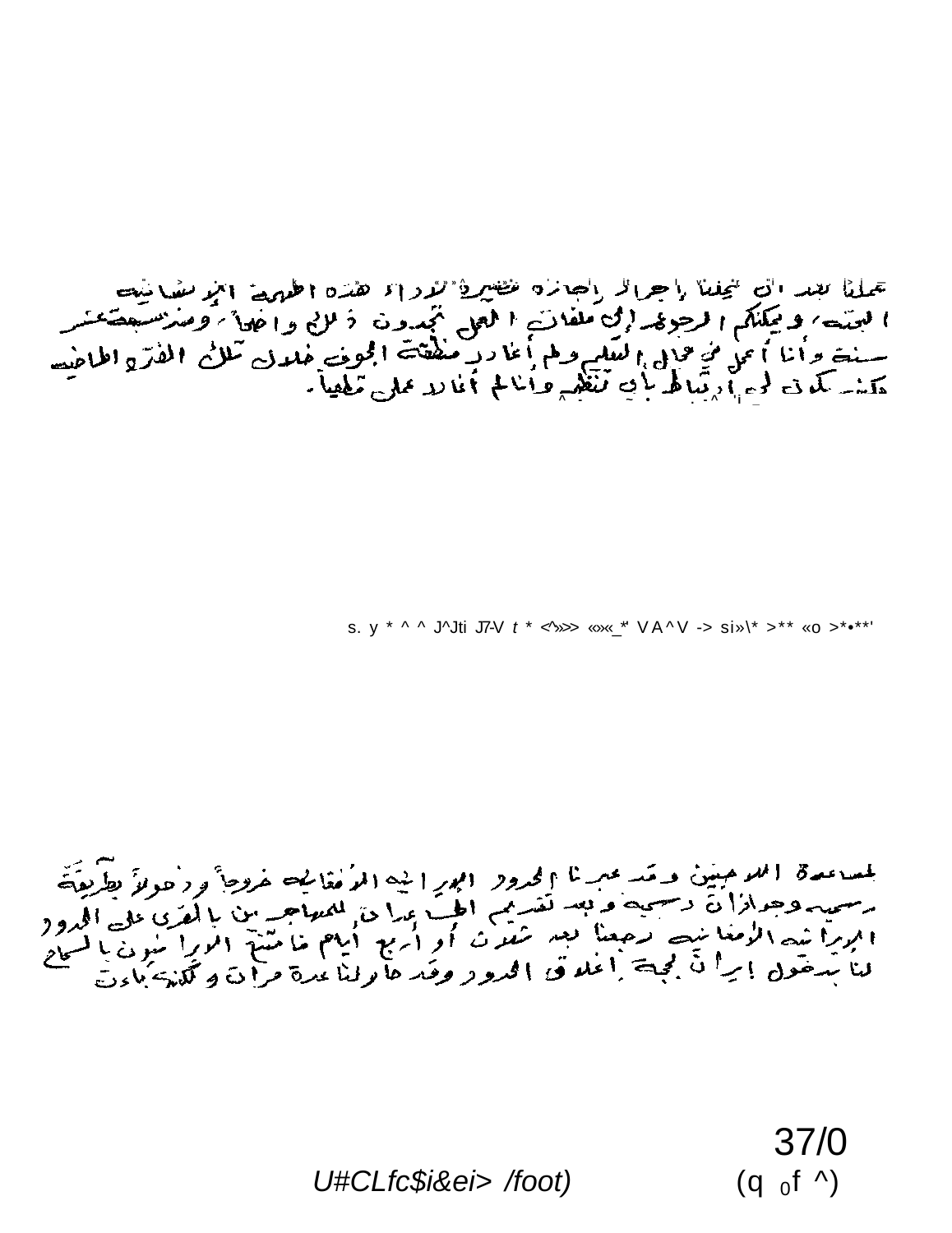**" . > • . \_ . k . .» . .. . «»» ^ \_.•»\* - \_' • i i t I v \* • \*r " i . . . i > i —**  ا لبتته، ويمِللَم الرحِوط إلى ملفاتٍ اللهي تميدون 1 للى واللها توصلا سيحت عشر سنت وأنا أنمو مُ يحلِ إليكيهو لم أنا درِ مَنْفَتَتْ الجوف مَلان تَلاحُ الفَرِّهِ الماضِدِ ه تنه سکون<sup>ے ل</sup>وء آپریگا کھر کی تنظیم فی اُنا کے اُغا لا عمل تن<u>گ</u>عیا ۔

s.  $y * \wedge \wedge$  J $\wedge$ Jti J $7$ -V  $t * \ll w$   $\gg$  «»« \* VA $\wedge$  V -> si» $\wedge^*$  >\*\* «o >\*\*\*'

لمساعدة المما مبين و مّد عبرنا المحدود الإبرائية المرُّلْمَائِه غروةِ؟ ورُعولاً بطَّرِيَّةٌ<br>رسميہ وجرارًا نَّ دسميةً وَ بِهِ تَقْدِيمٍ الْحَبَّ مِدَا نَّ لِلْمُعَاجِدِ بنَ بِالْمَرَى عَلَى الْمُرُورِ<br>الإبراهية الأمعانية : . كم يتحقق أيراني في المحلوق المحرور وقد عا ولمنا عدة قرأت وكليم باءن<br>لنا بتدخون إيراني في أعلاق المحرور وقد عا ولمنا عدة قرأت وكليم باءن

37/0

U#CLfc\$i&ei> /foot)  $(q_0f \wedge)$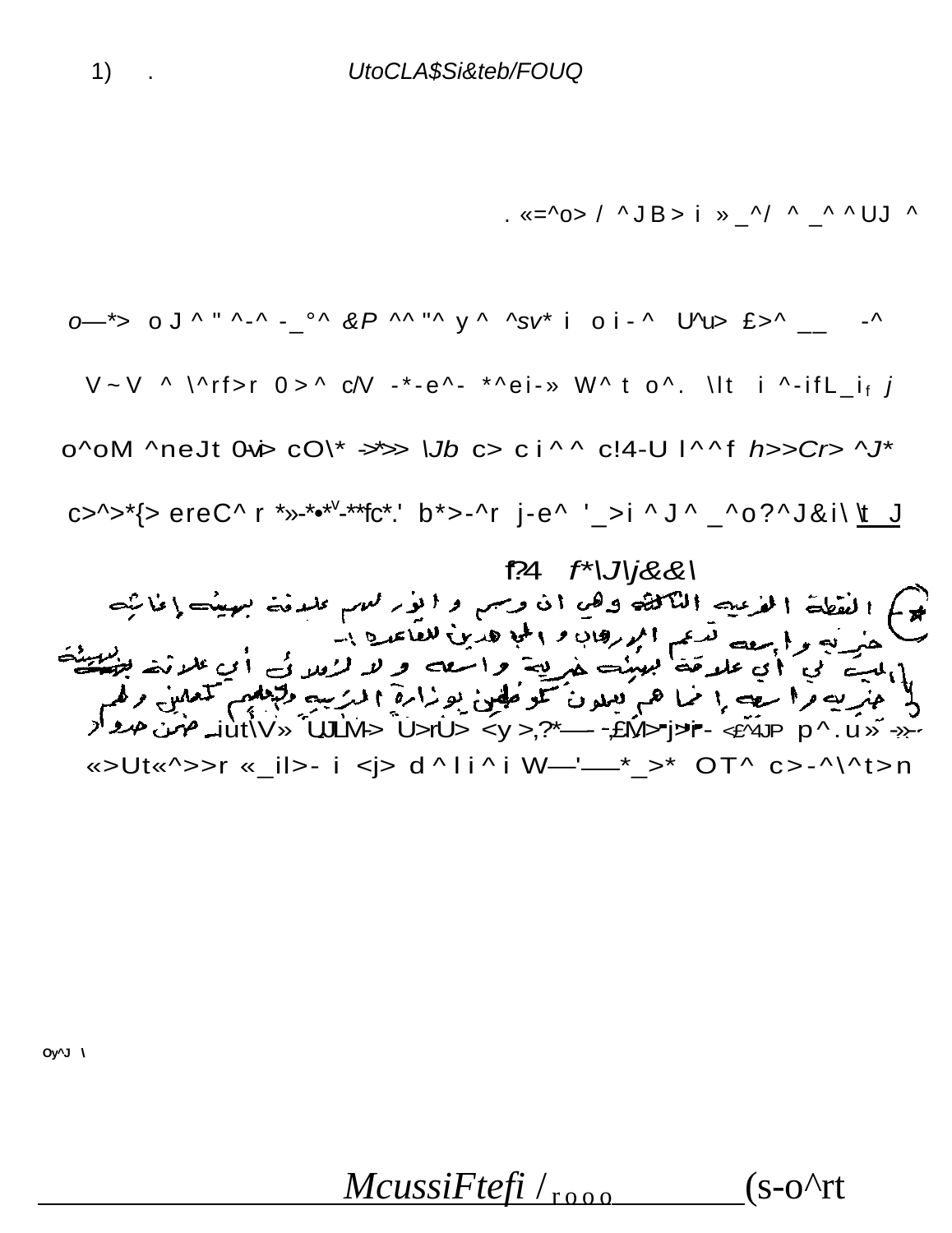. «=^o> / ^JB > i » ^/ ^ ^^UJ ^

o—\*> o J^ " ^-^ -\_°^ &P ^^ "^ y ^ ^sv\* i o i- ^ U^u> £>^ \_\_ -^  $V \sim V$  ^ \^rf>r 0>^ c/V -\*-e^- \*^ei-» W^ t o^. \It i ^-ifL i<sub>f</sub> j o^oM ^neJt  $0\nu$ i>  $cO\rightarrow \rightarrow \gg$   $Ub$  c> ci^^ c!4-U l^^f h>>Cr> ^J\* c>^>\*{> ereC^ r \*»-\*•\*<sup>v</sup>-\*\*fc\*.' b\*>-^r j-e^ '\_>i ^J ^ \_^o?^J&i\ <u>\t\_J</u>

 $f$ <sup>\*</sup> $\bigcup$  $\bigcup$  $\bigotimes$  $\bigotimes$ in ) الفظات الفرعيد المناكلة وهي ان وسم و الأبر نسم عددة بسيئة إنا بهد<br>المربع واسعة تسم الإرقاب و الحج هدين للقاعدة ...<br>إن يتحدث و اسعة بالمربع المربعة واسعة و لا لربس في أبي عددة بيسيطية<br>لم منر يدو اسعة ,! نما هم يس في م «>Ut«^>>r «\_il>- i <j> d^li^ i W—' \*\_>\* OT^ c>-^\^t>n

**Oy^J \** 

 $Mcussiftefi /_{rooo}$  (s-o<sup> $\land$ </sup>rt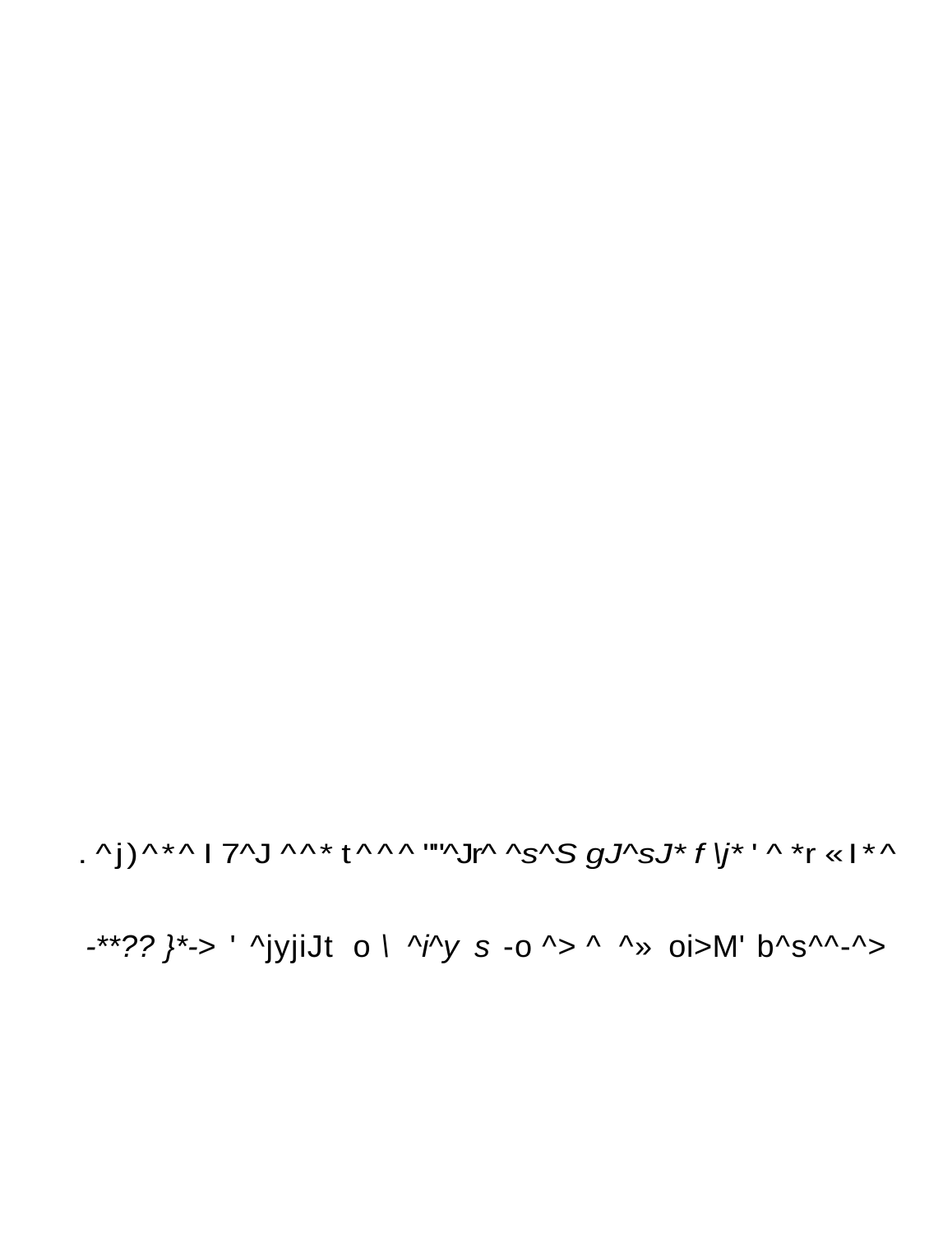$-$ \*\*?? }\*-> ' ^jyjiJt o \ ^i^y s -o ^> ^ ^» oi>M' b^s^^-^>

. ^j)^\*^ I 7^J ^^\* t^^^ ""^Jr^ ^s^S gJ^sJ\* f  $\mathsf{V}^*$ ' ^ \*r «I\*^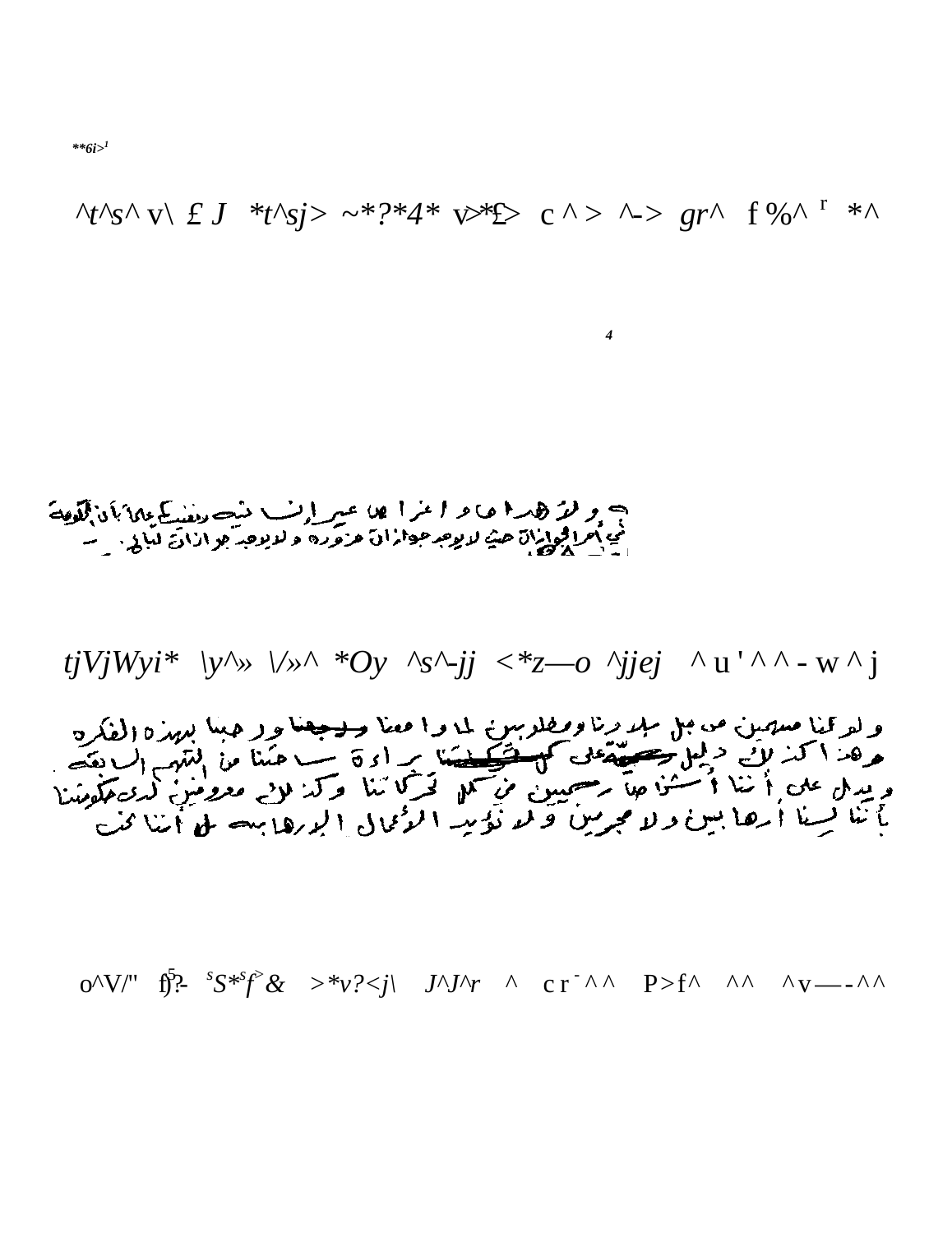*\*\*6i><sup>1</sup>*

 $\wedge$ *t* $\wedge$ *s*<sup> $\wedge$ </sup> v\ *£ J \*t* $\wedge$ *sj>* ~\*?\*4\* v>\*£> c<sup> $\wedge$ </sup> > ^-> gr<sup> $\wedge$ </sup> f %<sup> $\wedge$  f \*^</sup>

*4* 

# ه و از هدا عا و ا عرا به عبر ارت شد رستگی به کارآتشه<br>نجام الحوایاة حث لایوصر عوازان حزوره و لایوصر بو ازان لدیی سیست<br>است همین از بالای از است

 $tjVjWyi^*$  \v^» \/»^ \*Oy ^s^-jj <\*z—o ^jjej ^u'^^-w^ j و ليركنا مسهين من مل ميرونا ومطلوبين لما وا معنا <del>ولوجع</del>نا ور هبنا ببهزه الفكر<del>ه</del><br>مرهنـ اكنـ لك د ليل<del> رحمي</del>ّة على ك<del>ل تحسّن كما</del> تر اءة ســا عُننا من التّهم السابقة.<br>مريدل على أنـنا أسـثنا ما مسميين من كل تحركا تنا .وكذ

 $o^{\mathcal{A}}V''$   $\hat{D}^{\mathcal{A}}$   $S^{*s}f^{\geqslant}$   $S^{*v}2\leq j\langle J^{\mathcal{A}}J^{\mathcal{A}}r \wedge$  cr ^ ^ P>f^ ^^ ^ ^v—-^ ^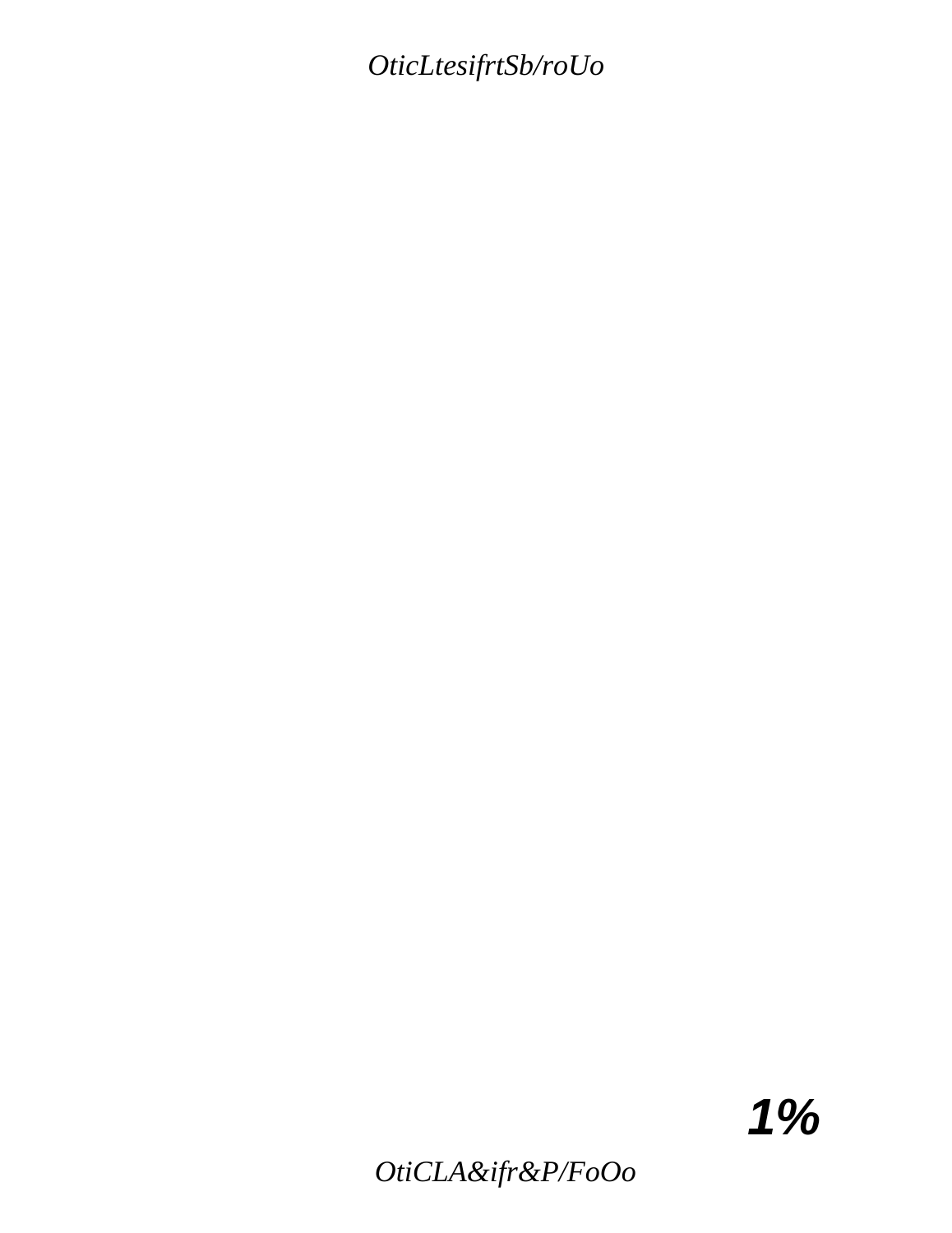# *OticLtesifrtSb/roUo*

# **1%**

*OtiCLA&ifr&P/FoOo*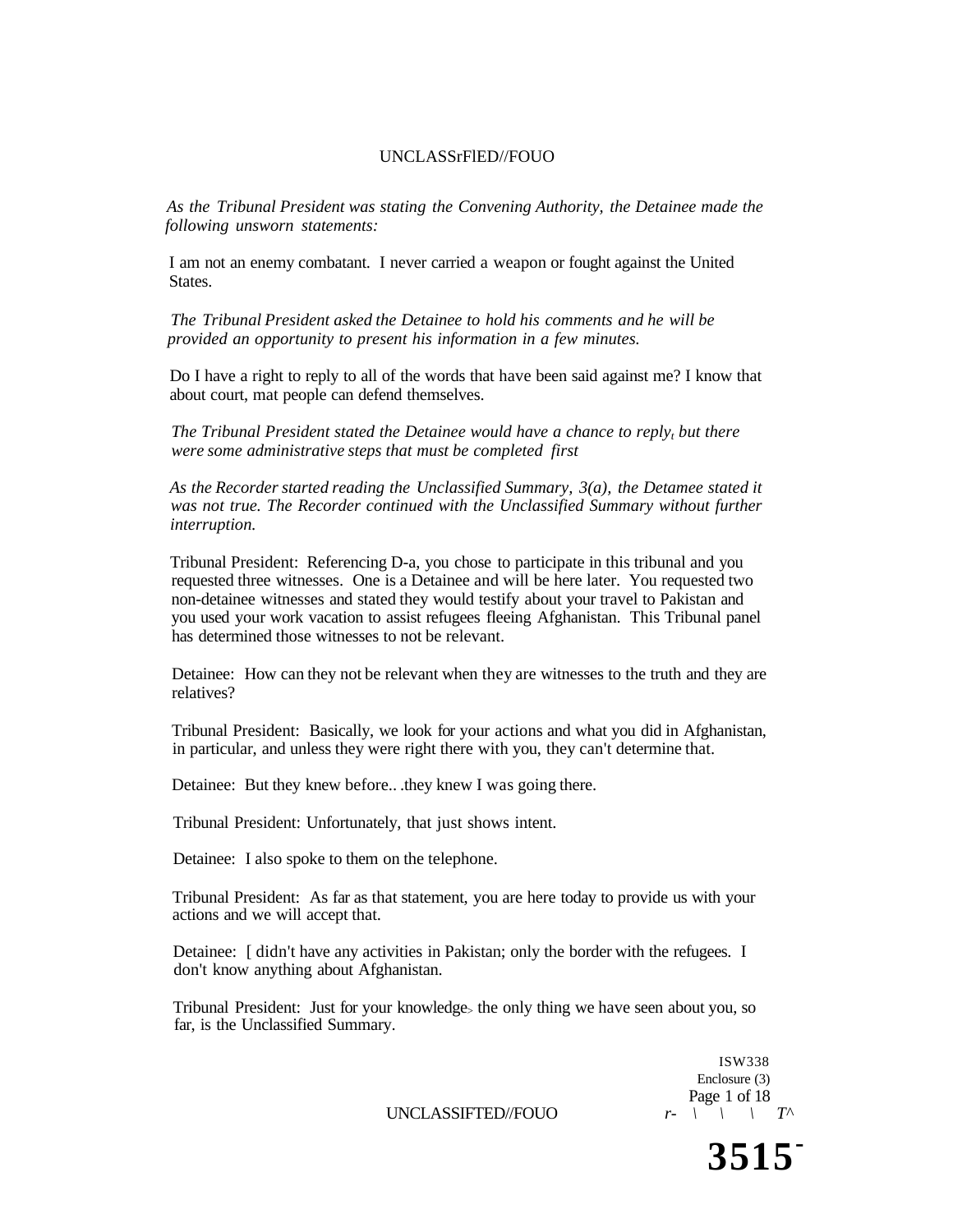#### UNCLASSrFlED//FOUO

*As the Tribunal President was stating the Convening Authority, the Detainee made the following unsworn statements:* 

I am not an enemy combatant. I never carried a weapon or fought against the United States.

*The Tribunal President asked the Detainee to hold his comments and he will be provided an opportunity to present his information in a few minutes.* 

Do I have a right to reply to all of the words that have been said against me? I know that about court, mat people can defend themselves.

*The Tribunal President stated the Detainee would have a chance to reply<sub>t</sub> but there were some administrative steps that must be completed first* 

*As the Recorder started reading the Unclassified Summary, 3(a), the Detamee stated it*  was not true. The Recorder continued with the Unclassified Summary without further *interruption.* 

Tribunal President: Referencing D-a, you chose to participate in this tribunal and you requested three witnesses. One is a Detainee and will be here later. You requested two non-detainee witnesses and stated they would testify about your travel to Pakistan and you used your work vacation to assist refugees fleeing Afghanistan. This Tribunal panel has determined those witnesses to not be relevant.

Detainee: How can they not be relevant when they are witnesses to the truth and they are relatives?

Tribunal President: Basically, we look for your actions and what you did in Afghanistan, in particular, and unless they were right there with you, they can't determine that.

Detainee: But they knew before.. .they knew I was going there.

Tribunal President: Unfortunately, that just shows intent.

Detainee: I also spoke to them on the telephone.

Tribunal President: As far as that statement, you are here today to provide us with your actions and we will accept that.

Detainee: [ didn't have any activities in Pakistan; only the border with the refugees. I don't know anything about Afghanistan.

Tribunal President: Just for your knowledge<sub>></sub> the only thing we have seen about you, so far, is the Unclassified Summary.

> ISW338 Enclosure (3) Page 1 of 18<br> $r$ -  $\setminus$   $\setminus$   $T^{\wedge}$

> > **3515-**

UNCLASSIFTED//FOUO *r- \ \ \ T^*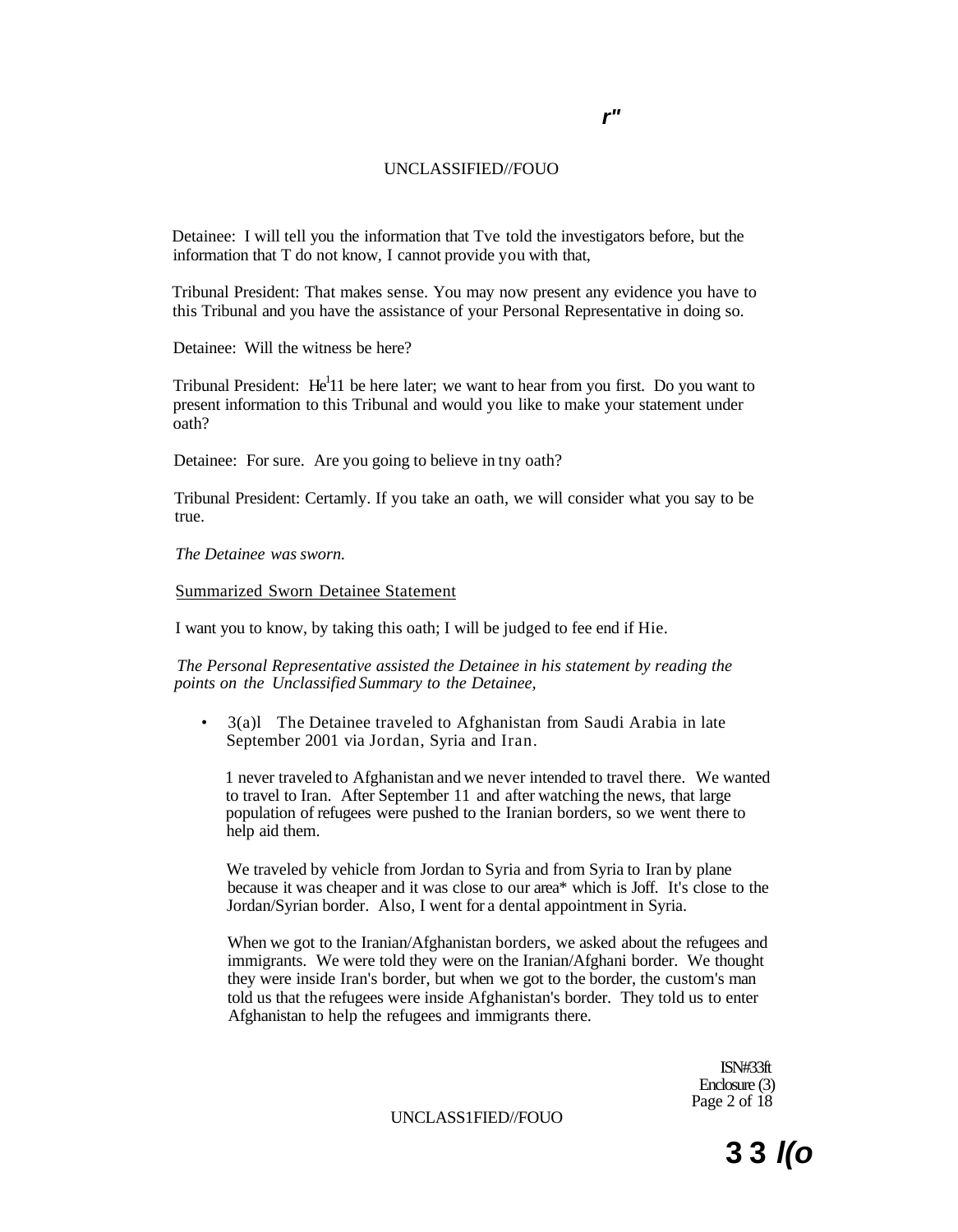Detainee: I will tell you the information that Tve told the investigators before, but the information that T do not know, I cannot provide you with that,

Tribunal President: That makes sense. You may now present any evidence you have to this Tribunal and you have the assistance of your Personal Representative in doing so.

Detainee: Will the witness be here?

Tribunal President: He<sup>1</sup>11 be here later; we want to hear from you first. Do you want to present information to this Tribunal and would you like to make your statement under oath?

Detainee: For sure. Are you going to believe in tny oath?

Tribunal President: Certamly. If you take an oath, we will consider what you say to be true.

*The Detainee was sworn.* 

Summarized Sworn Detainee Statement

I want you to know, by taking this oath; I will be judged to fee end if Hie.

*The Personal Representative assisted the Detainee in his statement by reading the points on the Unclassified Summary to the Detainee,* 

• 3(a)l The Detainee traveled to Afghanistan from Saudi Arabia in late September 2001 via Jordan, Syria and Iran.

1 never traveled to Afghanistan and we never intended to travel there. We wanted to travel to Iran. After September 11 and after watching the news, that large population of refugees were pushed to the Iranian borders, so we went there to help aid them.

We traveled by vehicle from Jordan to Syria and from Syria to Iran by plane because it was cheaper and it was close to our area\* which is Joff. It's close to the Jordan/Syrian border. Also, I went for a dental appointment in Syria.

When we got to the Iranian/Afghanistan borders, we asked about the refugees and immigrants. We were told they were on the Iranian/Afghani border. We thought they were inside Iran's border, but when we got to the border, the custom's man told us that the refugees were inside Afghanistan's border. They told us to enter Afghanistan to help the refugees and immigrants there.

> ISN#33ft Enclosure (3) Page 2 of 18

UNCLASS1FIED//FOUO

**3 3 l(o**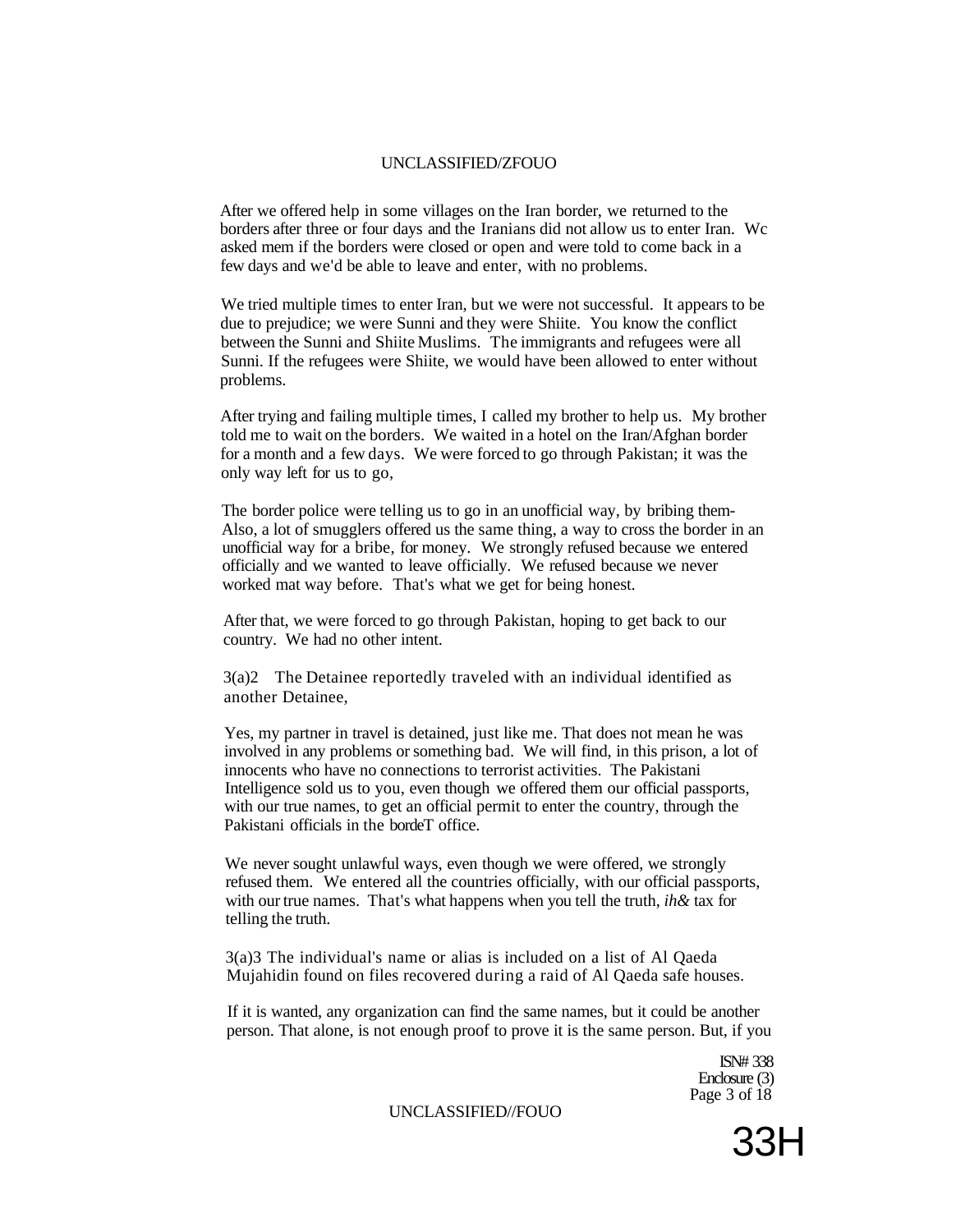After we offered help in some villages on the Iran border, we returned to the borders after three or four days and the Iranians did not allow us to enter Iran. Wc asked mem if the borders were closed or open and were told to come back in a few days and we'd be able to leave and enter, with no problems.

We tried multiple times to enter Iran, but we were not successful. It appears to be due to prejudice; we were Sunni and they were Shiite. You know the conflict between the Sunni and Shiite Muslims. The immigrants and refugees were all Sunni. If the refugees were Shiite, we would have been allowed to enter without problems.

After trying and failing multiple times, I called my brother to help us. My brother told me to wait on the borders. We waited in a hotel on the Iran/Afghan border for a month and a few days. We were forced to go through Pakistan; it was the only way left for us to go,

The border police were telling us to go in an unofficial way, by bribing them-Also, a lot of smugglers offered us the same thing, a way to cross the border in an unofficial way for a bribe, for money. We strongly refused because we entered officially and we wanted to leave officially. We refused because we never worked mat way before. That's what we get for being honest.

After that, we were forced to go through Pakistan, hoping to get back to our country. We had no other intent.

3(a)2 The Detainee reportedly traveled with an individual identified as another Detainee,

Yes, my partner in travel is detained, just like me. That does not mean he was involved in any problems or something bad. We will find, in this prison, a lot of innocents who have no connections to terrorist activities. The Pakistani Intelligence sold us to you, even though we offered them our official passports, with our true names, to get an official permit to enter the country, through the Pakistani officials in the bordeT office.

We never sought unlawful ways, even though we were offered, we strongly refused them. We entered all the countries officially, with our official passports, with our true names. That's what happens when you tell the truth, *ih&* tax for telling the truth.

3(a)3 The individual's name or alias is included on a list of Al Qaeda Mujahidin found on files recovered during a raid of Al Qaeda safe houses.

If it is wanted, any organization can find the same names, but it could be another person. That alone, is not enough proof to prove it is the same person. But, if you

> ISN# 338 Enclosure (3) Page 3 of  $18$

UNCLASSIFIED//FOUO

33H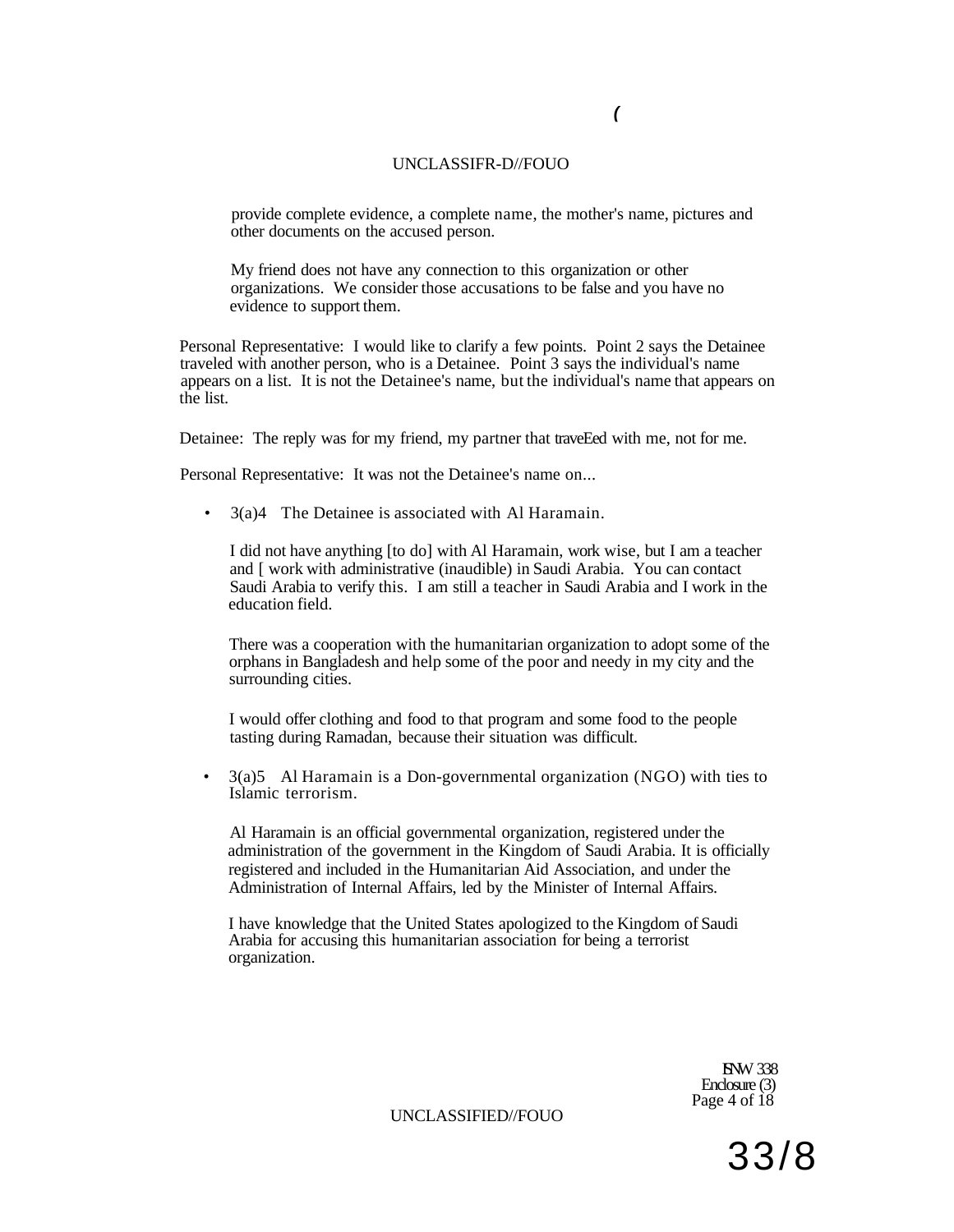#### UNCLASSIFR-D//FOUO

provide complete evidence, a complete name, the mother's name, pictures and other documents on the accused person.

My friend does not have any connection to this organization or other organizations. We consider those accusations to be false and you have no evidence to support them.

Personal Representative: I would like to clarify a few points. Point 2 says the Detainee traveled with another person, who is a Detainee. Point 3 says the individual's name appears on a list. It is not the Detainee's name, but the individual's name that appears on the list.

Detainee: The reply was for my friend, my partner that traveEed with me, not for me.

Personal Representative: It was not the Detainee's name on...

• 3(a)4 The Detainee is associated with Al Haramain.

I did not have anything [to do] with Al Haramain, work wise, but I am a teacher and [ work with administrative (inaudible) in Saudi Arabia. You can contact Saudi Arabia to verify this. I am still a teacher in Saudi Arabia and I work in the education field.

There was a cooperation with the humanitarian organization to adopt some of the orphans in Bangladesh and help some of the poor and needy in my city and the surrounding cities.

I would offer clothing and food to that program and some food to the people tasting during Ramadan, because their situation was difficult.

 $(3(a)5$  Al Haramain is a Don-governmental organization (NGO) with ties to Islamic terrorism.

Al Haramain is an official governmental organization, registered under the administration of the government in the Kingdom of Saudi Arabia. It is officially registered and included in the Humanitarian Aid Association, and under the Administration of Internal Affairs, led by the Minister of Internal Affairs.

I have knowledge that the United States apologized to the Kingdom of Saudi Arabia for accusing this humanitarian association for being a terrorist organization.

> ISNW 338 Enclosure (3) Page 4 of 18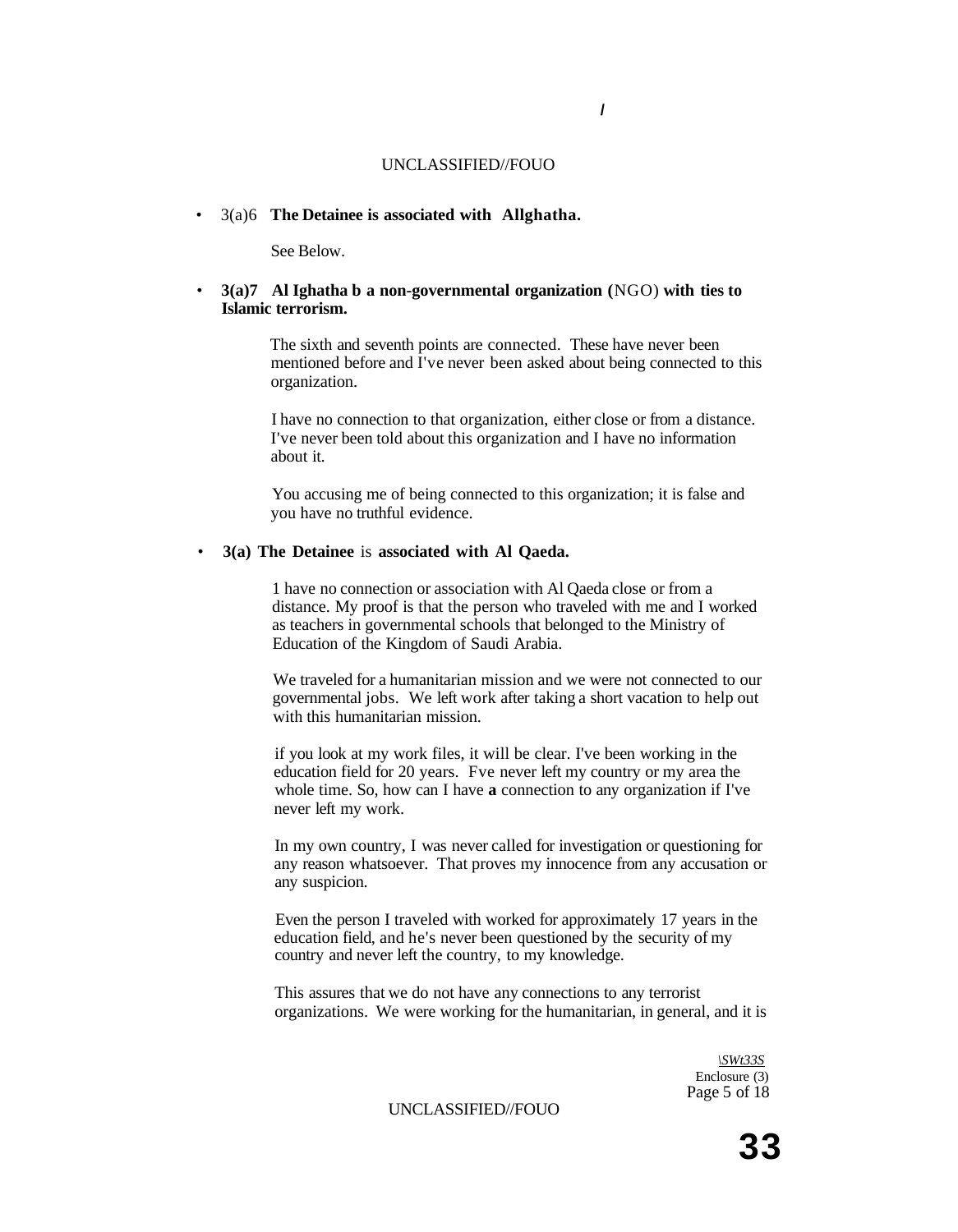#### • 3(a)6 **The Detainee is associated with Allghatha.**

See Below.

#### • **3(a)7 Al Ighatha b a non-governmental organization (**NGO) **with ties to Islamic terrorism.**

The sixth and seventh points are connected. These have never been mentioned before and I've never been asked about being connected to this organization.

I have no connection to that organization, either close or from a distance. I've never been told about this organization and I have no information about it.

You accusing me of being connected to this organization; it is false and you have no truthful evidence.

#### • **3(a) The Detainee** is **associated with Al Qaeda.**

1 have no connection or association with Al Qaeda close or from a distance. My proof is that the person who traveled with me and I worked as teachers in governmental schools that belonged to the Ministry of Education of the Kingdom of Saudi Arabia.

We traveled for a humanitarian mission and we were not connected to our governmental jobs. We left work after taking a short vacation to help out with this humanitarian mission.

if you look at my work files, it will be clear. I've been working in the education field for 20 years. Fve never left my country or my area the whole time. So, how can I have **a** connection to any organization if I've never left my work.

In my own country, I was never called for investigation or questioning for any reason whatsoever. That proves my innocence from any accusation or any suspicion.

Even the person I traveled with worked for approximately 17 years in the education field, and he's never been questioned by the security of my country and never left the country, to my knowledge.

This assures that we do not have any connections to any terrorist organizations. We were working for the humanitarian, in general, and it is

> *[\SWt33S](file:///SWt33S)*  Enclosure (3) Page 5 of 18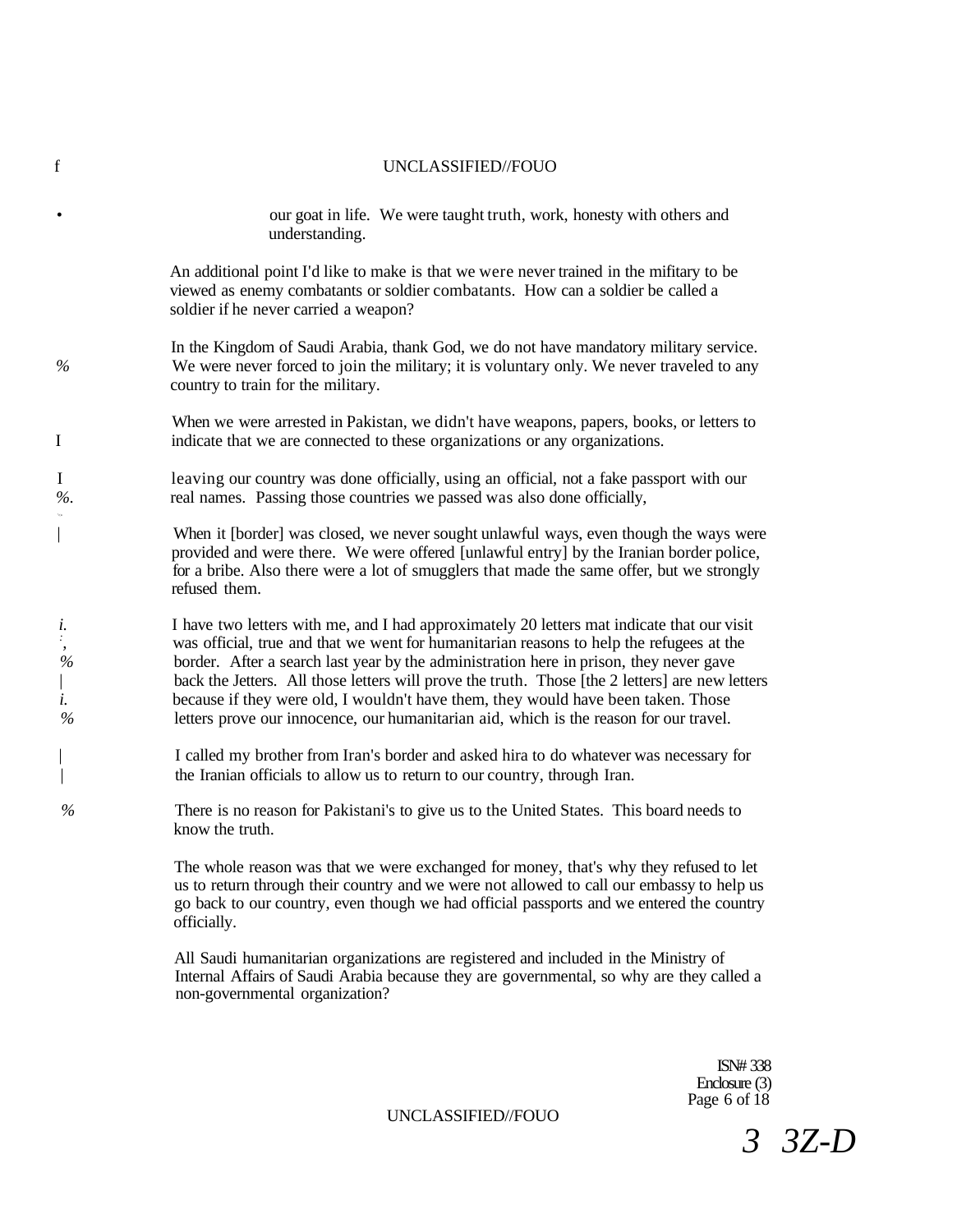• our goat in life. We were taught truth, work, honesty with others and understanding.

An additional point I'd like to make is that we were never trained in the mifitary to be viewed as enemy combatants or soldier combatants. How can a soldier be called a soldier if he never carried a weapon?

- In the Kingdom of Saudi Arabia, thank God, we do not have mandatory military service. *%* We were never forced to join the military; it is voluntary only. We never traveled to any country to train for the military.
- When we were arrested in Pakistan, we didn't have weapons, papers, books, or letters to I indicate that we are connected to these organizations or any organizations.
- I leaving our country was done officially, using an official, not a fake passport with our *%.* real names. Passing those countries we passed was also done officially,

*'<•* 

*:*

- | When it [border] was closed, we never sought unlawful ways, even though the ways were provided and were there. We were offered [unlawful entry] by the Iranian border police, for a bribe. Also there were a lot of smugglers that made the same offer, but we strongly refused them.
- *i.* I have two letters with me, and I had approximately 20 letters mat indicate that our visit was official, true and that we went for humanitarian reasons to help the refugees at the border. After a search last year by the administration here in prison, they never gave border. After a search last year by the administration here in prison, they never gave | back the Jetters. All those letters will prove the truth. Those [the 2 letters] are new letters *i.* because if they were old, I wouldn't have them, they would have been taken. Those letters prove our innocence, our humanitarian aid, which is the reason for our travel. letters prove our innocence, our humanitarian aid, which is the reason for our travel.
- | I called my brother from Iran's border and asked hira to do whatever was necessary for | the Iranian officials to allow us to return to our country, through Iran.
- *%* There is no reason for Pakistani's to give us to the United States. This board needs to know the truth.

The whole reason was that we were exchanged for money, that's why they refused to let us to return through their country and we were not allowed to call our embassy to help us go back to our country, even though we had official passports and we entered the country officially.

All Saudi humanitarian organizations are registered and included in the Ministry of Internal Affairs of Saudi Arabia because they are governmental, so why are they called a non-governmental organization?

> ISN# 338 Enclosure (3) Page 6 of 18

*3 3Z-D*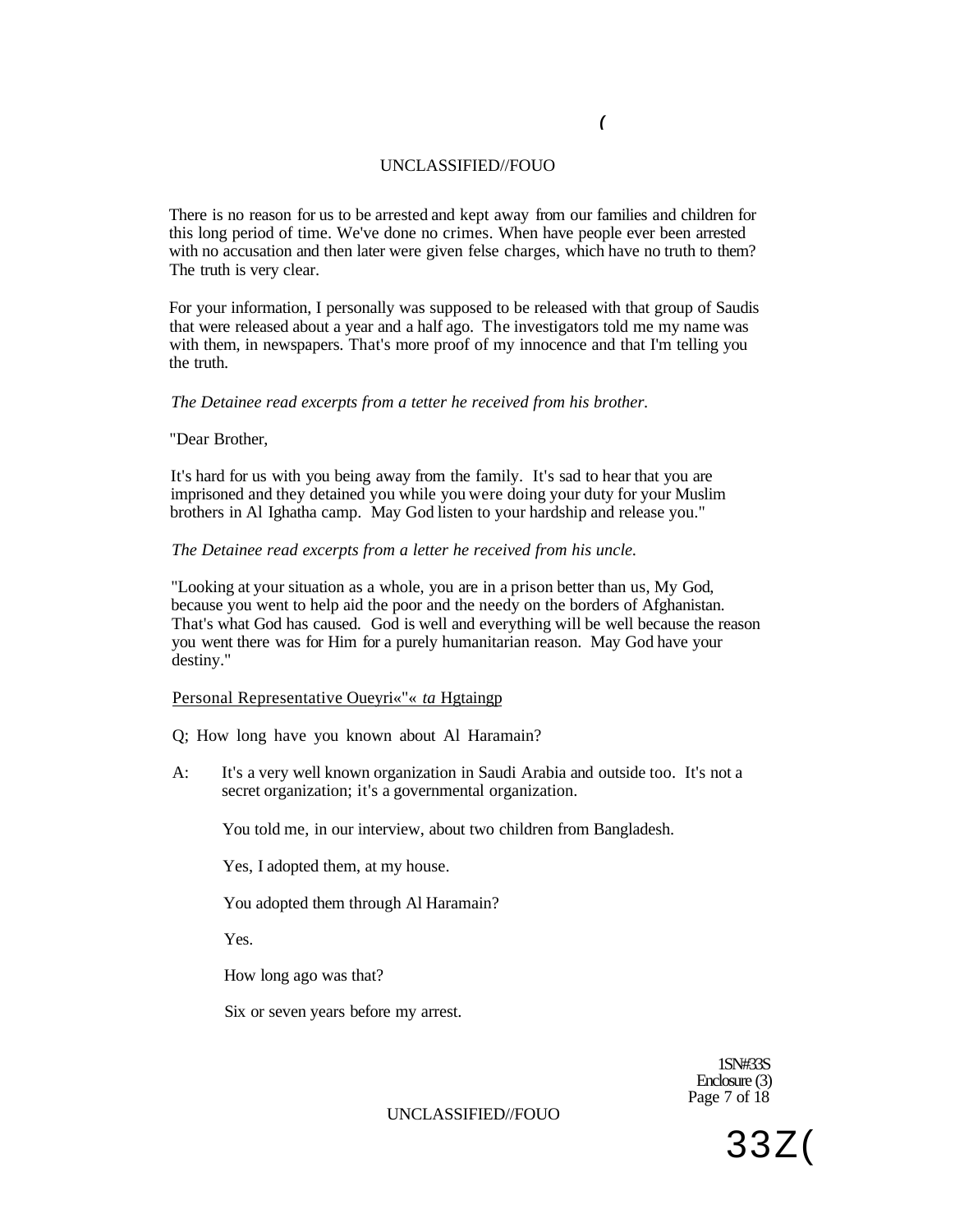There is no reason for us to be arrested and kept away from our families and children for this long period of time. We've done no crimes. When have people ever been arrested with no accusation and then later were given felse charges, which have no truth to them? The truth is very clear.

For your information, I personally was supposed to be released with that group of Saudis that were released about a year and a half ago. The investigators told me my name was with them, in newspapers. That's more proof of my innocence and that I'm telling you the truth.

#### *The Detainee read excerpts from a tetter he received from his brother.*

#### "Dear Brother,

It's hard for us with you being away from the family. It's sad to hear that you are imprisoned and they detained you while you were doing your duty for your Muslim brothers in Al Ighatha camp. May God listen to your hardship and release you."

#### *The Detainee read excerpts from a letter he received from his uncle.*

"Looking at your situation as a whole, you are in a prison better than us, My God, because you went to help aid the poor and the needy on the borders of Afghanistan. That's what God has caused. God is well and everything will be well because the reason you went there was for Him for a purely humanitarian reason. May God have your destiny."

#### Personal Representative Oueyri«"« *ta* Hgtaingp

Q; How long have you known about Al Haramain?

A: It's a very well known organization in Saudi Arabia and outside too. It's not a secret organization; it's a governmental organization.

You told me, in our interview, about two children from Bangladesh.

Yes, I adopted them, at my house.

You adopted them through Al Haramain?

Yes.

How long ago was that?

Six or seven years before my arrest.

1SN#33S Enclosure (3) Page 7 of  $18$ 

**(** 

33Z(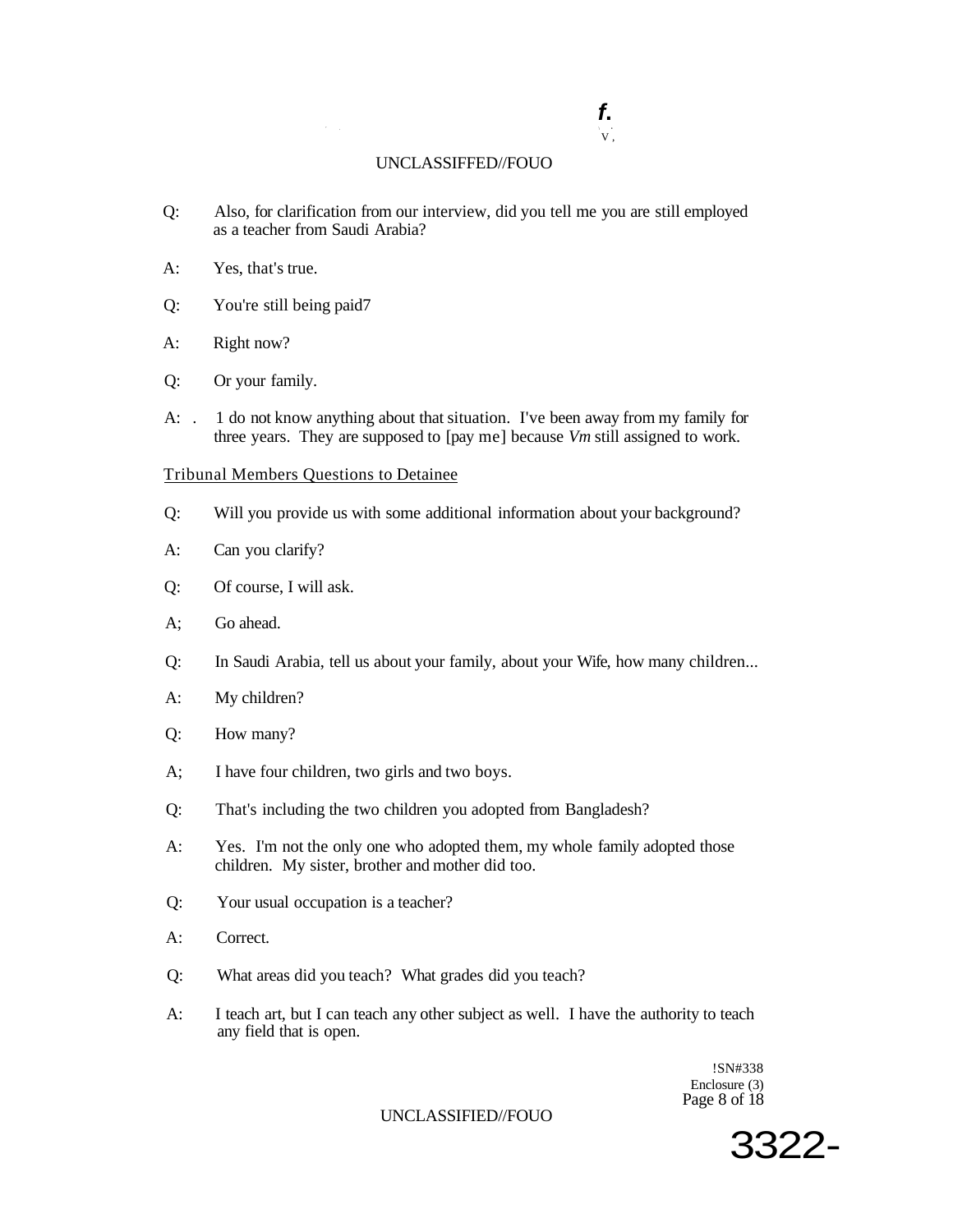- Q: Also, for clarification from our interview, did you tell me you are still employed as a teacher from Saudi Arabia?
- A: Yes, that's true.
- Q: You're still being paid7
- A: Right now?
- Q: Or your family.
- A: . 1 do not know anything about that situation. I've been away from my family for three years. They are supposed to [pay me] because *Vm* still assigned to work.

## Tribunal Members Questions to Detainee

- Q: Will you provide us with some additional information about your background?
- A: Can you clarify?
- Q: Of course, I will ask.
- A; Go ahead.
- Q: In Saudi Arabia, tell us about your family, about your Wife, how many children...
- A: My children?
- Q: How many?
- A; I have four children, two girls and two boys.
- Q: That's including the two children you adopted from Bangladesh?
- A: Yes. I'm not the only one who adopted them, my whole family adopted those children. My sister, brother and mother did too.
- Q: Your usual occupation is a teacher?
- A: Correct.
- Q: What areas did you teach? What grades did you teach?
- A: I teach art, but I can teach any other subject as well. I have the authority to teach any field that is open.

!SN#338 Enclosure (3) Page 8 of 18

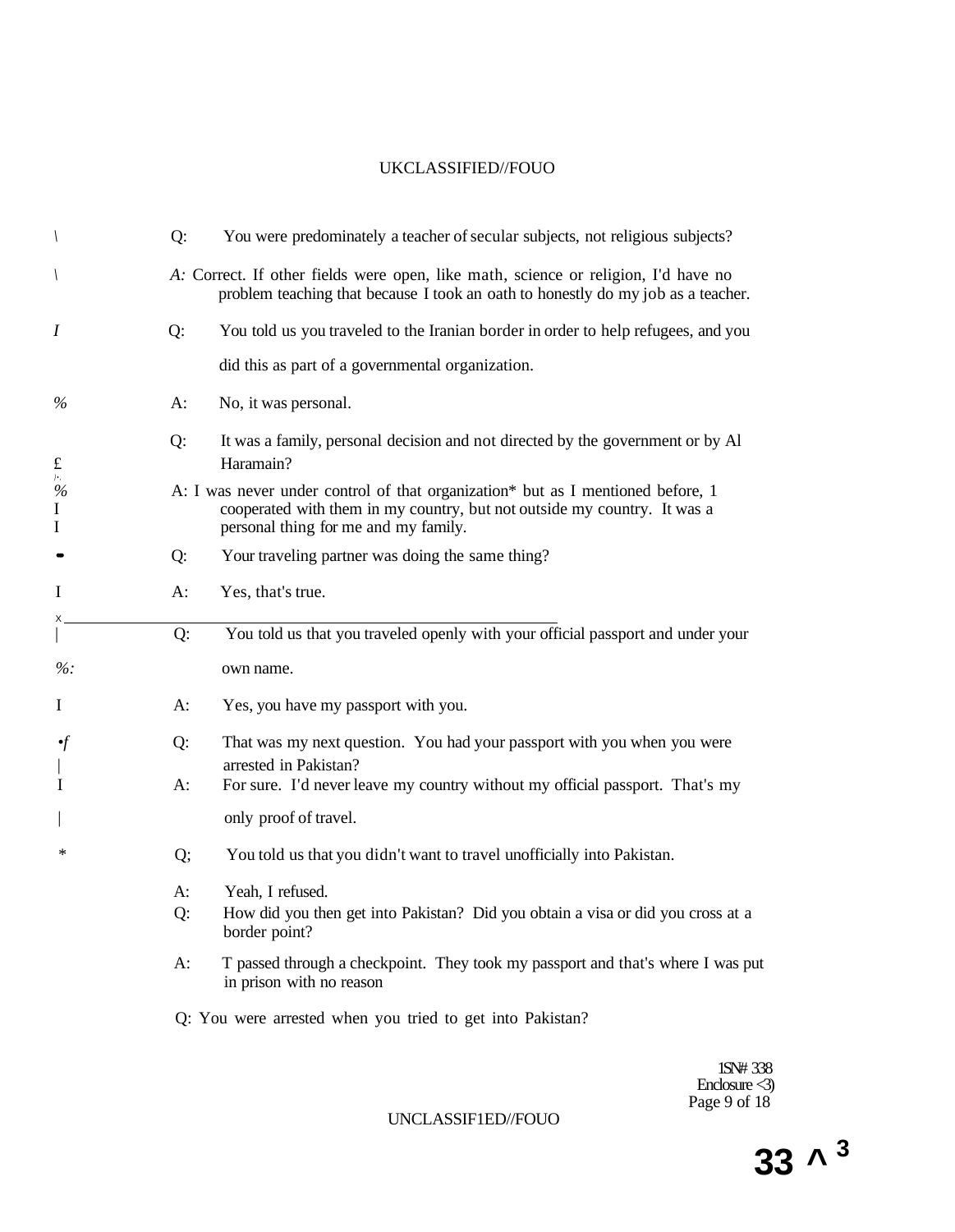|                                                         | Q:          | You were predominately a teacher of secular subjects, not religious subjects?                                                                                                                       |
|---------------------------------------------------------|-------------|-----------------------------------------------------------------------------------------------------------------------------------------------------------------------------------------------------|
| $\setminus$                                             |             | A: Correct. If other fields were open, like math, science or religion, I'd have no<br>problem teaching that because I took an oath to honestly do my job as a teacher.                              |
| I                                                       | Q:          | You told us you traveled to the Iranian border in order to help refugees, and you                                                                                                                   |
|                                                         |             | did this as part of a governmental organization.                                                                                                                                                    |
| $\%$                                                    | $A$ :       | No, it was personal.                                                                                                                                                                                |
|                                                         | Q:          | It was a family, personal decision and not directed by the government or by Al<br>Haramain?                                                                                                         |
| $\mathbf{f}$<br>$\frac{1}{2}$<br>$\mathbf I$<br>$\bf I$ |             | A: I was never under control of that organization* but as I mentioned before, 1<br>cooperated with them in my country, but not outside my country. It was a<br>personal thing for me and my family. |
|                                                         | Q:          | Your traveling partner was doing the same thing?                                                                                                                                                    |
| I                                                       | A:          | Yes, that's true.                                                                                                                                                                                   |
|                                                         | Q:          | You told us that you traveled openly with your official passport and under your                                                                                                                     |
| $\%$ :                                                  |             | own name.                                                                                                                                                                                           |
| I                                                       | A:          | Yes, you have my passport with you.                                                                                                                                                                 |
| $\cdot f$                                               | Q:          | That was my next question. You had your passport with you when you were                                                                                                                             |
| I                                                       | $A$ :       | arrested in Pakistan?<br>For sure. I'd never leave my country without my official passport. That's my                                                                                               |
|                                                         |             | only proof of travel.                                                                                                                                                                               |
| ∗                                                       | Q;          | You told us that you didn't want to travel unofficially into Pakistan.                                                                                                                              |
|                                                         | $A$ :<br>Q: | Yeah, I refused.<br>How did you then get into Pakistan? Did you obtain a visa or did you cross at a<br>border point?                                                                                |
|                                                         | A:          | T passed through a checkpoint. They took my passport and that's where I was put<br>in prison with no reason                                                                                         |
|                                                         |             | Q: You were arrested when you tried to get into Pakistan?                                                                                                                                           |

1SN# 338 Enclosure  $\triangleleft$ ) Page 9 of 18

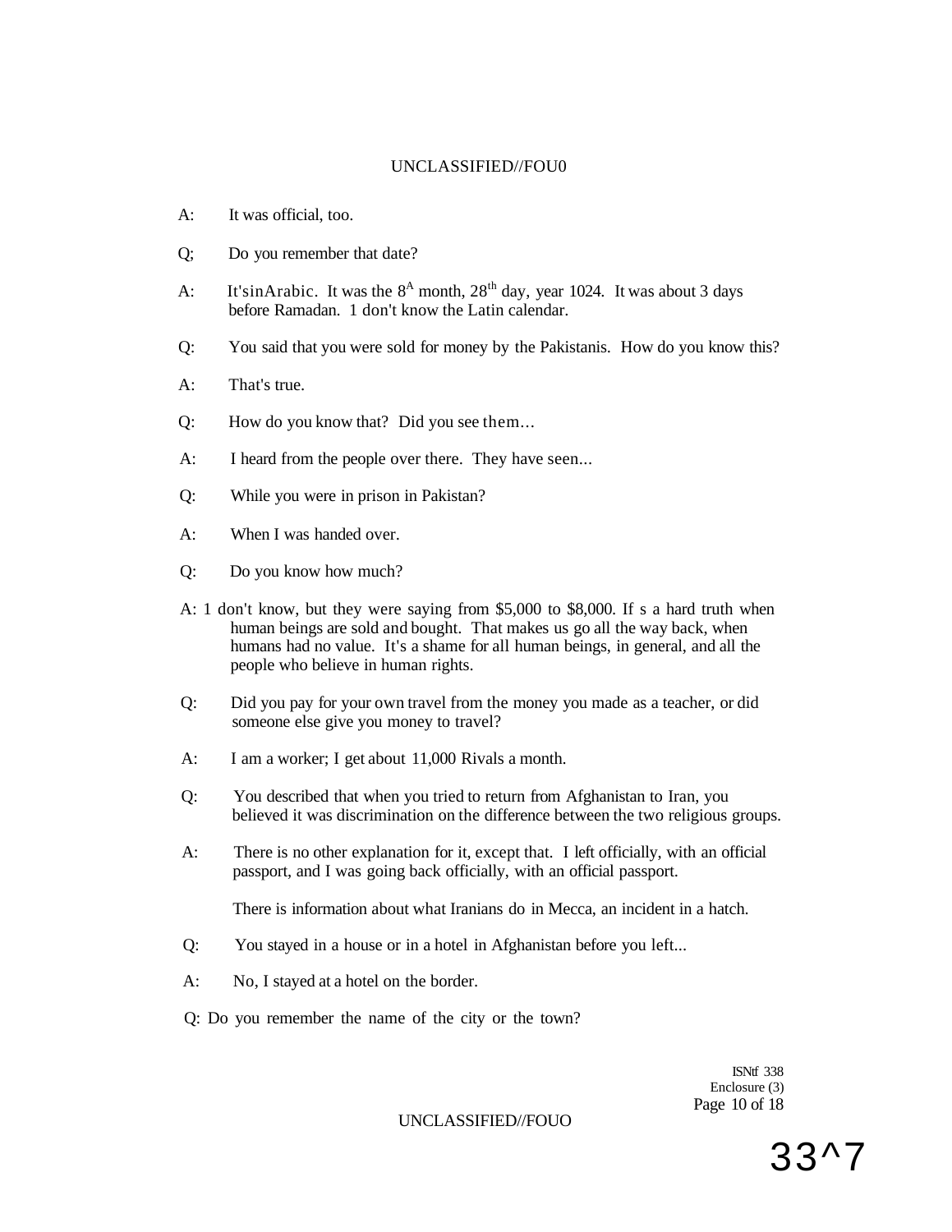- A: It was official, too.
- Q; Do you remember that date?
- A: It'sinArabic. It was the  $8^A$  month,  $28^{th}$  day, year 1024. It was about 3 days before Ramadan. 1 don't know the Latin calendar.
- Q: You said that you were sold for money by the Pakistanis. How do you know this?
- A: That's true.
- Q: How do you know that? Did you see them...
- A: I heard from the people over there. They have seen...
- Q: While you were in prison in Pakistan?
- A: When I was handed over.
- Q: Do you know how much?
- A: 1 don't know, but they were saying from \$5,000 to \$8,000. If s a hard truth when human beings are sold and bought. That makes us go all the way back, when humans had no value. It's a shame for all human beings, in general, and all the people who believe in human rights.
- Q: Did you pay for your own travel from the money you made as a teacher, or did someone else give you money to travel?
- A: I am a worker; I get about 11,000 Rivals a month.
- Q: You described that when you tried to return from Afghanistan to Iran, you believed it was discrimination on the difference between the two religious groups.
- A: There is no other explanation for it, except that. I left officially, with an official passport, and I was going back officially, with an official passport.

There is information about what Iranians do in Mecca, an incident in a hatch.

- Q: You stayed in a house or in a hotel in Afghanistan before you left...
- A: No, I stayed at a hotel on the border.
- Q: Do you remember the name of the city or the town?

ISNtf 338 Enclosure (3) Page 10 of 18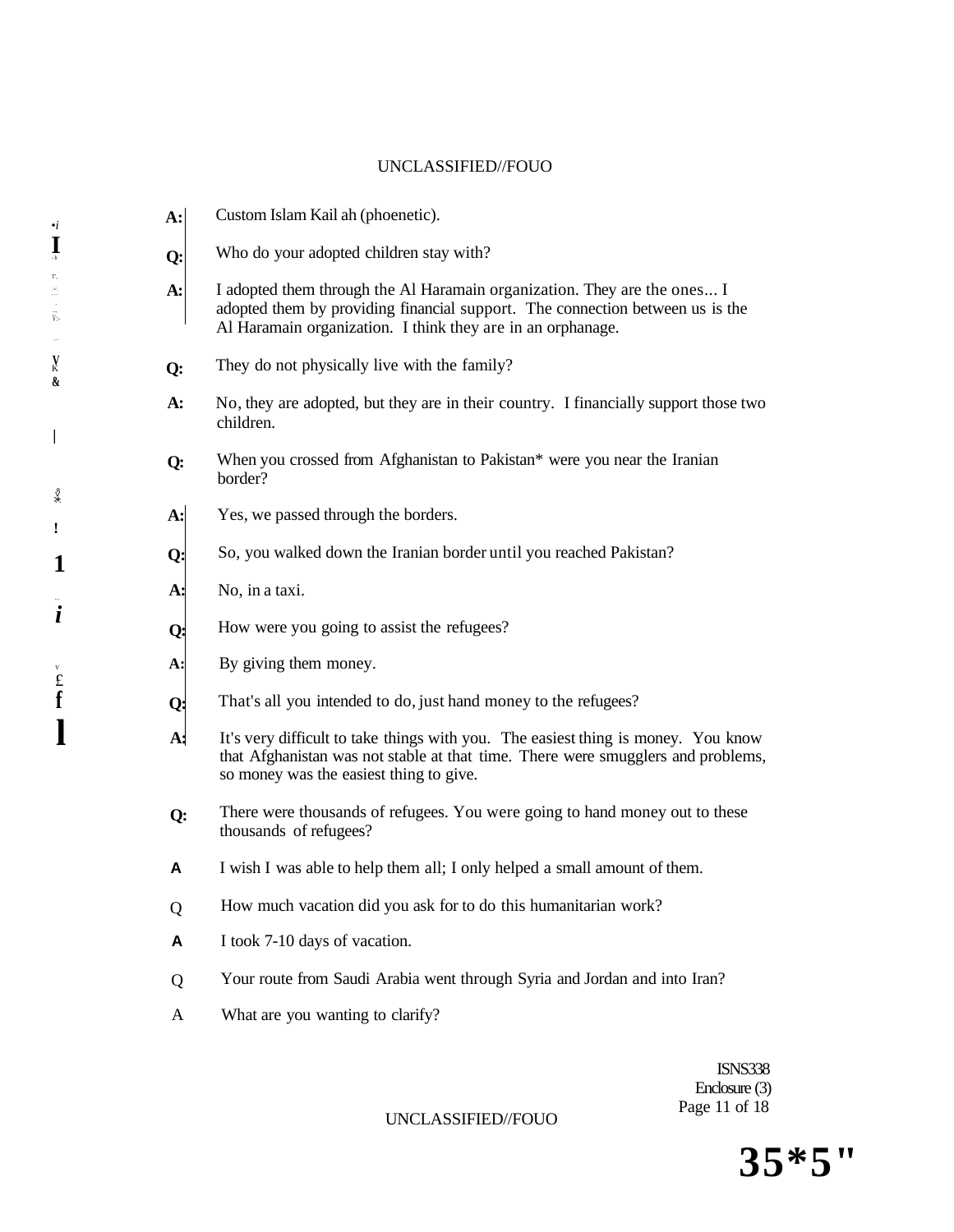-':•' **V**  K **&** 

**|** 

:¥<» **!** 

*i* 

 $\int_{0}^{\infty}$ 

| $\cdot i$          | A:             | Custom Islam Kail ah (phoenetic).                                                                                                                                                                                        |
|--------------------|----------------|--------------------------------------------------------------------------------------------------------------------------------------------------------------------------------------------------------------------------|
| Ĭ                  | Q:             | Who do your adopted children stay with?                                                                                                                                                                                  |
| T,<br>$\sim$       | A:             | I adopted them through the Al Haramain organization. They are the ones I<br>adopted them by providing financial support. The connection between us is the<br>Al Haramain organization. I think they are in an orphanage. |
| V<br>K<br>&        | Q:             | They do not physically live with the family?                                                                                                                                                                             |
|                    | $A$ :          | No, they are adopted, but they are in their country. I financially support those two<br>children.                                                                                                                        |
| ◈                  | Q:             | When you crossed from Afghanistan to Pakistan* were you near the Iranian<br>border?                                                                                                                                      |
| ľ                  | A:             | Yes, we passed through the borders.                                                                                                                                                                                      |
| $\mathbf 1$        | Q:             | So, you walked down the Iranian border until you reached Pakistan?                                                                                                                                                       |
|                    | A:             | No, in a taxi.                                                                                                                                                                                                           |
| $\boldsymbol{i}$   | Q:             | How were you going to assist the refugees?                                                                                                                                                                               |
|                    | $\mathbf{A}$ : | By giving them money.                                                                                                                                                                                                    |
| $\hat{\mathbf{f}}$ | Q:             | That's all you intended to do, just hand money to the refugees?                                                                                                                                                          |
| 1                  | A:             | It's very difficult to take things with you. The easiest thing is money. You know<br>that Afghanistan was not stable at that time. There were smugglers and problems,<br>so money was the easiest thing to give.         |
|                    | Q:             | There were thousands of refugees. You were going to hand money out to these<br>thousands of refugees?                                                                                                                    |
|                    | A              | I wish I was able to help them all; I only helped a small amount of them.                                                                                                                                                |
|                    | Q              | How much vacation did you ask for to do this humanitarian work?                                                                                                                                                          |
|                    | A              | I took 7-10 days of vacation.                                                                                                                                                                                            |
|                    | Q              | Your route from Saudi Arabia went through Syria and Jordan and into Iran?                                                                                                                                                |
|                    | A              | What are you wanting to clarify?                                                                                                                                                                                         |
|                    |                |                                                                                                                                                                                                                          |

ISNS338 Enclosure (3) Page 11 of 18

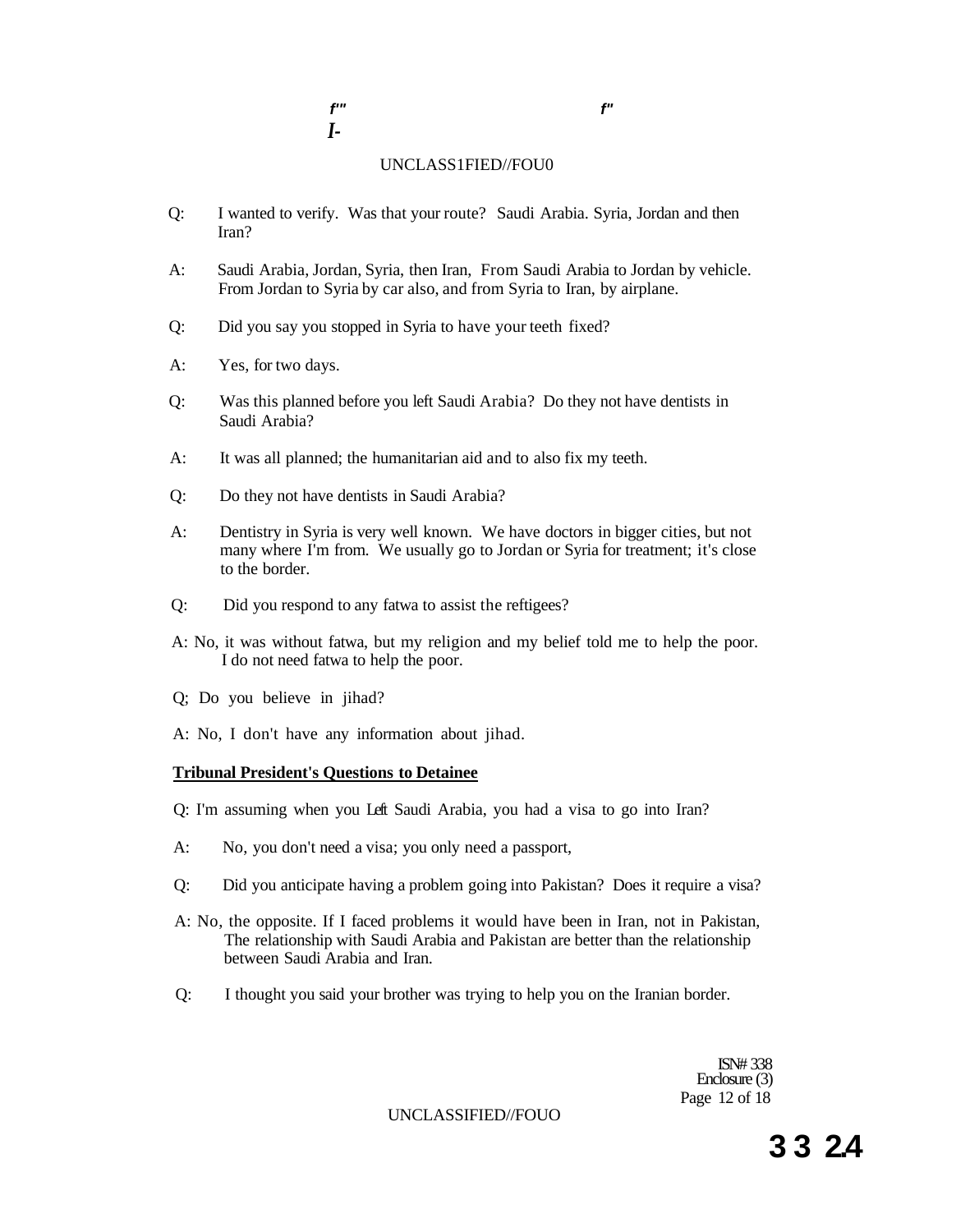*I-*

#### UNCLASS1FIED//FOU0

- Q: I wanted to verify. Was that your route? Saudi Arabia. Syria, Jordan and then Iran?
- A: Saudi Arabia, Jordan, Syria, then Iran, From Saudi Arabia to Jordan by vehicle. From Jordan to Syria by car also, and from Syria to Iran, by airplane.
- Q: Did you say you stopped in Syria to have your teeth fixed?
- A: Yes, for two days.
- Q: Was this planned before you left Saudi Arabia? Do they not have dentists in Saudi Arabia?
- A: It was all planned; the humanitarian aid and to also fix my teeth.
- Q: Do they not have dentists in Saudi Arabia?
- A: Dentistry in Syria is very well known. We have doctors in bigger cities, but not many where I'm from. We usually go to Jordan or Syria for treatment; it's close to the border.
- Q: Did you respond to any fatwa to assist the reftigees?
- A: No, it was without fatwa, but my religion and my belief told me to help the poor. I do not need fatwa to help the poor.
- Q; Do you believe in jihad?
- A: No, I don't have any information about jihad.

#### **Tribunal President's Questions to Detainee**

- Q: I'm assuming when you Left Saudi Arabia, you had a visa to go into Iran?
- A: No, you don't need a visa; you only need a passport,
- Q: Did you anticipate having a problem going into Pakistan? Does it require a visa?
- A: No, the opposite. If I faced problems it would have been in Iran, not in Pakistan, The relationship with Saudi Arabia and Pakistan are better than the relationship between Saudi Arabia and Iran.
- Q: I thought you said your brother was trying to help you on the Iranian border.

ISN# 338 Enclosure (3) Page 12 of 18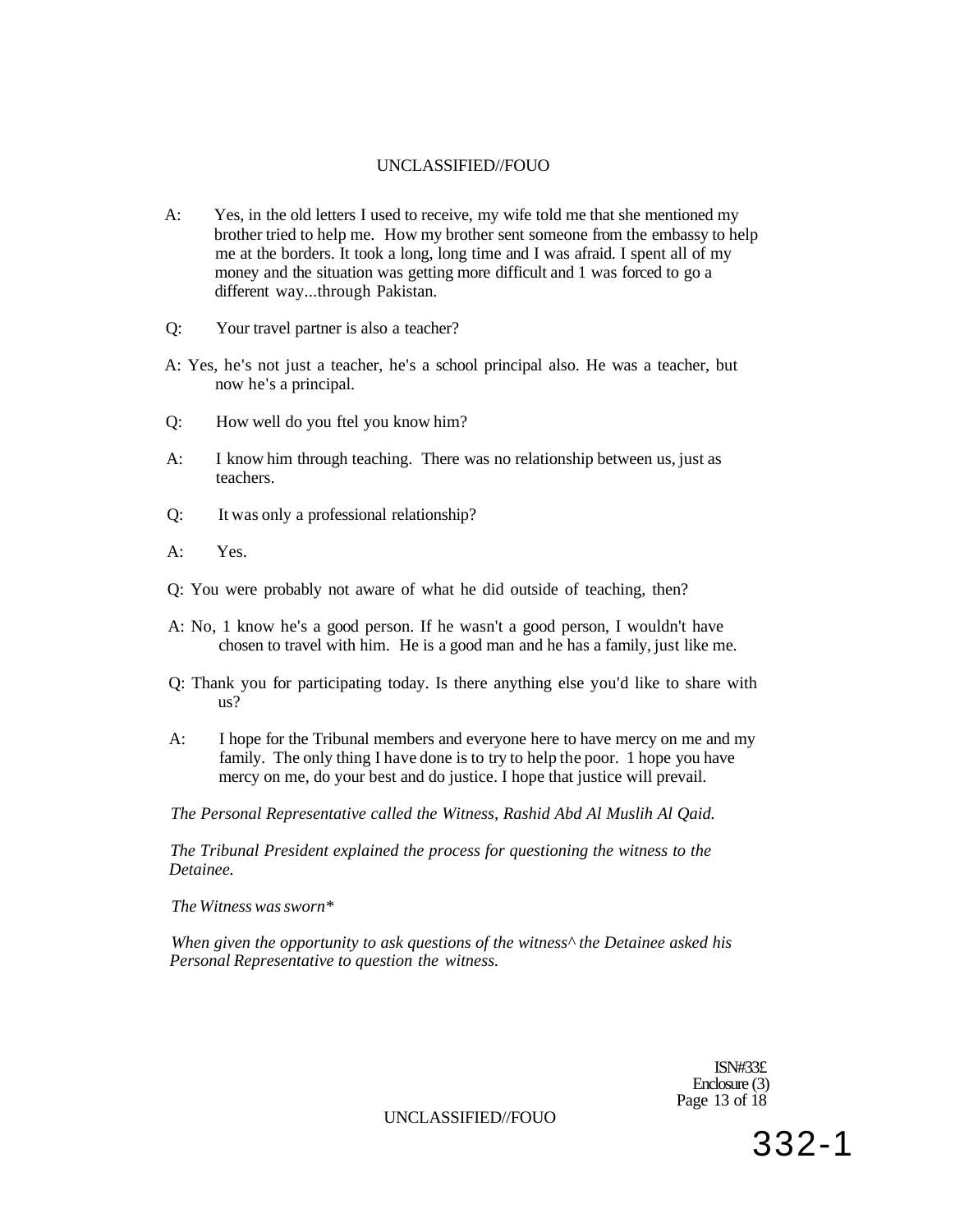- A: Yes, in the old letters I used to receive, my wife told me that she mentioned my brother tried to help me. How my brother sent someone from the embassy to help me at the borders. It took a long, long time and I was afraid. I spent all of my money and the situation was getting more difficult and 1 was forced to go a different way...through Pakistan.
- Q: Your travel partner is also a teacher?
- A: Yes, he's not just a teacher, he's a school principal also. He was a teacher, but now he's a principal.
- Q: How well do you ftel you know him?
- A: I know him through teaching. There was no relationship between us, just as teachers.
- Q: It was only a professional relationship?
- $A^{\cdot}$  Yes.
- Q: You were probably not aware of what he did outside of teaching, then?
- A: No, 1 know he's a good person. If he wasn't a good person, I wouldn't have chosen to travel with him. He is a good man and he has a family, just like me.
- Q: Thank you for participating today. Is there anything else you'd like to share with us?
- A: I hope for the Tribunal members and everyone here to have mercy on me and my family. The only thing I have done is to try to help the poor. 1 hope you have mercy on me, do your best and do justice. I hope that justice will prevail.

*The Personal Representative called the Witness, Rashid Abd Al Muslih Al Qaid.* 

*The Tribunal President explained the process for questioning the witness to the Detainee.* 

*The Witness was sworn\** 

*When given the opportunity to ask questions of the witness^ the Detainee asked his Personal Representative to question the witness.* 

> ISN#33£ Enclosure (3) Page 13 of 18

UNCLASSIFIED//FOUO

332-1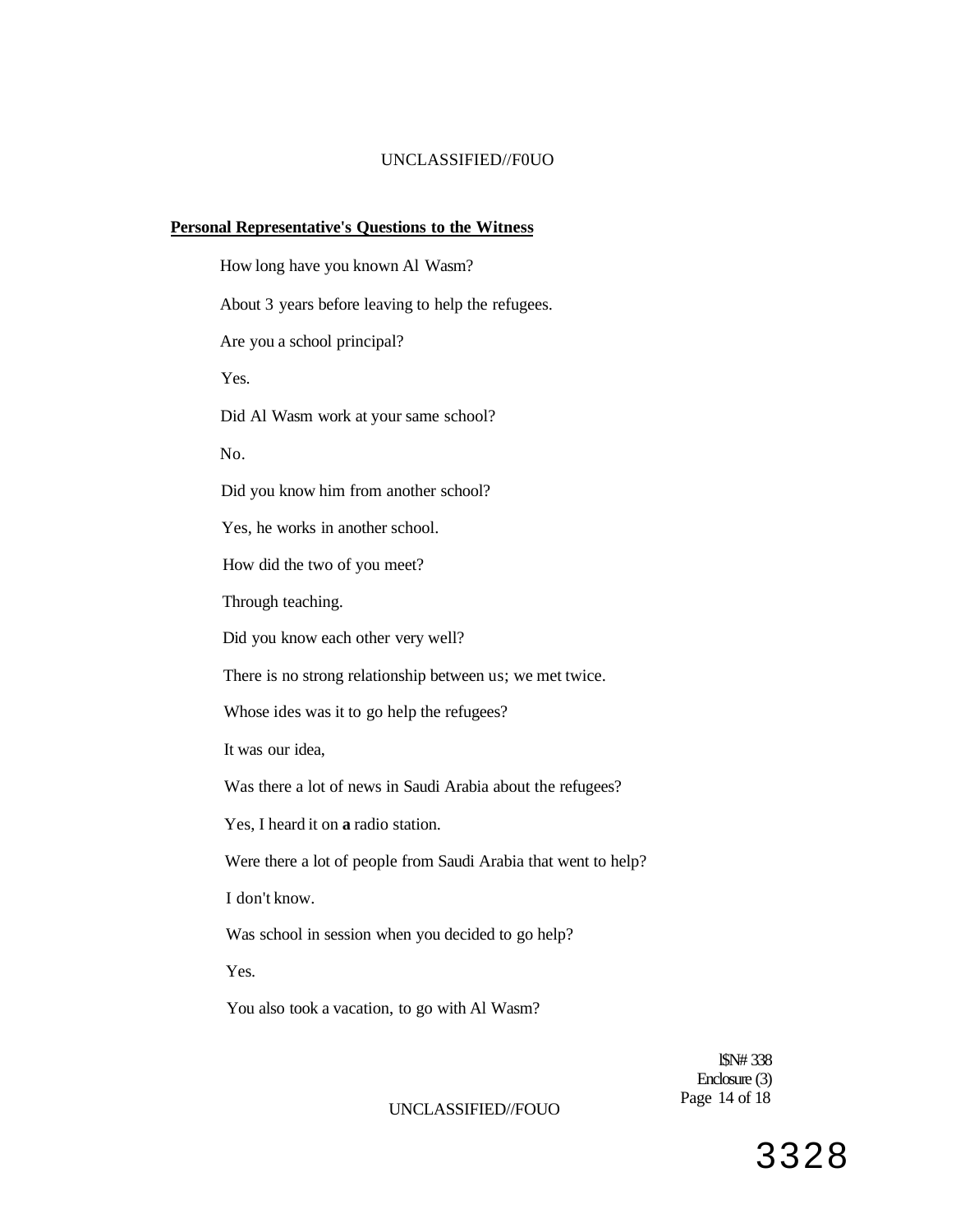#### **Personal Representative's Questions to the Witness**

How long have you known Al Wasm? About 3 years before leaving to help the refugees. Are you a school principal? Yes. Did Al Wasm work at your same school? No. Did you know him from another school? Yes, he works in another school. How did the two of you meet? Through teaching. Did you know each other very well? There is no strong relationship between us; we met twice. Whose ides was it to go help the refugees? It was our idea, Was there a lot of news in Saudi Arabia about the refugees? Yes, I heard it on **a** radio station. Were there a lot of people from Saudi Arabia that went to help? I don't know. Was school in session when you decided to go help? Yes. You also took a vacation, to go with Al Wasm?

> l\$N# 338 Enclosure (3) Page 14 of 18

#### UNCLASSIFIED//FOUO

3328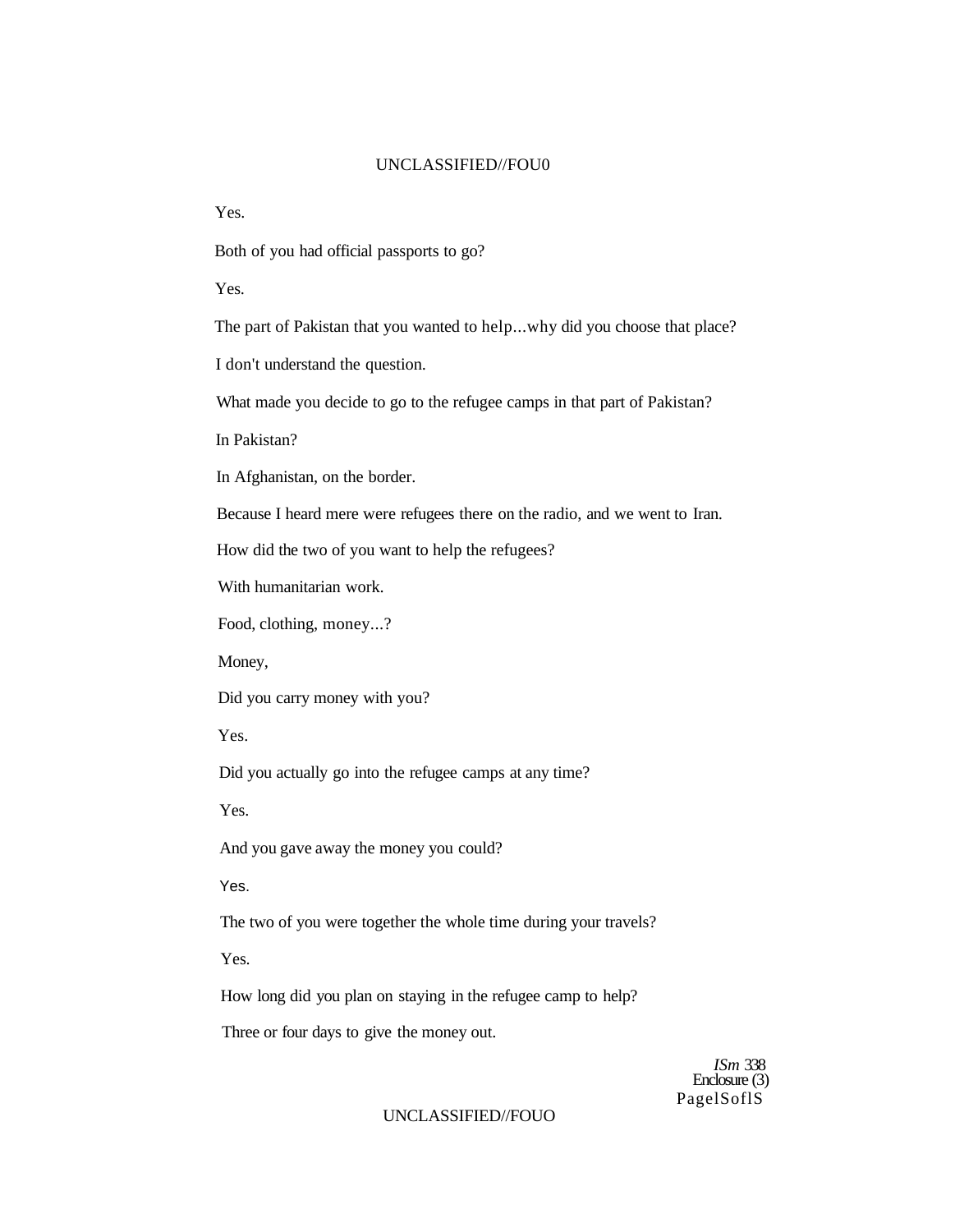Yes.

Both of you had official passports to go?

Yes.

The part of Pakistan that you wanted to help...why did you choose that place?

I don't understand the question.

What made you decide to go to the refugee camps in that part of Pakistan?

In Pakistan?

In Afghanistan, on the border.

Because I heard mere were refugees there on the radio, and we went to Iran.

How did the two of you want to help the refugees?

With humanitarian work.

Food, clothing, money...?

Money,

Did you carry money with you?

Yes.

Did you actually go into the refugee camps at any time?

Yes.

And you gave away the money you could?

Yes.

The two of you were together the whole time during your travels?

Yes.

How long did you plan on staying in the refugee camp to help?

Three or four days to give the money out.

*ISm* 338 Enclosure (3) PagelSoflS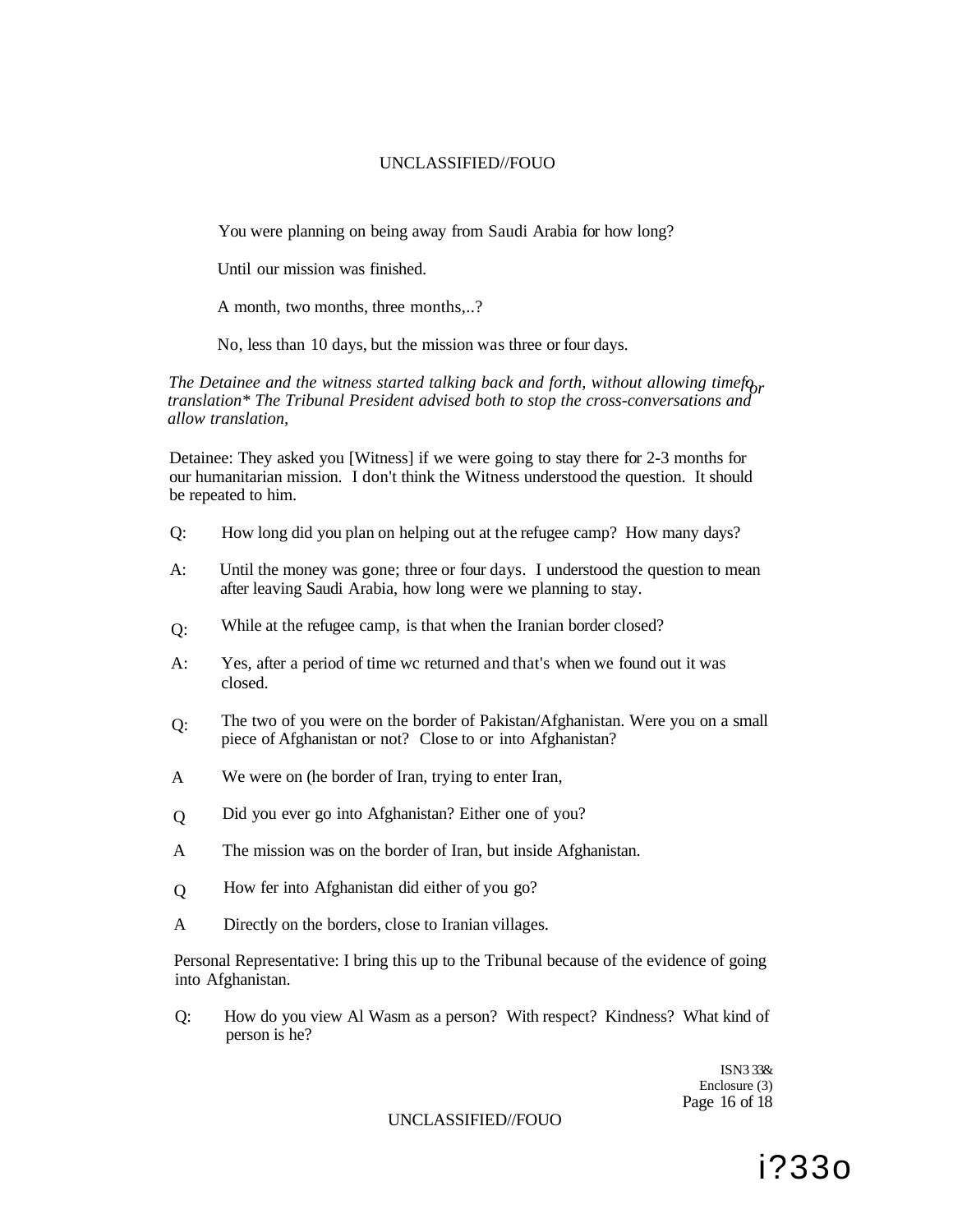You were planning on being away from Saudi Arabia for how long?

Until our mission was finished.

A month, two months, three months,..?

No, less than 10 days, but the mission was three or four days.

*The Detainee and the witness started talking back and forth, without allowing timefor translation\* The Tribunal President advised both to stop the cross-conversations and allow translation,* 

Detainee: They asked you [Witness] if we were going to stay there for 2-3 months for our humanitarian mission. I don't think the Witness understood the question. It should be repeated to him.

- Q: How long did you plan on helping out at the refugee camp? How many days?
- Until the money was gone; three or four days. I understood the question to mean after leaving Saudi Arabia, how long were we planning to stay. A:
- While at the refugee camp, is that when the Iranian border closed?  $Q:$
- Yes, after a period of time wc returned and that's when we found out it was closed.  $A$ :
- The two of you were on the border of Pakistan/Afghanistan. Were you on a small piece of Afghanistan or not? Close to or into Afghanistan? Q:
- We were on (he border of Iran, trying to enter Iran, A
- Did you ever go into Afghanistan? Either one of you?  $\overline{O}$
- The mission was on the border of Iran, but inside Afghanistan. A
- How fer into Afghanistan did either of you go? Q
- Directly on the borders, close to Iranian villages. A

Personal Representative: I bring this up to the Tribunal because of the evidence of going into Afghanistan.

Q: How do you view Al Wasm as a person? With respect? Kindness? What kind of person is he?

> ISN3 33& Enclosure (3) Page 16 of 18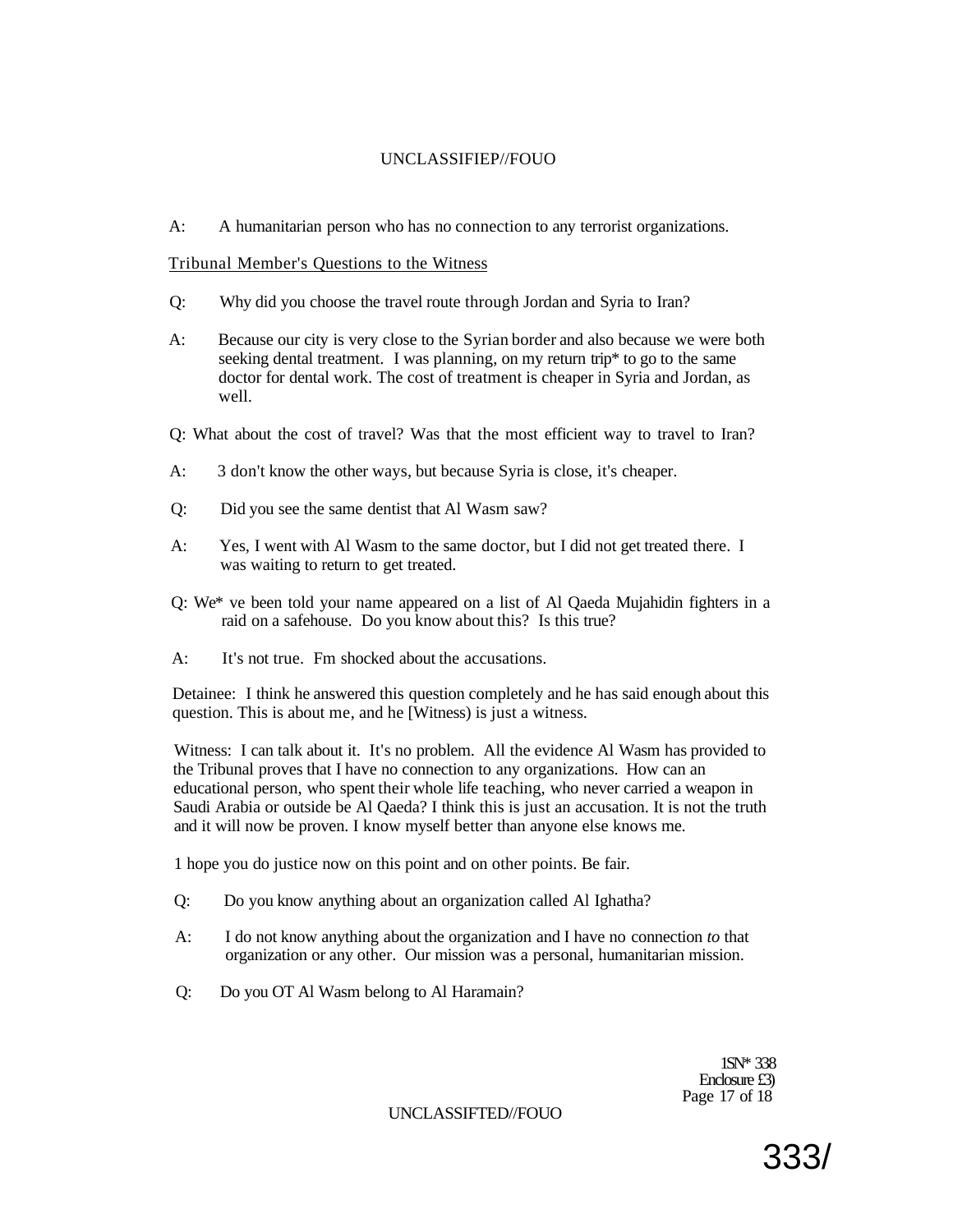A: A humanitarian person who has no connection to any terrorist organizations.

#### Tribunal Member's Questions to the Witness

- Q: Why did you choose the travel route through Jordan and Syria to Iran?
- A: Because our city is very close to the Syrian border and also because we were both seeking dental treatment. I was planning, on my return trip\* to go to the same doctor for dental work. The cost of treatment is cheaper in Syria and Jordan, as well.
- Q: What about the cost of travel? Was that the most efficient way to travel to Iran?
- A: 3 don't know the other ways, but because Syria is close, it's cheaper.
- Q: Did you see the same dentist that Al Wasm saw?
- A: Yes, I went with Al Wasm to the same doctor, but I did not get treated there. I was waiting to return to get treated.
- Q: We\* ve been told your name appeared on a list of Al Qaeda Mujahidin fighters in a raid on a safehouse. Do you know about this? Is this true?
- A: It's not true. Fm shocked about the accusations.

Detainee: I think he answered this question completely and he has said enough about this question. This is about me, and he [Witness) is just a witness.

Witness: I can talk about it. It's no problem. All the evidence Al Wasm has provided to the Tribunal proves that I have no connection to any organizations. How can an educational person, who spent their whole life teaching, who never carried a weapon in Saudi Arabia or outside be Al Qaeda? I think this is just an accusation. It is not the truth and it will now be proven. I know myself better than anyone else knows me.

1 hope you do justice now on this point and on other points. Be fair.

- Q: Do you know anything about an organization called Al Ighatha?
- A: I do not know anything about the organization and I have no connection *to* that organization or any other. Our mission was a personal, humanitarian mission.
- Q: Do you OT Al Wasm belong to Al Haramain?

1SN\* 338 Enclosure £3) Page 17 of 18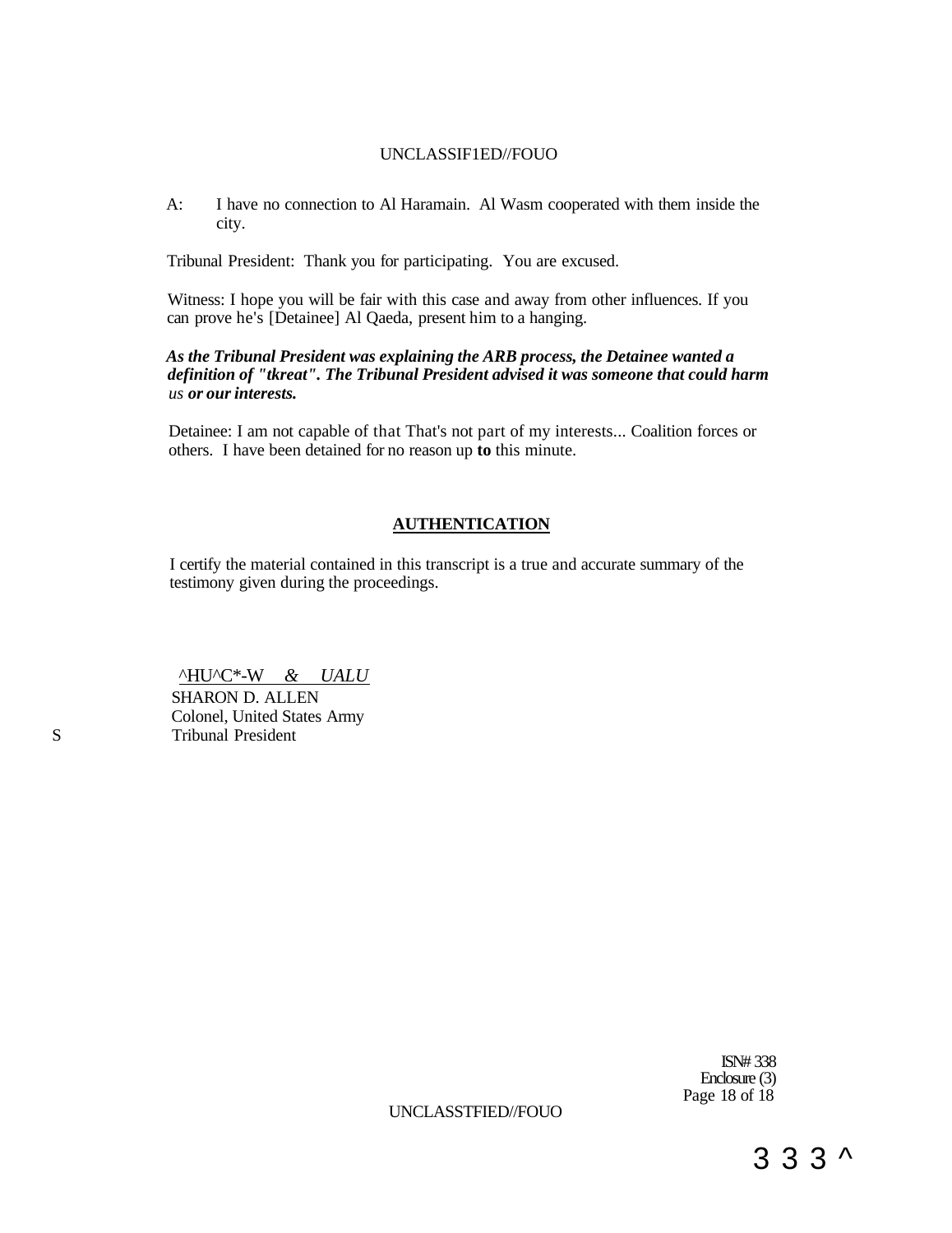A: I have no connection to Al Haramain. Al Wasm cooperated with them inside the city.

Tribunal President: Thank you for participating. You are excused.

Witness: I hope you will be fair with this case and away from other influences. If you can prove he's [Detainee] Al Qaeda, present him to a hanging.

#### *As the Tribunal President was explaining the ARB process, the Detainee wanted a definition of "tkreat". The Tribunal President advised it was someone that could harm us or our interests.*

Detainee: I am not capable of that That's not part of my interests... Coalition forces or others. I have been detained for no reason up **to** this minute.

# **AUTHENTICATION**

I certify the material contained in this transcript is a true and accurate summary of the testimony given during the proceedings.

^HU^C\*-W *& UALU* 

SHARON D. ALLEN Colonel, United States Army S Tribunal President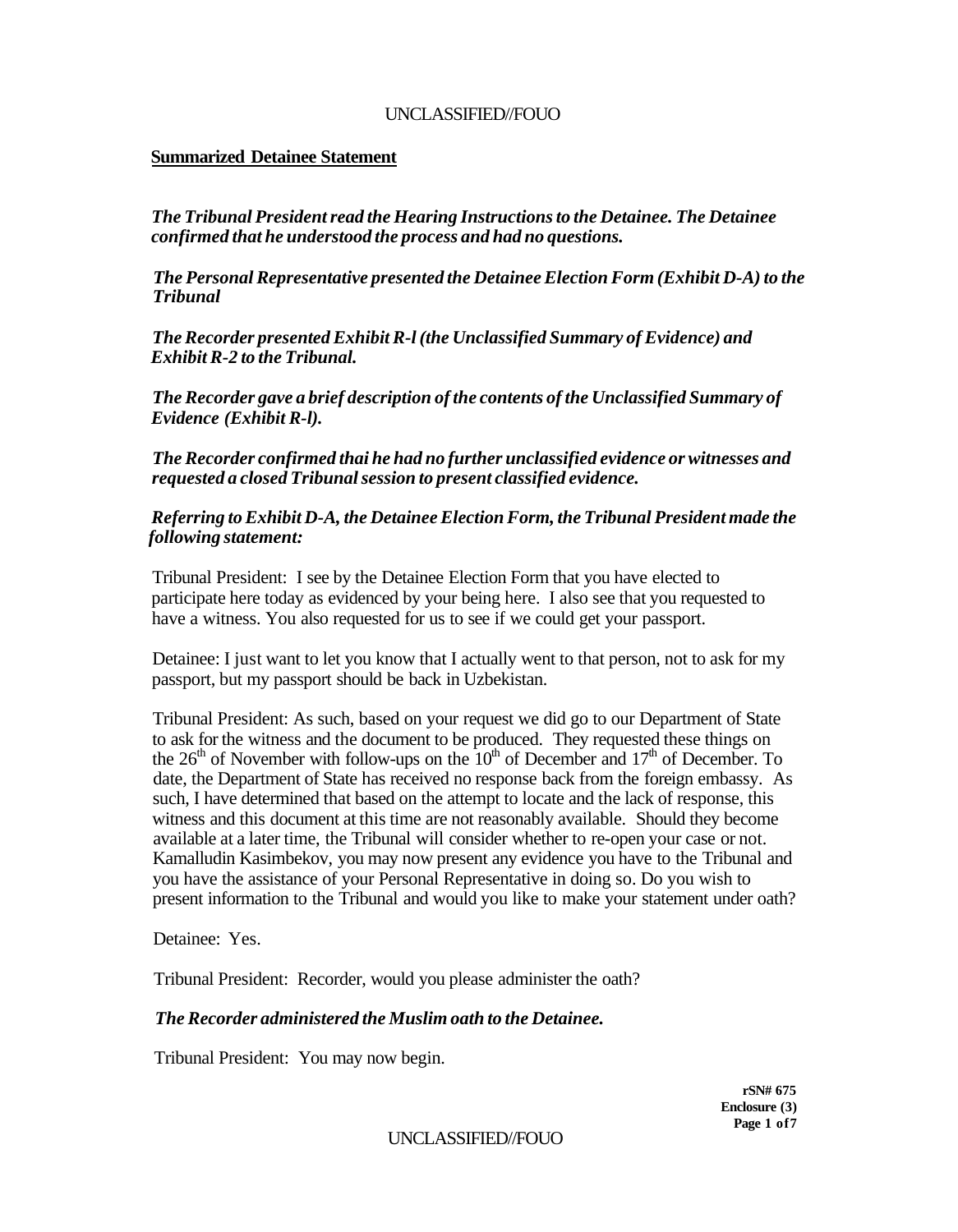# **Summarized Detainee Statement**

*The Tribunal President read the Hearing Instructions to the Detainee. The Detainee confirmed that he understood the process and had no questions.* 

*The Personal Representative presented the Detainee Election Form (Exhibit D-A) to the Tribunal* 

*The Recorder presented Exhibit R-l (the Unclassified Summary of Evidence) and Exhibit R-2 to the Tribunal.* 

*The Recorder gave a brief description of the contents of the Unclassified Summary of Evidence (Exhibit R-l).* 

*The Recorder confirmed thai he had no further unclassified evidence or witnesses and requested a closed Tribunal session to present classified evidence.* 

*Referring to Exhibit D-A, the Detainee Election Form, the Tribunal President made the following statement:* 

Tribunal President: I see by the Detainee Election Form that you have elected to participate here today as evidenced by your being here. I also see that you requested to have a witness. You also requested for us to see if we could get your passport.

Detainee: I just want to let you know that I actually went to that person, not to ask for my passport, but my passport should be back in Uzbekistan.

Tribunal President: As such, based on your request we did go to our Department of State to ask for the witness and the document to be produced. They requested these things on the  $26<sup>th</sup>$  of November with follow-ups on the  $10<sup>th</sup>$  of December and  $17<sup>th</sup>$  of December. To date, the Department of State has received no response back from the foreign embassy. As such, I have determined that based on the attempt to locate and the lack of response, this witness and this document at this time are not reasonably available. Should they become available at a later time, the Tribunal will consider whether to re-open your case or not. Kamalludin Kasimbekov, you may now present any evidence you have to the Tribunal and you have the assistance of your Personal Representative in doing so. Do you wish to present information to the Tribunal and would you like to make your statement under oath?

Detainee: Yes.

Tribunal President: Recorder, would you please administer the oath?

# *The Recorder administered the Muslim oath to the Detainee.*

Tribunal President: You may now begin.

**rSN# 675 Enclosure (3) Page 1 of7**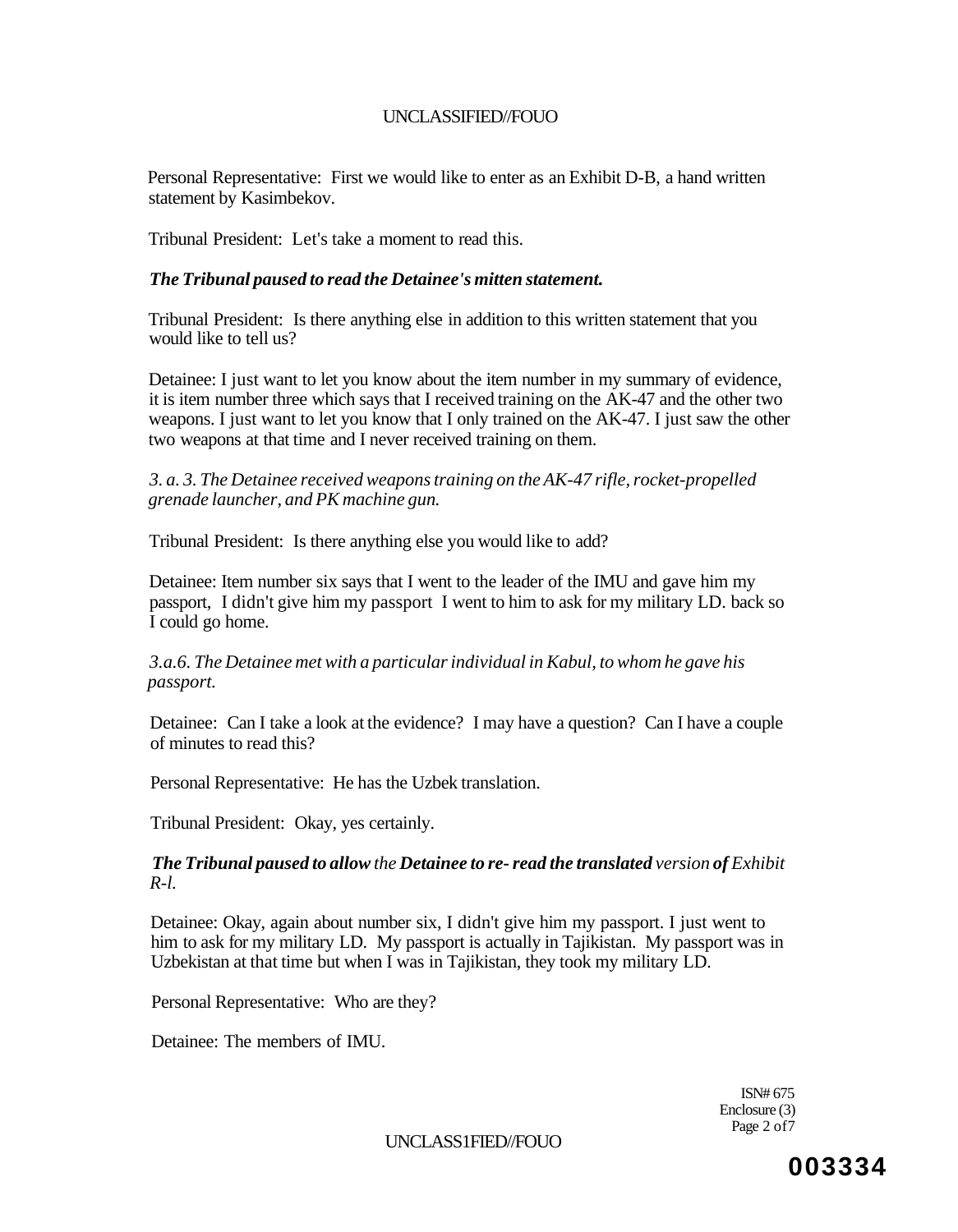Personal Representative: First we would like to enter as an Exhibit D-B, a hand written statement by Kasimbekov.

Tribunal President: Let's take a moment to read this.

#### *The Tribunal paused to read the Detainee's mitten statement.*

Tribunal President: Is there anything else in addition to this written statement that you would like to tell us?

Detainee: I just want to let you know about the item number in my summary of evidence, it is item number three which says that I received training on the AK-47 and the other two weapons. I just want to let you know that I only trained on the AK-47. I just saw the other two weapons at that time and I never received training on them.

*3. a. 3. The Detainee received weapons training on the AK-47 rifle, rocket-propelled grenade launcher, and PK machine gun.* 

Tribunal President: Is there anything else you would like to add?

Detainee: Item number six says that I went to the leader of the IMU and gave him my passport, I didn't give him my passport I went to him to ask for my military LD. back so I could go home.

*3.a.6. The Detainee met with a particular individual in Kabul, to whom he gave his passport.* 

Detainee: Can I take a look at the evidence? I may have a question? Can I have a couple of minutes to read this?

Personal Representative: He has the Uzbek translation.

Tribunal President: Okay, yes certainly.

#### *The Tribunal paused to allow the Detainee to re- read the translated version of Exhibit R-l.*

Detainee: Okay, again about number six, I didn't give him my passport. I just went to him to ask for my military LD. My passport is actually in Tajikistan. My passport was in Uzbekistan at that time but when I was in Tajikistan, they took my military LD.

Personal Representative: Who are they?

Detainee: The members of IMU.

ISN# 675 Enclosure (3) Page 2 of7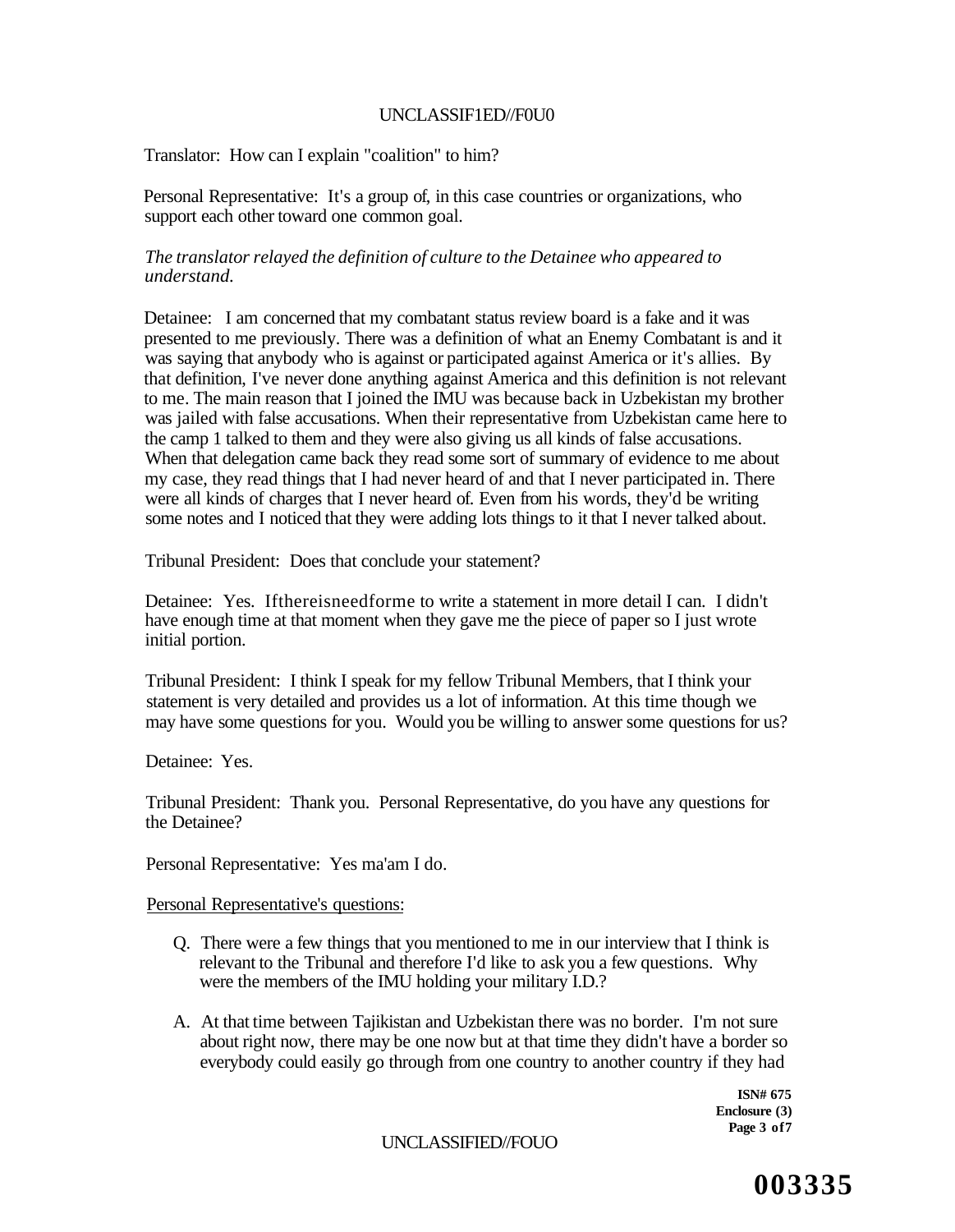#### UNCLASSIF1ED//F0U0

Translator: How can I explain "coalition" to him?

Personal Representative: It's a group of, in this case countries or organizations, who support each other toward one common goal.

#### *The translator relayed the definition of culture to the Detainee who appeared to understand.*

Detainee: I am concerned that my combatant status review board is a fake and it was presented to me previously. There was a definition of what an Enemy Combatant is and it was saying that anybody who is against or participated against America or it's allies. By that definition, I've never done anything against America and this definition is not relevant to me. The main reason that I joined the IMU was because back in Uzbekistan my brother was jailed with false accusations. When their representative from Uzbekistan came here to the camp 1 talked to them and they were also giving us all kinds of false accusations. When that delegation came back they read some sort of summary of evidence to me about my case, they read things that I had never heard of and that I never participated in. There were all kinds of charges that I never heard of. Even from his words, they'd be writing some notes and I noticed that they were adding lots things to it that I never talked about.

Tribunal President: Does that conclude your statement?

Detainee: Yes. Ifthereisneedforme to write a statement in more detail I can. I didn't have enough time at that moment when they gave me the piece of paper so I just wrote initial portion.

Tribunal President: I think I speak for my fellow Tribunal Members, that I think your statement is very detailed and provides us a lot of information. At this time though we may have some questions for you. Would you be willing to answer some questions for us?

Detainee: Yes.

Tribunal President: Thank you. Personal Representative, do you have any questions for the Detainee?

Personal Representative: Yes ma'am I do.

Personal Representative's questions:

- Q. There were a few things that you mentioned to me in our interview that I think is relevant to the Tribunal and therefore I'd like to ask you a few questions. Why were the members of the IMU holding your military I.D.?
- A. At that time between Tajikistan and Uzbekistan there was no border. I'm not sure about right now, there may be one now but at that time they didn't have a border so everybody could easily go through from one country to another country if they had

**ISN# 675 Enclosure (3) Page 3 of7** 

UNCLASSIFIED//FOUO

**003335**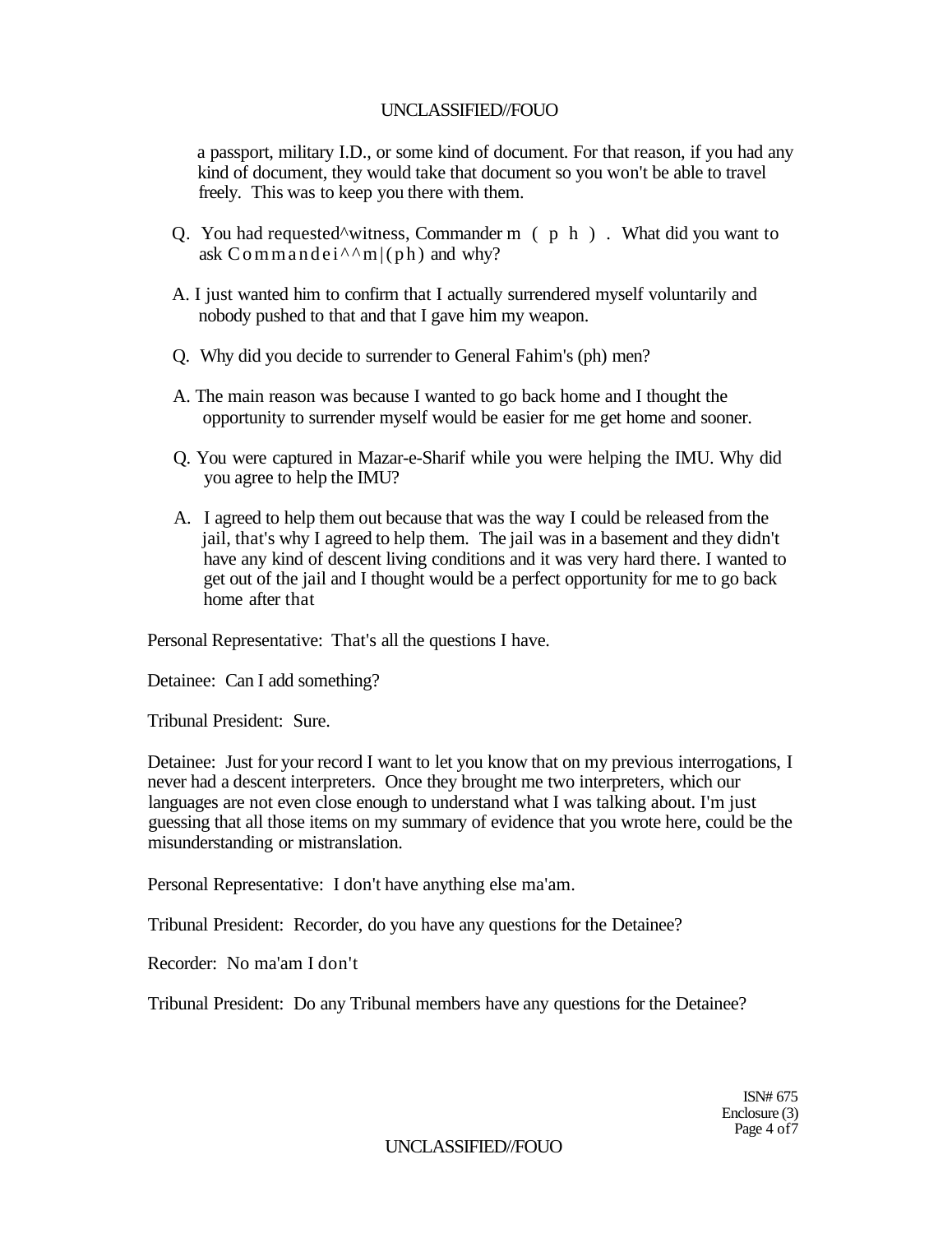a passport, military I.D., or some kind of document. For that reason, if you had any kind of document, they would take that document so you won't be able to travel freely. This was to keep you there with them.

- Q. You had requested<sup> $\wedge$ </sup> witness, Commander m (ph). What did you want to ask Commandei^^m|(ph) and why?
- A. I just wanted him to confirm that I actually surrendered myself voluntarily and nobody pushed to that and that I gave him my weapon.
- Q. Why did you decide to surrender to General Fahim's (ph) men?
- A. The main reason was because I wanted to go back home and I thought the opportunity to surrender myself would be easier for me get home and sooner.
- Q. You were captured in Mazar-e-Sharif while you were helping the IMU. Why did you agree to help the IMU?
- A. I agreed to help them out because that was the way I could be released from the jail, that's why I agreed to help them. The jail was in a basement and they didn't have any kind of descent living conditions and it was very hard there. I wanted to get out of the jail and I thought would be a perfect opportunity for me to go back home after that

Personal Representative: That's all the questions I have.

Detainee: Can I add something?

Tribunal President: Sure.

Detainee: Just for your record I want to let you know that on my previous interrogations, I never had a descent interpreters. Once they brought me two interpreters, which our languages are not even close enough to understand what I was talking about. I'm just guessing that all those items on my summary of evidence that you wrote here, could be the misunderstanding or mistranslation.

Personal Representative: I don't have anything else ma'am.

Tribunal President: Recorder, do you have any questions for the Detainee?

Recorder: No ma'am I don't

Tribunal President: Do any Tribunal members have any questions for the Detainee?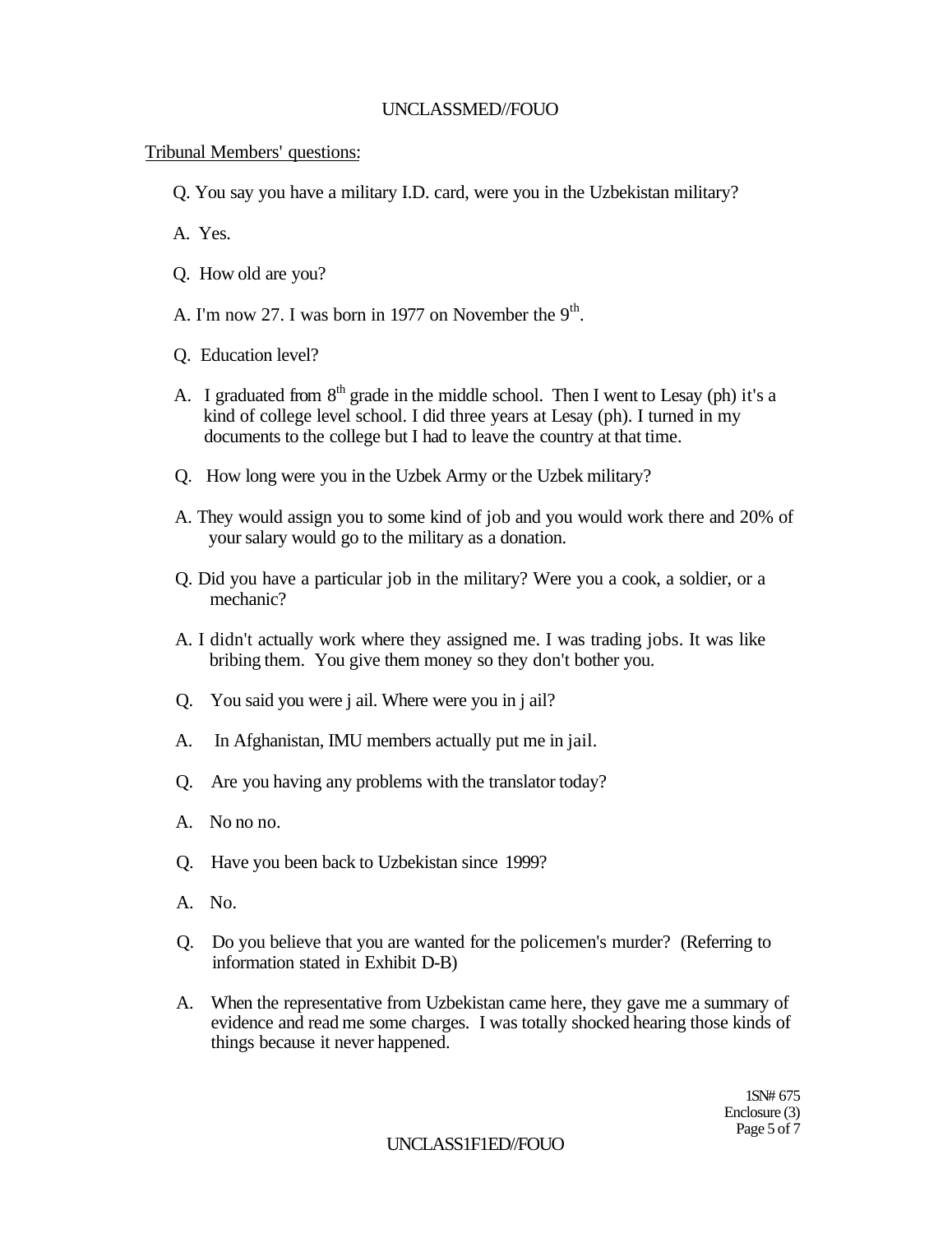#### UNCLASSMED//FOUO

#### Tribunal Members' questions:

Q. You say you have a military I.D. card, were you in the Uzbekistan military?

A. Yes.

- Q. How old are you?
- A. I'm now 27. I was born in 1977 on November the  $9<sup>th</sup>$ .
- Q. Education level?
- A. I graduated from  $8<sup>th</sup>$  grade in the middle school. Then I went to Lesay (ph) it's a kind of college level school. I did three years at Lesay (ph). I turned in my documents to the college but I had to leave the country at that time.
- Q. How long were you in the Uzbek Army or the Uzbek military?
- A. They would assign you to some kind of job and you would work there and 20% of your salary would go to the military as a donation.
- Q. Did you have a particular job in the military? Were you a cook, a soldier, or a mechanic?
- A. I didn't actually work where they assigned me. I was trading jobs. It was like bribing them. You give them money so they don't bother you.
- Q. You said you were j ail. Where were you in j ail?
- A. In Afghanistan, IMU members actually put me in jail.
- Q. Are you having any problems with the translator today?
- A. No no no.
- Q. Have you been back to Uzbekistan since 1999?
- A. No.
- Q. Do you believe that you are wanted for the policemen's murder? (Referring to information stated in Exhibit D-B)
- A. When the representative from Uzbekistan came here, they gave me a summary of evidence and read me some charges. I was totally shocked hearing those kinds of things because it never happened.

1SN# 675 Enclosure (3) Page 5 of 7

UNCLASS1F1ED//FOUO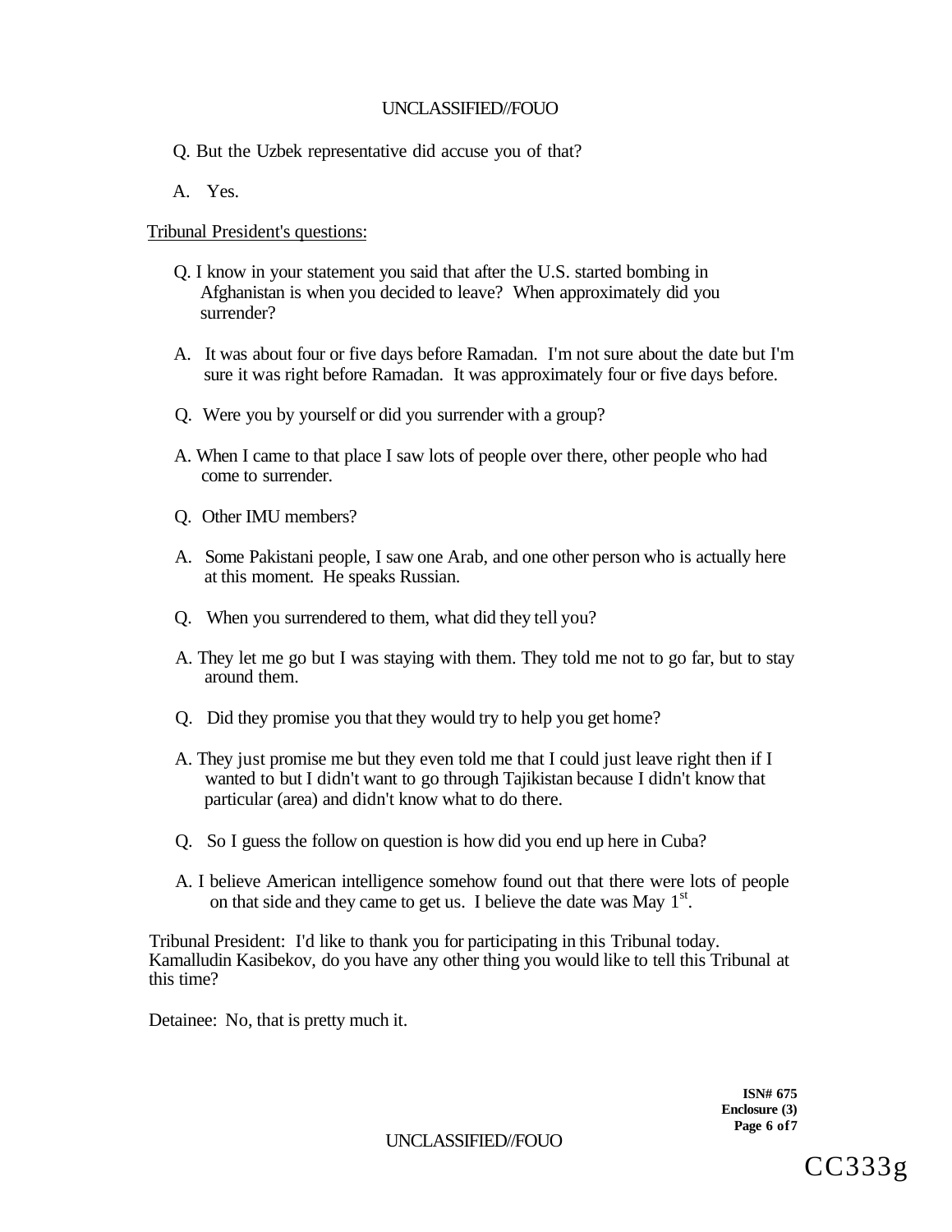- Q. But the Uzbek representative did accuse you of that?
- A. Yes.

#### Tribunal President's questions:

- Q. I know in your statement you said that after the U.S. started bombing in Afghanistan is when you decided to leave? When approximately did you surrender?
- A. It was about four or five days before Ramadan. I'm not sure about the date but I'm sure it was right before Ramadan. It was approximately four or five days before.
- Q. Were you by yourself or did you surrender with a group?
- A. When I came to that place I saw lots of people over there, other people who had come to surrender.
- Q. Other IMU members?
- A. Some Pakistani people, I saw one Arab, and one other person who is actually here at this moment. He speaks Russian.
- Q. When you surrendered to them, what did they tell you?
- A. They let me go but I was staying with them. They told me not to go far, but to stay around them.
- Q. Did they promise you that they would try to help you get home?
- A. They just promise me but they even told me that I could just leave right then if I wanted to but I didn't want to go through Tajikistan because I didn't know that particular (area) and didn't know what to do there.
- Q. So I guess the follow on question is how did you end up here in Cuba?
- A. I believe American intelligence somehow found out that there were lots of people on that side and they came to get us. I believe the date was May  $1<sup>st</sup>$ .

Tribunal President: I'd like to thank you for participating in this Tribunal today. Kamalludin Kasibekov, do you have any other thing you would like to tell this Tribunal at this time?

Detainee: No, that is pretty much it.

**ISN# 675 Enclosure (3) Page 6 of7**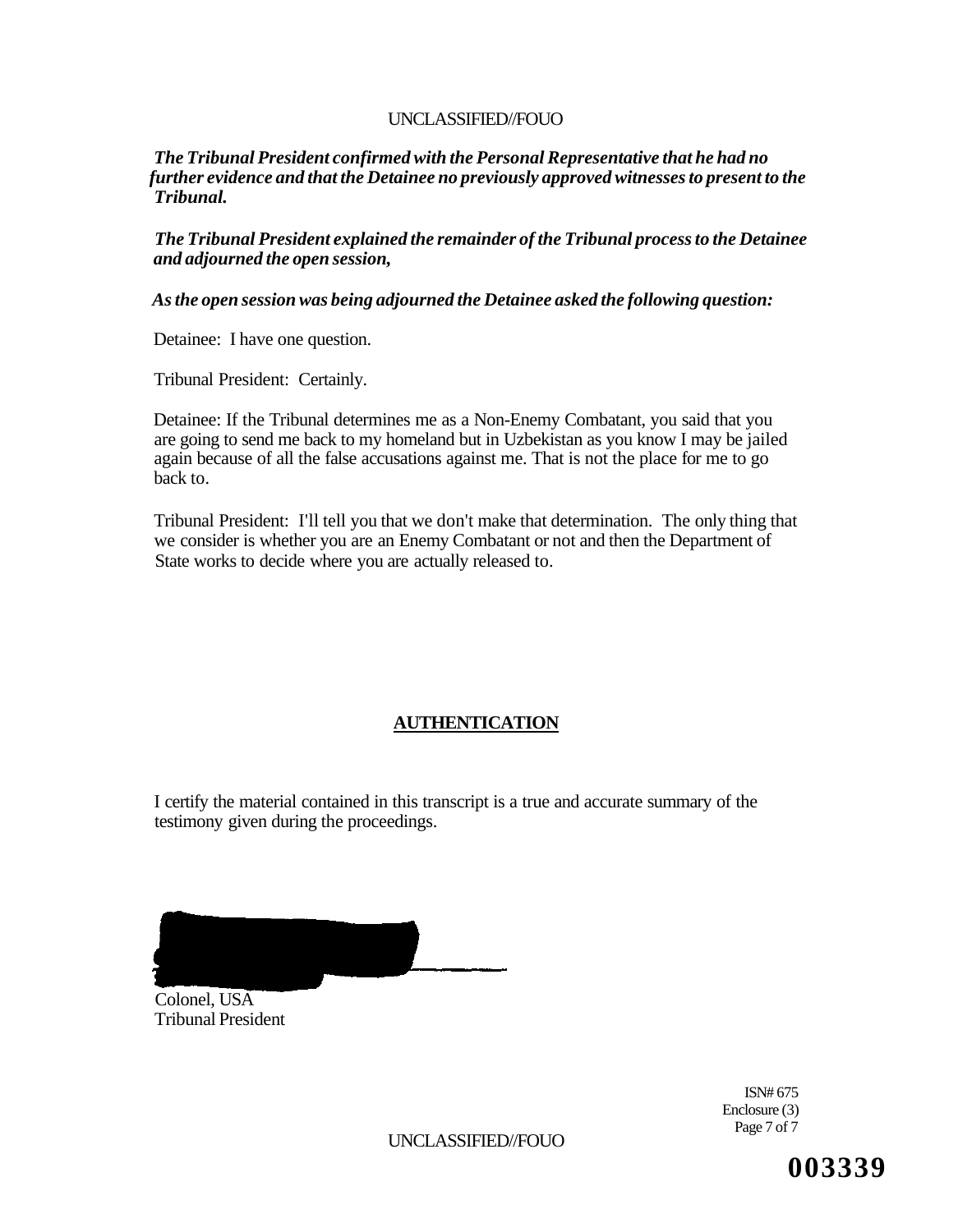*The Tribunal President confirmed with the Personal Representative that he had no further evidence and that the Detainee no previously approved witnesses to present to the Tribunal.* 

*The Tribunal President explained the remainder of the Tribunal process to the Detainee and adjourned the open session,* 

*As the open session was being adjourned the Detainee asked the following question:* 

Detainee: I have one question.

Tribunal President: Certainly.

Detainee: If the Tribunal determines me as a Non-Enemy Combatant, you said that you are going to send me back to my homeland but in Uzbekistan as you know I may be jailed again because of all the false accusations against me. That is not the place for me to go back to.

Tribunal President: I'll tell you that we don't make that determination. The only thing that we consider is whether you are an Enemy Combatant or not and then the Department of State works to decide where you are actually released to.

### **AUTHENTICATION**

I certify the material contained in this transcript is a true and accurate summary of the testimony given during the proceedings.



Colonel, USA Tribunal President

> ISN# 675 Enclosure (3) Page 7 of 7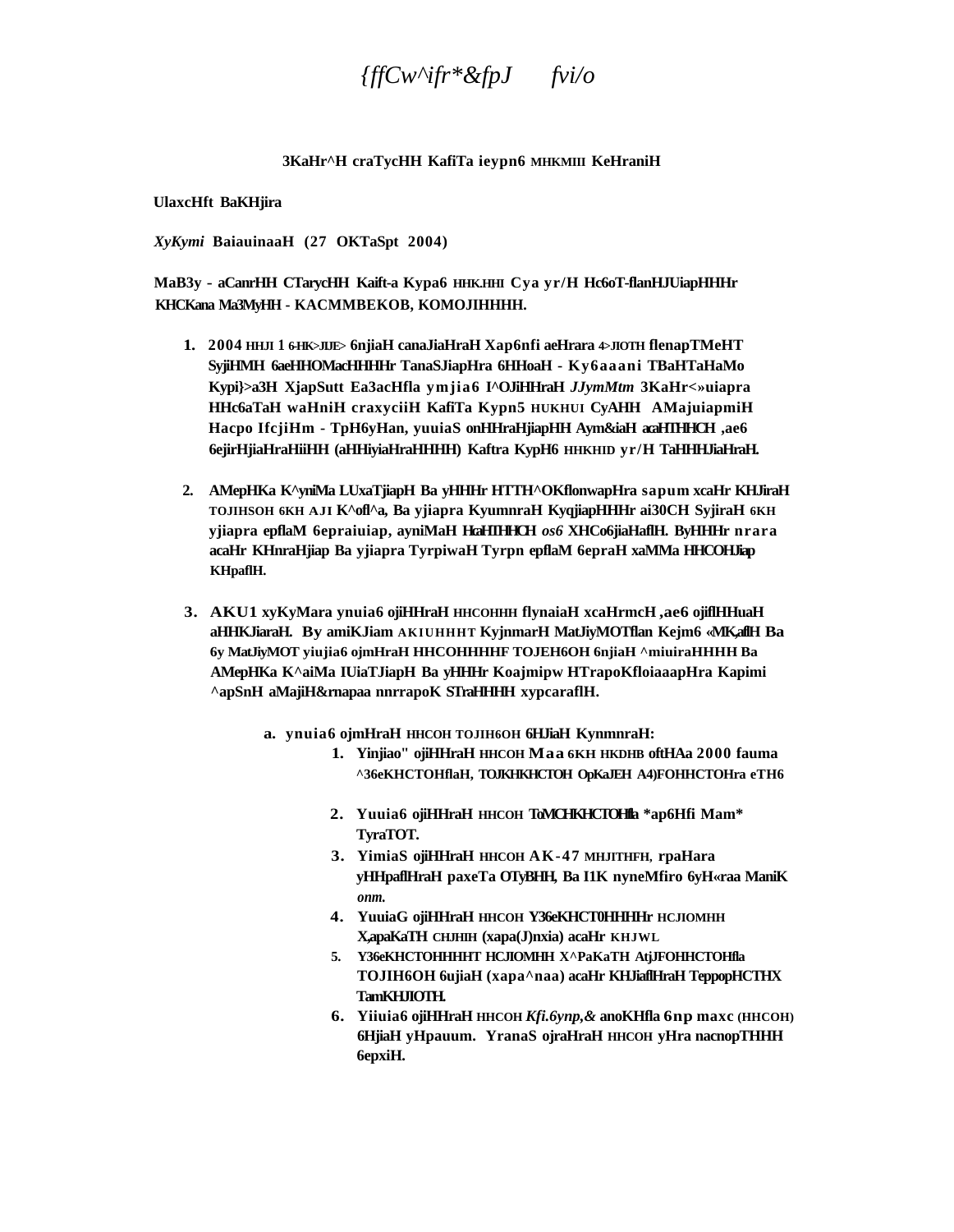### $\int f f C w^{\wedge} i f r^* \& f p J$  fvi/o

#### 3KaHr^H craTycHH KafiTa ieypn6 мнкмш KeHraniH

UlaxcHft BaKHjira

XyKymi BaiauinaaH (27 OKTaSpt 2004)

MaB3v - aCanrHH CTarvcHH Kaift-a Kvpa6 HHK.HHI Cva vr/H Hc6oT-flanHJUjapHHHr **КНСКата МаЗМуНН - КАСММВЕКОВ, КОМОЈІНННН.** 

- 1. 2004 HHJJ 1 6HK>JLJE> 6njiaH canaJiaHraH Xap6nfi aeHrara 4>JJOTH flenapTMeHT SyjiHMH 6aeHHOMacHHHHr TanaSJiapHra 6HHoaH - Ky6aaani TBaHTaHaMo Kypi}>a3H XjapSutt Ea3acHfla ymjia6 I^OJiHHraH JJymMtm 3KaHr<>uiapra HHc6aTaH waHniH craxyciiH KafiTa Kypn5 HUKHUI CyAHH AMajuiapmiH Hacpo IfcjiHm - TpH6yHan, yuuiaS onHHraHjiapHH Aym&iaH acaHIHHCH ,ae6 6ejirHjiaHraHiiHH (aHHiyiaHraHHHH) Kaftra KypH6 HHKHID yr/H TaHHHJiaHraH.
- 2. AMepHKa K^yniMa LUxaTjiapH Ba yHHHr HTTH^OKflonwapHra sapum xcaHr KHJiraH ТОЈІНЅОН 6КН АЈІ К^оfl^а, Ва ујіарга КуumnraH КуqjiapHHHr аіЗ0СН SyjiraH 6КН vjiapra epflaM 6epraiuiap, ayniMaH HaHIHHCH os6 XHCo6jiaHafiH. ByHHHr nrara acaHr KHnraHjiap Ba yjiapra TyrpiwaH Tyrpn epflaM 6epraH xaMMa HHCOHJiap KHpaflH.
- 3. AKU1 xyKyMara ynuia6 ojiHHraH HHCOHHH flynaiaH xcaHrmcH, ae6 ojiflHHuaH aHHKJiaraH. By amiKJiam AKIUHHHT KyinmarH MatJiyMOTflan Kejm6 «MKafH Ba 6y MatJiyMOT yiujia6 ojmHraH HHCOHHHHF TOJEH6OH 6njiaH ^miuiraHHHH Ba AMepHKa K^aiMa IUiaTJiapH Ba yHHHr Koajmipw HTrapoKfloiaaapHra Kapimi ^apSnH aMajiH&rnapaa nnrrapoK STraHHHH xypcaraflH.
	- a. ynuia6 ojmHraH HHCOH TOJIH6OH 6HJiaH KynmnraH:
		- 1. Yinjiao" ojiHHraH HHCOH Maa 6KH HKDHB oftHAa 2000 fauma ^36eKHCTOHflaH, TOJKHKHCTOH OpKaJEH A4)FOHHCTOHra eTH6
		- 2. Yuuia6 ojiHHraH HHCOH ToMCHKHCTOHla \*ap6Hfi Mam\* TvraTOT.
		- 3. YimiaS ojiHHraH HHCOH AK-47 MHJITHFH, rpaHara yHHpaflHraH paxeTa OTyBHH, Ba I1K nyneMfiro 6yH«raa ManiK onm.
		- 4. YuuiaG ojiHHraH HHCOH Y36eKHCT0HHHHr HCJIOMHH X, араКаТН СНЈНІН (хара(J) nxia) aсаНг КНЈWL
		- 5. ҮЗбеКНСТОННННТ НСЛОМНН Х^РаКаТН АфЛГОННСТОН TOJIH6OH 6ujiaH (xapa^naa) acaHr KHJiaflHraH TeppopHCTHX TamKHJIOTH.
		- 6. Yiiuia6 ojiHHraH HHCOH Kfi.6ynp, & anoKHfla 6np maxc (HHCOH) 6HjiaH yHpauum. YranaS ojraHraH HHCOH yHra nacnopTHHH 6epxiH.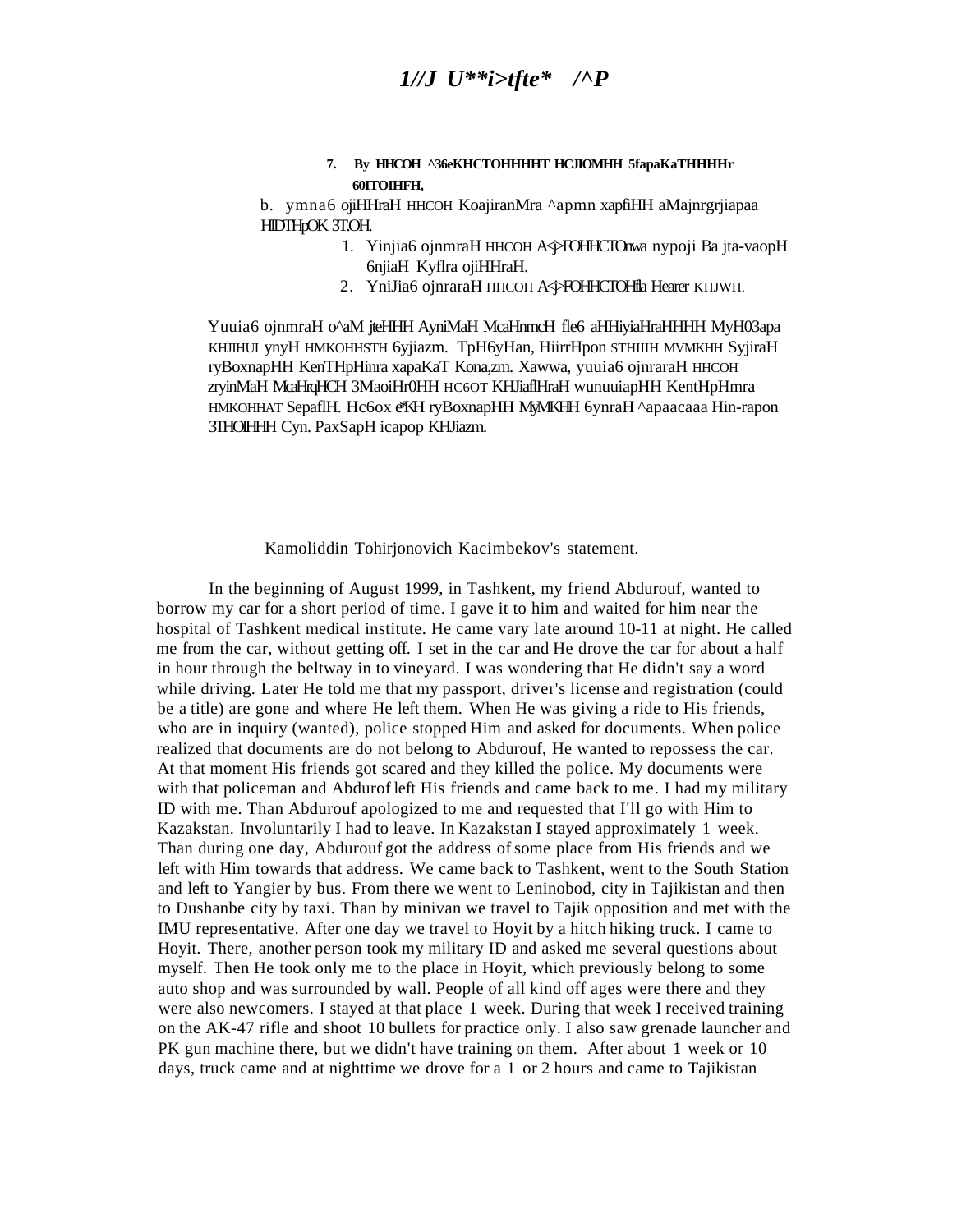#### 7. Ву ННСОН ^36еКНСТОННННТ НСЛОМНН 5fapaKaTHHHHr **60ITOIHFH.**

b. ymna6 ojiHHraH HHCOH KoajiranMra ^apmn xapfiHH aMajnrgrjiapaa **HIDTHOK 3T.OH.** 

- 1. Yinjia6 ojnmraH HHCOH ASPOHHCTO wa nypoji Ba jta-vaopH 6njiaH Kyflra ojiHHraH.
- 2. YniJia6 ojnraraH HHCOH ASPOHHCTOHIa Hearer KHJWH.

Yuuia6 ojnmraH o^aM jteHHH AyniMaH McaHnmcH fle6 aHHiyiaHraHHHH MyH03apa KHJIHUI ynyH HMKOHHSTH бујіаzm. TpHбуHan, HiirrHpon STHIIIH MVMKHH SyjiraH ryBoxnapHH KenTHpHinra xapaKaT Kona,zm. Xawwa, yuuia6 ojnraraH HHCOH zryinMaH McaHiqHCH 3MaoiHr0HH HC6OT KHJiaflHraH wunuuiapHH KentHpHmra HMKOHHAT SepaflH. Hc6ox eKH ryBoxnapHH MMKHH 6ynraH ^apaacaaa Hin-rapon 3THOIHHH Cyn. PaxSapH icapop KHJiazm.

Kamoliddin Tohirjonovich Kacimbekov's statement.

In the beginning of August 1999, in Tashkent, my friend Abdurouf, wanted to borrow my car for a short period of time. I gave it to him and waited for him near the hospital of Tashkent medical institute. He came vary late around 10-11 at night. He called me from the car, without getting off. I set in the car and He drove the car for about a half in hour through the beltway in to vinevard. I was wondering that He didn't say a word while driving. Later He told me that my passport, driver's license and registration (could be a title) are gone and where He left them. When He was giving a ride to His friends, who are in inquiry (wanted), police stopped Him and asked for documents. When police realized that documents are do not belong to Abdurouf, He wanted to repossess the car. At that moment His friends got scared and they killed the police. My documents were with that policeman and Abdurof left His friends and came back to me. I had my military ID with me. Than Abdurouf apologized to me and requested that I'll go with Him to Kazakstan. Involuntarily I had to leave. In Kazakstan I stayed approximately 1 week. Than during one day, Abdurouf got the address of some place from His friends and we left with Him towards that address. We came back to Tashkent, went to the South Station and left to Yangier by bus. From there we went to Leninobod, city in Tajikistan and then to Dushanbe city by taxi. Than by minivan we travel to Tajik opposition and met with the IMU representative. After one day we travel to Hoyit by a hitch hiking truck. I came to Hoyit. There, another person took my military ID and asked me several questions about myself. Then He took only me to the place in Hoyit, which previously belong to some auto shop and was surrounded by wall. People of all kind off ages were there and they were also newcomers. I stayed at that place 1 week. During that week I received training on the AK-47 rifle and shoot 10 bullets for practice only. I also saw grenade launcher and PK gun machine there, but we didn't have training on them. After about 1 week or 10 days, truck came and at nighttime we drove for a 1 or 2 hours and came to Tajikistan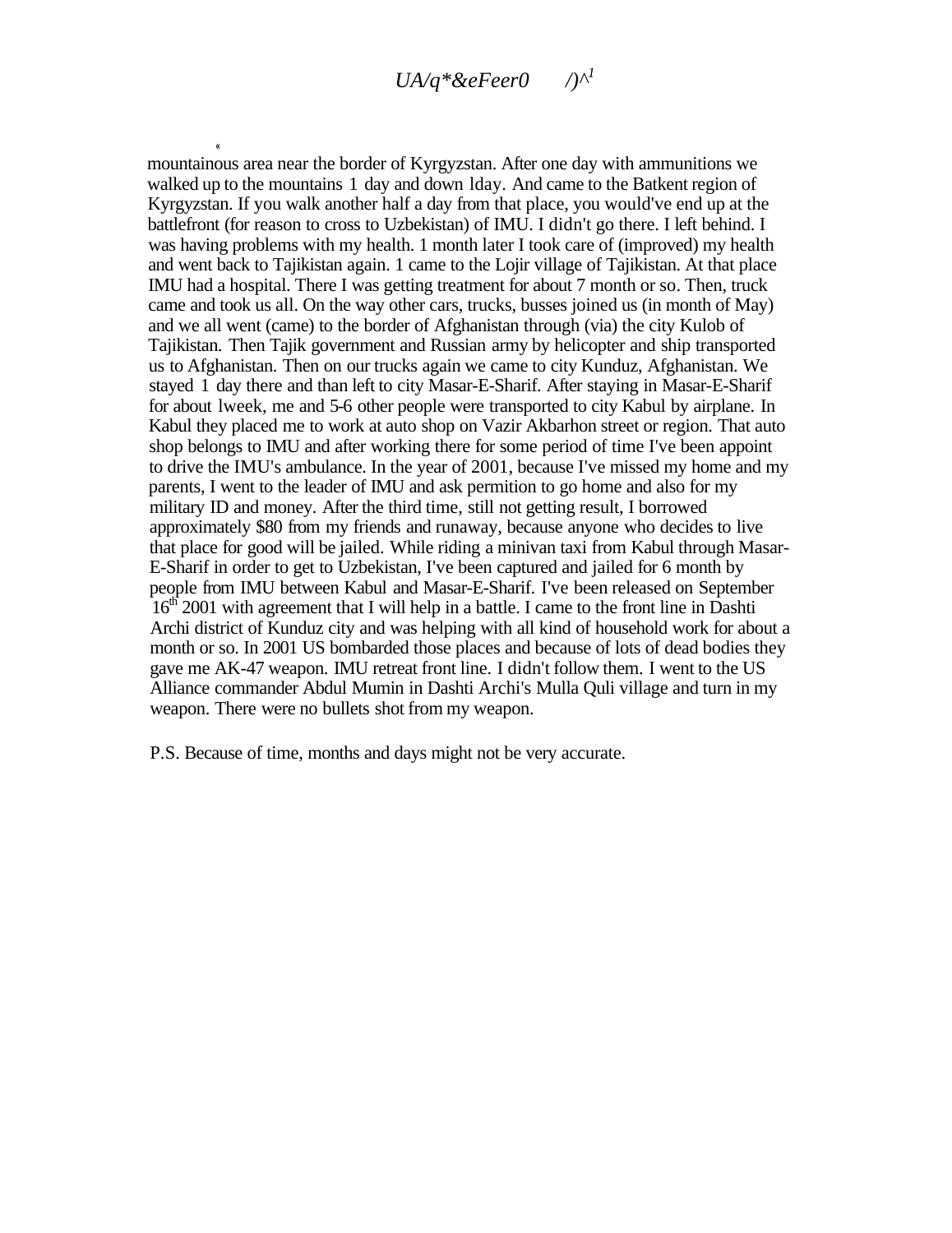$UA/q^* \& eFeer0$  /)<sup>^</sup><sup>1</sup>

**«** 

mountainous area near the border of Kyrgyzstan. After one day with ammunitions we walked up to the mountains 1 day and down lday. And came to the Batkent region of Kyrgyzstan. If you walk another half a day from that place, you would've end up at the battlefront (for reason to cross to Uzbekistan) of IMU. I didn't go there. I left behind. I was having problems with my health. 1 month later I took care of (improved) my health and went back to Tajikistan again. 1 came to the Lojir village of Tajikistan. At that place IMU had a hospital. There I was getting treatment for about 7 month or so. Then, truck came and took us all. On the way other cars, trucks, busses joined us (in month of May) and we all went (came) to the border of Afghanistan through (via) the city Kulob of Tajikistan. Then Tajik government and Russian army by helicopter and ship transported us to Afghanistan. Then on our trucks again we came to city Kunduz, Afghanistan. We stayed 1 day there and than left to city Masar-E-Sharif. After staying in Masar-E-Sharif for about lweek, me and 5-6 other people were transported to city Kabul by airplane. In Kabul they placed me to work at auto shop on Vazir Akbarhon street or region. That auto shop belongs to IMU and after working there for some period of time I've been appoint to drive the IMU's ambulance. In the year of 2001, because I've missed my home and my parents, I went to the leader of IMU and ask permition to go home and also for my military ID and money. After the third time, still not getting result, I borrowed approximately \$80 from my friends and runaway, because anyone who decides to live that place for good will be jailed. While riding a minivan taxi from Kabul through Masar-E-Sharif in order to get to Uzbekistan, I've been captured and jailed for 6 month by people from IMU between Kabul and Masar-E-Sharif. I've been released on September 16<sup>th</sup> 2001 with agreement that I will help in a battle. I came to the front line in Dashti Archi district of Kunduz city and was helping with all kind of household work for about a month or so. In 2001 US bombarded those places and because of lots of dead bodies they gave me AK-47 weapon. IMU retreat front line. I didn't follow them. I went to the US Alliance commander Abdul Mumin in Dashti Archi's Mulla Quli village and turn in my weapon. There were no bullets shot from my weapon.

P.S. Because of time, months and days might not be very accurate.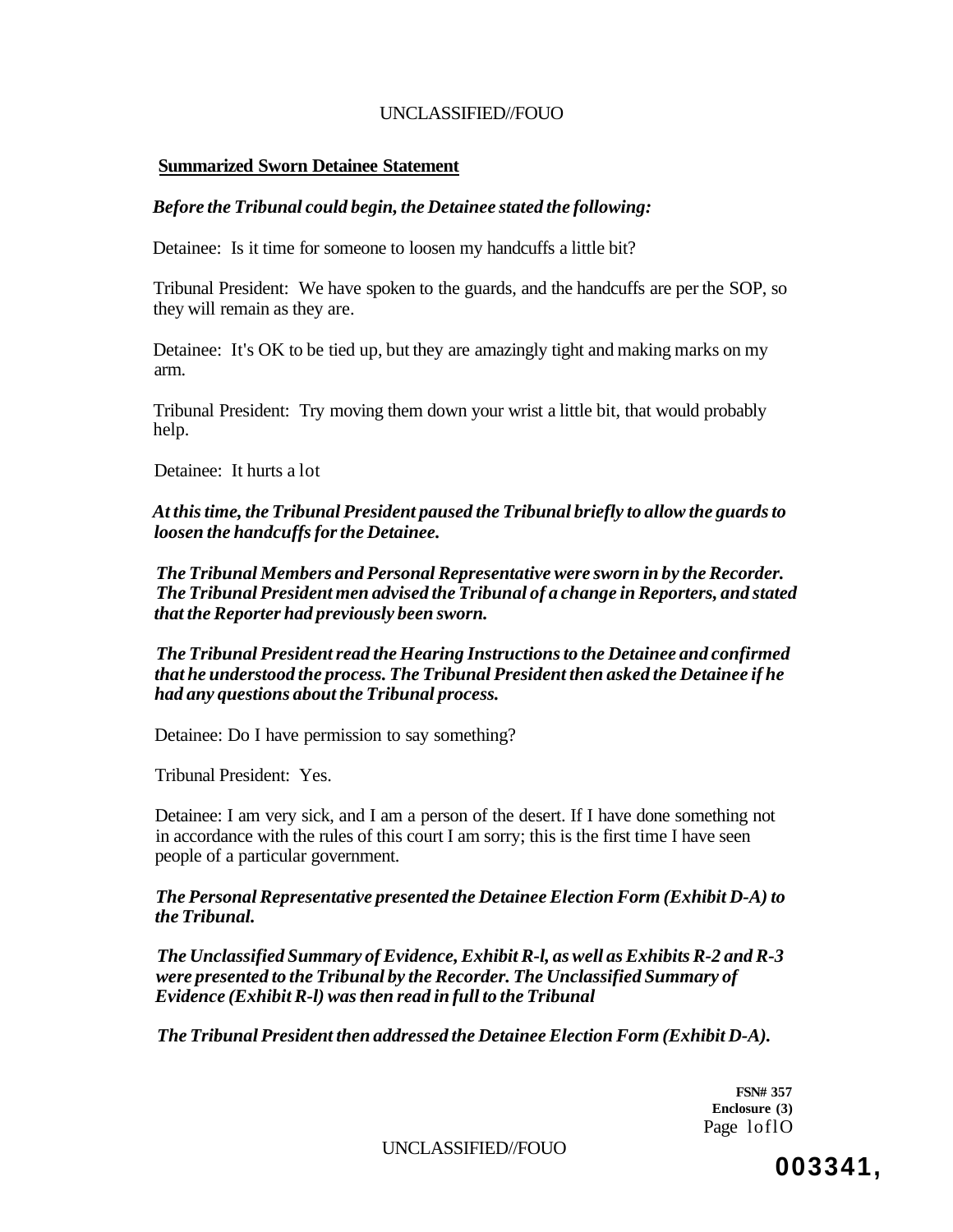#### **Summarized Sworn Detainee Statement**

#### *Before the Tribunal could begin, the Detainee stated the following:*

Detainee: Is it time for someone to loosen my handcuffs a little bit?

Tribunal President: We have spoken to the guards, and the handcuffs are per the SOP, so they will remain as they are.

Detainee: It's OK to be tied up, but they are amazingly tight and making marks on my arm.

Tribunal President: Try moving them down your wrist a little bit, that would probably help.

Detainee: It hurts a lot

*At this time, the Tribunal President paused the Tribunal briefly to allow the guards to loosen the handcuffs for the Detainee.* 

*The Tribunal Members and Personal Representative were sworn in by the Recorder. The Tribunal President men advised the Tribunal of a change in Reporters, and stated that the Reporter had previously been sworn.* 

*The Tribunal President read the Hearing Instructions to the Detainee and confirmed that he understood the process. The Tribunal President then asked the Detainee if he had any questions about the Tribunal process.* 

Detainee: Do I have permission to say something?

Tribunal President: Yes.

Detainee: I am very sick, and I am a person of the desert. If I have done something not in accordance with the rules of this court I am sorry; this is the first time I have seen people of a particular government.

*The Personal Representative presented the Detainee Election Form (Exhibit D-A) to the Tribunal.* 

*The Unclassified Summary of Evidence, Exhibit R-l, as well as Exhibits R-2 and R-3 were presented to the Tribunal by the Recorder. The Unclassified Summary of Evidence (Exhibit R-l) was then read in full to the Tribunal* 

*The Tribunal President then addressed the Detainee Election Form (Exhibit D-A).* 

**FSN# 357 Enclosure (3)**  Page loflO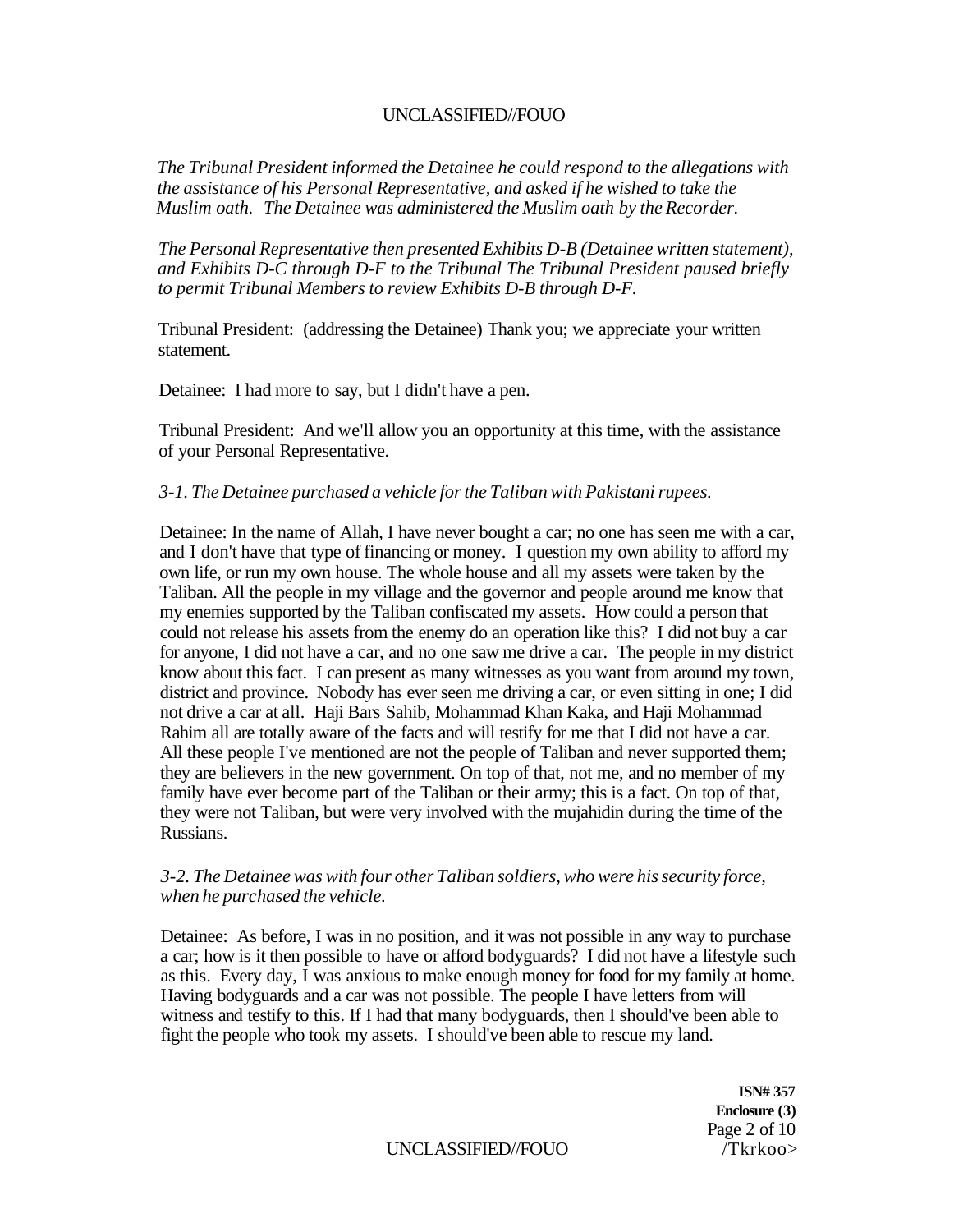*The Tribunal President informed the Detainee he could respond to the allegations with the assistance of his Personal Representative, and asked if he wished to take the Muslim oath. The Detainee was administered the Muslim oath by the Recorder.* 

*The Personal Representative then presented Exhibits D-B (Detainee written statement), and Exhibits D-C through D-F to the Tribunal The Tribunal President paused briefly to permit Tribunal Members to review Exhibits D-B through D-F.* 

Tribunal President: (addressing the Detainee) Thank you; we appreciate your written statement.

Detainee: I had more to say, but I didn't have a pen.

Tribunal President: And we'll allow you an opportunity at this time, with the assistance of your Personal Representative.

#### *3-1. The Detainee purchased a vehicle for the Taliban with Pakistani rupees.*

Detainee: In the name of Allah, I have never bought a car; no one has seen me with a car, and I don't have that type of financing or money. I question my own ability to afford my own life, or run my own house. The whole house and all my assets were taken by the Taliban. All the people in my village and the governor and people around me know that my enemies supported by the Taliban confiscated my assets. How could a person that could not release his assets from the enemy do an operation like this? I did not buy a car for anyone, I did not have a car, and no one saw me drive a car. The people in my district know about this fact. I can present as many witnesses as you want from around my town, district and province. Nobody has ever seen me driving a car, or even sitting in one; I did not drive a car at all. Haji Bars Sahib, Mohammad Khan Kaka, and Haji Mohammad Rahim all are totally aware of the facts and will testify for me that I did not have a car. All these people I've mentioned are not the people of Taliban and never supported them; they are believers in the new government. On top of that, not me, and no member of my family have ever become part of the Taliban or their army; this is a fact. On top of that, they were not Taliban, but were very involved with the mujahidin during the time of the Russians.

#### *3-2. The Detainee was with four other Taliban soldiers, who were his security force, when he purchased the vehicle.*

Detainee: As before, I was in no position, and it was not possible in any way to purchase a car; how is it then possible to have or afford bodyguards? I did not have a lifestyle such as this. Every day, I was anxious to make enough money for food for my family at home. Having bodyguards and a car was not possible. The people I have letters from will witness and testify to this. If I had that many bodyguards, then I should've been able to fight the people who took my assets. I should've been able to rescue my land.

> **ISN# 357 Enclosure (3)**  Page 2 of 10

UNCLASSIFIED//FOUO /Tkrkoo>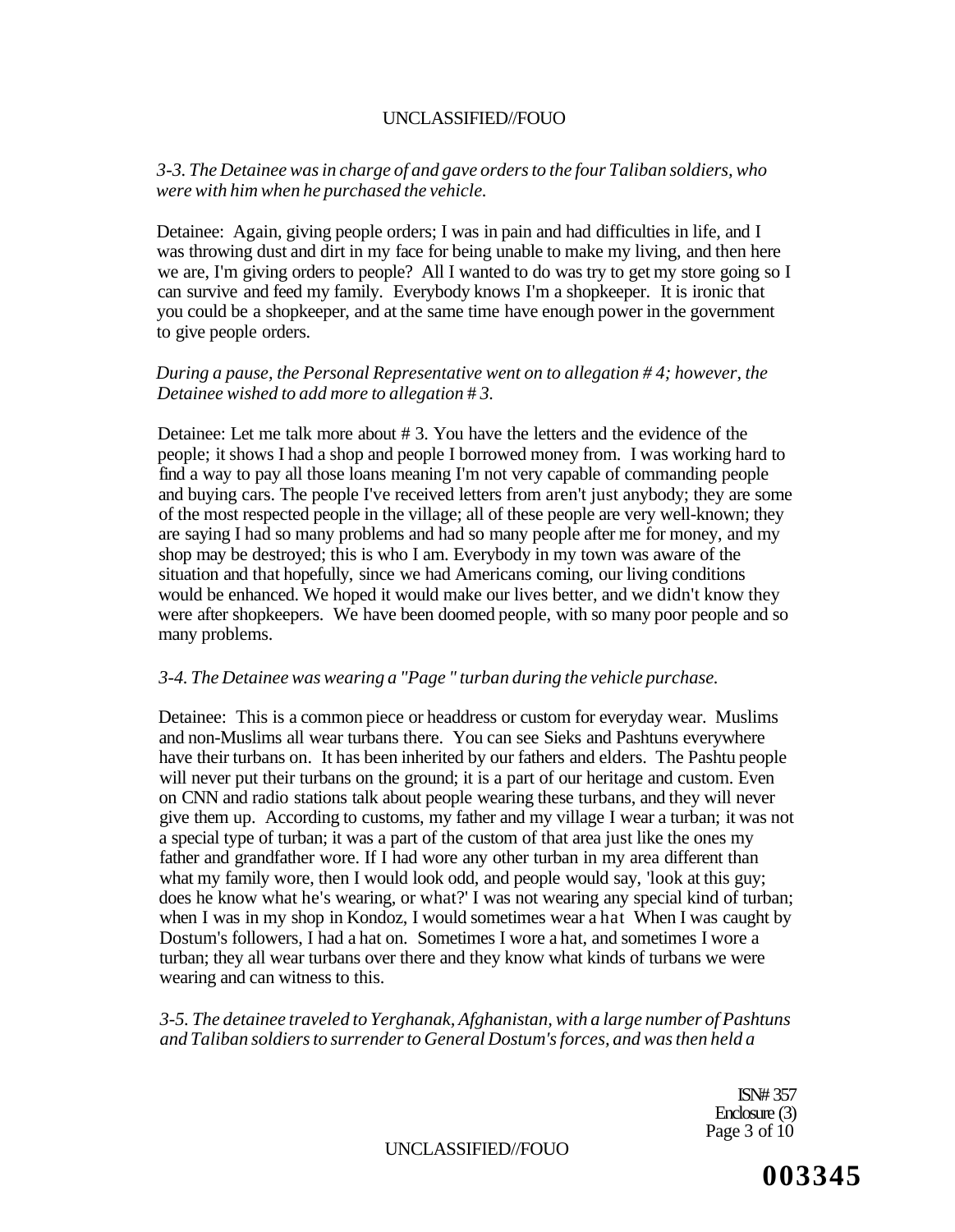#### *3-3. The Detainee was in charge of and gave orders to the four Taliban soldiers, who were with him when he purchased the vehicle.*

Detainee: Again, giving people orders; I was in pain and had difficulties in life, and I was throwing dust and dirt in my face for being unable to make my living, and then here we are, I'm giving orders to people? All I wanted to do was try to get my store going so I can survive and feed my family. Everybody knows I'm a shopkeeper. It is ironic that you could be a shopkeeper, and at the same time have enough power in the government to give people orders.

#### *During a pause, the Personal Representative went on to allegation # 4; however, the Detainee wished to add more to allegation* # *3.*

Detainee: Let me talk more about # 3. You have the letters and the evidence of the people; it shows I had a shop and people I borrowed money from. I was working hard to find a way to pay all those loans meaning I'm not very capable of commanding people and buying cars. The people I've received letters from aren't just anybody; they are some of the most respected people in the village; all of these people are very well-known; they are saying I had so many problems and had so many people after me for money, and my shop may be destroyed; this is who I am. Everybody in my town was aware of the situation and that hopefully, since we had Americans coming, our living conditions would be enhanced. We hoped it would make our lives better, and we didn't know they were after shopkeepers. We have been doomed people, with so many poor people and so many problems.

#### *3-4. The Detainee was wearing a "Page " turban during the vehicle purchase.*

Detainee: This is a common piece or headdress or custom for everyday wear. Muslims and non-Muslims all wear turbans there. You can see Sieks and Pashtuns everywhere have their turbans on. It has been inherited by our fathers and elders. The Pashtu people will never put their turbans on the ground; it is a part of our heritage and custom. Even on CNN and radio stations talk about people wearing these turbans, and they will never give them up. According to customs, my father and my village I wear a turban; it was not a special type of turban; it was a part of the custom of that area just like the ones my father and grandfather wore. If I had wore any other turban in my area different than what my family wore, then I would look odd, and people would say, 'look at this guy; does he know what he's wearing, or what?' I was not wearing any special kind of turban; when I was in my shop in Kondoz, I would sometimes wear a hat When I was caught by Dostum's followers, I had a hat on. Sometimes I wore a hat, and sometimes I wore a turban; they all wear turbans over there and they know what kinds of turbans we were wearing and can witness to this.

*3-5. The detainee traveled to Yerghanak, Afghanistan, with a large number of Pashtuns and Taliban soldiers to surrender to General Dostum's forces, and was then held a* 

> ISN# 357 Enclosure (3) Page 3 of 10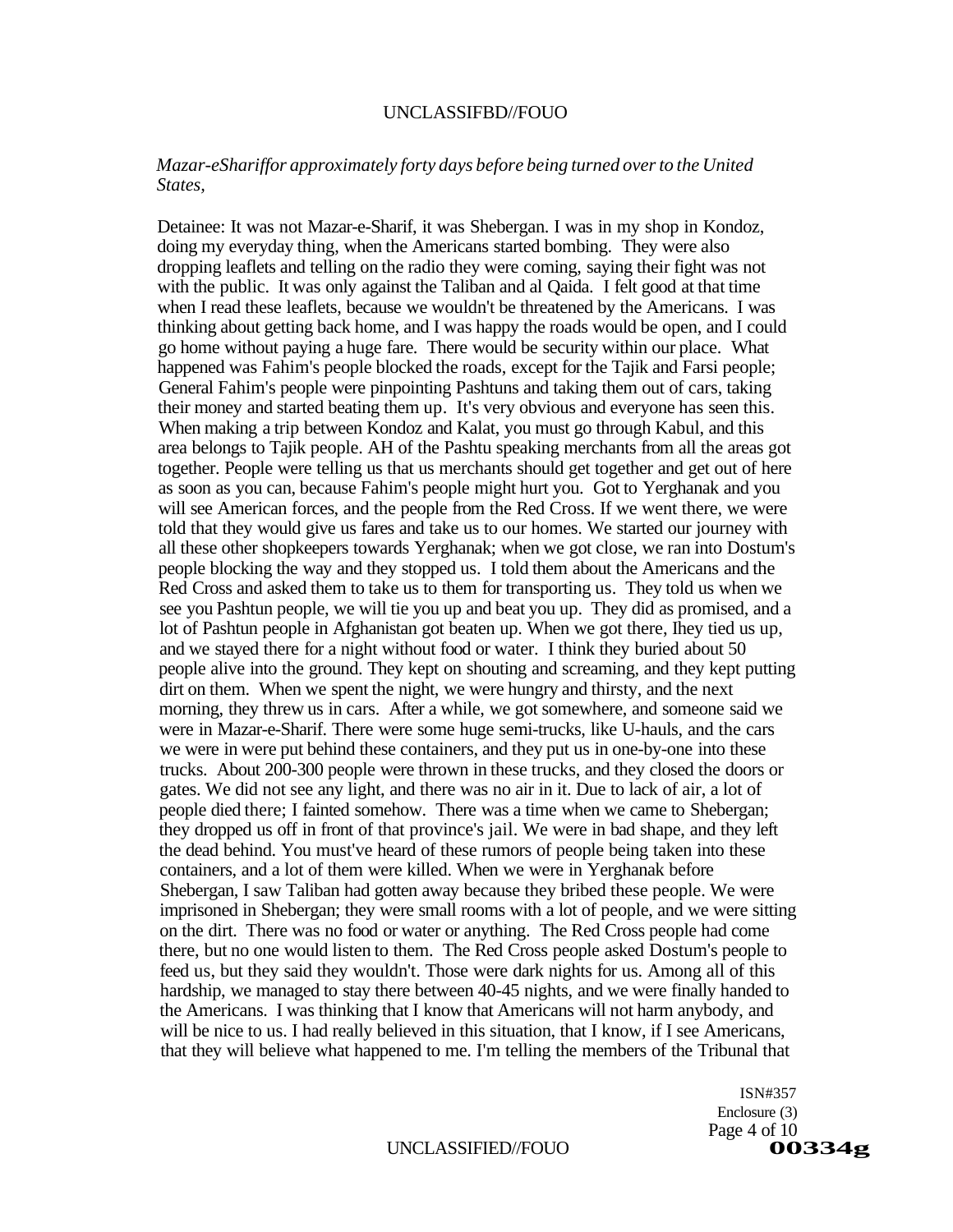#### *Mazar-eShariffor approximately forty days before being turned over to the United States,*

Detainee: It was not Mazar-e-Sharif, it was Shebergan. I was in my shop in Kondoz, doing my everyday thing, when the Americans started bombing. They were also dropping leaflets and telling on the radio they were coming, saying their fight was not with the public. It was only against the Taliban and al Qaida. I felt good at that time when I read these leaflets, because we wouldn't be threatened by the Americans. I was thinking about getting back home, and I was happy the roads would be open, and I could go home without paying a huge fare. There would be security within our place. What happened was Fahim's people blocked the roads, except for the Tajik and Farsi people; General Fahim's people were pinpointing Pashtuns and taking them out of cars, taking their money and started beating them up. It's very obvious and everyone has seen this. When making a trip between Kondoz and Kalat, you must go through Kabul, and this area belongs to Tajik people. AH of the Pashtu speaking merchants from all the areas got together. People were telling us that us merchants should get together and get out of here as soon as you can, because Fahim's people might hurt you. Got to Yerghanak and you will see American forces, and the people from the Red Cross. If we went there, we were told that they would give us fares and take us to our homes. We started our journey with all these other shopkeepers towards Yerghanak; when we got close, we ran into Dostum's people blocking the way and they stopped us. I told them about the Americans and the Red Cross and asked them to take us to them for transporting us. They told us when we see you Pashtun people, we will tie you up and beat you up. They did as promised, and a lot of Pashtun people in Afghanistan got beaten up. When we got there, Ihey tied us up, and we stayed there for a night without food or water. I think they buried about 50 people alive into the ground. They kept on shouting and screaming, and they kept putting dirt on them. When we spent the night, we were hungry and thirsty, and the next morning, they threw us in cars. After a while, we got somewhere, and someone said we were in Mazar-e-Sharif. There were some huge semi-trucks, like U-hauls, and the cars we were in were put behind these containers, and they put us in one-by-one into these trucks. About 200-300 people were thrown in these trucks, and they closed the doors or gates. We did not see any light, and there was no air in it. Due to lack of air, a lot of people died there; I fainted somehow. There was a time when we came to Shebergan; they dropped us off in front of that province's jail. We were in bad shape, and they left the dead behind. You must've heard of these rumors of people being taken into these containers, and a lot of them were killed. When we were in Yerghanak before Shebergan, I saw Taliban had gotten away because they bribed these people. We were imprisoned in Shebergan; they were small rooms with a lot of people, and we were sitting on the dirt. There was no food or water or anything. The Red Cross people had come there, but no one would listen to them. The Red Cross people asked Dostum's people to feed us, but they said they wouldn't. Those were dark nights for us. Among all of this hardship, we managed to stay there between 40-45 nights, and we were finally handed to the Americans. I was thinking that I know that Americans will not harm anybody, and will be nice to us. I had really believed in this situation, that I know, if I see Americans, that they will believe what happened to me. I'm telling the members of the Tribunal that

> ISN#357 Enclosure (3) Page 4 of 10<br>**00334g**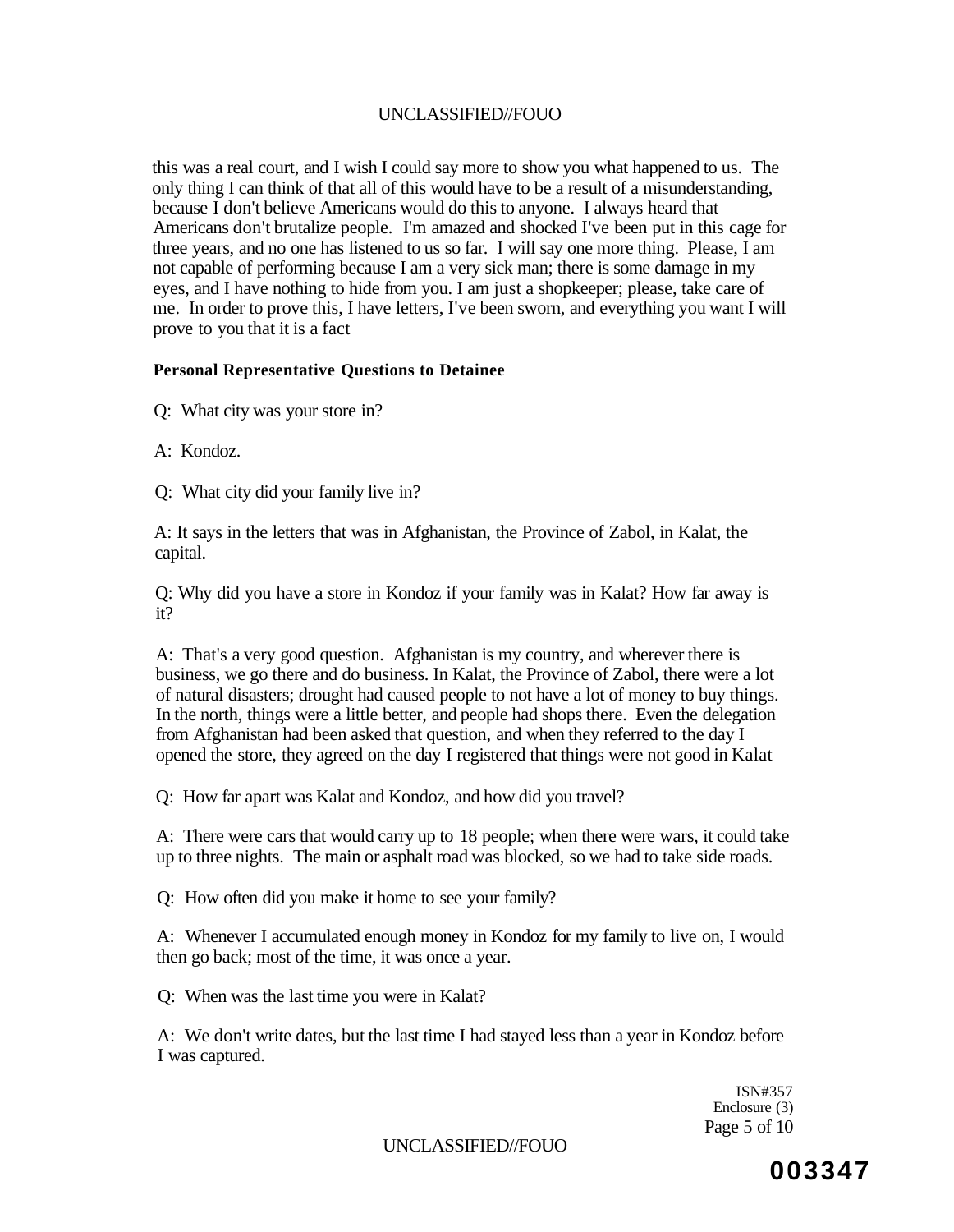this was a real court, and I wish I could say more to show you what happened to us. The only thing I can think of that all of this would have to be a result of a misunderstanding, because I don't believe Americans would do this to anyone. I always heard that Americans don't brutalize people. I'm amazed and shocked I've been put in this cage for three years, and no one has listened to us so far. I will say one more thing. Please, I am not capable of performing because I am a very sick man; there is some damage in my eyes, and I have nothing to hide from you. I am just a shopkeeper; please, take care of me. In order to prove this, I have letters, I've been sworn, and everything you want I will prove to you that it is a fact

#### **Personal Representative Questions to Detainee**

Q: What city was your store in?

A: Kondoz.

Q: What city did your family live in?

A: It says in the letters that was in Afghanistan, the Province of Zabol, in Kalat, the capital.

Q: Why did you have a store in Kondoz if your family was in Kalat? How far away is it?

A: That's a very good question. Afghanistan is my country, and wherever there is business, we go there and do business. In Kalat, the Province of Zabol, there were a lot of natural disasters; drought had caused people to not have a lot of money to buy things. In the north, things were a little better, and people had shops there. Even the delegation from Afghanistan had been asked that question, and when they referred to the day I opened the store, they agreed on the day I registered that things were not good in Kalat

Q: How far apart was Kalat and Kondoz, and how did you travel?

A: There were cars that would carry up to 18 people; when there were wars, it could take up to three nights. The main or asphalt road was blocked, so we had to take side roads.

Q: How often did you make it home to see your family?

A: Whenever I accumulated enough money in Kondoz for my family to live on, I would then go back; most of the time, it was once a year.

Q: When was the last time you were in Kalat?

A: We don't write dates, but the last time I had stayed less than a year in Kondoz before I was captured.

> ISN#357 Enclosure (3) Page 5 of 10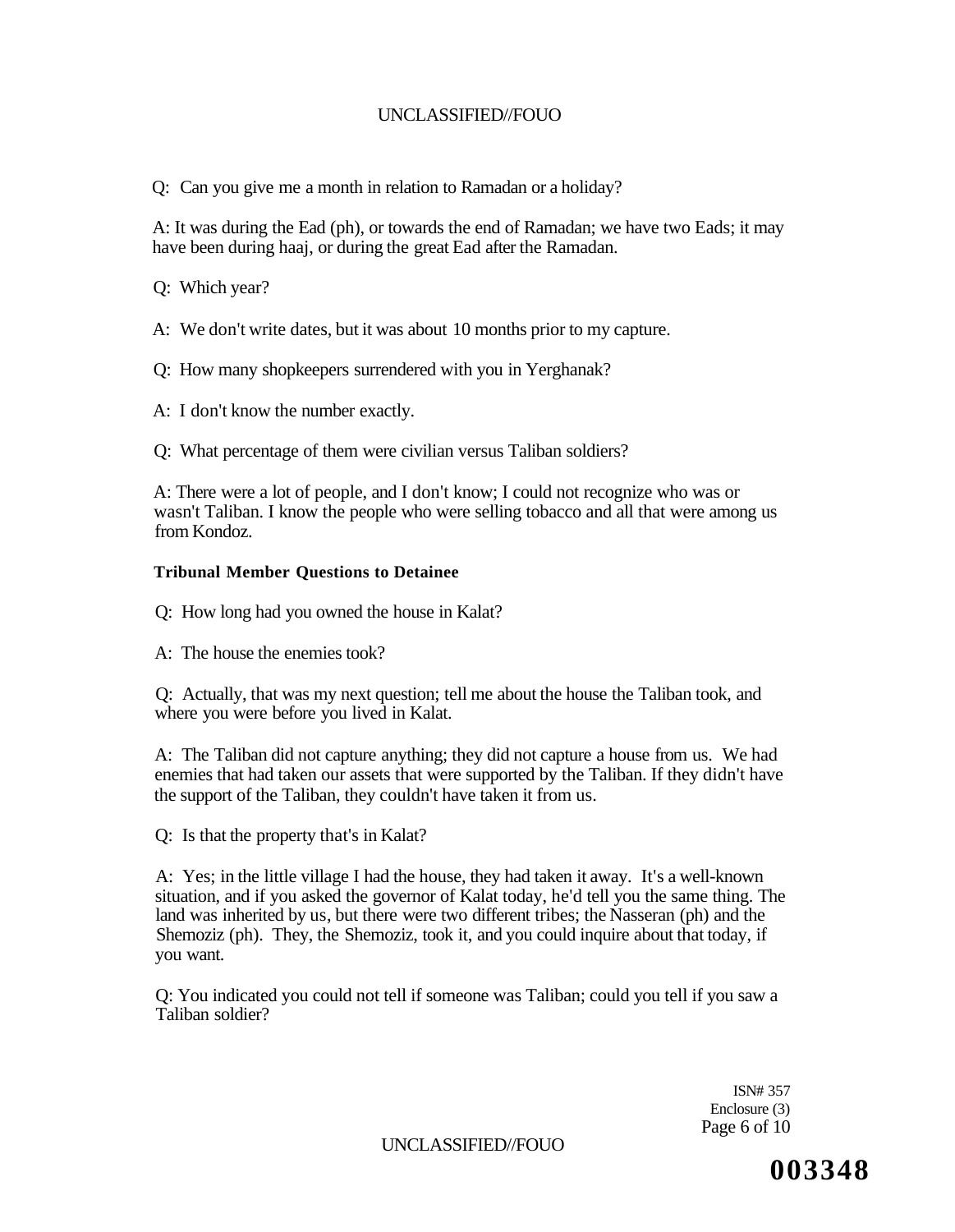Q: Can you give me a month in relation to Ramadan or a holiday?

A: It was during the Ead (ph), or towards the end of Ramadan; we have two Eads; it may have been during haaj, or during the great Ead after the Ramadan.

Q: Which year?

A: We don't write dates, but it was about 10 months prior to my capture.

Q: How many shopkeepers surrendered with you in Yerghanak?

A: I don't know the number exactly.

Q: What percentage of them were civilian versus Taliban soldiers?

A: There were a lot of people, and I don't know; I could not recognize who was or wasn't Taliban. I know the people who were selling tobacco and all that were among us from Kondoz.

#### **Tribunal Member Questions to Detainee**

Q: How long had you owned the house in Kalat?

A: The house the enemies took?

Q: Actually, that was my next question; tell me about the house the Taliban took, and where you were before you lived in Kalat.

A: The Taliban did not capture anything; they did not capture a house from us. We had enemies that had taken our assets that were supported by the Taliban. If they didn't have the support of the Taliban, they couldn't have taken it from us.

Q: Is that the property that's in Kalat?

A: Yes; in the little village I had the house, they had taken it away. It's a well-known situation, and if you asked the governor of Kalat today, he'd tell you the same thing. The land was inherited by us, but there were two different tribes; the Nasseran (ph) and the Shemoziz (ph). They, the Shemoziz, took it, and you could inquire about that today, if you want.

Q: You indicated you could not tell if someone was Taliban; could you tell if you saw a Taliban soldier?

> ISN# 357 Enclosure (3) Page 6 of 10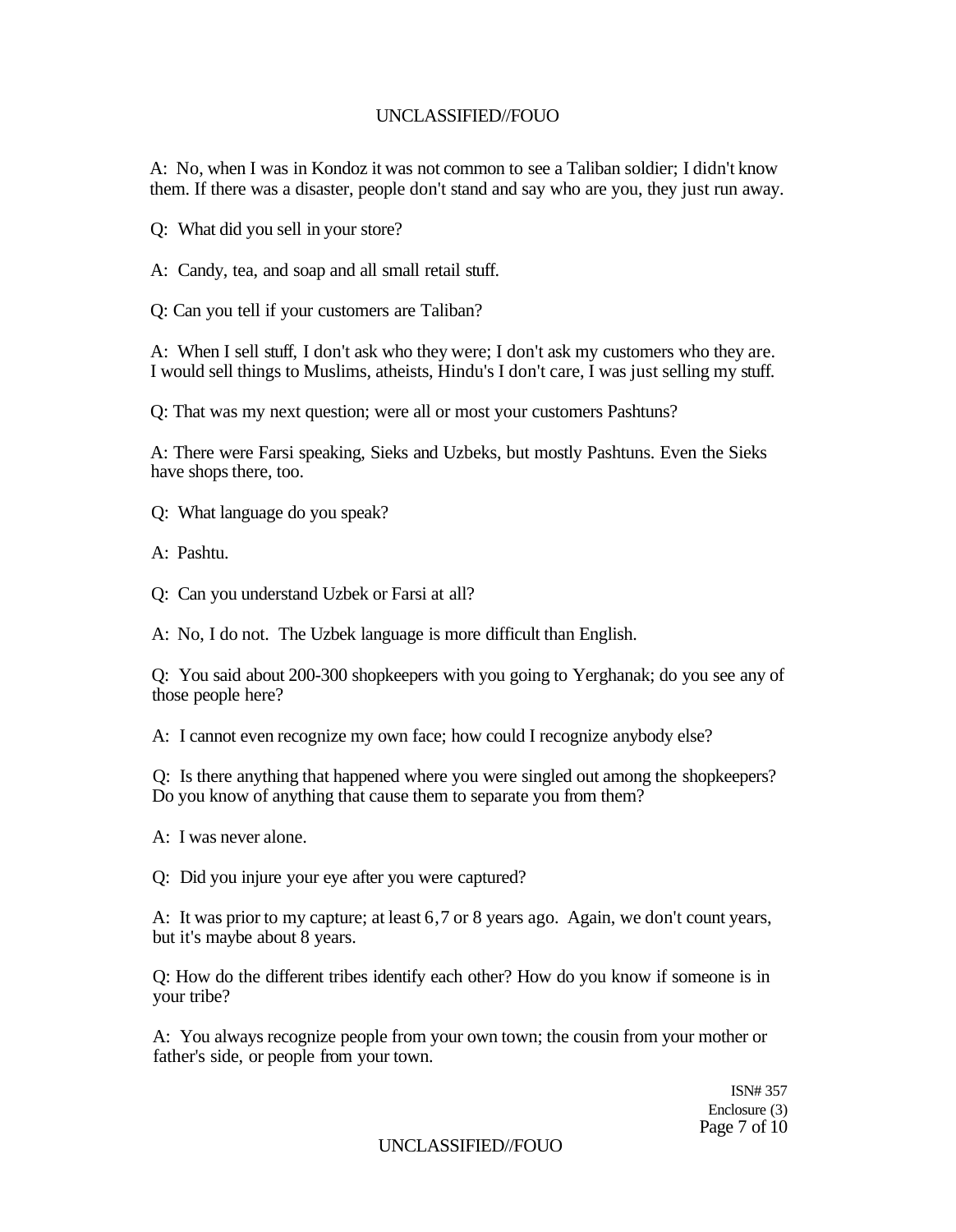A: No, when I was in Kondoz it was not common to see a Taliban soldier; I didn't know them. If there was a disaster, people don't stand and say who are you, they just run away.

Q: What did you sell in your store?

A: Candy, tea, and soap and all small retail stuff.

Q: Can you tell if your customers are Taliban?

A: When I sell stuff, I don't ask who they were; I don't ask my customers who they are. I would sell things to Muslims, atheists, Hindu's I don't care, I was just selling my stuff.

Q: That was my next question; were all or most your customers Pashtuns?

A: There were Farsi speaking, Sieks and Uzbeks, but mostly Pashtuns. Even the Sieks have shops there, too.

Q: What language do you speak?

A: Pashtu.

Q: Can you understand Uzbek or Farsi at all?

A: No, I do not. The Uzbek language is more difficult than English.

Q: You said about 200-300 shopkeepers with you going to Yerghanak; do you see any of those people here?

A: I cannot even recognize my own face; how could I recognize anybody else?

Q: Is there anything that happened where you were singled out among the shopkeepers? Do you know of anything that cause them to separate you from them?

A: I was never alone.

Q: Did you injure your eye after you were captured?

A: It was prior to my capture; at least 6,7 or 8 years ago. Again, we don't count years, but it's maybe about 8 years.

Q: How do the different tribes identify each other? How do you know if someone is in your tribe?

A: You always recognize people from your own town; the cousin from your mother or father's side, or people from your town.

> ISN# 357 Enclosure (3) Page 7 of 10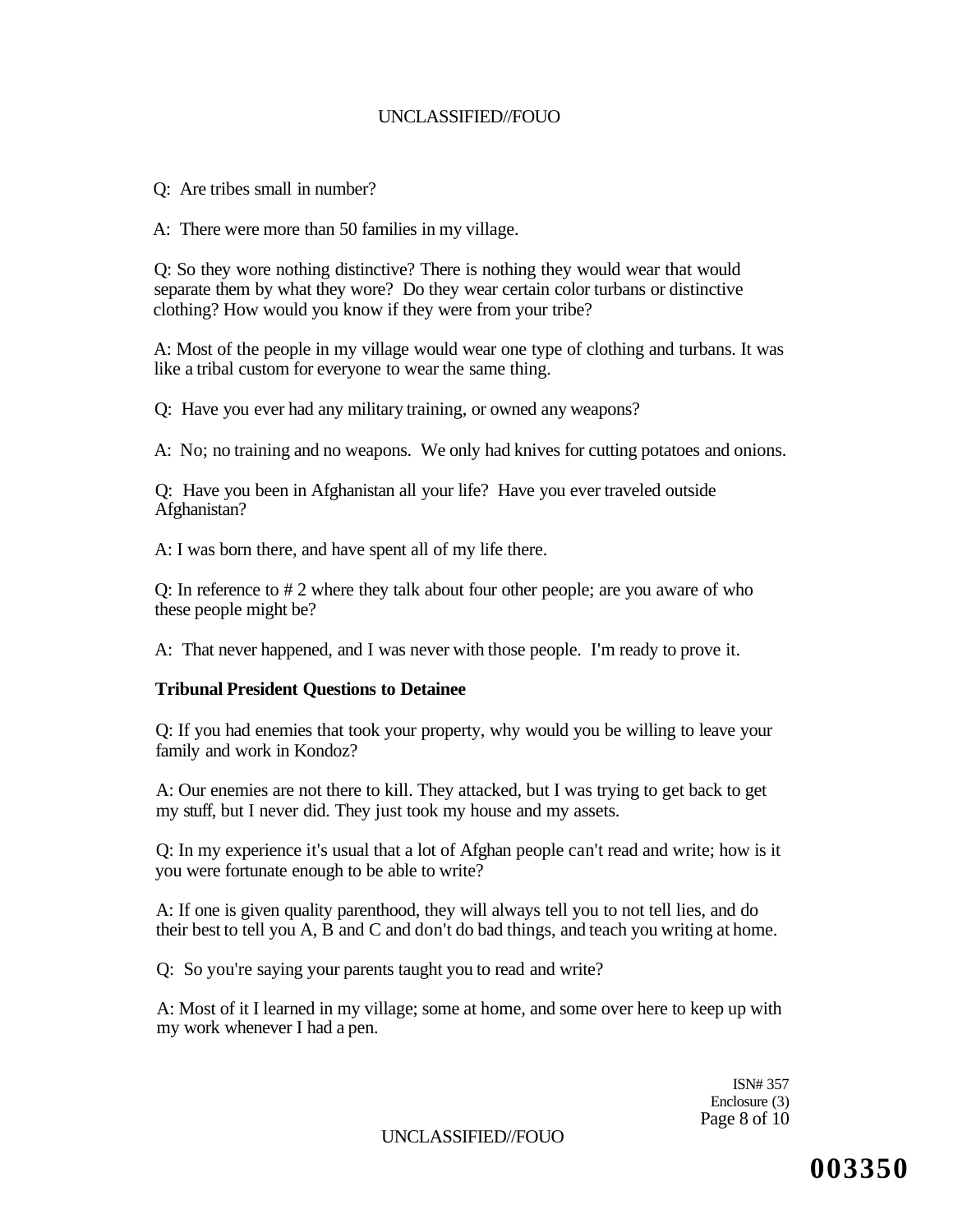Q: Are tribes small in number?

A: There were more than 50 families in my village.

Q: So they wore nothing distinctive? There is nothing they would wear that would separate them by what they wore? Do they wear certain color turbans or distinctive clothing? How would you know if they were from your tribe?

A: Most of the people in my village would wear one type of clothing and turbans. It was like a tribal custom for everyone to wear the same thing.

Q: Have you ever had any military training, or owned any weapons?

A: No; no training and no weapons. We only had knives for cutting potatoes and onions.

Q: Have you been in Afghanistan all your life? Have you ever traveled outside Afghanistan?

A: I was born there, and have spent all of my life there.

Q: In reference to # 2 where they talk about four other people; are you aware of who these people might be?

A: That never happened, and I was never with those people. I'm ready to prove it.

#### **Tribunal President Questions to Detainee**

Q: If you had enemies that took your property, why would you be willing to leave your family and work in Kondoz?

A: Our enemies are not there to kill. They attacked, but I was trying to get back to get my stuff, but I never did. They just took my house and my assets.

Q: In my experience it's usual that a lot of Afghan people can't read and write; how is it you were fortunate enough to be able to write?

A: If one is given quality parenthood, they will always tell you to not tell lies, and do their best to tell you A, B and C and don't do bad things, and teach you writing at home.

Q: So you're saying your parents taught you to read and write?

A: Most of it I learned in my village; some at home, and some over here to keep up with my work whenever I had a pen.

> ISN# 357 Enclosure (3) Page 8 of 10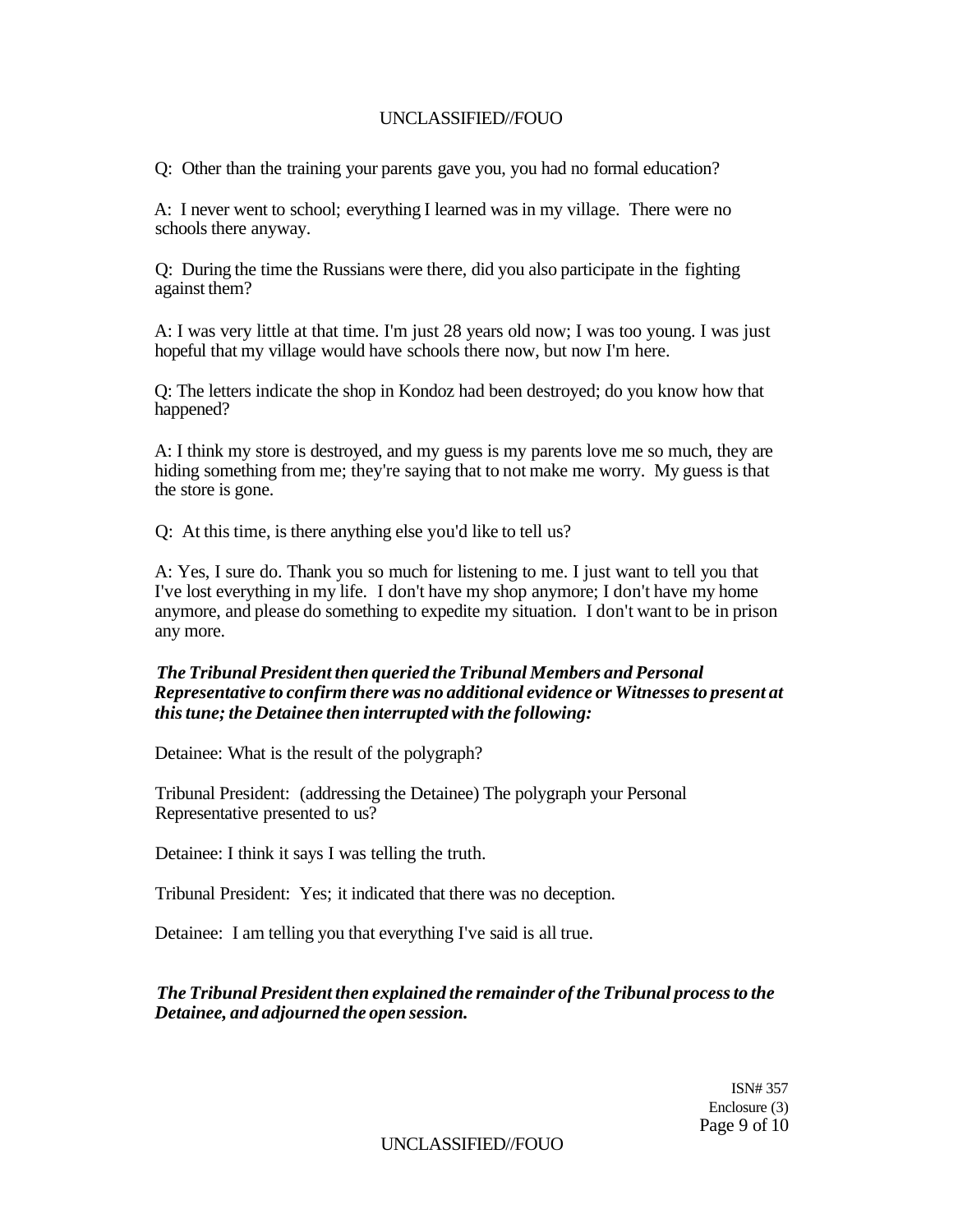Q: Other than the training your parents gave you, you had no formal education?

A: I never went to school; everything I learned was in my village. There were no schools there anyway.

Q: During the time the Russians were there, did you also participate in the fighting against them?

A: I was very little at that time. I'm just 28 years old now; I was too young. I was just hopeful that my village would have schools there now, but now I'm here.

Q: The letters indicate the shop in Kondoz had been destroyed; do you know how that happened?

A: I think my store is destroyed, and my guess is my parents love me so much, they are hiding something from me; they're saying that to not make me worry. My guess is that the store is gone.

Q: At this time, is there anything else you'd like to tell us?

A: Yes, I sure do. Thank you so much for listening to me. I just want to tell you that I've lost everything in my life. I don't have my shop anymore; I don't have my home anymore, and please do something to expedite my situation. I don't want to be in prison any more.

#### *The Tribunal President then queried the Tribunal Members and Personal Representative to confirm there was no additional evidence or Witnesses to present at this tune; the Detainee then interrupted with the following:*

Detainee: What is the result of the polygraph?

Tribunal President: (addressing the Detainee) The polygraph your Personal Representative presented to us?

Detainee: I think it says I was telling the truth.

Tribunal President: Yes; it indicated that there was no deception.

Detainee: I am telling you that everything I've said is all true.

#### *The Tribunal President then explained the remainder of the Tribunal process to the Detainee, and adjourned the open session.*

ISN# 357 Enclosure (3) Page 9 of 10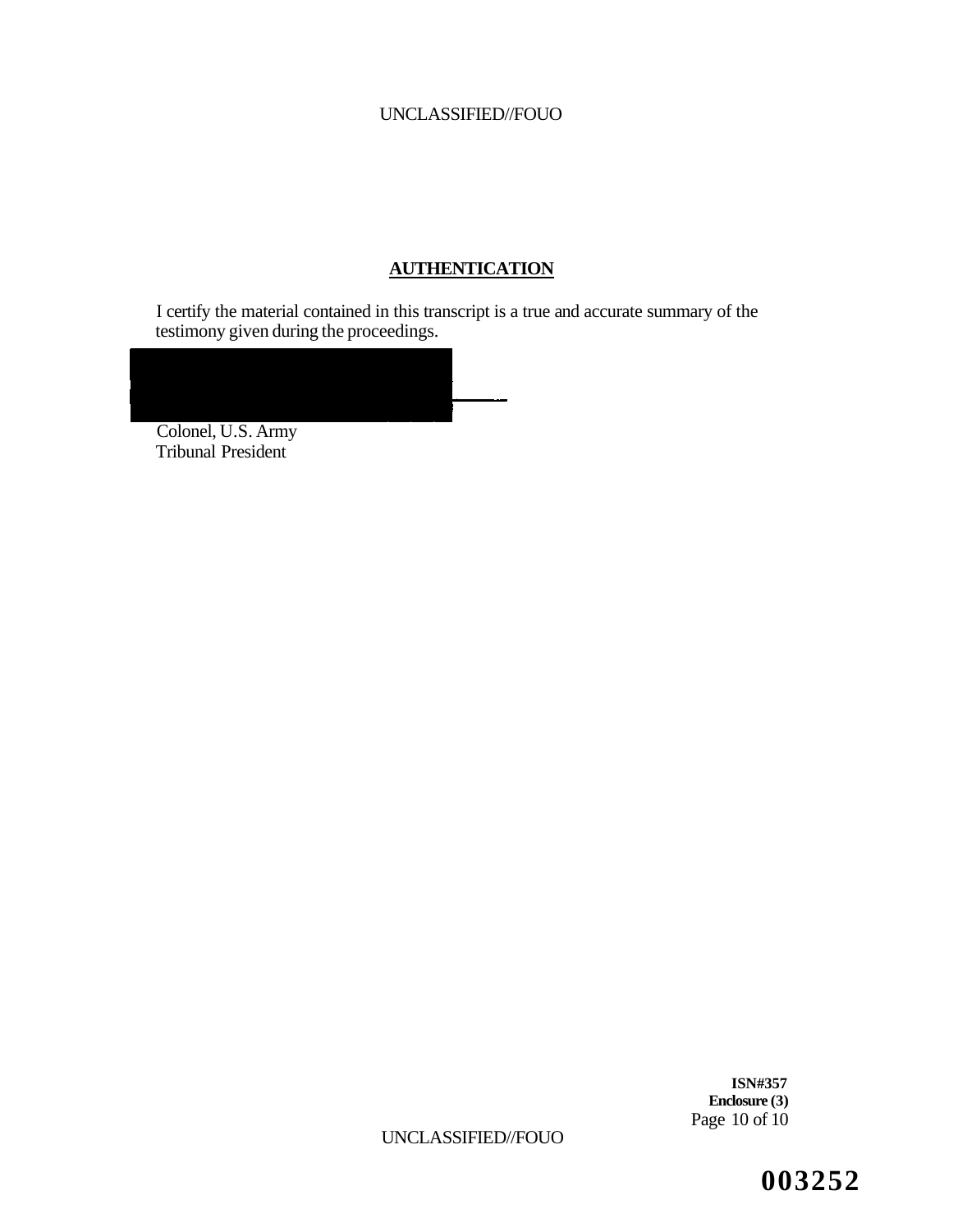#### **AUTHENTICATION**

I certify the material contained in this transcript is a true and accurate summary of the testimony given during the proceedings.

Colonel, U.S. Army Tribunal President

> **ISN#357 Enclosure (3)**  Page 10 of 10

UNCLASSIFIED//FOUO

**003252**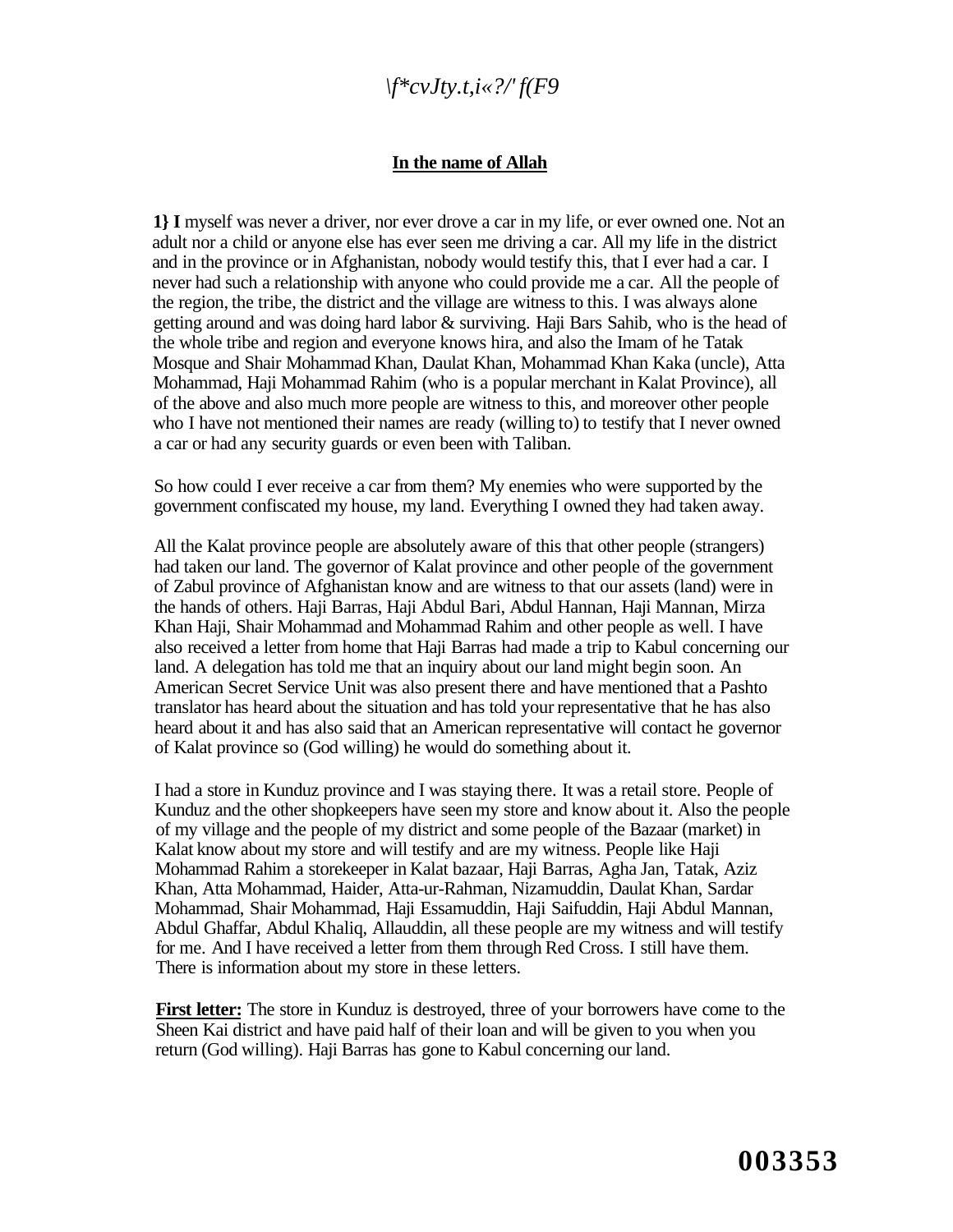#### **In the name of Allah**

**1} I** myself was never a driver, nor ever drove a car in my life, or ever owned one. Not an adult nor a child or anyone else has ever seen me driving a car. All my life in the district and in the province or in Afghanistan, nobody would testify this, that I ever had a car. I never had such a relationship with anyone who could provide me a car. All the people of the region, the tribe, the district and the village are witness to this. I was always alone getting around and was doing hard labor & surviving. Haji Bars Sahib, who is the head of the whole tribe and region and everyone knows hira, and also the Imam of he Tatak Mosque and Shair Mohammad Khan, Daulat Khan, Mohammad Khan Kaka (uncle), Atta Mohammad, Haji Mohammad Rahim (who is a popular merchant in Kalat Province), all of the above and also much more people are witness to this, and moreover other people who I have not mentioned their names are ready (willing to) to testify that I never owned a car or had any security guards or even been with Taliban.

So how could I ever receive a car from them? My enemies who were supported by the government confiscated my house, my land. Everything I owned they had taken away.

All the Kalat province people are absolutely aware of this that other people (strangers) had taken our land. The governor of Kalat province and other people of the government of Zabul province of Afghanistan know and are witness to that our assets (land) were in the hands of others. Haji Barras, Haji Abdul Bari, Abdul Hannan, Haji Mannan, Mirza Khan Haji, Shair Mohammad and Mohammad Rahim and other people as well. I have also received a letter from home that Haji Barras had made a trip to Kabul concerning our land. A delegation has told me that an inquiry about our land might begin soon. An American Secret Service Unit was also present there and have mentioned that a Pashto translator has heard about the situation and has told your representative that he has also heard about it and has also said that an American representative will contact he governor of Kalat province so (God willing) he would do something about it.

I had a store in Kunduz province and I was staying there. It was a retail store. People of Kunduz and the other shopkeepers have seen my store and know about it. Also the people of my village and the people of my district and some people of the Bazaar (market) in Kalat know about my store and will testify and are my witness. People like Haji Mohammad Rahim a storekeeper in Kalat bazaar, Haji Barras, Agha Jan, Tatak, Aziz Khan, Atta Mohammad, Haider, Atta-ur-Rahman, Nizamuddin, Daulat Khan, Sardar Mohammad, Shair Mohammad, Haji Essamuddin, Haji Saifuddin, Haji Abdul Mannan, Abdul Ghaffar, Abdul Khaliq, Allauddin, all these people are my witness and will testify for me. And I have received a letter from them through Red Cross. I still have them. There is information about my store in these letters.

**First letter:** The store in Kunduz is destroyed, three of your borrowers have come to the Sheen Kai district and have paid half of their loan and will be given to you when you return (God willing). Haji Barras has gone to Kabul concerning our land.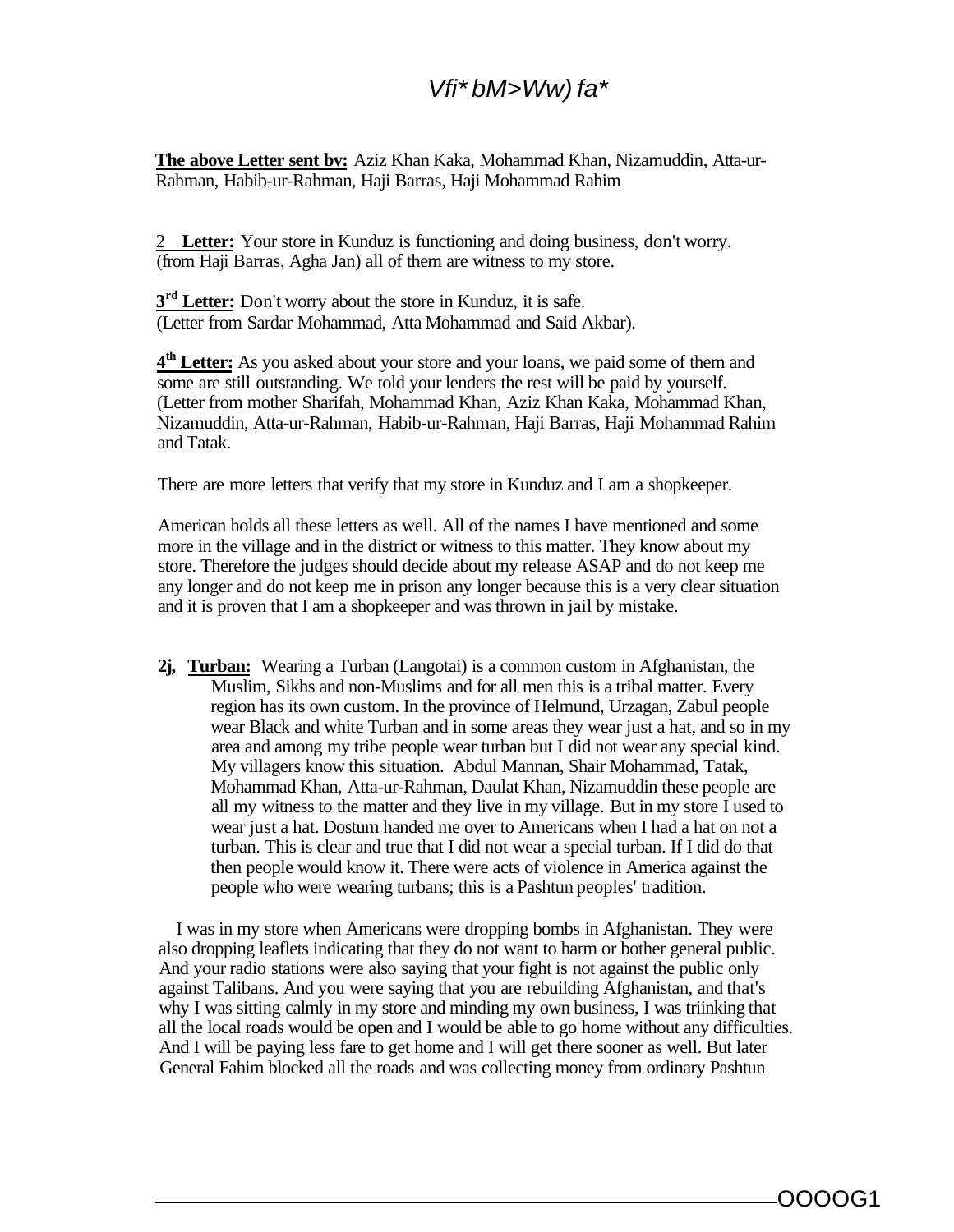## $Vf''$  bM>Ww) fa\*

**The above Letter sent bv:** Aziz Khan Kaka, Mohammad Khan, Nizamuddin, Atta-ur-Rahman, Habib-ur-Rahman, Haji Barras, Haji Mohammad Rahim

2 **Letter:** Your store in Kunduz is functioning and doing business, don't worry. (from Haji Barras, Agha Jan) all of them are witness to my store.

**3 rd Letter:** Don't worry about the store in Kunduz, it is safe. (Letter from Sardar Mohammad, Atta Mohammad and Said Akbar).

4<sup>th</sup> Letter: As you asked about your store and your loans, we paid some of them and some are still outstanding. We told your lenders the rest will be paid by yourself. (Letter from mother Sharifah, Mohammad Khan, Aziz Khan Kaka, Mohammad Khan, Nizamuddin, Atta-ur-Rahman, Habib-ur-Rahman, Haji Barras, Haji Mohammad Rahim and Tatak.

There are more letters that verify that my store in Kunduz and I am a shopkeeper.

American holds all these letters as well. All of the names I have mentioned and some more in the village and in the district or witness to this matter. They know about my store. Therefore the judges should decide about my release ASAP and do not keep me any longer and do not keep me in prison any longer because this is a very clear situation and it is proven that I am a shopkeeper and was thrown in jail by mistake.

**2j, Turban:** Wearing a Turban (Langotai) is a common custom in Afghanistan, the Muslim, Sikhs and non-Muslims and for all men this is a tribal matter. Every region has its own custom. In the province of Helmund, Urzagan, Zabul people wear Black and white Turban and in some areas they wear just a hat, and so in my area and among my tribe people wear turban but I did not wear any special kind. My villagers know this situation. Abdul Mannan, Shair Mohammad, Tatak, Mohammad Khan, Atta-ur-Rahman, Daulat Khan, Nizamuddin these people are all my witness to the matter and they live in my village. But in my store I used to wear just a hat. Dostum handed me over to Americans when I had a hat on not a turban. This is clear and true that I did not wear a special turban. If I did do that then people would know it. There were acts of violence in America against the people who were wearing turbans; this is a Pashtun peoples' tradition.

I was in my store when Americans were dropping bombs in Afghanistan. They were also dropping leaflets indicating that they do not want to harm or bother general public. And your radio stations were also saying that your fight is not against the public only against Talibans. And you were saying that you are rebuilding Afghanistan, and that's why I was sitting calmly in my store and minding my own business, I was triinking that all the local roads would be open and I would be able to go home without any difficulties. And I will be paying less fare to get home and I will get there sooner as well. But later General Fahim blocked all the roads and was collecting money from ordinary Pashtun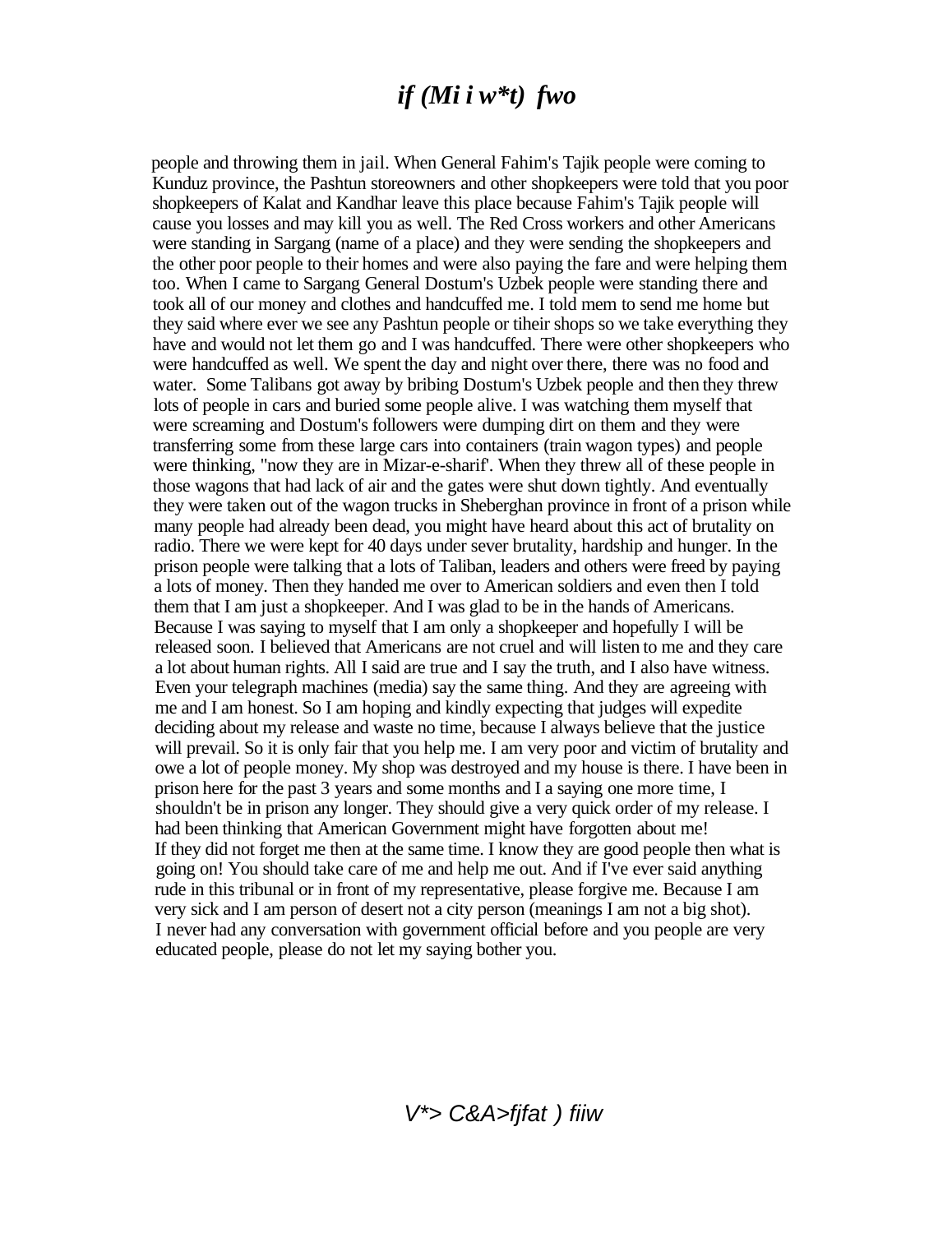## *if (Mi i w\*t) fwo*

people and throwing them in jail. When General Fahim's Tajik people were coming to Kunduz province, the Pashtun storeowners and other shopkeepers were told that you poor shopkeepers of Kalat and Kandhar leave this place because Fahim's Tajik people will cause you losses and may kill you as well. The Red Cross workers and other Americans were standing in Sargang (name of a place) and they were sending the shopkeepers and the other poor people to their homes and were also paying the fare and were helping them too. When I came to Sargang General Dostum's Uzbek people were standing there and took all of our money and clothes and handcuffed me. I told mem to send me home but they said where ever we see any Pashtun people or tiheir shops so we take everything they have and would not let them go and I was handcuffed. There were other shopkeepers who were handcuffed as well. We spent the day and night over there, there was no food and water. Some Talibans got away by bribing Dostum's Uzbek people and then they threw lots of people in cars and buried some people alive. I was watching them myself that were screaming and Dostum's followers were dumping dirt on them and they were transferring some from these large cars into containers (train wagon types) and people were thinking, "now they are in Mizar-e-sharif'. When they threw all of these people in those wagons that had lack of air and the gates were shut down tightly. And eventually they were taken out of the wagon trucks in Sheberghan province in front of a prison while many people had already been dead, you might have heard about this act of brutality on radio. There we were kept for 40 days under sever brutality, hardship and hunger. In the prison people were talking that a lots of Taliban, leaders and others were freed by paying a lots of money. Then they handed me over to American soldiers and even then I told them that I am just a shopkeeper. And I was glad to be in the hands of Americans. Because I was saying to myself that I am only a shopkeeper and hopefully I will be released soon. I believed that Americans are not cruel and will listen to me and they care a lot about human rights. All I said are true and I say the truth, and I also have witness. Even your telegraph machines (media) say the same thing. And they are agreeing with me and I am honest. So I am hoping and kindly expecting that judges will expedite deciding about my release and waste no time, because I always believe that the justice will prevail. So it is only fair that you help me. I am very poor and victim of brutality and owe a lot of people money. My shop was destroyed and my house is there. I have been in prison here for the past 3 years and some months and I a saying one more time, I shouldn't be in prison any longer. They should give a very quick order of my release. I had been thinking that American Government might have forgotten about me! If they did not forget me then at the same time. I know they are good people then what is going on! You should take care of me and help me out. And if I've ever said anything rude in this tribunal or in front of my representative, please forgive me. Because I am very sick and I am person of desert not a city person (meanings I am not a big shot). I never had any conversation with government official before and you people are very educated people, please do not let my saying bother you.

V\*> C&A>fjfat ) fiiw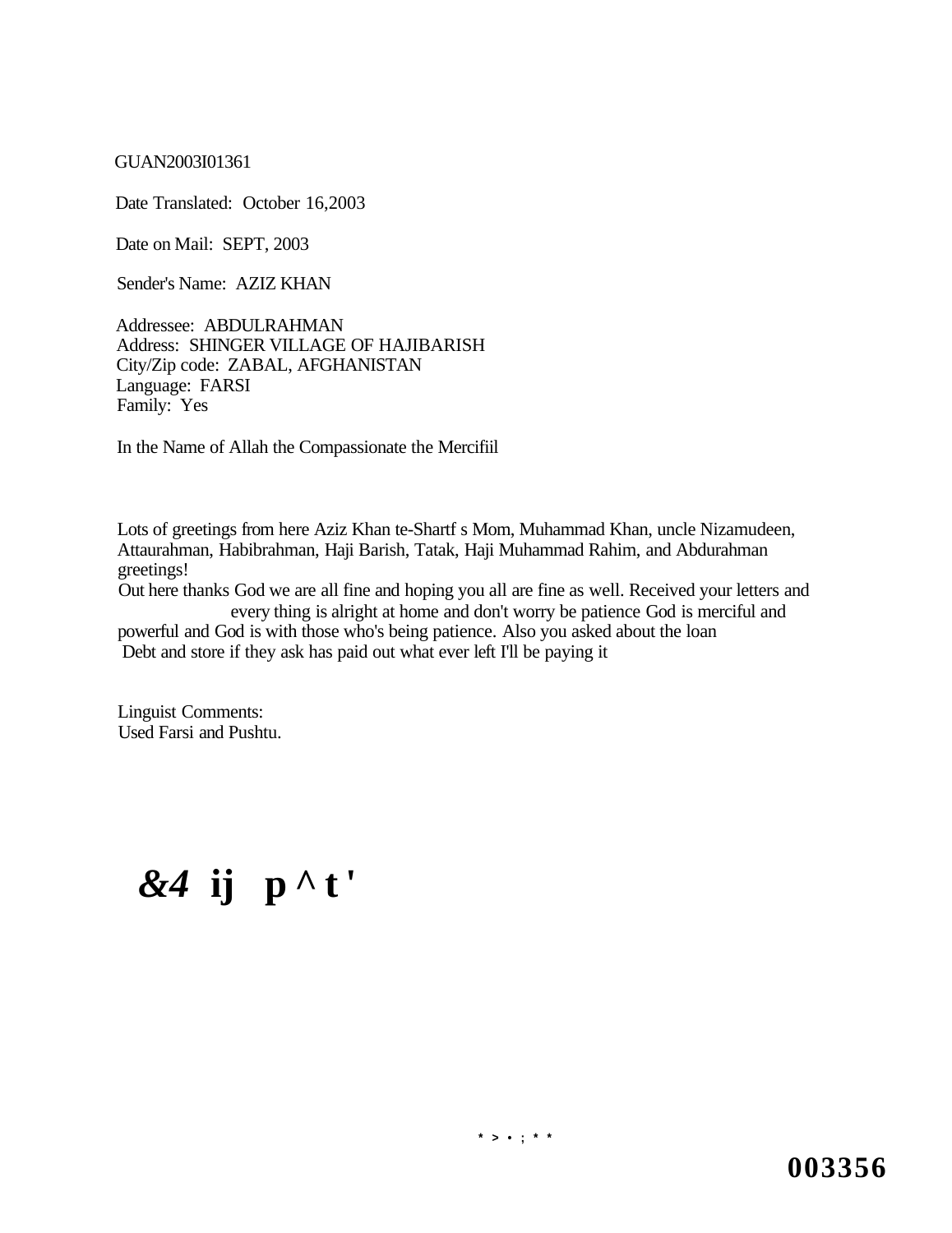GUAN2003I01361

Date Translated: October 16,2003

Date on Mail: SEPT, 2003

Sender's Name: AZIZ KHAN

Addressee: ABDULRAHMAN Address: SHINGER VILLAGE OF HAJIBARISH City/Zip code: ZABAL, AFGHANISTAN Language: FARSI Family: Yes

In the Name of Allah the Compassionate the Mercifiil

Lots of greetings from here Aziz Khan te-Shartf s Mom, Muhammad Khan, uncle Nizamudeen, Attaurahman, Habibrahman, Haji Barish, Tatak, Haji Muhammad Rahim, and Abdurahman greetings!

Out here thanks God we are all fine and hoping you all are fine as well. Received your letters and every thing is alright at home and don't worry be patience God is merciful and

powerful and God is with those who's being patience. Also you asked about the loan Debt and store if they ask has paid out what ever left I'll be paying it

Linguist Comments: Used Farsi and Pushtu.

# *&4* **ij p^t '**

**\*>•;\* \***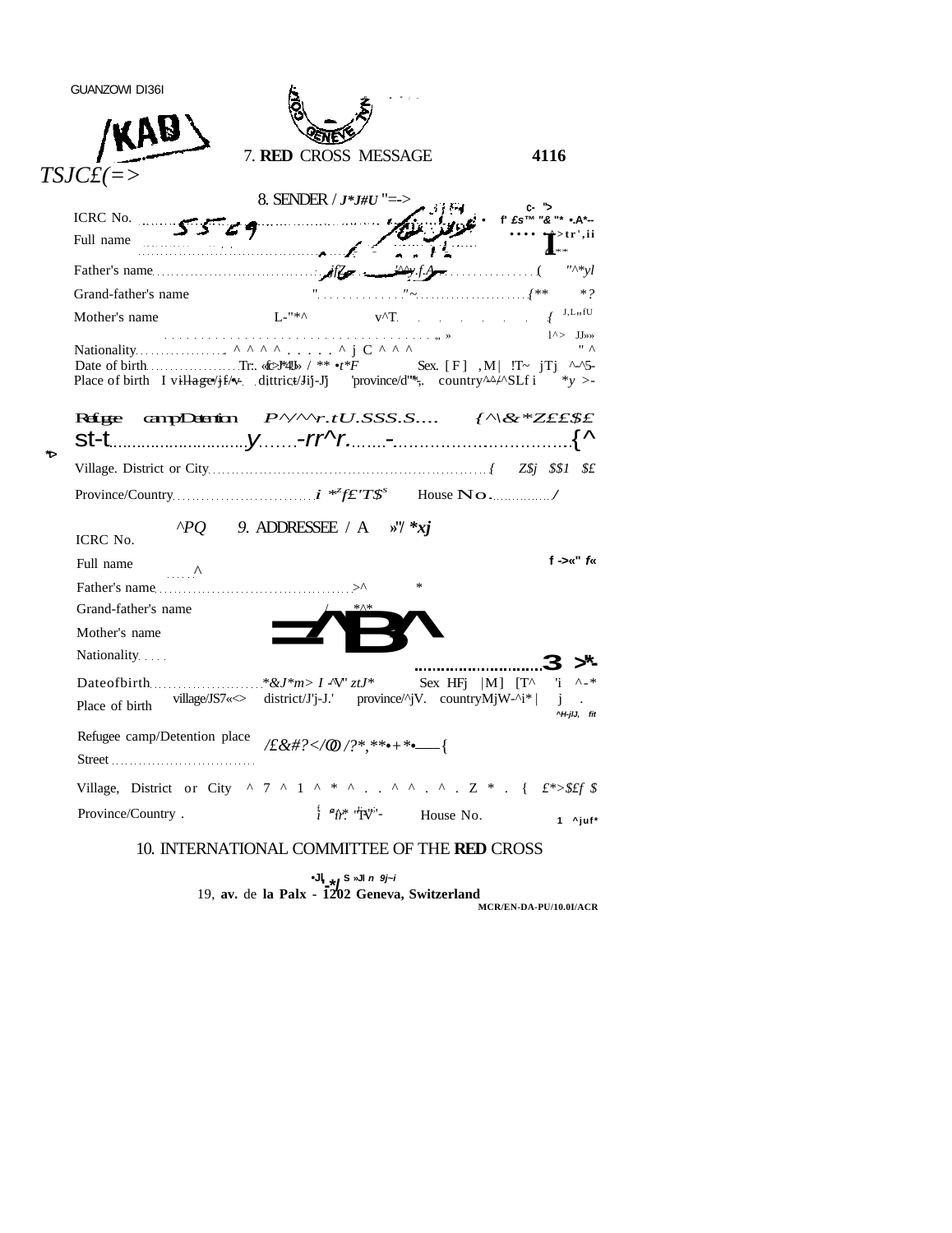|  | GUANZOWI DI36I                                                                                                                                                                                                                                                                                |
|--|-----------------------------------------------------------------------------------------------------------------------------------------------------------------------------------------------------------------------------------------------------------------------------------------------|
|  |                                                                                                                                                                                                                                                                                               |
|  | 7. RED CROSS MESSAGE<br>4116<br>$TSJCf(\Rightarrow$                                                                                                                                                                                                                                           |
|  | 8. SENDER / $J^*J#U$ "=->                                                                                                                                                                                                                                                                     |
|  | ICRC No. $55729$<br>f' £s™ "& "* •.A*--                                                                                                                                                                                                                                                       |
|  |                                                                                                                                                                                                                                                                                               |
|  | $*2$<br>Grand-father's name                                                                                                                                                                                                                                                                   |
|  | $\int$ J,L <sub>ufU</sub><br>$v^{\wedge}T$<br>$L$ -"*^<br>Mother's name                                                                                                                                                                                                                       |
|  | $\ldots$ , $\ldots$ , $\gg$<br>$1^{\wedge}$ JJ»»<br>Date of birth Tr. $\&$ MAD / ** $\cdot t^*F$<br>Sex. $[F]$ , M $[T \sim jTj$ ^-^5-<br>Place of birth I village/jf/ $\sim$ dittrict/Jij-Jj brovince/d"*, country^2^4/^SLf i *y >-                                                          |
|  | Refige campDeterion $P^{\wedge}\wedge r.tU.SSS.S$ $\wedge \& \#Zf.f\$                                                                                                                                                                                                                         |
|  |                                                                                                                                                                                                                                                                                               |
|  |                                                                                                                                                                                                                                                                                               |
|  | $\triangle PQ$ 9. ADDRESSEE / A $\angle$ *xi<br><b>ICRC</b> No.                                                                                                                                                                                                                               |
|  | $f \rightarrow \kappa$ " $f \kappa$<br>Full name<br>$\sim$ $\sim$                                                                                                                                                                                                                             |
|  |                                                                                                                                                                                                                                                                                               |
|  | Grand-father's name                                                                                                                                                                                                                                                                           |
|  | Mother's name                                                                                                                                                                                                                                                                                 |
|  | Nationality.<br>                                                                                                                                                                                                                                                                              |
|  | Date of birth $\ldots$ $\ldots$ $\ldots$ $\ldots$ $\ldots$ $\ldots$ $\mathcal{A}J^*m > I$ $\mathcal{N}$ $\ldots$ $\mathcal{S}cX$ HFj $\vert M \vert$ [T^<br>$\Lambda$ – $*$<br>'n.<br>village/JS7« $\otimes$ district/J'j-J.' province/^jV. countryMjW-^i*  <br>Place of birth<br>^H-jlJ, fit |
|  | Refugee camp/Detention place<br>$\#4?$ 00 /?*,***•+*•—-{<br Street                                                                                                                                                                                                                            |
|  | Village, District or City $\wedge$ 7 $\wedge$ 1 $\wedge$ * $\wedge$ . $\wedge$ $\wedge$ . $\wedge$ . $Z$ * . { $f^* > 1$ $f$                                                                                                                                                                  |
|  | $i^{\text{F}}$ $\hat{i}$ $\hat{i}$ $\hat{j}$ $\hat{k}$ $\hat{k}$ $\hat{k}$ $\hat{k}$<br>Province/Country.<br>House No.<br>1 $^*$ iuf*                                                                                                                                                         |
|  | 10. INTERNATIONAL COMMITTEE OF THE RED CROSS                                                                                                                                                                                                                                                  |

 $U_{\bullet}$   $\star$   $J$ <sup>S »Ji n 9j-i</sup><br>19, av. de la Palx - 1202 Geneva, Switzerland MCR/EN-DA-PU/10.0I/ACR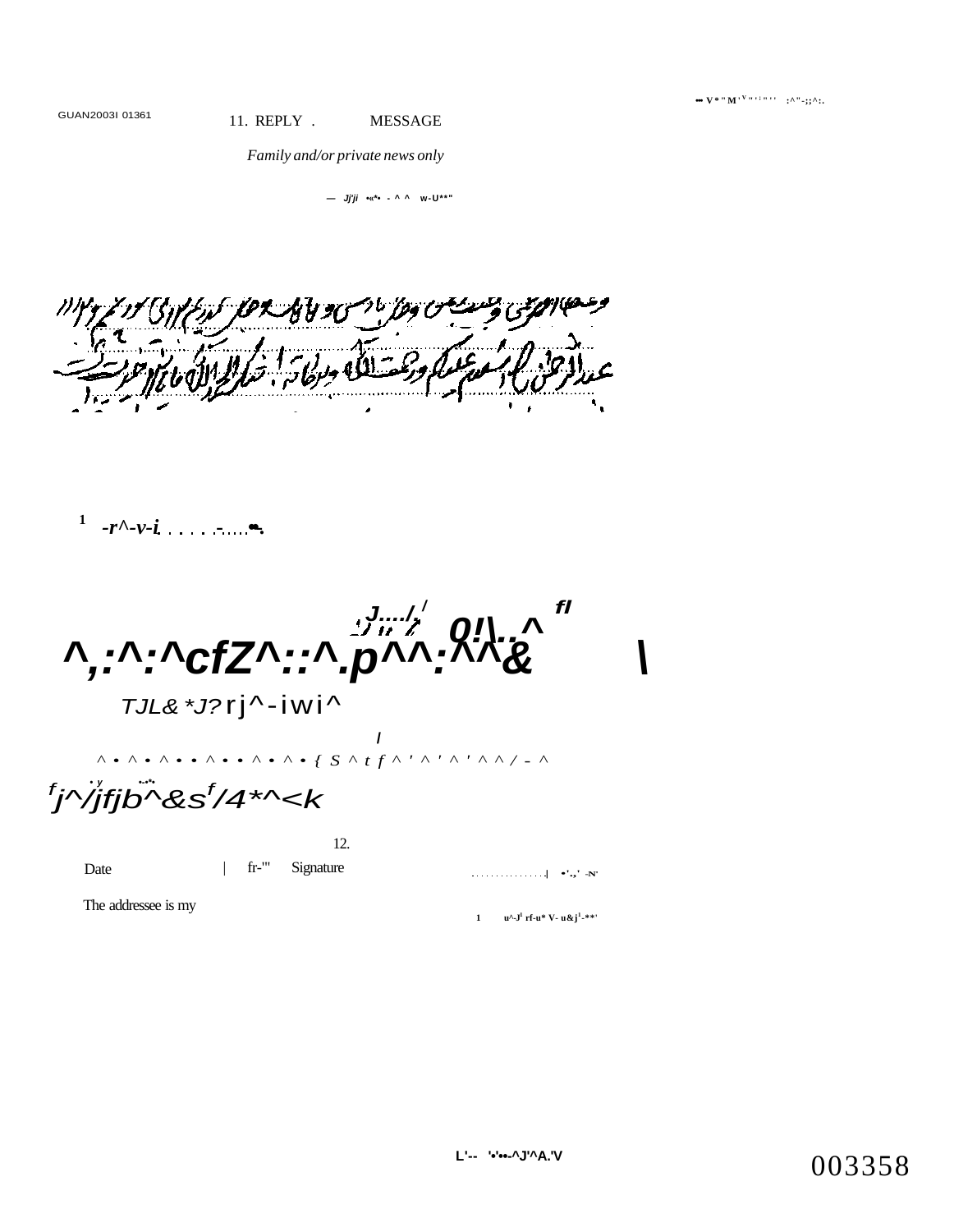$\bullet \mathbf{V}^* \mathbf{M}^{(V_{n+1:n+1})}$  :  $\wedge$  "-;; ^:.

#### 11. REPLY . **MESSAGE**

Family and/or private news only

- Jj'ji  $\cdot$ «\*• - ^ ^ w-U\*\*"

زی و ب<br>مسیح

fl ∕…پر.<br><mark>∴^^</mark>0.^:  $\Lambda$ ,  $\Lambda$  :  $\Lambda$   $C$ 

 $12.$ 

TJL& \*J?rj^-iwi^

 $\begin{array}{c} I \\ \wedge \bullet \bullet \land \bullet \land \bullet \land \bullet \end{array}$ 

 $\Delta \mathcal{S}^f/4^{\star}$ ^< $K$ 

Date

 $\int$  fr-" Signature

The addressee is my

1  $u^{\wedge} J^1$  rf-u\* V- u&j<sup>1</sup>-\*\*'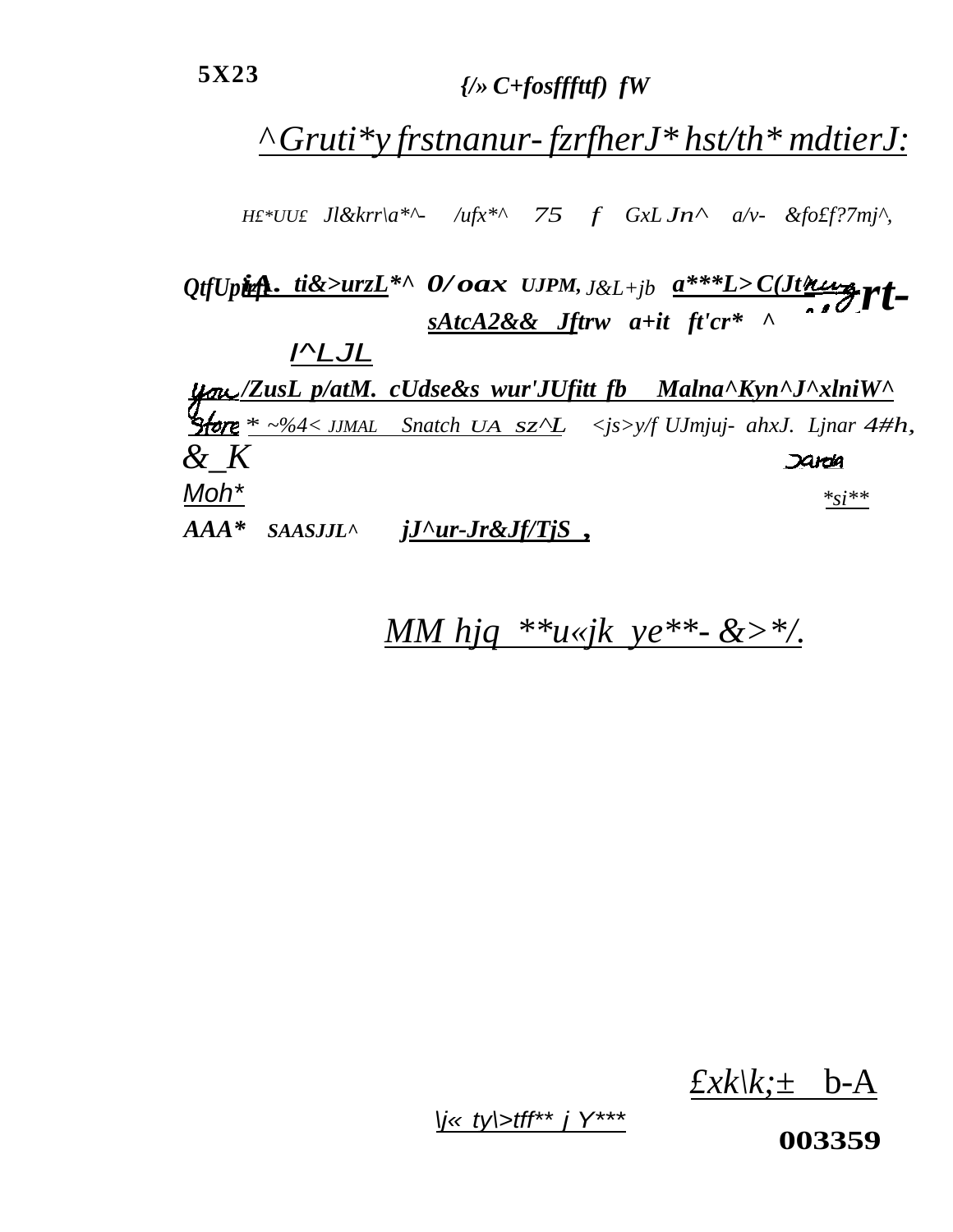$\frac{f}{\rightarrow}$  C+fosfffttf) fW

<u> ^ Gruti\*y frstnanur-fzrfherJ\* hst/th\* mdtierJ:</u>

Ht\*UU£ Jl&krr\a\*^- /ufx\*^ 75 f GxL Jn^ a/v- &fo£f?7mj^,

 $QtJUp\frac{1}{2}$ . ti & >urzL<sup>\*</sup> 0/oax UJPM,  $J&L+jb$   $a^{***}L>C(Jt)$  was  $\frac{C}{2}$   $\frac{d}{2}$  $I^{\wedge}LJL$ you /ZusL p/atM. cUdse&s wur'JUfitt fb Malna^Kyn^J^xlniW^ **Store** \*  $\sim$ %4< JJMAL Snatch UA sz^L < js>y/f UJmjuj- ahxJ. Ljnar 4#h,  $\mathcal{X}$  K <u>Jarda</u>  $M$ oh $*$  $*_{si}**$ AAA\* SAASJJL^ jJ^ur-Jr&Jf/TjS,

MM hig \*\*u«jk ye\*\*-  $&\>$ \*/.

 $\pounds xk \& \pm b-A$ 

 $\forall$ « tyl>tff\*\* j Y\*\*\*

003359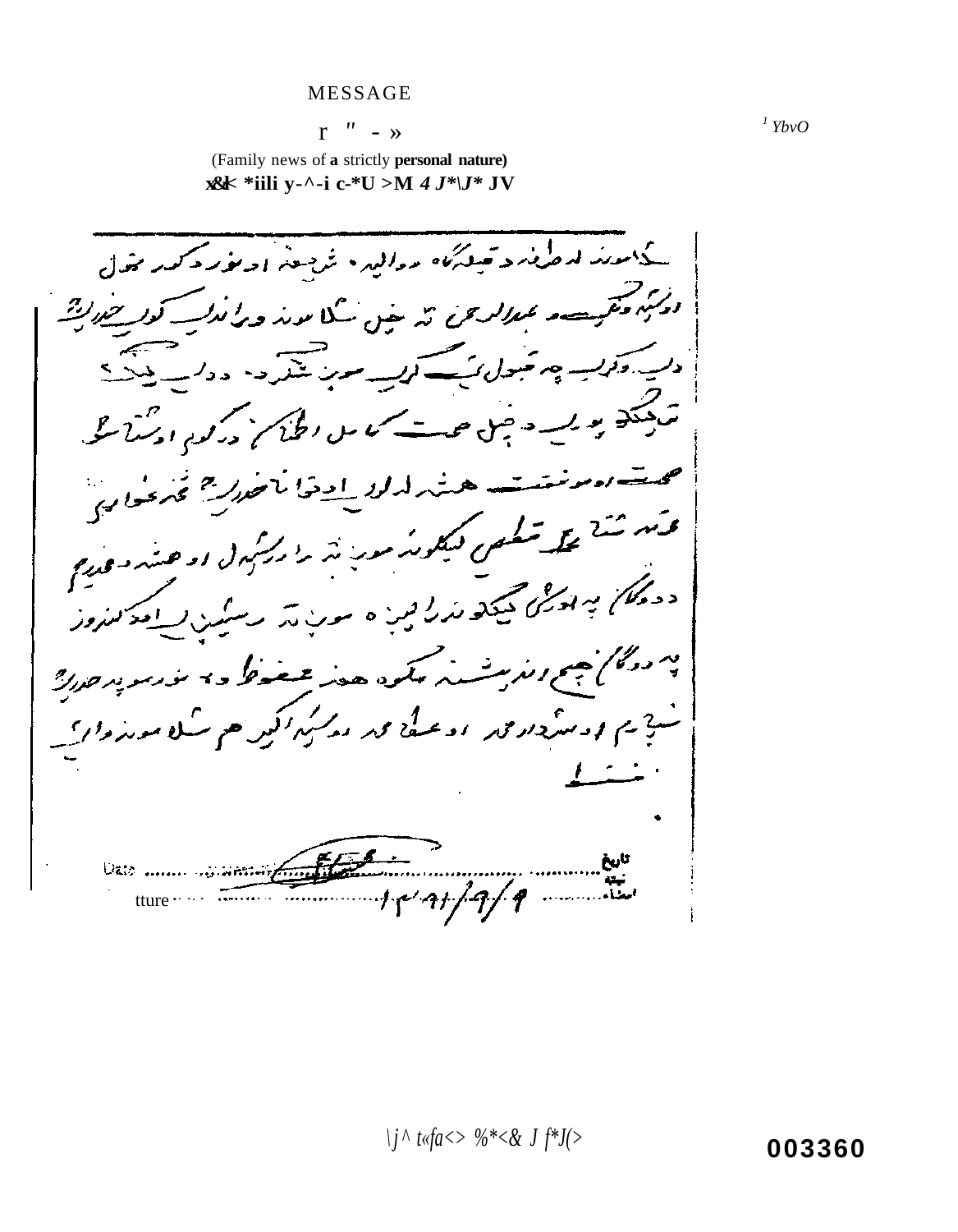$$
r'' - \rightarrow
$$

(Family news of a strictly personal nature) x&k \*iili y-^-i c-\*U > M 4 J\*|J\* JV

کے اسلام لدھ پار دیکھیں میں البدی شرحیفہ ایہ یور د کر پر مقال درکبہ و تقریب میں اربوی تہ جس کا مدید ویر ندلے کو حیدانشہ دلی کردن جا تبول کے آلاب مربز تقریب دولرے لیکنگ متبعكتو بويسه وخيل عهت مماس نظام وركن اوكتنامش هندلدلور احتزا ناصراع فهمغان عتهر تتقطيع تتفص فيكوند مورياته برازمنهال او هشهرو ورم دد کام به اوگرای کیکلو مدرا قریبا ه سوریات ساسکیا با اسلام مندوز په درگان پس درزېدنست مکره هغه معضوط د په مورسه پېر حرربه شیخ ے ووسکتاری اوسطانی ور در کیل کیل جر سکامدرزوات  $11419/9$ 

003360

<sup>1</sup> YbvO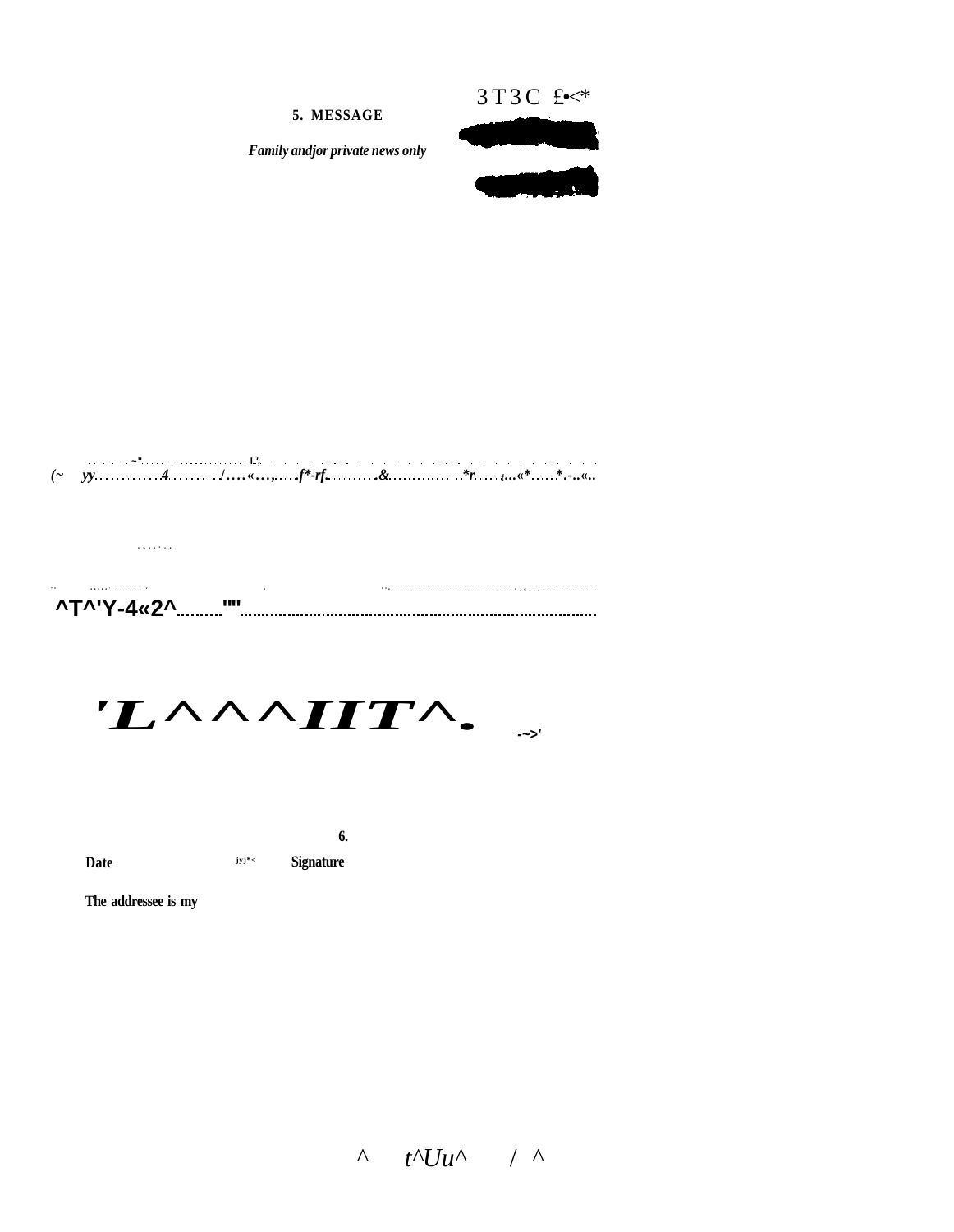

The addressee is my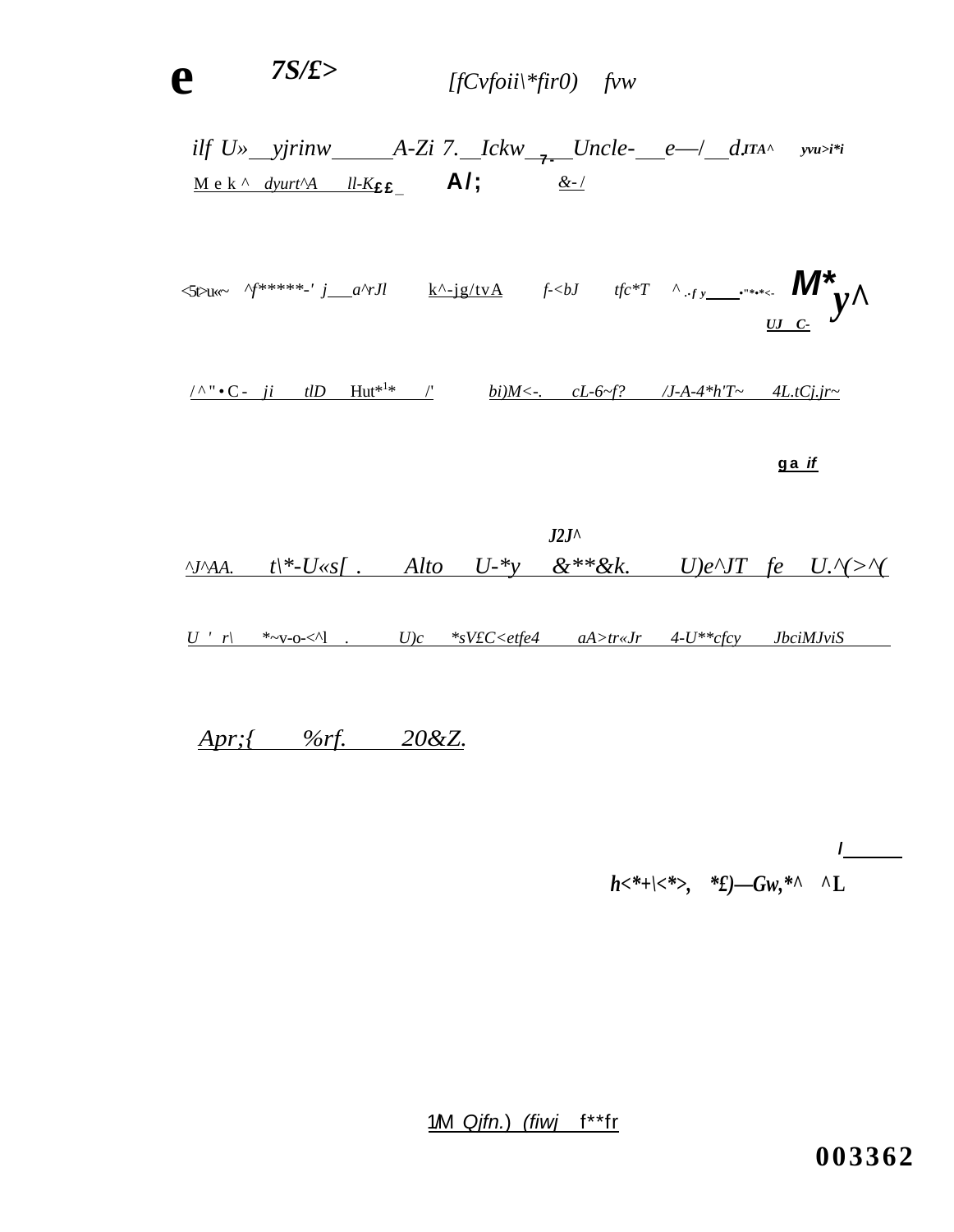

$$
\text{Solve} \quad \text{A}^{\text{H}} \text{B}^{\text{H}} \text{C}^{\text{H}} \text{D}^{\text{H}} \text{D}^{\text{H}} \text{D}^{\text{H}} \text{D}^{\text{H}} \text{D}^{\text{H}} \text{D}^{\text{H}} \text{D}^{\text{H}} \text{D}^{\text{H}} \text{D}^{\text{H}} \text{D}^{\text{H}} \text{D}^{\text{H}} \text{D}^{\text{H}} \text{D}^{\text{H}} \text{D}^{\text{H}} \text{D}^{\text{H}} \text{D}^{\text{H}} \text{D}^{\text{H}} \text{D}^{\text{H}} \text{D}^{\text{H}} \text{D}^{\text{H}} \text{D}^{\text{H}} \text{D}^{\text{H}} \text{D}^{\text{H}} \text{D}^{\text{H}} \text{D}^{\text{H}} \text{D}^{\text{H}} \text{D}^{\text{H}} \text{D}^{\text{H}} \text{D}^{\text{H}} \text{D}^{\text{H}} \text{D}^{\text{H}} \text{D}^{\text{H}} \text{D}^{\text{H}} \text{D}^{\text{H}} \text{D}^{\text{H}} \text{D}^{\text{H}} \text{D}^{\text{H}} \text{D}^{\text{H}} \text{D}^{\text{H}} \text{D}^{\text{H}} \text{D}^{\text{H}} \text{D}^{\text{H}} \text{D}^{\text{H}} \text{D}^{\text{H}} \text{D}^{\text{H}} \text{D}^{\text{H}} \text{D}^{\text{H}} \text{D}^{\text{H}} \text{D}^{\text{H}} \text{D}^{\text{H}} \text{D}^{\text{H}} \text{D}^{\text{H}} \text{D}^{\text{H}} \text{D}^{\text{H}} \text{D}^{\text{H}} \text{D}^{\text{H}} \text{D}^{\text{H}} \text{D}^{\text{H}} \text{D}^{\text{H}} \text{D}^{\text{H}} \text{D}^{\text{H}} \text{D}^{\text{H}} \text{D}^{\text{H}} \text{D}^{\text{H}} \text{D}^{\text{H}} \text{D
$$

 $\frac{1}{2}$   $\frac{N}{2}$  • C - ji tlD Hut<sup>\*1</sup>\* /' bi)*M*<-. cL-6~f? /J-A-4\*h'T~ 4L.tCj.jr~

ga if

 $J2J^{\wedge}$  $\Delta V$ AA.  $t$ <sup>\*</sup>-U«s[. Alto U-\*y &\*\*&k. U)e^JT fe U.^(>^(  $U'$  r  $\ast$  v-o- $\lt1$  . U)c  $\ast$ sV£C $\lt$ etfe4 aA>tr«Jr 4-U $\ast$ \*cfcy JbciMJviS

Apr; / %rf. 20&Z.

 $h<sup>*</sup>+|<sup>*</sup>>, *t)$ — $Gw,*^{\wedge}$  ^L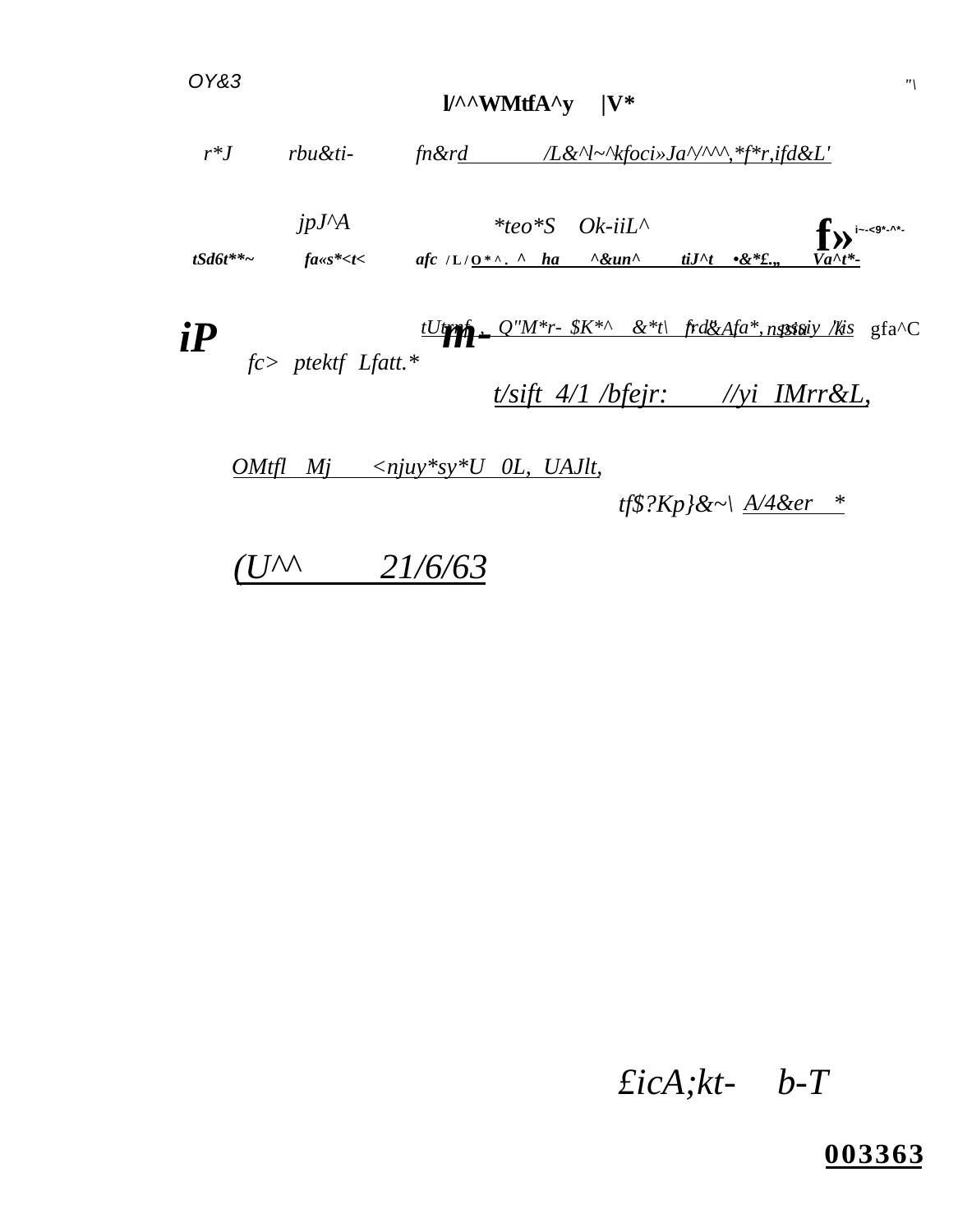OY&3

## I/^^WMtfA^y |V\*

| $r^*J$       | rbu&ti-                               | fn&rd<br>$/L&N\sim$ kfoci»Ja $\wedge^{N\wedge N}$ , *f*r, ifd&L'                                                                       |  |
|--------------|---------------------------------------|----------------------------------------------------------------------------------------------------------------------------------------|--|
| $tSd6t***$   | $ipJ^{\wedge}A$<br>$fa \ll s^* < t <$ | *teo*S $Ok-iil\Lambda$<br>$\sum_{Va\wedge t^*}$<br>afc $/L/Q^* \wedge$ . $\wedge$ ha $\wedge \&$ un $\wedge$ tiJ $\wedge$ t $\&\&\&$ . |  |
| iP           | $fc$ ptektf Lfatt.*                   | $\frac{tUt}{W}$ = $Q''M^*r$ - $\frac{gK^*}{\omega}$ & $t$ frd&Afa*, ngstsiy /kis gfa^C<br>t/sift $4/1$ /bfejr: //yi IMrr&L,            |  |
| <i>OMtfl</i> | Mj                                    | $\langle n \rangle u v^* s v^* U$ <i>OL</i> , <i>UAJIt</i> ,<br>$t$ f\$?Kp}&~\A/4&er *                                                 |  |

 $(U^{\wedge \wedge}$  21/6/63

## $\pounds i c A; k t$ -  $b$ -T

003363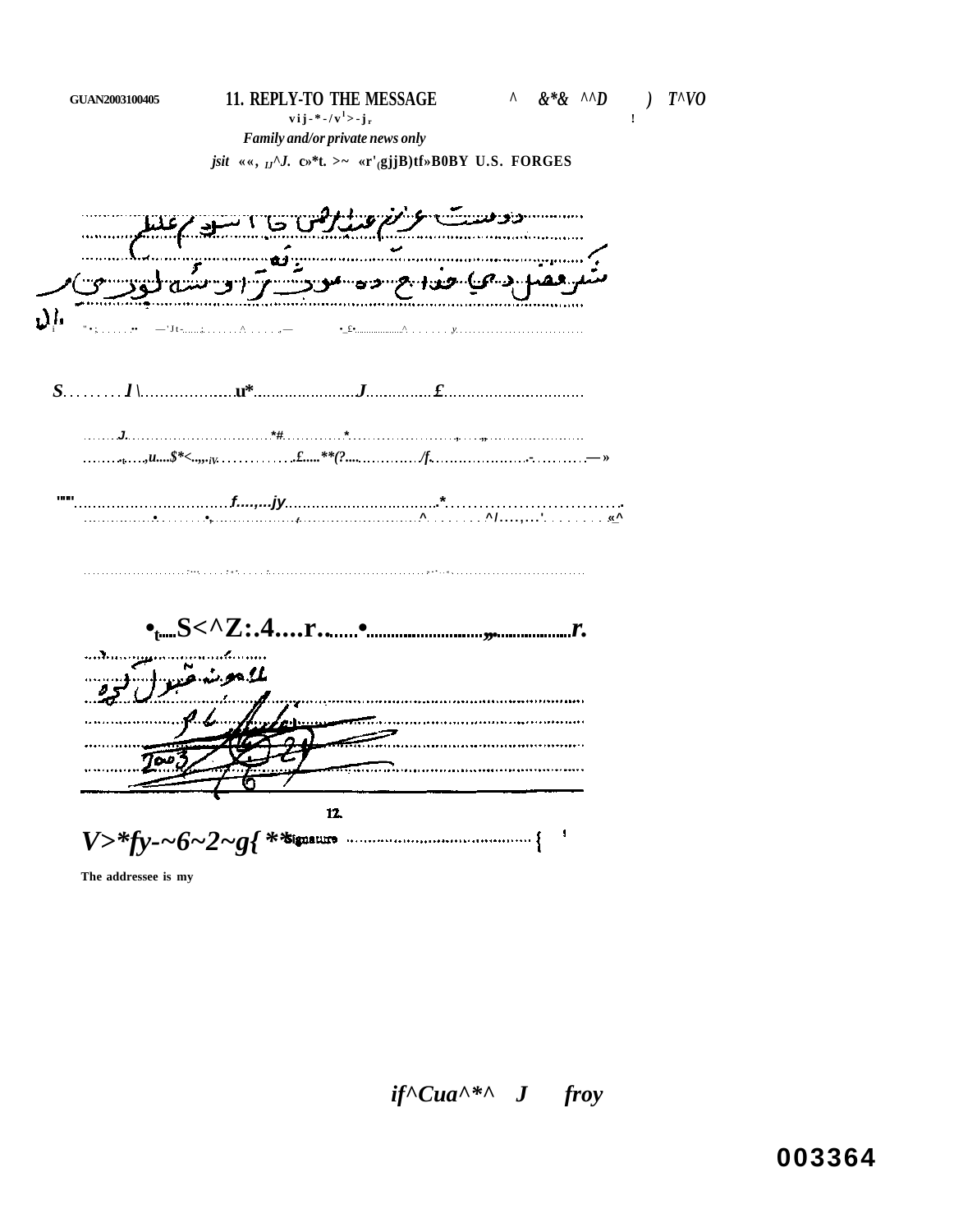11. REPLY-TO THE MESSAGE GUAN2003100405  $&\&* \& \wedge^{\wedge} D$  $T^{\wedge}VO$  $vij$  \*  $/v^{1}$  >  $-jr$ Family and/or private news only jsit ««,  $U^{\Lambda}J$ .  $\infty$ \*t. >~ «r'(gjjB)tf»B0BY U.S. FORGES  $\mathfrak{h}_1$  $\ddot{\phantom{a}}$  $-1$  J t -...  $\ddotsc$  $\mathbf{r}$ r.  $12.$  $V > *f y - -6 - 2 - gf * *$  $\sqrt{2}$ 

if  $Cua^{\wedge * \wedge}$  J froy

The addressee is my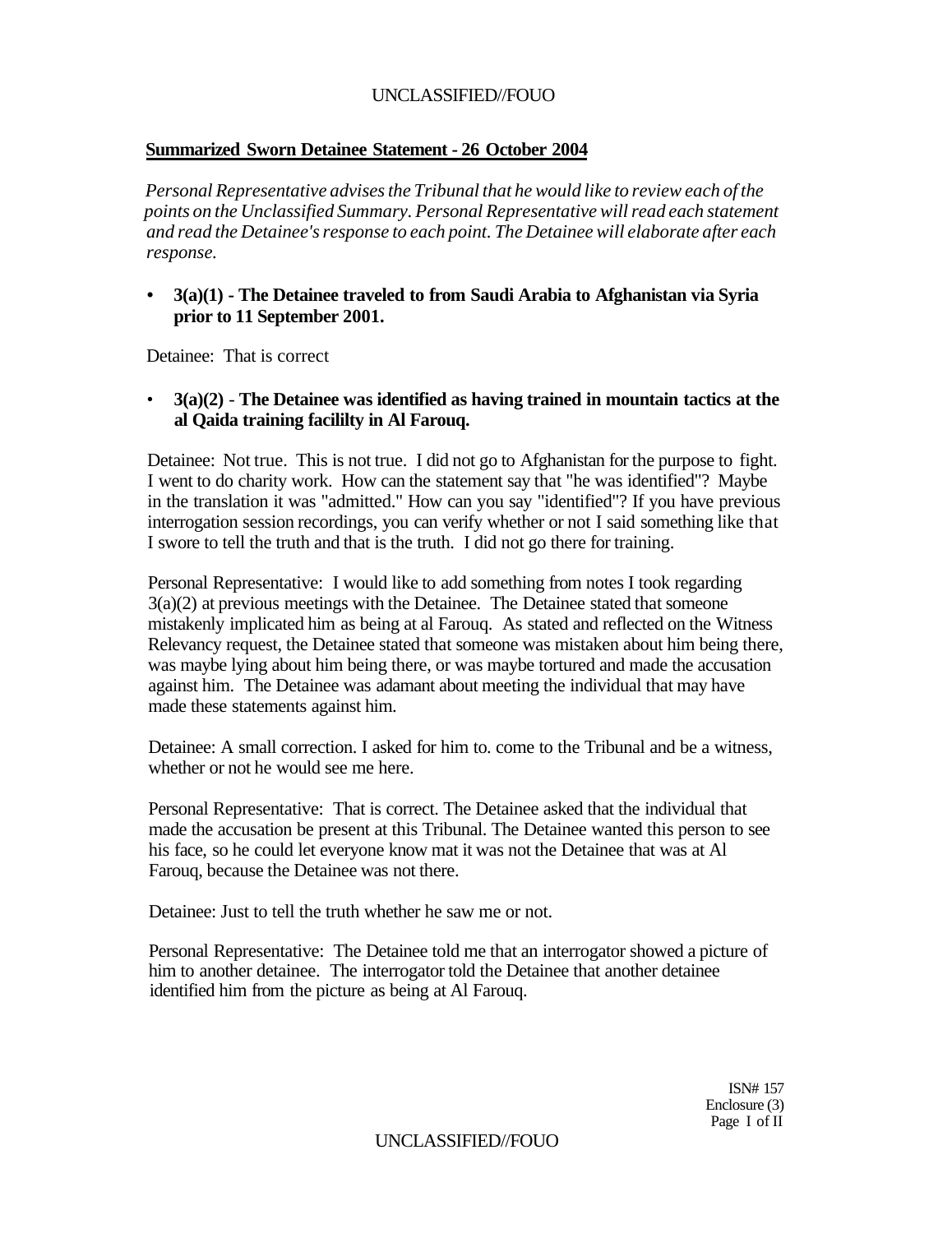#### **Summarized Sworn Detainee Statement - 26 October 2004**

*Personal Representative advises the Tribunal that he would like to review each of the points on the Unclassified Summary. Personal Representative will read each statement and read the Detainee's response to each point. The Detainee will elaborate after each response.* 

*•* **3(a)(1) - The Detainee traveled to from Saudi Arabia to Afghanistan via Syria prior to 11 September 2001.** 

Detainee: That is correct

• **3(a)(2)** - **The Detainee was identified as having trained in mountain tactics at the al Qaida training facililty in Al Farouq.** 

Detainee: Not true. This is not true. I did not go to Afghanistan for the purpose to fight. I went to do charity work. How can the statement say that "he was identified"? Maybe in the translation it was "admitted." How can you say "identified"? If you have previous interrogation session recordings, you can verify whether or not I said something like that I swore to tell the truth and that is the truth. I did not go there for training.

Personal Representative: I would like to add something from notes I took regarding 3(a)(2) at previous meetings with the Detainee. The Detainee stated that someone mistakenly implicated him as being at al Farouq. As stated and reflected on the Witness Relevancy request, the Detainee stated that someone was mistaken about him being there, was maybe lying about him being there, or was maybe tortured and made the accusation against him. The Detainee was adamant about meeting the individual that may have made these statements against him.

Detainee: A small correction. I asked for him to. come to the Tribunal and be a witness, whether or not he would see me here.

Personal Representative: That is correct. The Detainee asked that the individual that made the accusation be present at this Tribunal. The Detainee wanted this person to see his face, so he could let everyone know mat it was not the Detainee that was at Al Farouq, because the Detainee was not there.

Detainee: Just to tell the truth whether he saw me or not.

Personal Representative: The Detainee told me that an interrogator showed a picture of him to another detainee. The interrogator told the Detainee that another detainee identified him from the picture as being at Al Farouq.

> ISN# 157 Enclosure (3) Page I of II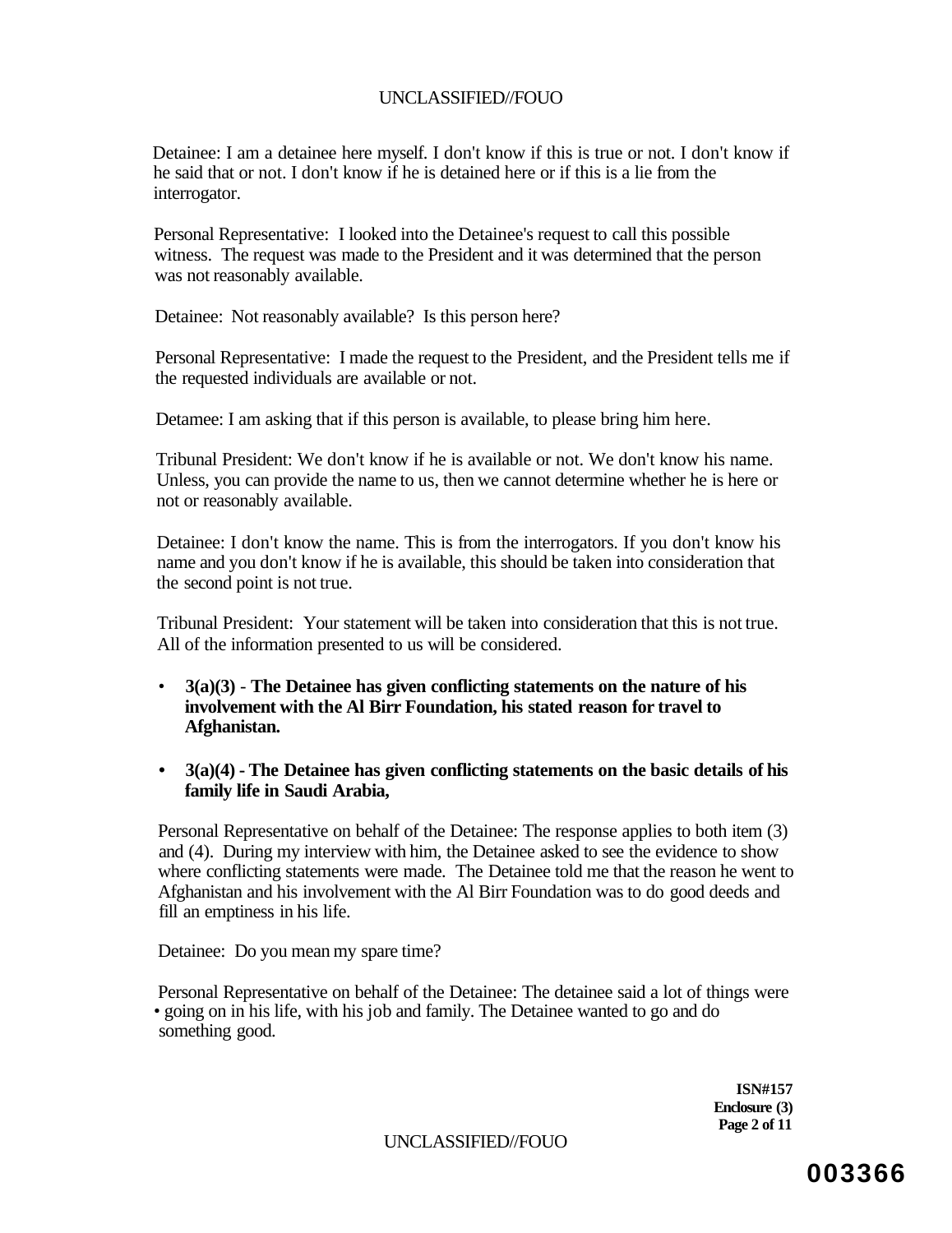Detainee: I am a detainee here myself. I don't know if this is true or not. I don't know if he said that or not. I don't know if he is detained here or if this is a lie from the interrogator.

Personal Representative: I looked into the Detainee's request to call this possible witness. The request was made to the President and it was determined that the person was not reasonably available.

Detainee: Not reasonably available? Is this person here?

Personal Representative: I made the request to the President, and the President tells me if the requested individuals are available or not.

Detamee: I am asking that if this person is available, to please bring him here.

Tribunal President: We don't know if he is available or not. We don't know his name. Unless, you can provide the name to us, then we cannot determine whether he is here or not or reasonably available.

Detainee: I don't know the name. This is from the interrogators. If you don't know his name and you don't know if he is available, this should be taken into consideration that the second point is not true.

Tribunal President: Your statement will be taken into consideration that this is not true. All of the information presented to us will be considered.

- • **3(a)(3)** - **The Detainee has given conflicting statements on the nature of his involvement with the Al Birr Foundation, his stated reason for travel to Afghanistan.**
- **3(a)(4) The Detainee has given conflicting statements on the basic details of his family life in Saudi Arabia,**

Personal Representative on behalf of the Detainee: The response applies to both item (3) and (4). During my interview with him, the Detainee asked to see the evidence to show where conflicting statements were made. The Detainee told me that the reason he went to Afghanistan and his involvement with the Al Birr Foundation was to do good deeds and fill an emptiness in his life.

Detainee: Do you mean my spare time?

Personal Representative on behalf of the Detainee: The detainee said a lot of things were • going on in his life, with his job and family. The Detainee wanted to go and do something good.

> **ISN#157 Enclosure (3) Page 2 of 11**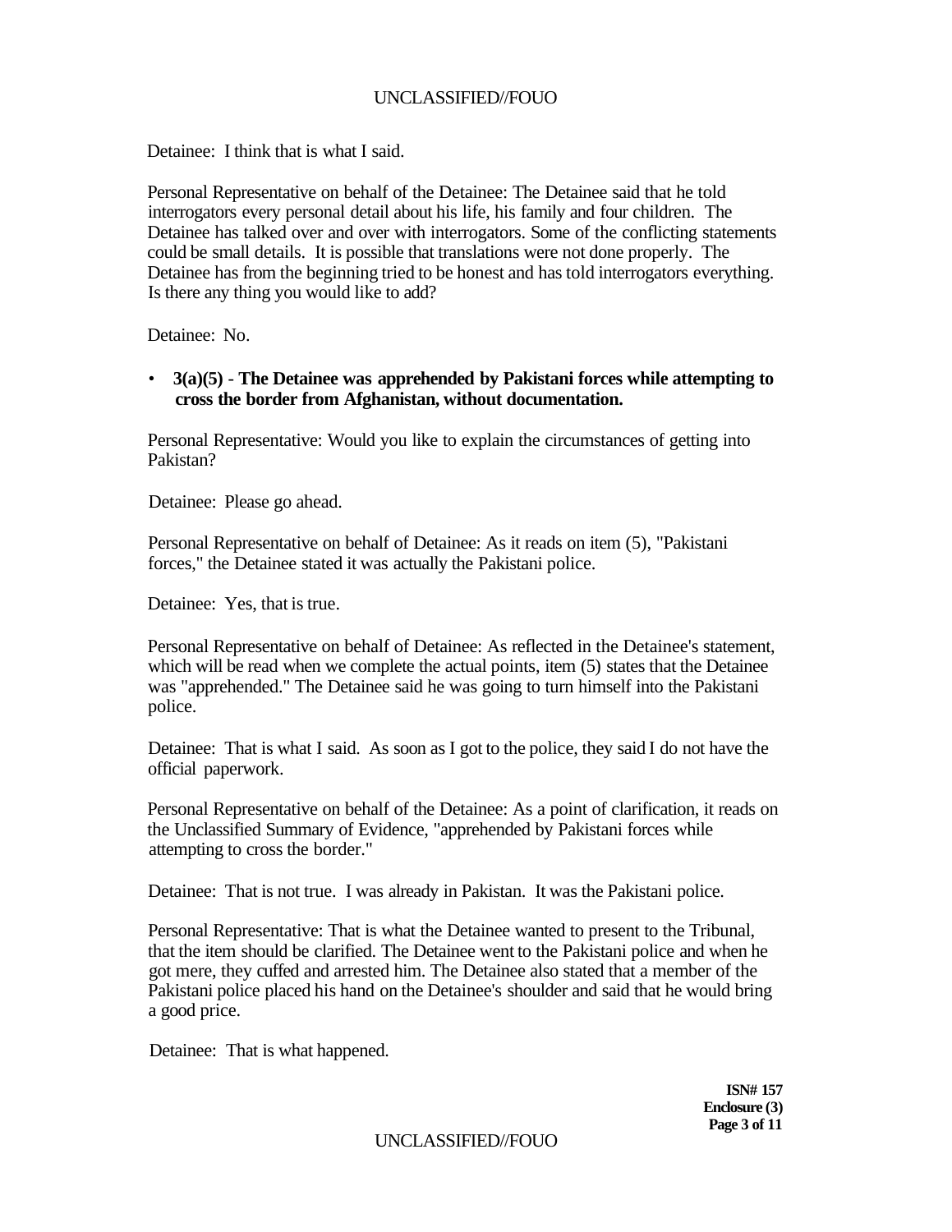Detainee: I think that is what I said.

Personal Representative on behalf of the Detainee: The Detainee said that he told interrogators every personal detail about his life, his family and four children. The Detainee has talked over and over with interrogators. Some of the conflicting statements could be small details. It is possible that translations were not done properly. The Detainee has from the beginning tried to be honest and has told interrogators everything. Is there any thing you would like to add?

Detainee: No.

• **3(a)(5)** - **The Detainee was apprehended by Pakistani forces while attempting to cross the border from Afghanistan, without documentation.** 

Personal Representative: Would you like to explain the circumstances of getting into Pakistan?

Detainee: Please go ahead.

Personal Representative on behalf of Detainee: As it reads on item (5), "Pakistani forces," the Detainee stated it was actually the Pakistani police.

Detainee: Yes, that is true.

Personal Representative on behalf of Detainee: As reflected in the Detainee's statement, which will be read when we complete the actual points, item (5) states that the Detainee was "apprehended." The Detainee said he was going to turn himself into the Pakistani police.

Detainee: That is what I said. As soon as I got to the police, they said I do not have the official paperwork.

Personal Representative on behalf of the Detainee: As a point of clarification, it reads on the Unclassified Summary of Evidence, "apprehended by Pakistani forces while attempting to cross the border."

Detainee: That is not true. I was already in Pakistan. It was the Pakistani police.

Personal Representative: That is what the Detainee wanted to present to the Tribunal, that the item should be clarified. The Detainee went to the Pakistani police and when he got mere, they cuffed and arrested him. The Detainee also stated that a member of the Pakistani police placed his hand on the Detainee's shoulder and said that he would bring a good price.

Detainee: That is what happened.

**ISN# 157 Enclosure (3) Page 3 of 11**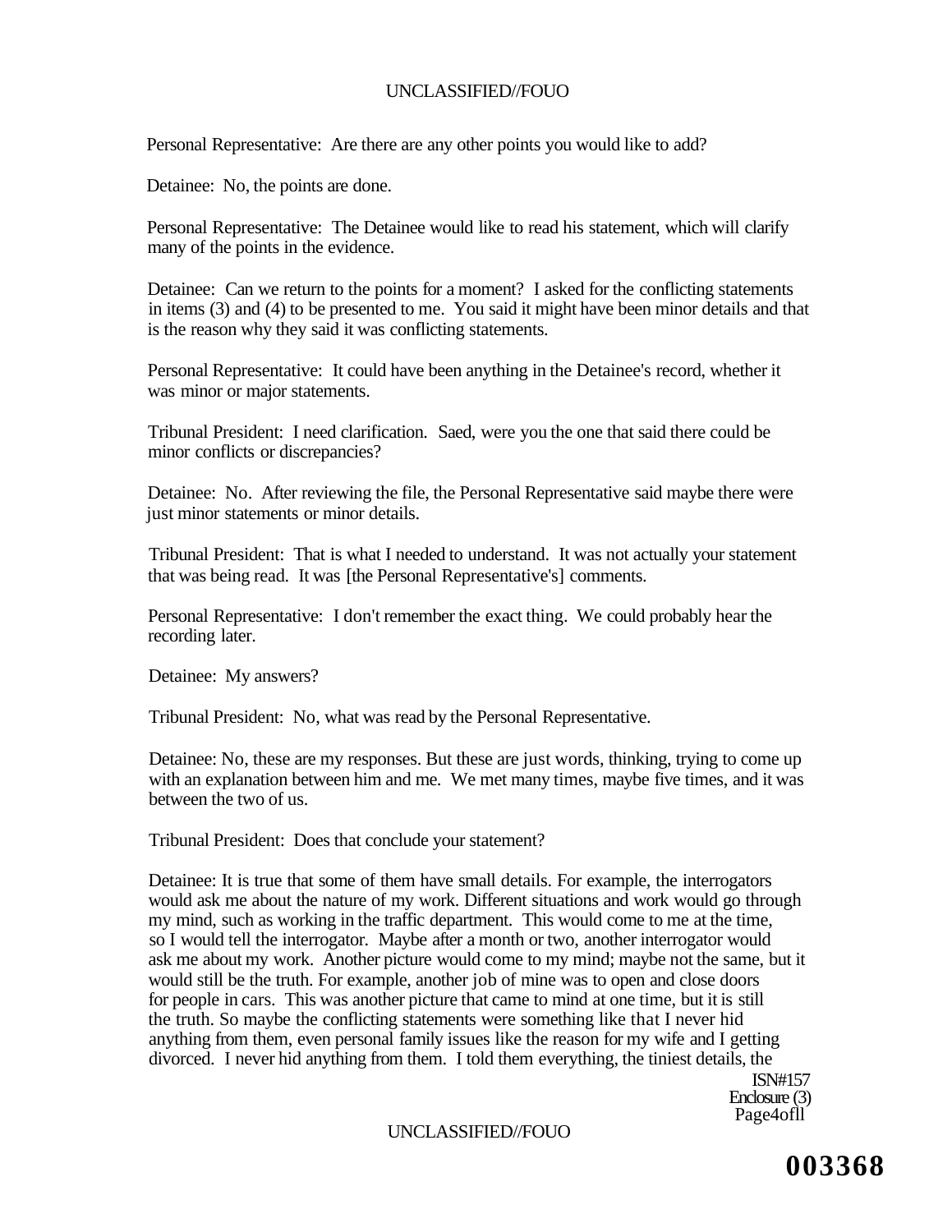Personal Representative: Are there are any other points you would like to add?

Detainee: No, the points are done.

Personal Representative: The Detainee would like to read his statement, which will clarify many of the points in the evidence.

Detainee: Can we return to the points for a moment? I asked for the conflicting statements in items (3) and (4) to be presented to me. You said it might have been minor details and that is the reason why they said it was conflicting statements.

Personal Representative: It could have been anything in the Detainee's record, whether it was minor or major statements.

Tribunal President: I need clarification. Saed, were you the one that said there could be minor conflicts or discrepancies?

Detainee: No. After reviewing the file, the Personal Representative said maybe there were just minor statements or minor details.

Tribunal President: That is what I needed to understand. It was not actually your statement that was being read. It was [the Personal Representative's] comments.

Personal Representative: I don't remember the exact thing. We could probably hear the recording later.

Detainee: My answers?

Tribunal President: No, what was read by the Personal Representative.

Detainee: No, these are my responses. But these are just words, thinking, trying to come up with an explanation between him and me. We met many times, maybe five times, and it was between the two of us.

Tribunal President: Does that conclude your statement?

Detainee: It is true that some of them have small details. For example, the interrogators would ask me about the nature of my work. Different situations and work would go through my mind, such as working in the traffic department. This would come to me at the time, so I would tell the interrogator. Maybe after a month or two, another interrogator would ask me about my work. Another picture would come to my mind; maybe not the same, but it would still be the truth. For example, another job of mine was to open and close doors for people in cars. This was another picture that came to mind at one time, but it is still the truth. So maybe the conflicting statements were something like that I never hid anything from them, even personal family issues like the reason for my wife and I getting divorced. I never hid anything from them. I told them everything, the tiniest details, the

ISN#157 Enclosure (3) Page4ofll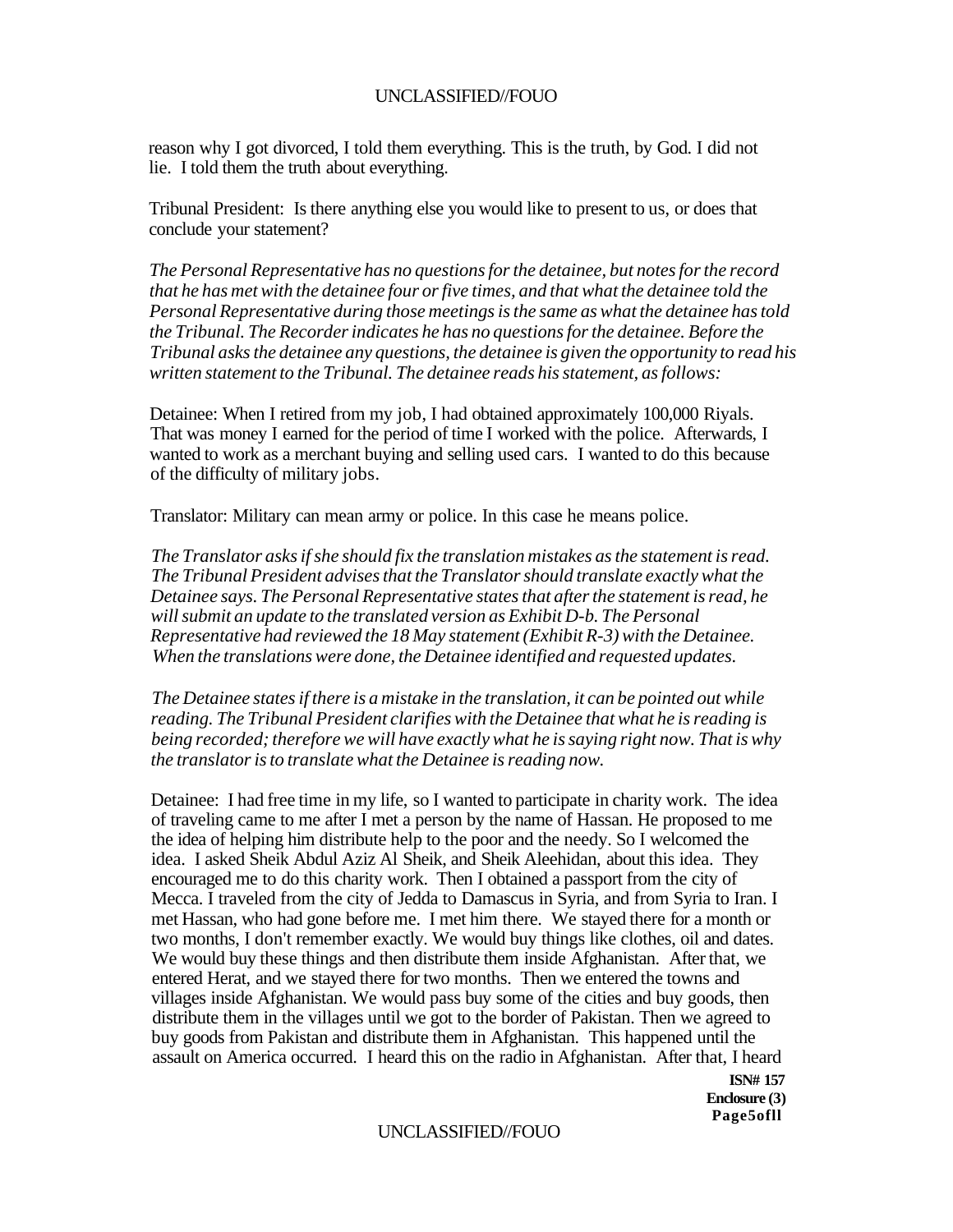reason why I got divorced, I told them everything. This is the truth, by God. I did not lie. I told them the truth about everything.

Tribunal President: Is there anything else you would like to present to us, or does that conclude your statement?

*The Personal Representative has no questions for the detainee, but notes for the record that he has met with the detainee four or five times, and that what the detainee told the Personal Representative during those meetings is the same as what the detainee has told the Tribunal. The Recorder indicates he has no questions for the detainee. Before the Tribunal asks the detainee any questions, the detainee is given the opportunity to read his written statement to the Tribunal. The detainee reads his statement, as follows:* 

Detainee: When I retired from my job, I had obtained approximately 100,000 Riyals. That was money I earned for the period of time I worked with the police. Afterwards, I wanted to work as a merchant buying and selling used cars. I wanted to do this because of the difficulty of military jobs.

Translator: Military can mean army or police. In this case he means police.

*The Translator asks if she should fix the translation mistakes as the statement is read. The Tribunal President advises that the Translator should translate exactly what the Detainee says. The Personal Representative states that after the statement is read, he will submit an update to the translated version as Exhibit D-b. The Personal Representative had reviewed the 18 May statement (Exhibit R-3) with the Detainee. When the translations were done, the Detainee identified and requested updates.* 

*The Detainee states if there is a mistake in the translation, it can be pointed out while reading. The Tribunal President clarifies with the Detainee that what he is reading is being recorded; therefore we will have exactly what he is saying right now. That is why the translator is to translate what the Detainee is reading now.* 

Detainee: I had free time in my life, so I wanted to participate in charity work. The idea of traveling came to me after I met a person by the name of Hassan. He proposed to me the idea of helping him distribute help to the poor and the needy. So I welcomed the idea. I asked Sheik Abdul Aziz Al Sheik, and Sheik Aleehidan, about this idea. They encouraged me to do this charity work. Then I obtained a passport from the city of Mecca. I traveled from the city of Jedda to Damascus in Syria, and from Syria to Iran. I met Hassan, who had gone before me. I met him there. We stayed there for a month or two months, I don't remember exactly. We would buy things like clothes, oil and dates. We would buy these things and then distribute them inside Afghanistan. After that, we entered Herat, and we stayed there for two months. Then we entered the towns and villages inside Afghanistan. We would pass buy some of the cities and buy goods, then distribute them in the villages until we got to the border of Pakistan. Then we agreed to buy goods from Pakistan and distribute them in Afghanistan. This happened until the assault on America occurred. I heard this on the radio in Afghanistan. After that, I heard

**ISN# 157 Enclosure (3) Page5ofll**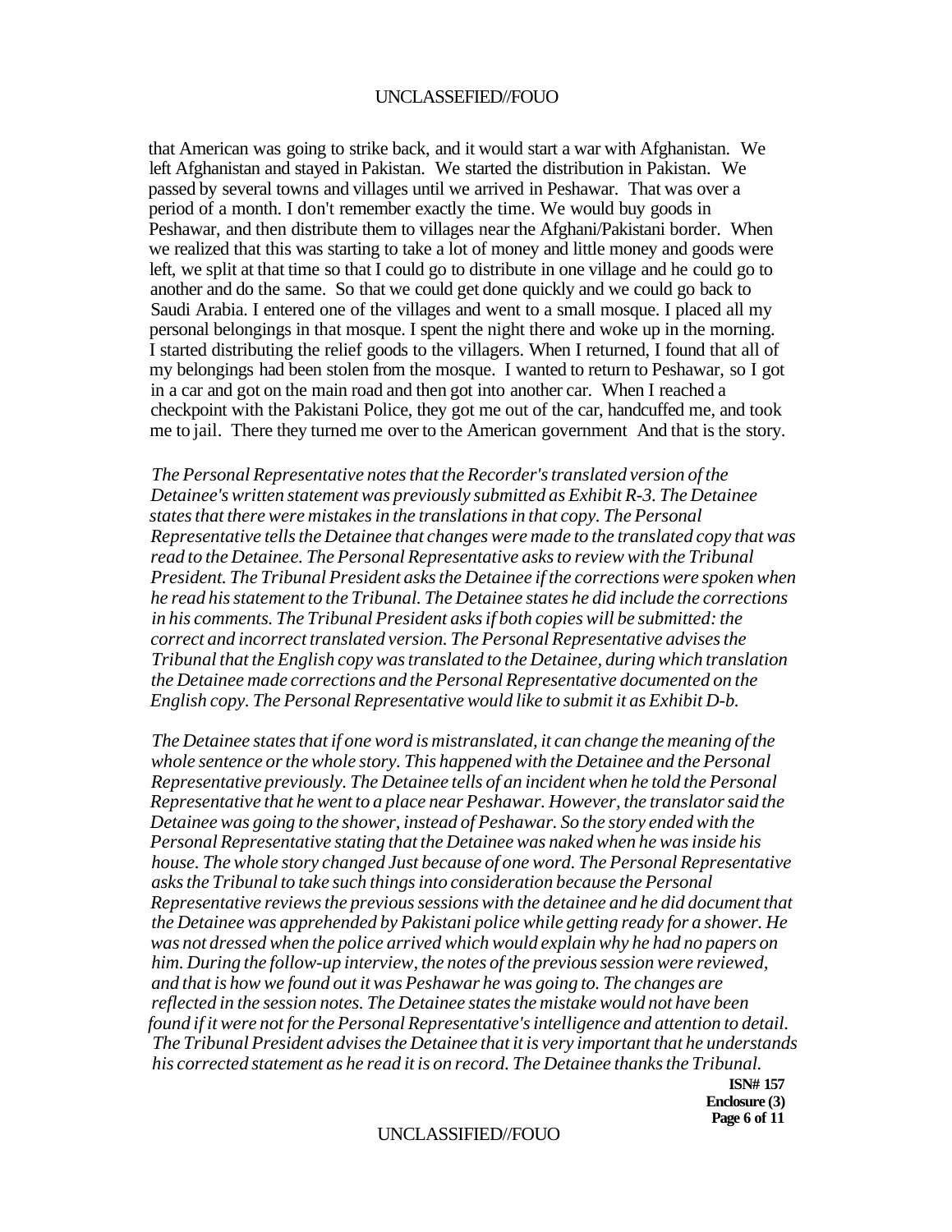that American was going to strike back, and it would start a war with Afghanistan. We left Afghanistan and stayed in Pakistan. We started the distribution in Pakistan. We passed by several towns and villages until we arrived in Peshawar. That was over a period of a month. I don't remember exactly the time. We would buy goods in Peshawar, and then distribute them to villages near the Afghani/Pakistani border. When we realized that this was starting to take a lot of money and little money and goods were left, we split at that time so that I could go to distribute in one village and he could go to another and do the same. So that we could get done quickly and we could go back to Saudi Arabia. I entered one of the villages and went to a small mosque. I placed all my personal belongings in that mosque. I spent the night there and woke up in the morning. I started distributing the relief goods to the villagers. When I returned, I found that all of my belongings had been stolen from the mosque. I wanted to return to Peshawar, so I got in a car and got on the main road and then got into another car. When I reached a checkpoint with the Pakistani Police, they got me out of the car, handcuffed me, and took me to jail. There they turned me over to the American government And that is the story.

*The Personal Representative notes that the Recorder's translated version of the Detainee's written statement was previously submitted as Exhibit R-3. The Detainee states that there were mistakes in the translations in that copy. The Personal Representative tells the Detainee that changes were made to the translated copy that was read to the Detainee. The Personal Representative asks to review with the Tribunal President. The Tribunal President asks the Detainee if the corrections were spoken when he read his statement to the Tribunal. The Detainee states he did include the corrections in his comments. The Tribunal President asks if both copies will be submitted: the correct and incorrect translated version. The Personal Representative advises the Tribunal that the English copy was translated to the Detainee, during which translation the Detainee made corrections and the Personal Representative documented on the English copy. The Personal Representative would like to submit it as Exhibit D-b.* 

*The Detainee states that if one word is mistranslated, it can change the meaning of the whole sentence or the whole story. This happened with the Detainee and the Personal Representative previously. The Detainee tells of an incident when he told the Personal Representative that he went to a place near Peshawar. However, the translator said the Detainee was going to the shower, instead of Peshawar. So the story ended with the Personal Representative stating that the Detainee was naked when he was inside his house. The whole story changed Just because of one word. The Personal Representative asks the Tribunal to take such things into consideration because the Personal Representative reviews the previous sessions with the detainee and he did document that the Detainee was apprehended by Pakistani police while getting ready for a shower. He was not dressed when the police arrived which would explain why he had no papers on him. During the follow-up interview, the notes of the previous session were reviewed, and that is how we found out it was Peshawar he was going to. The changes are reflected in the session notes. The Detainee states the mistake would not have been found if it were not for the Personal Representative's intelligence and attention to detail. The Tribunal President advises the Detainee that it is very important that he understands his corrected statement as he read it is on record. The Detainee thanks the Tribunal.* 

> **ISN# 157 Enclosure (3) Page 6 of 11**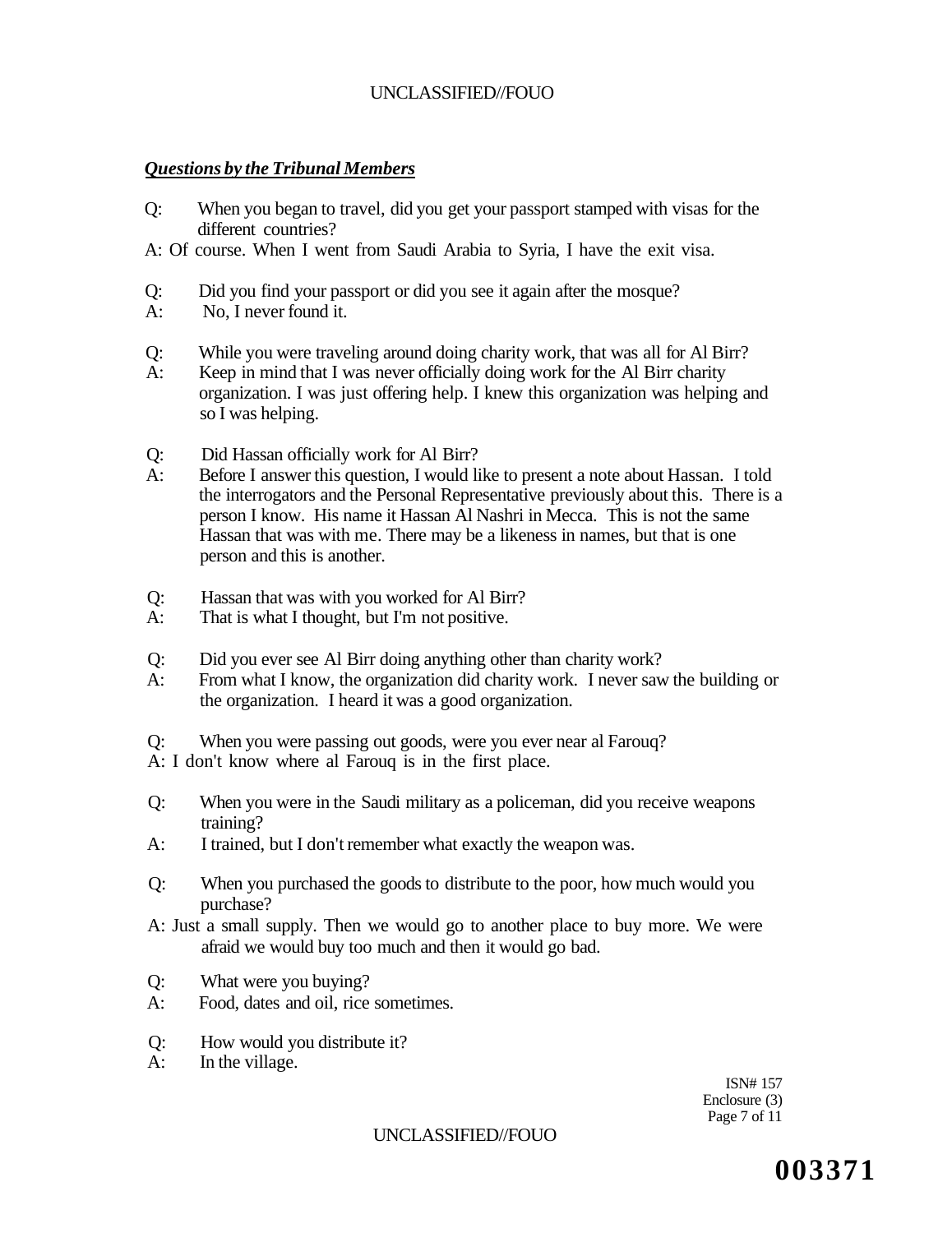#### *Questions by the Tribunal Members*

- Q: When you began to travel, did you get your passport stamped with visas for the different countries?
- A: Of course. When I went from Saudi Arabia to Syria, I have the exit visa.
- Q: Did you find your passport or did you see it again after the mosque?<br>A: No. I never found it.
- No, I never found it.
- Q: While you were traveling around doing charity work, that was all for Al Birr?
- A: Keep in mind that I was never officially doing work for the Al Birr charity organization. I was just offering help. I knew this organization was helping and so I was helping.
- Q: Did Hassan officially work for Al Birr?
- A: Before I answer this question, I would like to present a note about Hassan. I told the interrogators and the Personal Representative previously about this. There is a person I know. His name it Hassan Al Nashri in Mecca. This is not the same Hassan that was with me. There may be a likeness in names, but that is one person and this is another.
- Q: Hassan that was with you worked for Al Birr?
- A: That is what I thought, but I'm not positive.
- Q: Did you ever see Al Birr doing anything other than charity work?
- A: From what I know, the organization did charity work. I never saw the building or the organization. I heard it was a good organization.
- Q: When you were passing out goods, were you ever near al Farouq?
- A: I don't know where al Farouq is in the first place.
- Q: When you were in the Saudi military as a policeman, did you receive weapons training?
- A: I trained, but I don't remember what exactly the weapon was.
- Q: When you purchased the goods to distribute to the poor, how much would you purchase?
- A: Just a small supply. Then we would go to another place to buy more. We were afraid we would buy too much and then it would go bad.
- Q: What were you buying?
- A: Food, dates and oil, rice sometimes.
- Q: How would you distribute it?
- A: In the village.

ISN# 157 Enclosure (3) Page 7 of 11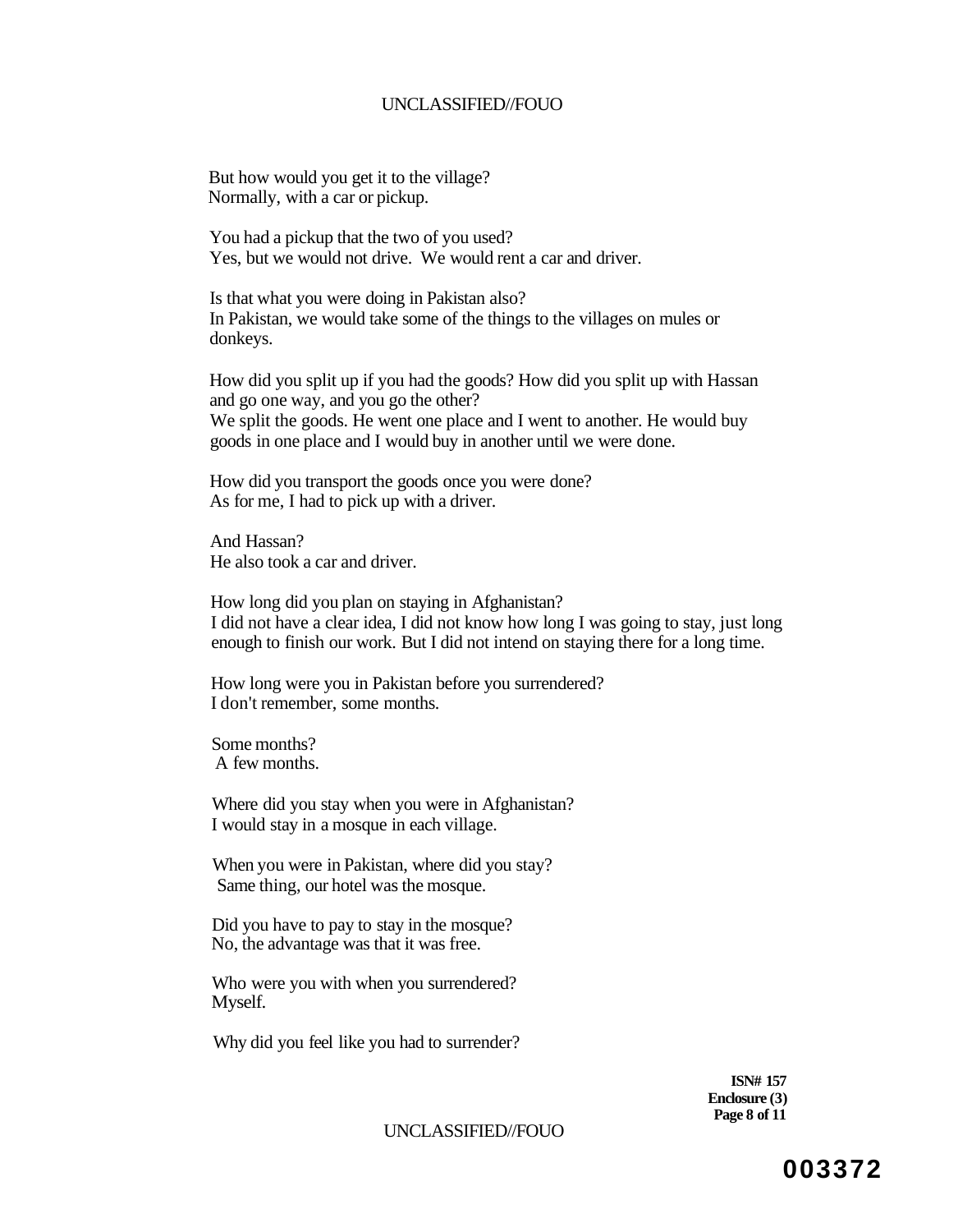But how would you get it to the village? Normally, with a car or pickup.

You had a pickup that the two of you used? Yes, but we would not drive. We would rent a car and driver.

Is that what you were doing in Pakistan also? In Pakistan, we would take some of the things to the villages on mules or donkeys.

How did you split up if you had the goods? How did you split up with Hassan and go one way, and you go the other? We split the goods. He went one place and I went to another. He would buy goods in one place and I would buy in another until we were done.

How did you transport the goods once you were done? As for me, I had to pick up with a driver.

And Hassan? He also took a car and driver.

How long did you plan on staying in Afghanistan? I did not have a clear idea, I did not know how long I was going to stay, just long enough to finish our work. But I did not intend on staying there for a long time.

How long were you in Pakistan before you surrendered? I don't remember, some months.

Some months? A few months.

Where did you stay when you were in Afghanistan? I would stay in a mosque in each village.

When you were in Pakistan, where did you stay? Same thing, our hotel was the mosque.

Did you have to pay to stay in the mosque? No, the advantage was that it was free.

Who were you with when you surrendered? Myself.

Why did you feel like you had to surrender?

**ISN# 157 Enclosure (3) Page 8 of 11**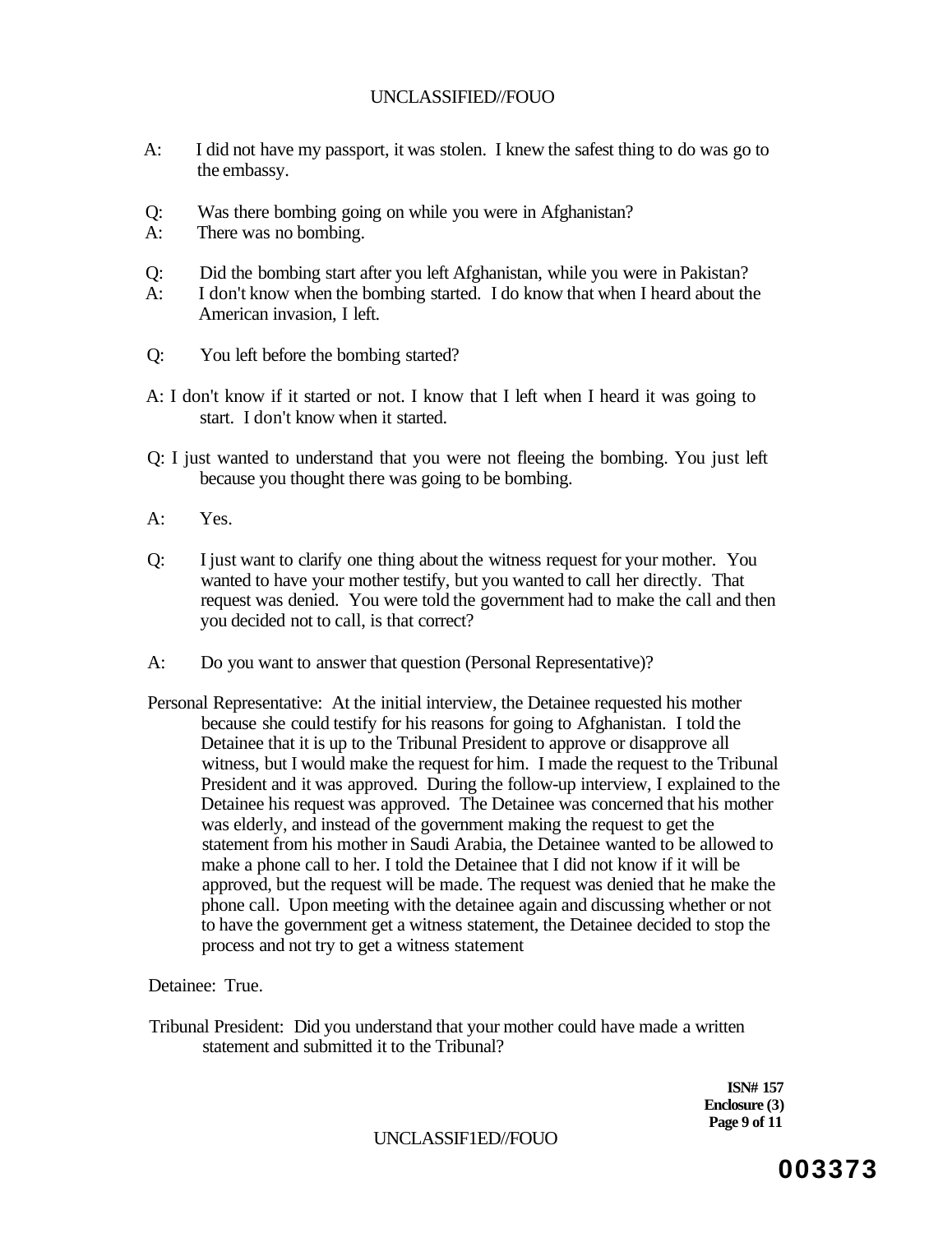- A: I did not have my passport, it was stolen. I knew the safest thing to do was go to the embassy.
- Q: Was there bombing going on while you were in Afghanistan?
- A: There was no bombing.
- Q: Did the bombing start after you left Afghanistan, while you were in Pakistan?
- A: I don't know when the bombing started. I do know that when I heard about the American invasion, I left.
- Q: You left before the bombing started?
- A: I don't know if it started or not. I know that I left when I heard it was going to start. I don't know when it started.
- Q: I just wanted to understand that you were not fleeing the bombing. You just left because you thought there was going to be bombing.
- A: Yes.
- Q: I just want to clarify one thing about the witness request for your mother. You wanted to have your mother testify, but you wanted to call her directly. That request was denied. You were told the government had to make the call and then you decided not to call, is that correct?
- A: Do you want to answer that question (Personal Representative)?
- Personal Representative: At the initial interview, the Detainee requested his mother because she could testify for his reasons for going to Afghanistan. I told the Detainee that it is up to the Tribunal President to approve or disapprove all witness, but I would make the request for him. I made the request to the Tribunal President and it was approved. During the follow-up interview, I explained to the Detainee his request was approved. The Detainee was concerned that his mother was elderly, and instead of the government making the request to get the statement from his mother in Saudi Arabia, the Detainee wanted to be allowed to make a phone call to her. I told the Detainee that I did not know if it will be approved, but the request will be made. The request was denied that he make the phone call. Upon meeting with the detainee again and discussing whether or not to have the government get a witness statement, the Detainee decided to stop the process and not try to get a witness statement

Detainee: True.

Tribunal President: Did you understand that your mother could have made a written statement and submitted it to the Tribunal?

> **ISN# 157 Enclosure (3) Page 9 of 11**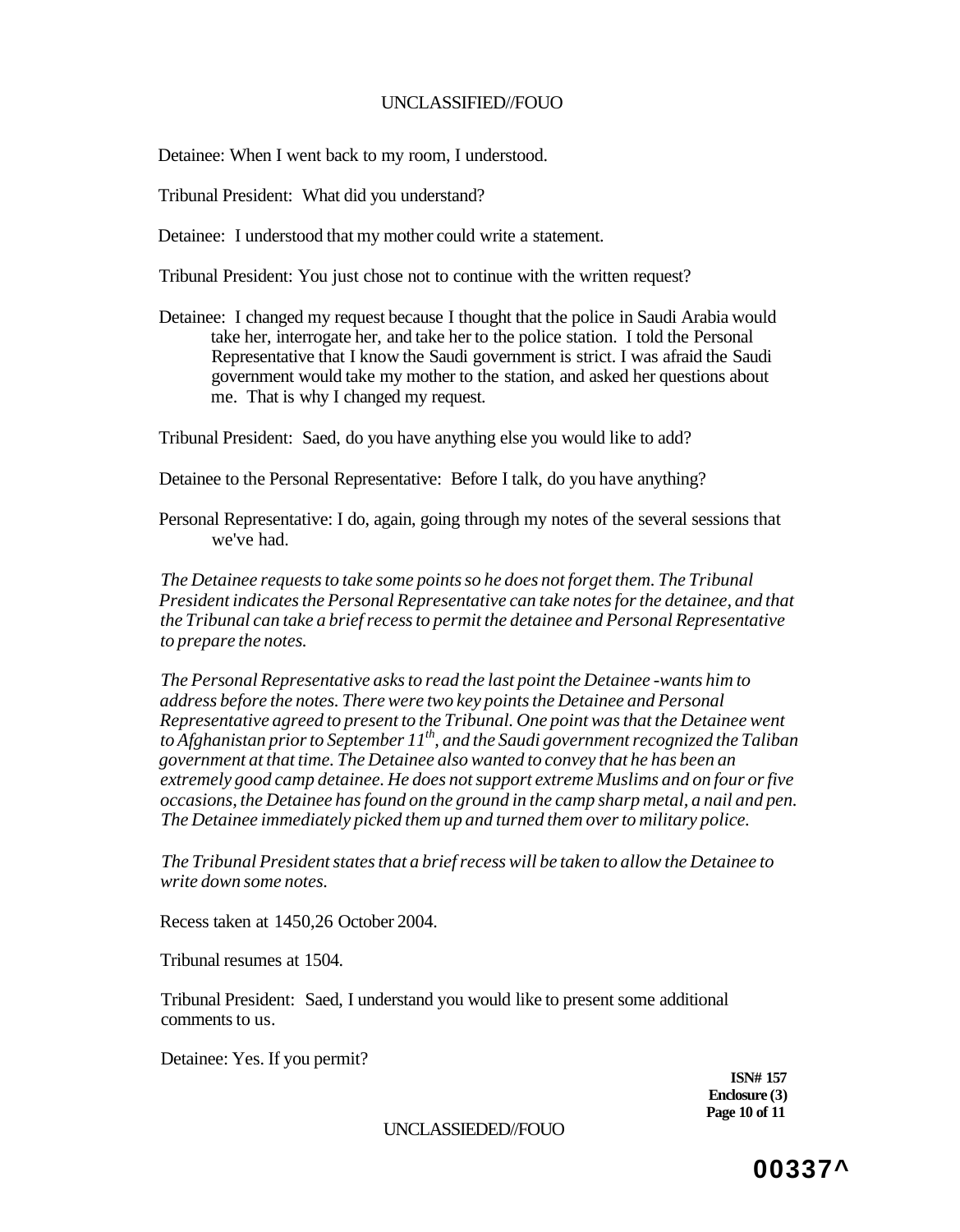Detainee: When I went back to my room, I understood.

Tribunal President: What did you understand?

Detainee: I understood that my mother could write a statement.

Tribunal President: You just chose not to continue with the written request?

Detainee: I changed my request because I thought that the police in Saudi Arabia would take her, interrogate her, and take her to the police station. I told the Personal Representative that I know the Saudi government is strict. I was afraid the Saudi government would take my mother to the station, and asked her questions about me. That is why I changed my request.

Tribunal President: Saed, do you have anything else you would like to add?

- Detainee to the Personal Representative: Before I talk, do you have anything?
- Personal Representative: I do, again, going through my notes of the several sessions that we've had.

*The Detainee requests to take some points so he does not forget them. The Tribunal President indicates the Personal Representative can take notes for the detainee, and that the Tribunal can take a brief recess to permit the detainee and Personal Representative to prepare the notes.* 

*The Personal Representative asks to read the last point the Detainee -wants him to address before the notes. There were two key points the Detainee and Personal Representative agreed to present to the Tribunal. One point was that the Detainee went to Afghanistan prior to September 11th, and the Saudi government recognized the Taliban government at that time. The Detainee also wanted to convey that he has been an extremely good camp detainee. He does not support extreme Muslims and on four or five occasions, the Detainee has found on the ground in the camp sharp metal, a nail and pen. The Detainee immediately picked them up and turned them over to military police.* 

*The Tribunal President states that a brief recess will be taken to allow the Detainee to write down some notes.* 

Recess taken at 1450,26 October 2004.

Tribunal resumes at 1504.

Tribunal President: Saed, I understand you would like to present some additional comments to us.

Detainee: Yes. If you permit?

**ISN# 157 Enclosure (3) Page 10 of 11** 

UNCLASSIEDED//FOUO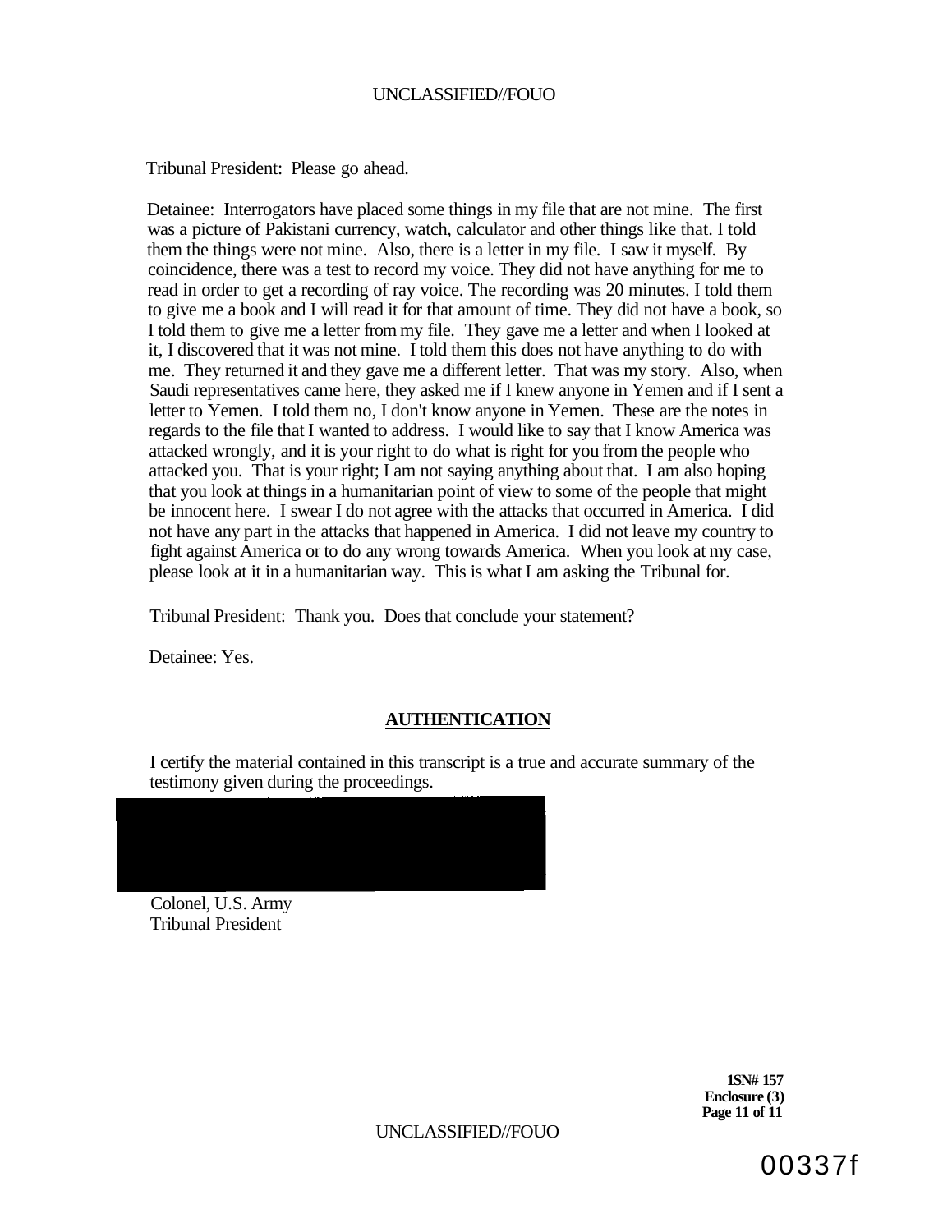Tribunal President: Please go ahead.

Detainee: Interrogators have placed some things in my file that are not mine. The first was a picture of Pakistani currency, watch, calculator and other things like that. I told them the things were not mine. Also, there is a letter in my file. I saw it myself. By coincidence, there was a test to record my voice. They did not have anything for me to read in order to get a recording of ray voice. The recording was 20 minutes. I told them to give me a book and I will read it for that amount of time. They did not have a book, so I told them to give me a letter from my file. They gave me a letter and when I looked at it, I discovered that it was not mine. I told them this does not have anything to do with me. They returned it and they gave me a different letter. That was my story. Also, when Saudi representatives came here, they asked me if I knew anyone in Yemen and if I sent a letter to Yemen. I told them no, I don't know anyone in Yemen. These are the notes in regards to the file that I wanted to address. I would like to say that I know America was attacked wrongly, and it is your right to do what is right for you from the people who attacked you. That is your right; I am not saying anything about that. I am also hoping that you look at things in a humanitarian point of view to some of the people that might be innocent here. I swear I do not agree with the attacks that occurred in America. I did not have any part in the attacks that happened in America. I did not leave my country to fight against America or to do any wrong towards America. When you look at my case, please look at it in a humanitarian way. This is what I am asking the Tribunal for.

Tribunal President: Thank you. Does that conclude your statement?

Detainee: Yes.

# **AUTHENTICATION**

I certify the material contained in this transcript is a true and accurate summary of the testimony given during the proceedings.

Colonel, U.S. Army Tribunal President

> **1SN# 157 Enclosure (3) Page 11 of 11**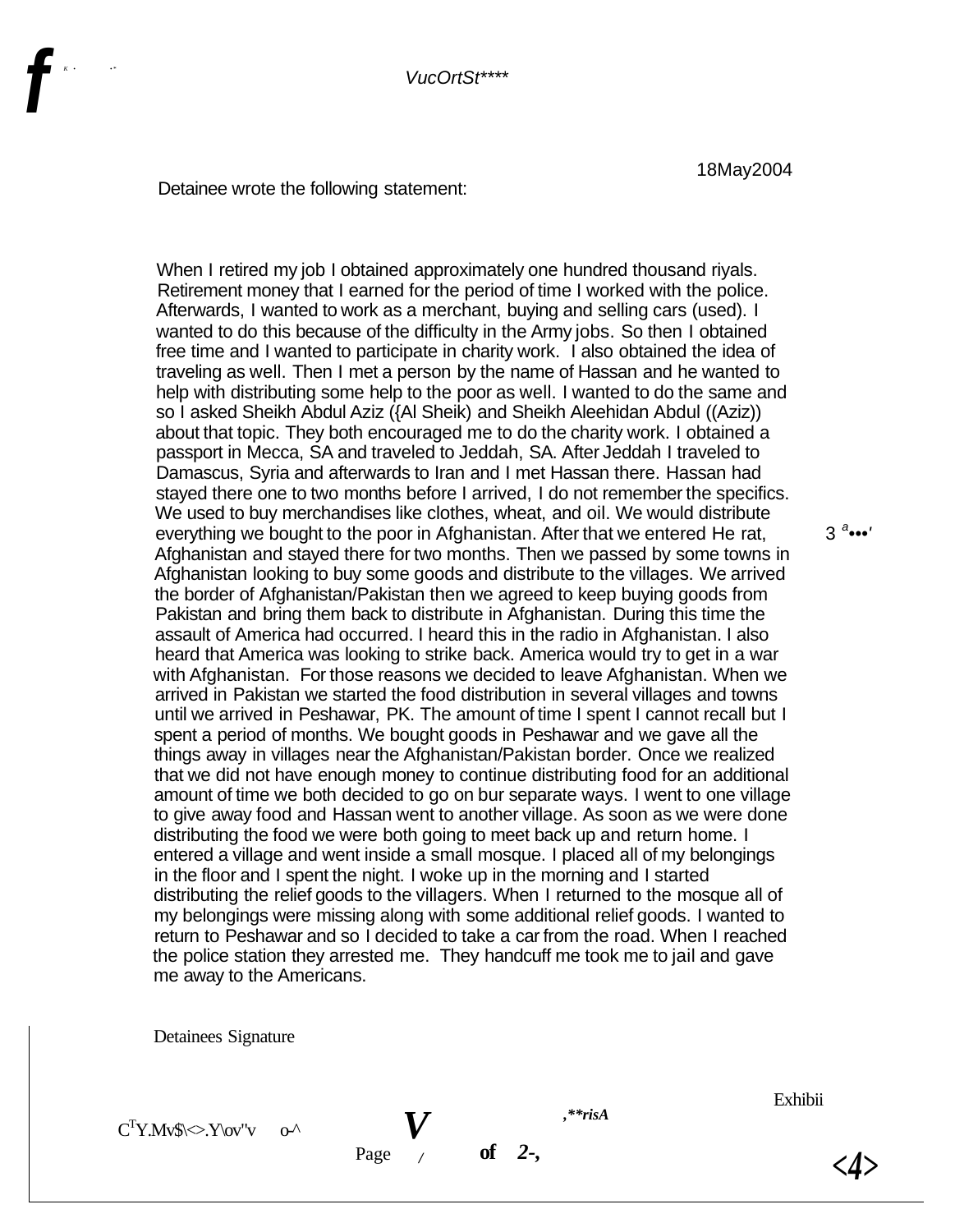

18May2004

Detainee wrote the following statement:

When I retired my job I obtained approximately one hundred thousand riyals. Retirement money that I earned for the period of time I worked with the police. Afterwards, I wanted to work as a merchant, buying and selling cars (used). I wanted to do this because of the difficulty in the Army jobs. So then I obtained free time and I wanted to participate in charity work. I also obtained the idea of traveling as well. Then I met a person by the name of Hassan and he wanted to help with distributing some help to the poor as well. I wanted to do the same and so I asked Sheikh Abdul Aziz ({Al Sheik) and Sheikh Aleehidan Abdul ((Aziz)) about that topic. They both encouraged me to do the charity work. I obtained a passport in Mecca, SA and traveled to Jeddah, SA. After Jeddah I traveled to Damascus, Syria and afterwards to Iran and I met Hassan there. Hassan had stayed there one to two months before I arrived, I do not remember the specifics. We used to buy merchandises like clothes, wheat, and oil. We would distribute everything we bought to the poor in Afghanistan. After that we entered He rat, Afghanistan and stayed there for two months. Then we passed by some towns in Afghanistan looking to buy some goods and distribute to the villages. We arrived the border of Afghanistan/Pakistan then we agreed to keep buying goods from Pakistan and bring them back to distribute in Afghanistan. During this time the assault of America had occurred. I heard this in the radio in Afghanistan. I also heard that America was looking to strike back. America would try to get in a war with Afghanistan. For those reasons we decided to leave Afghanistan. When we arrived in Pakistan we started the food distribution in several villages and towns until we arrived in Peshawar, PK. The amount of time I spent I cannot recall but I spent a period of months. We bought goods in Peshawar and we gave all the things away in villages near the Afghanistan/Pakistan border. Once we realized that we did not have enough money to continue distributing food for an additional amount of time we both decided to go on bur separate ways. I went to one village to give away food and Hassan went to another village. As soon as we were done distributing the food we were both going to meet back up and return home. I entered a village and went inside a small mosque. I placed all of my belongings in the floor and I spent the night. I woke up in the morning and I started distributing the relief goods to the villagers. When I returned to the mosque all of my belongings were missing along with some additional relief goods. I wanted to return to Peshawar and so I decided to take a car from the road. When I reached the police station they arrested me. They handcuff me took me to jail and gave me away to the Americans.

Detainees Signature

 $C^T Y.Mv\$   $\otimes$  Y ov"v o-

*V /* **of** *2-,* 

Page

*,\*\*risA* 

Exhibii

*<4>* 

 $3<sup>a</sup>$ •••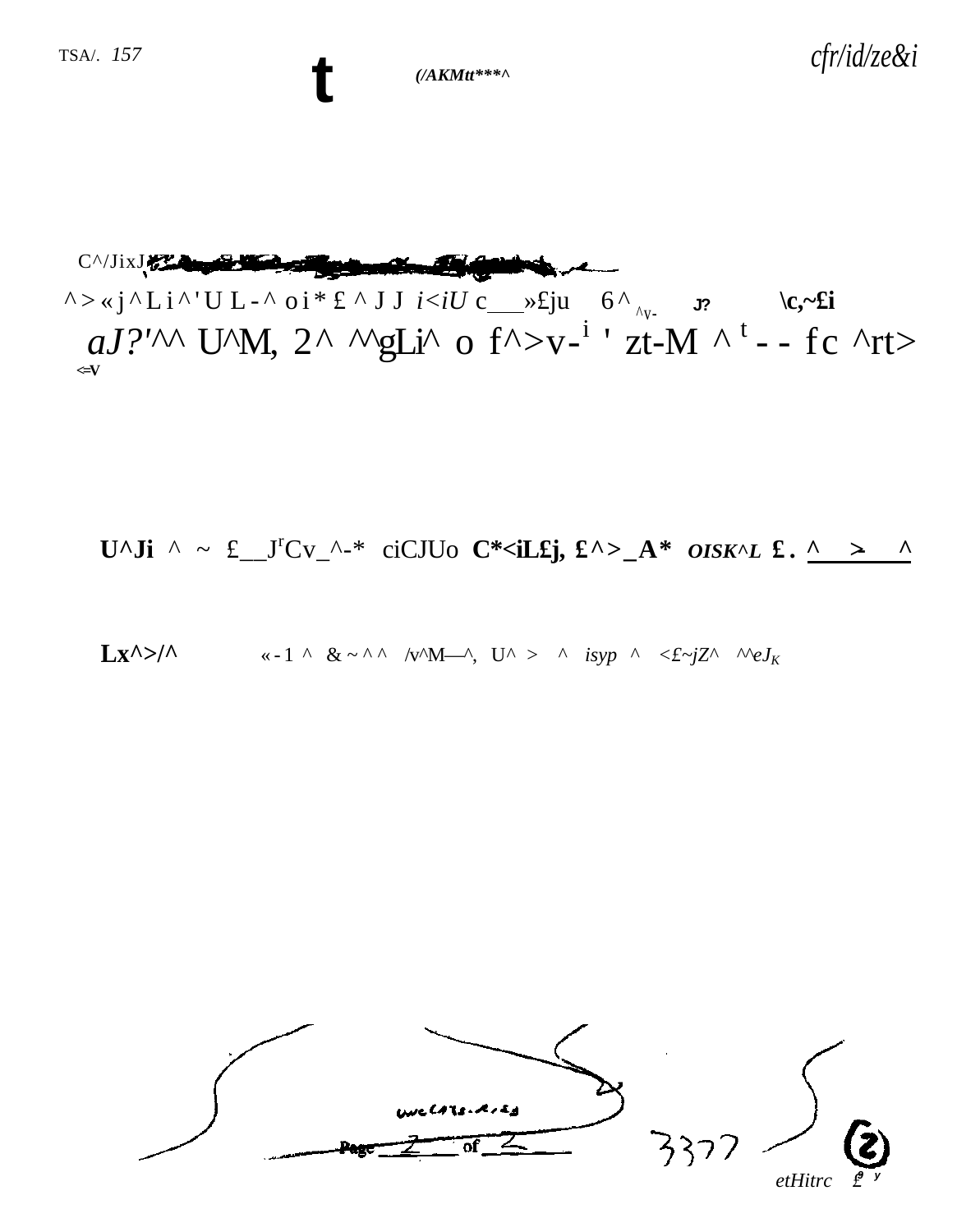C^/JixJ<Ledge

 $\lambda > \alpha j \Delta L i \Delta' U L - \Delta o i * \pounds \Delta J J \i < i U \c_{\text{max}}$   $6 \Delta_{\lambda_V}$  *x*  $\alpha$  **lc,**~£i  $\leftarrow$ **V** *aJ?*" U^M, 2^  $\sim$  gLi^ o f^>v-<sup>i</sup> ' zt-M ^ <sup>t</sup> - - fc ^rt>

 $U^{\wedge}$ **Ji**  $\wedge \sim \pounds_{-1}^{\text{I}}$ <sup>r</sup>Cv\_ $\wedge$ -\* ciCJUo **C**\*<**iL£j**,  $\pounds$  $\wedge$  >\_A\* *OISK* $\wedge$ *L*  $\pounds$ . <u> $\wedge$  >  $\wedge$ </u>

**Lx^>/^** « - 1 ^ &~^ ^ /v^M—^, U^ > ^ *isyp ^ <£~jZ^ ^^eJ<sup>K</sup>*

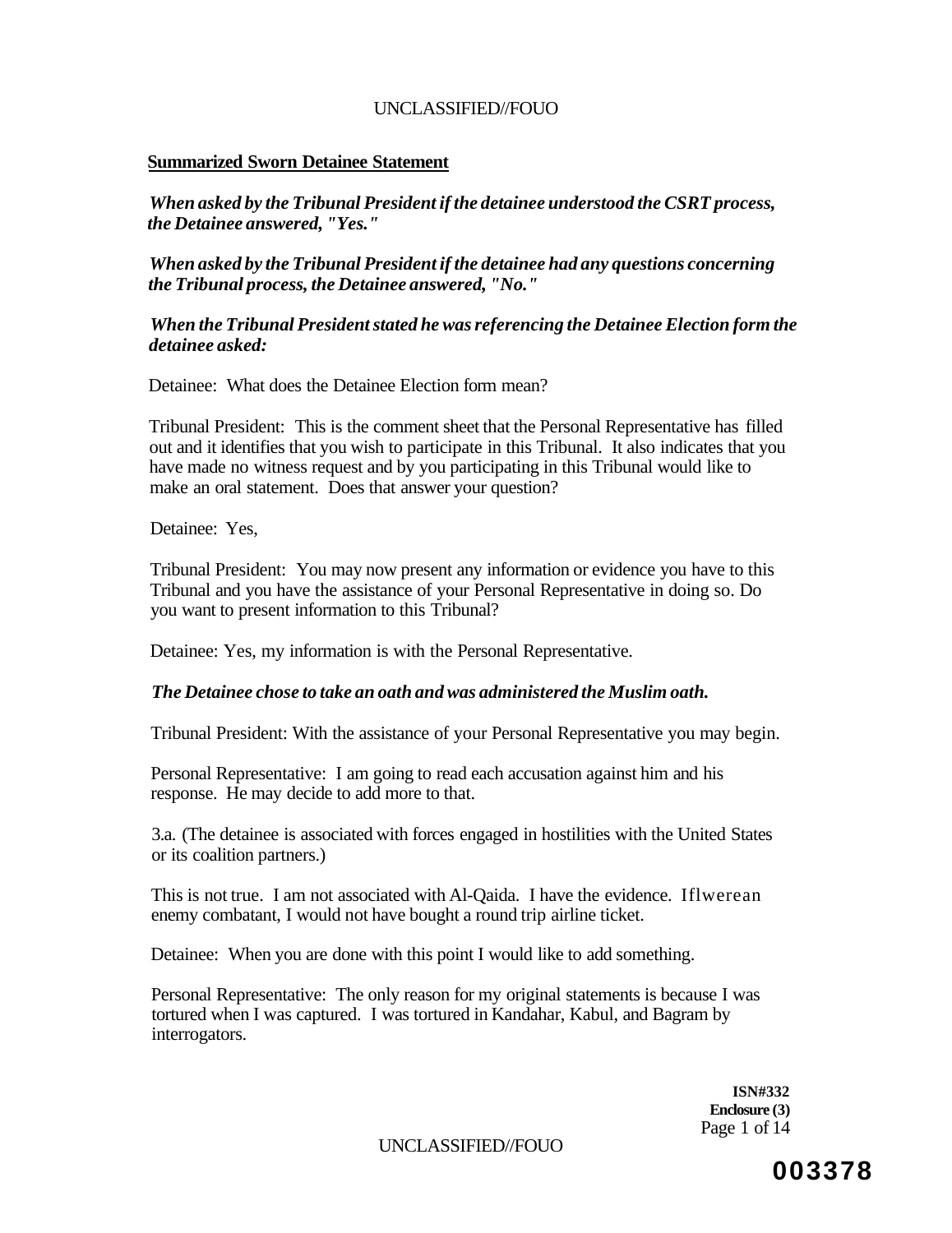#### **Summarized Sworn Detainee Statement**

*When asked by the Tribunal President if the detainee understood the CSRT process, the Detainee answered, "Yes."* 

*When asked by the Tribunal President if the detainee had any questions concerning the Tribunal process, the Detainee answered, "No."* 

*When the Tribunal President stated he was referencing the Detainee Election form the detainee asked:* 

Detainee: What does the Detainee Election form mean?

Tribunal President: This is the comment sheet that the Personal Representative has filled out and it identifies that you wish to participate in this Tribunal. It also indicates that you have made no witness request and by you participating in this Tribunal would like to make an oral statement. Does that answer your question?

Detainee: Yes,

Tribunal President: You may now present any information or evidence you have to this Tribunal and you have the assistance of your Personal Representative in doing so. Do you want to present information to this Tribunal?

Detainee: Yes, my information is with the Personal Representative.

### *The Detainee chose to take an oath and was administered the Muslim oath.*

Tribunal President: With the assistance of your Personal Representative you may begin.

Personal Representative: I am going to read each accusation against him and his response. He may decide to add more to that.

3.a. (The detainee is associated with forces engaged in hostilities with the United States or its coalition partners.)

This is not true. I am not associated with Al-Qaida. I have the evidence. Iflwerean enemy combatant, I would not have bought a round trip airline ticket.

Detainee: When you are done with this point I would like to add something.

Personal Representative: The only reason for my original statements is because I was tortured when I was captured. I was tortured in Kandahar, Kabul, and Bagram by interrogators.

> **ISN#332 Enclosure (3)**  Page 1 of 14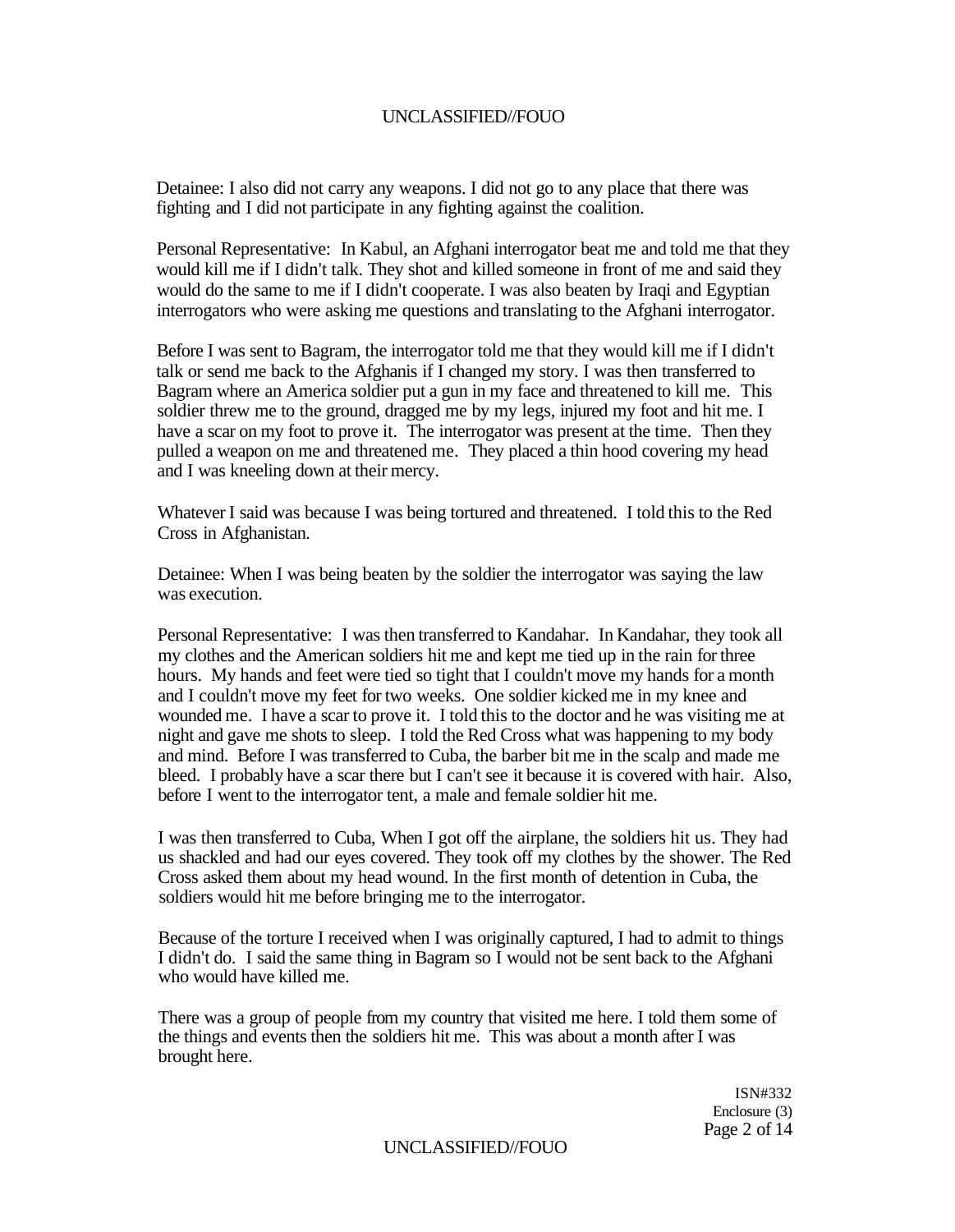Detainee: I also did not carry any weapons. I did not go to any place that there was fighting and I did not participate in any fighting against the coalition.

Personal Representative: In Kabul, an Afghani interrogator beat me and told me that they would kill me if I didn't talk. They shot and killed someone in front of me and said they would do the same to me if I didn't cooperate. I was also beaten by Iraqi and Egyptian interrogators who were asking me questions and translating to the Afghani interrogator.

Before I was sent to Bagram, the interrogator told me that they would kill me if I didn't talk or send me back to the Afghanis if I changed my story. I was then transferred to Bagram where an America soldier put a gun in my face and threatened to kill me. This soldier threw me to the ground, dragged me by my legs, injured my foot and hit me. I have a scar on my foot to prove it. The interrogator was present at the time. Then they pulled a weapon on me and threatened me. They placed a thin hood covering my head and I was kneeling down at their mercy.

Whatever I said was because I was being tortured and threatened. I told this to the Red Cross in Afghanistan.

Detainee: When I was being beaten by the soldier the interrogator was saying the law was execution.

Personal Representative: I was then transferred to Kandahar. In Kandahar, they took all my clothes and the American soldiers hit me and kept me tied up in the rain for three hours. My hands and feet were tied so tight that I couldn't move my hands for a month and I couldn't move my feet for two weeks. One soldier kicked me in my knee and wounded me. I have a scar to prove it. I told this to the doctor and he was visiting me at night and gave me shots to sleep. I told the Red Cross what was happening to my body and mind. Before I was transferred to Cuba, the barber bit me in the scalp and made me bleed. I probably have a scar there but I can't see it because it is covered with hair. Also, before I went to the interrogator tent, a male and female soldier hit me.

I was then transferred to Cuba, When I got off the airplane, the soldiers hit us. They had us shackled and had our eyes covered. They took off my clothes by the shower. The Red Cross asked them about my head wound. In the first month of detention in Cuba, the soldiers would hit me before bringing me to the interrogator.

Because of the torture I received when I was originally captured, I had to admit to things I didn't do. I said the same thing in Bagram so I would not be sent back to the Afghani who would have killed me.

There was a group of people from my country that visited me here. I told them some of the things and events then the soldiers hit me. This was about a month after I was brought here.

> ISN#332 Enclosure (3) Page 2 of 14